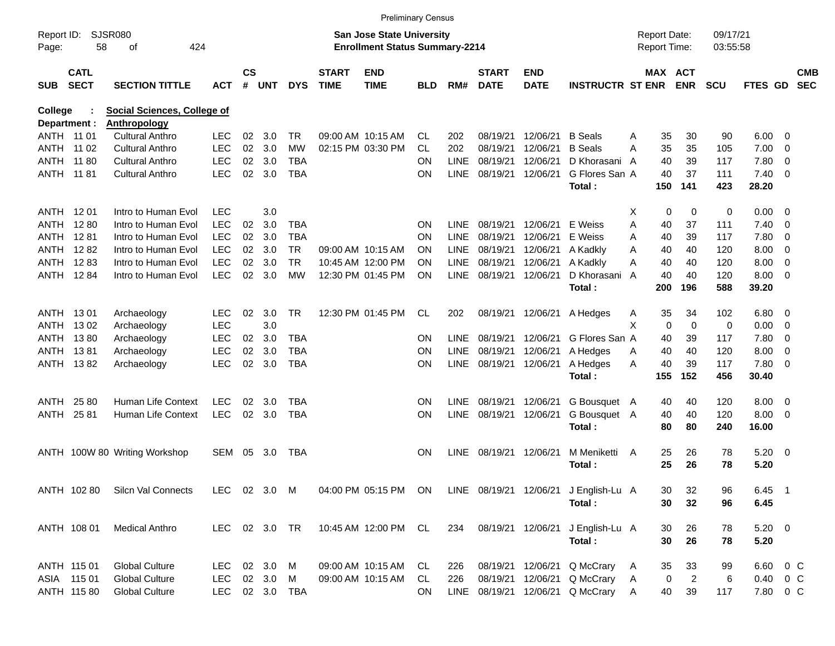|                     |                            |                                    |               |                    |            |                |                             |                                                                    | <b>Preliminary Census</b> |             |                             |                           |                                       |                                     |                            |                      |                         |                          |                          |
|---------------------|----------------------------|------------------------------------|---------------|--------------------|------------|----------------|-----------------------------|--------------------------------------------------------------------|---------------------------|-------------|-----------------------------|---------------------------|---------------------------------------|-------------------------------------|----------------------------|----------------------|-------------------------|--------------------------|--------------------------|
| Report ID:<br>Page: | 58                         | SJSR080<br>οf<br>424               |               |                    |            |                |                             | San Jose State University<br><b>Enrollment Status Summary-2214</b> |                           |             |                             |                           |                                       | <b>Report Date:</b><br>Report Time: |                            | 09/17/21<br>03:55:58 |                         |                          |                          |
| <b>SUB</b>          | <b>CATL</b><br><b>SECT</b> | <b>SECTION TITTLE</b>              | <b>ACT</b>    | $\mathsf{cs}$<br># | <b>UNT</b> | <b>DYS</b>     | <b>START</b><br><b>TIME</b> | <b>END</b><br><b>TIME</b>                                          | BLD                       | RM#         | <b>START</b><br><b>DATE</b> | <b>END</b><br><b>DATE</b> | <b>INSTRUCTR ST ENR</b>               |                                     | MAX ACT<br><b>ENR</b>      | <b>SCU</b>           | <b>FTES GD</b>          |                          | <b>CMB</b><br><b>SEC</b> |
| College             |                            | <b>Social Sciences, College of</b> |               |                    |            |                |                             |                                                                    |                           |             |                             |                           |                                       |                                     |                            |                      |                         |                          |                          |
|                     | Department :               | <b>Anthropology</b>                |               |                    |            |                |                             |                                                                    |                           |             |                             |                           |                                       |                                     |                            |                      |                         |                          |                          |
|                     | ANTH 11 01                 | <b>Cultural Anthro</b>             | LEC           | 02                 | 3.0        | TR.            |                             | 09:00 AM 10:15 AM                                                  | CL.                       | 202         | 08/19/21                    | 12/06/21                  | <b>B</b> Seals                        | Α                                   | 35<br>30                   | 90                   | 6.00                    | $\overline{\phantom{0}}$ |                          |
| ANTH                | 11 02                      | <b>Cultural Anthro</b>             | <b>LEC</b>    | 02                 | 3.0        | <b>MW</b>      |                             | 02:15 PM 03:30 PM                                                  | CL.                       | 202         | 08/19/21                    | 12/06/21                  | <b>B</b> Seals                        | Α                                   | 35<br>35                   | 105                  | 7.00                    | - 0                      |                          |
| ANTH                | 11 80                      | <b>Cultural Anthro</b>             | <b>LEC</b>    | 02                 | 3.0        | <b>TBA</b>     |                             |                                                                    | ON                        | <b>LINE</b> | 08/19/21                    | 12/06/21                  | D Khorasani                           | A                                   | 39<br>40                   | 117                  | 7.80                    | 0                        |                          |
| <b>ANTH</b>         | 11 81                      | <b>Cultural Anthro</b>             | <b>LEC</b>    | 02                 | 3.0        | <b>TBA</b>     |                             |                                                                    | <b>ON</b>                 | <b>LINE</b> | 08/19/21                    | 12/06/21                  | G Flores San A<br>Total:              | 150                                 | 40<br>37<br>141            | 111<br>423           | $7.40 \quad 0$<br>28.20 |                          |                          |
| ANTH                | 12 01                      | Intro to Human Evol                | <b>LEC</b>    |                    | 3.0        |                |                             |                                                                    |                           |             |                             |                           |                                       | х                                   | 0<br>$\mathbf 0$           | 0                    | $0.00 \t 0$             |                          |                          |
| ANTH                | 1280                       | Intro to Human Evol                | <b>LEC</b>    | 02                 | 3.0        | TBA            |                             |                                                                    | <b>ON</b>                 | LINE        | 08/19/21                    | 12/06/21                  | E Weiss                               | Α                                   | 40<br>37                   | 111                  | 7.40                    | $\overline{\phantom{0}}$ |                          |
| ANTH                | 1281                       | Intro to Human Evol                | <b>LEC</b>    | 02                 | 3.0        | TBA            |                             |                                                                    | ON                        | <b>LINE</b> | 08/19/21                    | 12/06/21                  | E Weiss                               | A                                   | 39<br>40                   | 117                  | 7.80                    | 0                        |                          |
| ANTH                | 1282                       | Intro to Human Evol                | <b>LEC</b>    | 02                 | 3.0        | <b>TR</b>      |                             | 09:00 AM 10:15 AM                                                  | <b>ON</b>                 | <b>LINE</b> | 08/19/21                    | 12/06/21                  | A Kadkly                              | Α                                   | 40<br>40                   | 120                  | 8.00                    | $\overline{\mathbf{0}}$  |                          |
| ANTH                | 1283                       | Intro to Human Evol                | <b>LEC</b>    | 02                 | 3.0        | <b>TR</b>      |                             | 10:45 AM 12:00 PM                                                  | ΟN                        | <b>LINE</b> | 08/19/21                    | 12/06/21                  | A Kadkly                              | Α                                   | 40<br>40                   | 120                  | 8.00                    | $\overline{0}$           |                          |
| <b>ANTH</b>         | 1284                       | Intro to Human Evol                | <b>LEC</b>    | 02 <sub>2</sub>    | 3.0        | <b>MW</b>      |                             | 12:30 PM 01:45 PM                                                  | ΟN                        | LINE        | 08/19/21                    | 12/06/21                  | D Khorasani                           | A                                   | 40<br>40                   | 120                  | 8.00                    | $\overline{\phantom{0}}$ |                          |
|                     |                            |                                    |               |                    |            |                |                             |                                                                    |                           |             |                             |                           | Total:                                | 200                                 | 196                        | 588                  | 39.20                   |                          |                          |
| ANTH                | 1301                       | Archaeology                        | <b>LEC</b>    | 02                 | 3.0        | <b>TR</b>      |                             | 12:30 PM 01:45 PM                                                  | CL                        | 202         |                             | 08/19/21 12/06/21         | A Hedges                              | Α                                   | 34<br>35                   | 102                  | $6.80$ 0                |                          |                          |
| <b>ANTH</b>         | 1302                       | Archaeology                        | <b>LEC</b>    |                    | 3.0        |                |                             |                                                                    |                           |             |                             |                           |                                       | X                                   | $\mathbf 0$<br>$\mathbf 0$ | 0                    | 0.00                    | $\overline{\mathbf{0}}$  |                          |
| ANTH                | 1380                       | Archaeology                        | <b>LEC</b>    | 02                 | 3.0        | TBA            |                             |                                                                    | ON                        | <b>LINE</b> | 08/19/21                    | 12/06/21                  | G Flores San A                        |                                     | 40<br>39                   | 117                  | 7.80                    | - 0                      |                          |
| ANTH                | 1381                       | Archaeology                        | <b>LEC</b>    | 02                 | 3.0        | <b>TBA</b>     |                             |                                                                    | <b>ON</b>                 | LINE        | 08/19/21                    | 12/06/21                  | A Hedges                              | A                                   | 40<br>40                   | 120                  | 8.00                    | $\overline{0}$           |                          |
| ANTH                | 1382                       | Archaeology                        | <b>LEC</b>    | 02                 | 3.0        | <b>TBA</b>     |                             |                                                                    | ΟN                        | LINE        | 08/19/21 12/06/21           |                           | A Hedges                              | A                                   | 40<br>39                   | 117                  | 7.80 0                  |                          |                          |
|                     |                            |                                    |               |                    |            |                |                             |                                                                    |                           |             |                             |                           | Total:                                | 155                                 | 152                        | 456                  | 30.40                   |                          |                          |
| ANTH                | 25 80                      | <b>Human Life Context</b>          | <b>LEC</b>    | 02                 | 3.0        | TBA            |                             |                                                                    | <b>ON</b>                 | <b>LINE</b> | 08/19/21                    | 12/06/21                  | G Bousquet A                          |                                     | 40<br>40                   | 120                  | 8.00                    | $\overline{\phantom{0}}$ |                          |
| <b>ANTH</b>         | 2581                       | <b>Human Life Context</b>          | <b>LEC</b>    | 02                 | 3.0        | <b>TBA</b>     |                             |                                                                    | <b>ON</b>                 | <b>LINE</b> | 08/19/21                    | 12/06/21                  | G Bousquet A                          |                                     | 40<br>40                   | 120                  | 8.00                    | $\overline{\phantom{0}}$ |                          |
|                     |                            |                                    |               |                    |            |                |                             |                                                                    |                           |             |                             |                           | Total:                                |                                     | 80<br>80                   | 240                  | 16.00                   |                          |                          |
|                     |                            | ANTH 100W 80 Writing Workshop      | <b>SEM</b>    | 05                 | 3.0        | TBA            |                             |                                                                    | <b>ON</b>                 | <b>LINE</b> | 08/19/21 12/06/21           |                           | M Meniketti<br>Total:                 | A                                   | 26<br>25<br>25<br>26       | 78<br>78             | $5.20 \ 0$<br>5.20      |                          |                          |
|                     | ANTH 102 80                | Silcn Val Connects                 | LEC 02 3.0 M  |                    |            |                |                             | 04:00 PM 05:15 PM ON                                               |                           |             |                             |                           | LINE 08/19/21 12/06/21 J English-Lu A |                                     | 30<br>32                   | 96                   | 6.45 1                  |                          |                          |
|                     |                            |                                    |               |                    |            |                |                             |                                                                    |                           |             |                             |                           | Total:                                |                                     | 30<br>32                   | 96                   | 6.45                    |                          |                          |
|                     | ANTH 108 01                | <b>Medical Anthro</b>              | LEC 02 3.0 TR |                    |            |                |                             | 10:45 AM 12:00 PM CL                                               |                           | 234         |                             | 08/19/21 12/06/21         | J English-Lu A                        |                                     | 30<br>26                   | 78                   | $5.20 \ 0$              |                          |                          |
|                     |                            |                                    |               |                    |            |                |                             |                                                                    |                           |             |                             |                           | Total:                                |                                     | 30<br>26                   | 78                   | 5.20                    |                          |                          |
|                     | ANTH 115 01                | <b>Global Culture</b>              | LEC.          |                    | 02 3.0 M   |                |                             | 09:00 AM 10:15 AM                                                  | CL.                       | 226         |                             | 08/19/21 12/06/21         | Q McCrary                             | A                                   | 35<br>33                   | 99                   | 6.60 0 C                |                          |                          |
|                     | ASIA 115 01                | <b>Global Culture</b>              | LEC 02 3.0 M  |                    |            |                |                             | 09:00 AM 10:15 AM                                                  | CL                        | 226         |                             | 08/19/21 12/06/21         | Q McCrary                             | A                                   | 0<br>$\overline{2}$        | 6                    | 0.40 0 C                |                          |                          |
|                     | ANTH 115 80                | <b>Global Culture</b>              |               |                    |            | LEC 02 3.0 TBA |                             |                                                                    | <b>ON</b>                 |             | LINE 08/19/21 12/06/21      |                           | Q McCrary                             | Α                                   | 40<br>39                   | 117                  | 7.80 0 C                |                          |                          |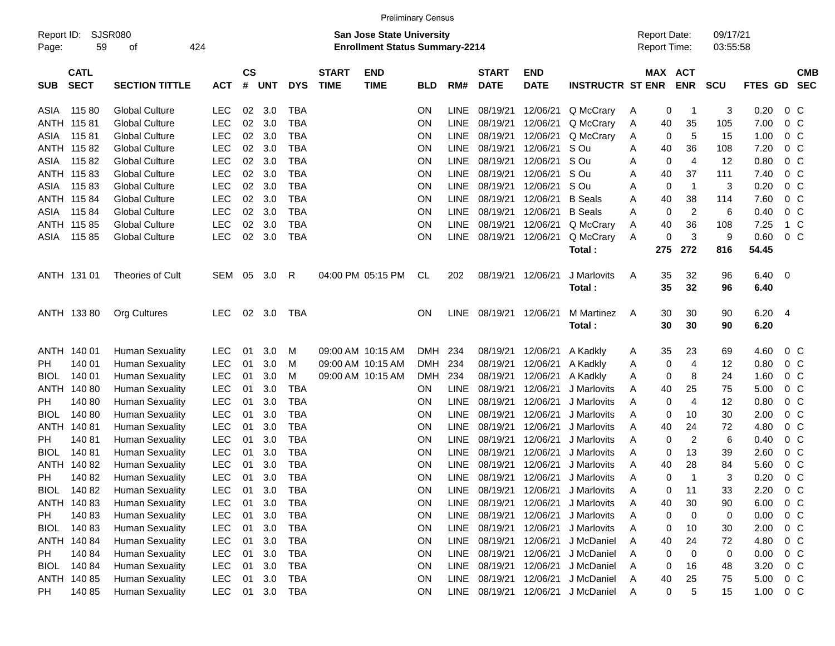|                     |                            |                         |            |                    |            |            |                             | <b>Preliminary Census</b>                                                 |            |             |                             |                           |                             |   |                                     |                |                      |              |                         |                          |
|---------------------|----------------------------|-------------------------|------------|--------------------|------------|------------|-----------------------------|---------------------------------------------------------------------------|------------|-------------|-----------------------------|---------------------------|-----------------------------|---|-------------------------------------|----------------|----------------------|--------------|-------------------------|--------------------------|
| Report ID:<br>Page: | 59                         | <b>SJSR080</b><br>of    | 424        |                    |            |            |                             | <b>San Jose State University</b><br><b>Enrollment Status Summary-2214</b> |            |             |                             |                           |                             |   | <b>Report Date:</b><br>Report Time: |                | 09/17/21<br>03:55:58 |              |                         |                          |
| <b>SUB</b>          | <b>CATL</b><br><b>SECT</b> | <b>SECTION TITTLE</b>   | <b>ACT</b> | $\mathsf{cs}$<br># | <b>UNT</b> | <b>DYS</b> | <b>START</b><br><b>TIME</b> | <b>END</b><br><b>TIME</b>                                                 | <b>BLD</b> | RM#         | <b>START</b><br><b>DATE</b> | <b>END</b><br><b>DATE</b> | <b>INSTRUCTR ST ENR</b>     |   | MAX ACT                             | <b>ENR</b>     | <b>SCU</b>           | FTES GD      |                         | <b>CMB</b><br><b>SEC</b> |
| ASIA                | 11580                      | <b>Global Culture</b>   | <b>LEC</b> | 02                 | 3.0        | <b>TBA</b> |                             |                                                                           | <b>ON</b>  | LINE        | 08/19/21                    | 12/06/21                  | Q McCrary                   | A | 0                                   | -1             | 3                    | 0.20         | $0\,C$                  |                          |
| ANTH                | 11581                      | <b>Global Culture</b>   | <b>LEC</b> | 02                 | 3.0        | <b>TBA</b> |                             |                                                                           | ON         | <b>LINE</b> | 08/19/21                    | 12/06/21                  | Q McCrary                   | Α | 40                                  | 35             | 105                  | 7.00         | $0\,C$                  |                          |
| ASIA                | 11581                      | <b>Global Culture</b>   | <b>LEC</b> | 02                 | 3.0        | <b>TBA</b> |                             |                                                                           | ON         | <b>LINE</b> | 08/19/21                    | 12/06/21                  | Q McCrary                   | A | 0                                   | 5              | 15                   | 1.00         | 0 <sup>C</sup>          |                          |
| ANTH                | 11582                      | <b>Global Culture</b>   | <b>LEC</b> | 02                 | 3.0        | <b>TBA</b> |                             |                                                                           | ON         | <b>LINE</b> | 08/19/21                    | 12/06/21                  | S Ou                        | Α | 40                                  | 36             | 108                  | 7.20         | 0 <sup>C</sup>          |                          |
| ASIA                | 11582                      | <b>Global Culture</b>   | LEC        | 02                 | 3.0        | <b>TBA</b> |                             |                                                                           | ON         | <b>LINE</b> | 08/19/21                    | 12/06/21                  | S Ou                        | A | 0                                   | $\overline{4}$ | 12                   | 0.80         | 0 <sup>C</sup>          |                          |
| ANTH                | 11583                      | <b>Global Culture</b>   | <b>LEC</b> | 02                 | 3.0        | <b>TBA</b> |                             |                                                                           | ON         | <b>LINE</b> | 08/19/21                    | 12/06/21                  | S Ou                        | A | 40                                  | 37             | 111                  | 7.40         | 0 <sup>C</sup>          |                          |
| ASIA                | 11583                      | <b>Global Culture</b>   | <b>LEC</b> | 02                 | 3.0        | <b>TBA</b> |                             |                                                                           | ON         | <b>LINE</b> | 08/19/21                    | 12/06/21                  | S Ou                        | A | 0                                   | $\overline{1}$ | 3                    | 0.20         | 0 <sup>C</sup>          |                          |
| ANTH                | 11584                      | <b>Global Culture</b>   | LEC        | 02                 | 3.0        | <b>TBA</b> |                             |                                                                           | ON         | <b>LINE</b> | 08/19/21                    | 12/06/21                  | <b>B</b> Seals              | A | 40                                  | 38             | 114                  | 7.60         | 0 <sup>C</sup>          |                          |
| ASIA                | 115 84                     | <b>Global Culture</b>   | LEC        | 02                 | 3.0        | <b>TBA</b> |                             |                                                                           | ON         | <b>LINE</b> | 08/19/21                    | 12/06/21                  | <b>B</b> Seals              | A | 0                                   | $\overline{2}$ | 6                    | 0.40         | $0\,C$                  |                          |
| ANTH                | 11585                      | <b>Global Culture</b>   | LEC        | 02                 | 3.0        | <b>TBA</b> |                             |                                                                           | ON         | <b>LINE</b> | 08/19/21                    | 12/06/21                  | Q McCrary                   | A | 40                                  | 36             | 108                  | 7.25         | 1 C                     |                          |
| ASIA                | 11585                      | <b>Global Culture</b>   | LEC        | 02                 | 3.0        | <b>TBA</b> |                             |                                                                           | ON         | LINE        | 08/19/21                    | 12/06/21                  | Q McCrary                   | Α | 0                                   | 3              | 9                    | 0.60         | $0\,C$                  |                          |
|                     |                            |                         |            |                    |            |            |                             |                                                                           |            |             |                             |                           | Total:                      |   | 275                                 | 272            | 816                  | 54.45        |                         |                          |
|                     | ANTH 131 01                | <b>Theories of Cult</b> | SEM        | 05                 | 3.0        | R          |                             | 04:00 PM 05:15 PM                                                         | CL         | 202         | 08/19/21                    | 12/06/21                  | J Marlovits                 | A | 35                                  | 32             | 96                   | 6.40         | $\overline{\mathbf{0}}$ |                          |
|                     |                            |                         |            |                    |            |            |                             |                                                                           |            |             |                             |                           | Total:                      |   | 35                                  | 32             | 96                   | 6.40         |                         |                          |
|                     |                            |                         |            |                    |            |            |                             |                                                                           |            |             |                             |                           |                             |   |                                     |                |                      |              |                         |                          |
|                     | ANTH 133 80                | Org Cultures            | <b>LEC</b> | 02                 | 3.0        | TBA        |                             |                                                                           | <b>ON</b>  | <b>LINE</b> | 08/19/21 12/06/21           |                           | <b>M</b> Martinez<br>Total: | A | 30<br>30                            | 30<br>30       | 90<br>90             | 6.20<br>6.20 | - 4                     |                          |
|                     |                            |                         |            |                    |            |            |                             |                                                                           |            |             |                             |                           |                             |   |                                     |                |                      |              |                         |                          |
|                     | ANTH 140 01                | <b>Human Sexuality</b>  | <b>LEC</b> | 01                 | 3.0        | M          |                             | 09:00 AM 10:15 AM                                                         | <b>DMH</b> | 234         | 08/19/21                    | 12/06/21                  | A Kadkly                    | A | 35                                  | 23             | 69                   | 4.60         | $0\,C$                  |                          |
| PH.                 | 140 01                     | <b>Human Sexuality</b>  | <b>LEC</b> | 01                 | 3.0        | M          |                             | 09:00 AM 10:15 AM                                                         | <b>DMH</b> | 234         | 08/19/21                    | 12/06/21                  | A Kadkly                    | A | 0                                   | 4              | 12                   | 0.80         | $0\,C$                  |                          |
| <b>BIOL</b>         | 140 01                     | <b>Human Sexuality</b>  | LEC        | 01                 | 3.0        | M          |                             | 09:00 AM 10:15 AM                                                         | <b>DMH</b> | 234         | 08/19/21                    | 12/06/21                  | A Kadkly                    | A | 0                                   | 8              | 24                   | 1.60         | $0\,C$                  |                          |
| ANTH                | 140 80                     | <b>Human Sexuality</b>  | LEC        | 01                 | 3.0        | <b>TBA</b> |                             |                                                                           | <b>ON</b>  | <b>LINE</b> | 08/19/21                    | 12/06/21                  | J Marlovits                 | A | 40                                  | 25             | 75                   | 5.00         | $0\,C$                  |                          |
| PH                  | 140 80                     | <b>Human Sexuality</b>  | <b>LEC</b> | 01                 | 3.0        | <b>TBA</b> |                             |                                                                           | ON         | <b>LINE</b> | 08/19/21                    | 12/06/21                  | J Marlovits                 | A | 0                                   | 4              | 12                   | 0.80         | $0\,C$                  |                          |
| <b>BIOL</b>         | 14080                      | <b>Human Sexuality</b>  | LEC        | 01                 | 3.0        | <b>TBA</b> |                             |                                                                           | ON         | <b>LINE</b> | 08/19/21                    | 12/06/21                  | J Marlovits                 | A | 0                                   | 10             | 30                   | 2.00         | $0\,C$                  |                          |
| ANTH                | 140 81                     | <b>Human Sexuality</b>  | LEC        | 01                 | 3.0        | <b>TBA</b> |                             |                                                                           | ON         | <b>LINE</b> | 08/19/21                    | 12/06/21                  | J Marlovits                 | A | 40                                  | 24             | 72                   | 4.80         | $0\,C$                  |                          |
| PH                  | 14081                      | <b>Human Sexuality</b>  | LEC        | 01                 | 3.0        | <b>TBA</b> |                             |                                                                           | ON         | <b>LINE</b> | 08/19/21                    | 12/06/21                  | J Marlovits                 | A | 0                                   | $\overline{2}$ | 6                    | 0.40         | $0\,C$                  |                          |
| <b>BIOL</b>         | 14081                      | <b>Human Sexuality</b>  | LEC        | 01                 | 3.0        | <b>TBA</b> |                             |                                                                           | ON         | <b>LINE</b> | 08/19/21                    | 12/06/21                  | J Marlovits                 | A | 0                                   | 13             | 39                   | 2.60         | $0\,C$                  |                          |
| ANTH                | 140 82                     | <b>Human Sexuality</b>  | <b>LEC</b> | 01                 | 3.0        | <b>TBA</b> |                             |                                                                           | ON         | <b>LINE</b> | 08/19/21                    | 12/06/21                  | J Marlovits                 | A | 40                                  | 28             | 84                   | 5.60         | $0\,C$                  |                          |
| <b>PH</b>           | 140 82                     | <b>Human Sexuality</b>  | <b>LEC</b> | 01                 | 3.0        | <b>TBA</b> |                             |                                                                           | <b>ON</b>  | <b>LINE</b> | 08/19/21                    | 12/06/21                  | J Marlovits                 | A | 0                                   | -1             | 3                    | 0.20         | $0\,C$                  |                          |
| <b>BIOL</b>         | 14082                      | <b>Human Sexuality</b>  | LEC        | 01                 | 3.0        | <b>TBA</b> |                             |                                                                           | <b>ON</b>  | <b>LINE</b> | 08/19/21                    | 12/06/21                  | J Marlovits                 | A | 0                                   | 11             | 33                   | 2.20         | $0\,C$                  |                          |
|                     | ANTH 140 83                | <b>Human Sexuality</b>  | LEC        | 01                 | 3.0        | <b>TBA</b> |                             |                                                                           | <b>ON</b>  | LINE        | 08/19/21                    | 12/06/21                  | J Marlovits                 | A | 40                                  | 30             | 90                   | 6.00         | 0 <sup>C</sup>          |                          |
| <b>PH</b>           | 14083                      | <b>Human Sexuality</b>  | <b>LEC</b> | 01                 | 3.0        | <b>TBA</b> |                             |                                                                           | <b>ON</b>  | LINE        | 08/19/21                    | 12/06/21                  | J Marlovits                 | A | 0                                   | 0              | 0                    | 0.00         | $0\,C$                  |                          |
| <b>BIOL</b>         | 14083                      | <b>Human Sexuality</b>  | <b>LEC</b> | 01                 | 3.0        | <b>TBA</b> |                             |                                                                           | <b>ON</b>  | <b>LINE</b> | 08/19/21                    | 12/06/21                  | J Marlovits                 | A | 0                                   | 10             | 30                   | 2.00         | 0 <sup>C</sup>          |                          |
|                     | ANTH 140 84                | <b>Human Sexuality</b>  | <b>LEC</b> | 01                 | 3.0        | <b>TBA</b> |                             |                                                                           | <b>ON</b>  | LINE        | 08/19/21                    | 12/06/21                  | J McDaniel                  | A | 40                                  | 24             | 72                   | 4.80         | $0\,C$                  |                          |
| <b>PH</b>           | 140 84                     | <b>Human Sexuality</b>  | <b>LEC</b> | 01                 | 3.0        | <b>TBA</b> |                             |                                                                           | <b>ON</b>  | LINE        | 08/19/21                    | 12/06/21                  | J McDaniel                  | A | 0                                   | 0              | 0                    | 0.00         | 0 <sup>C</sup>          |                          |
| <b>BIOL</b>         | 140 84                     | <b>Human Sexuality</b>  | <b>LEC</b> | 01                 | 3.0        | TBA        |                             |                                                                           | <b>ON</b>  | <b>LINE</b> | 08/19/21                    | 12/06/21                  | J McDaniel                  | A | 0                                   | 16             | 48                   | 3.20         | $0\,C$                  |                          |
|                     | ANTH 140 85                | <b>Human Sexuality</b>  | <b>LEC</b> | 01                 | 3.0        | <b>TBA</b> |                             |                                                                           | <b>ON</b>  | <b>LINE</b> | 08/19/21                    | 12/06/21                  | J McDaniel                  | Α | 40                                  | 25             | 75                   | 5.00         | $0\,C$                  |                          |
| PH                  | 140 85                     | <b>Human Sexuality</b>  | <b>LEC</b> | 01                 | 3.0        | <b>TBA</b> |                             |                                                                           | ON         |             | LINE 08/19/21 12/06/21      |                           | J McDaniel                  | Α | 0                                   | 5              | 15                   | 1.00         | $0\,C$                  |                          |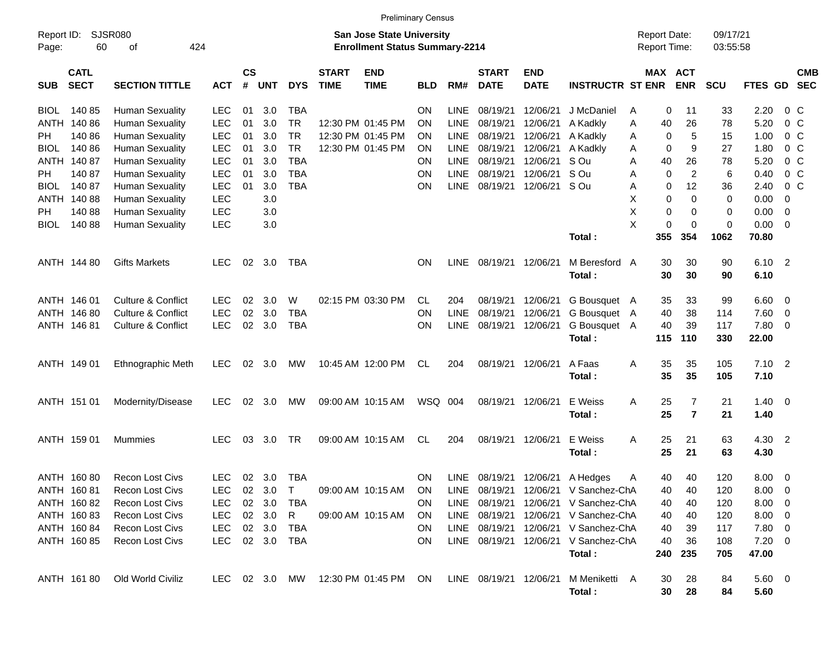|             |                                                 |                               |               |                    |            |            |                             |                                                                           | <b>Preliminary Census</b> |             |                             |                           |                                 |   |                                            |                     |                      |                        |                            |            |
|-------------|-------------------------------------------------|-------------------------------|---------------|--------------------|------------|------------|-----------------------------|---------------------------------------------------------------------------|---------------------------|-------------|-----------------------------|---------------------------|---------------------------------|---|--------------------------------------------|---------------------|----------------------|------------------------|----------------------------|------------|
| Page:       | <b>SJSR080</b><br>Report ID:<br>424<br>60<br>οf |                               |               |                    |            |            |                             | <b>San Jose State University</b><br><b>Enrollment Status Summary-2214</b> |                           |             |                             |                           |                                 |   | <b>Report Date:</b><br><b>Report Time:</b> |                     | 09/17/21<br>03:55:58 |                        |                            |            |
| <b>SUB</b>  | <b>CATL</b><br><b>SECT</b>                      | <b>SECTION TITTLE</b>         | <b>ACT</b>    | $\mathsf{cs}$<br># | <b>UNT</b> | <b>DYS</b> | <b>START</b><br><b>TIME</b> | <b>END</b><br><b>TIME</b>                                                 | <b>BLD</b>                | RM#         | <b>START</b><br><b>DATE</b> | <b>END</b><br><b>DATE</b> | <b>INSTRUCTR ST ENR</b>         |   | MAX ACT                                    | <b>ENR</b>          | <b>SCU</b>           | FTES GD SEC            |                            | <b>CMB</b> |
| <b>BIOL</b> | 14085                                           | <b>Human Sexuality</b>        | <b>LEC</b>    | 01                 | 3.0        | <b>TBA</b> |                             |                                                                           | <b>ON</b>                 | <b>LINE</b> | 08/19/21                    | 12/06/21                  | J McDaniel                      | A | 0                                          | 11                  | 33                   | 2.20                   | 0 <sup>C</sup>             |            |
|             | ANTH 140 86                                     | <b>Human Sexuality</b>        | <b>LEC</b>    | 01                 | 3.0        | <b>TR</b>  |                             | 12:30 PM 01:45 PM                                                         | <b>ON</b>                 | <b>LINE</b> | 08/19/21                    | 12/06/21                  | A Kadkly                        | A | 40                                         | 26                  | 78                   | 5.20                   | $0\,C$                     |            |
| PH.         | 140 86                                          | <b>Human Sexuality</b>        | LEC           | 01                 | 3.0        | <b>TR</b>  |                             | 12:30 PM 01:45 PM                                                         | ON                        | <b>LINE</b> | 08/19/21                    | 12/06/21                  | A Kadkly                        | A | 0                                          | 5                   | 15                   | 1.00                   | 0 <sup>C</sup>             |            |
| <b>BIOL</b> | 14086                                           | <b>Human Sexuality</b>        | LEC           | 01                 | 3.0        | <b>TR</b>  |                             | 12:30 PM 01:45 PM                                                         | ON                        | LINE        | 08/19/21                    | 12/06/21                  | A Kadkly                        | A | 0                                          | 9                   | 27                   | 1.80                   | 0 <sup>C</sup>             |            |
|             | ANTH 140 87                                     | <b>Human Sexuality</b>        | LEC           | 01                 | 3.0        | <b>TBA</b> |                             |                                                                           | ON                        | <b>LINE</b> | 08/19/21                    | 12/06/21                  | S Ou                            | A | 40                                         | 26                  | 78                   | 5.20                   | $0\,C$                     |            |
| PH          | 140 87                                          | <b>Human Sexuality</b>        | LEC           | 01                 | 3.0        | <b>TBA</b> |                             |                                                                           | ON                        | <b>LINE</b> | 08/19/21                    | 12/06/21                  | S Ou                            | A | 0                                          | $\overline{2}$      | 6                    | 0.40                   | $0\,C$                     |            |
| <b>BIOL</b> | 14087                                           | <b>Human Sexuality</b>        | LEC           | 01                 | 3.0        | <b>TBA</b> |                             |                                                                           | ON                        | LINE        | 08/19/21                    | 12/06/21                  | S Ou                            | Α | 0                                          | 12                  | 36                   | 2.40                   | 0 <sup>C</sup>             |            |
|             | ANTH 140 88                                     | <b>Human Sexuality</b>        | <b>LEC</b>    |                    | 3.0        |            |                             |                                                                           |                           |             |                             |                           |                                 | X | 0                                          | 0                   | 0                    | 0.00                   | 0                          |            |
| PH          | 14088                                           | <b>Human Sexuality</b>        | LEC           |                    | 3.0        |            |                             |                                                                           |                           |             |                             |                           |                                 | X | 0                                          | 0                   | 0                    | 0.00                   | 0                          |            |
| BIOL        | 14088                                           | <b>Human Sexuality</b>        | LEC           |                    | 3.0        |            |                             |                                                                           |                           |             |                             |                           |                                 | X | 0                                          | 0                   | $\mathbf 0$          | 0.00                   | $\overline{0}$             |            |
|             |                                                 |                               |               |                    |            |            |                             |                                                                           |                           |             |                             |                           | Total:                          |   | 355                                        | 354                 | 1062                 | 70.80                  |                            |            |
|             | ANTH 144 80                                     | <b>Gifts Markets</b>          | <b>LEC</b>    | 02                 | 3.0        | <b>TBA</b> |                             |                                                                           | <b>ON</b>                 | <b>LINE</b> | 08/19/21                    | 12/06/21                  | M Beresford A<br>Total:         |   | 30<br>30                                   | 30<br>30            | 90<br>90             | 6.10<br>6.10           | $\overline{\phantom{0}}^2$ |            |
|             | ANTH 146 01                                     | Culture & Conflict            | <b>LEC</b>    | 02                 | 3.0        | W          |                             | 02:15 PM 03:30 PM                                                         | CL.                       | 204         | 08/19/21                    | 12/06/21                  | G Bousquet A                    |   | 35                                         | 33                  | 99                   | 6.60                   | $\overline{0}$             |            |
|             | ANTH 146 80                                     | Culture & Conflict            | <b>LEC</b>    | 02                 | 3.0        | <b>TBA</b> |                             |                                                                           | ON                        | <b>LINE</b> | 08/19/21                    | 12/06/21                  | G Bousquet A                    |   | 40                                         | 38                  | 114                  | 7.60                   | 0                          |            |
|             | ANTH 146 81                                     | <b>Culture &amp; Conflict</b> | <b>LEC</b>    | 02                 | 3.0        | <b>TBA</b> |                             |                                                                           | ON                        | <b>LINE</b> | 08/19/21                    | 12/06/21                  | G Bousquet A                    |   | 40                                         | 39                  | 117                  | 7.80                   | 0                          |            |
|             |                                                 |                               |               |                    |            |            |                             |                                                                           |                           |             |                             |                           | Total:                          |   | 115                                        | 110                 | 330                  | 22.00                  |                            |            |
|             | ANTH 149 01                                     | Ethnographic Meth             | <b>LEC</b>    | 02                 | 3.0        | MW         |                             | 10:45 AM 12:00 PM                                                         | CL                        | 204         | 08/19/21                    | 12/06/21                  | A Faas<br>Total:                | Α | 35<br>35                                   | 35<br>35            | 105<br>105           | 7.10<br>7.10           | $\overline{2}$             |            |
|             | ANTH 151 01                                     | Modernity/Disease             | <b>LEC</b>    | 02                 | 3.0        | MW         |                             | 09:00 AM 10:15 AM                                                         | WSQ 004                   |             | 08/19/21                    | 12/06/21                  | E Weiss<br>Total:               | Α | 25<br>25                                   | 7<br>$\overline{7}$ | 21<br>21             | 1.40<br>1.40           | $\overline{\mathbf{0}}$    |            |
|             | ANTH 159 01                                     | Mummies                       | <b>LEC</b>    | 03                 | 3.0        | <b>TR</b>  |                             | 09:00 AM 10:15 AM                                                         | CL                        | 204         | 08/19/21                    | 12/06/21                  | E Weiss<br>Total:               | Α | 25<br>25                                   | 21<br>21            | 63<br>63             | 4.30 2<br>4.30         |                            |            |
|             | ANTH 160 80                                     | <b>Recon Lost Civs</b>        | <b>LEC</b>    |                    | 02 3.0     | <b>TBA</b> |                             |                                                                           | <b>ON</b>                 |             |                             |                           | LINE 08/19/21 12/06/21 A Hedges | A | 40                                         | 40                  | 120                  | 8.00                   | $\overline{0}$             |            |
|             | ANTH 160 81                                     | Recon Lost Civs               | LEC           |                    | 02 3.0     | $\top$     |                             | 09:00 AM 10:15 AM                                                         | ON                        |             | LINE 08/19/21               | 12/06/21                  | V Sanchez-ChA                   |   | 40                                         | 40                  | 120                  | 8.00                   | $\overline{\phantom{0}}$   |            |
|             | ANTH 160 82                                     | Recon Lost Civs               | <b>LEC</b>    |                    | 02 3.0     | TBA        |                             |                                                                           | <b>ON</b>                 |             | LINE 08/19/21               | 12/06/21                  | V Sanchez-ChA                   |   | 40                                         | 40                  | 120                  | 8.00                   | $\overline{\mathbf{0}}$    |            |
|             | ANTH 160 83                                     | Recon Lost Civs               | LEC           |                    | 02 3.0     | R          |                             | 09:00 AM 10:15 AM                                                         | <b>ON</b>                 |             | LINE 08/19/21 12/06/21      |                           | V Sanchez-ChA                   |   | 40                                         | 40                  | 120                  | 8.00                   | $\overline{\mathbf{0}}$    |            |
|             | ANTH 160 84                                     | Recon Lost Civs               | LEC           |                    | 02 3.0     | TBA        |                             |                                                                           | <b>ON</b>                 |             | LINE 08/19/21 12/06/21      |                           | V Sanchez-ChA                   |   | 40                                         | 39                  | 117                  | $7.80\ 0$              |                            |            |
|             | ANTH 160 85                                     | Recon Lost Civs               | <b>LEC</b>    |                    | 02 3.0     | TBA        |                             |                                                                           | <b>ON</b>                 |             | LINE 08/19/21 12/06/21      |                           | V Sanchez-ChA                   |   | 40                                         | 36                  | 108                  | $7.20 \t 0$            |                            |            |
|             |                                                 |                               |               |                    |            |            |                             |                                                                           |                           |             |                             |                           | Total:                          |   | 240                                        | 235                 | 705                  | 47.00                  |                            |            |
|             | ANTH 16180                                      | Old World Civiliz             | LEC 02 3.0 MW |                    |            |            |                             | 12:30 PM 01:45 PM ON                                                      |                           |             | LINE 08/19/21 12/06/21      |                           | M Meniketti A<br>Total:         |   | 30<br>30                                   | 28<br>28            | 84<br>84             | $5.60 \quad 0$<br>5.60 |                            |            |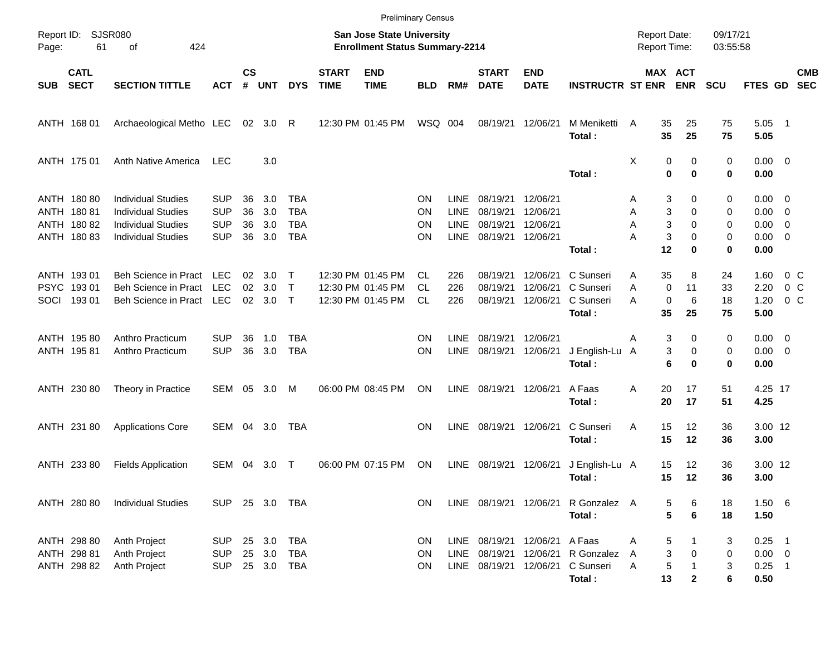|                     |                                              |                                                                                                                  |                                                      |                             |                            |                                                      |                             | <b>Preliminary Census</b>                                                 |                        |                                                          |                                              |                                              |                                               |                                     |                        |                             |                       |                                             |                                                                  |                          |
|---------------------|----------------------------------------------|------------------------------------------------------------------------------------------------------------------|------------------------------------------------------|-----------------------------|----------------------------|------------------------------------------------------|-----------------------------|---------------------------------------------------------------------------|------------------------|----------------------------------------------------------|----------------------------------------------|----------------------------------------------|-----------------------------------------------|-------------------------------------|------------------------|-----------------------------|-----------------------|---------------------------------------------|------------------------------------------------------------------|--------------------------|
| Report ID:<br>Page: | 61                                           | <b>SJSR080</b><br>424<br>of                                                                                      |                                                      |                             |                            |                                                      |                             | <b>San Jose State University</b><br><b>Enrollment Status Summary-2214</b> |                        |                                                          |                                              |                                              |                                               | <b>Report Date:</b><br>Report Time: |                        |                             | 09/17/21<br>03:55:58  |                                             |                                                                  |                          |
| <b>SUB</b>          | <b>CATL</b><br><b>SECT</b>                   | <b>SECTION TITTLE</b>                                                                                            | <b>ACT</b>                                           | $\mathsf{cs}$<br>$\pmb{\#}$ | <b>UNT</b>                 | <b>DYS</b>                                           | <b>START</b><br><b>TIME</b> | <b>END</b><br><b>TIME</b>                                                 | <b>BLD</b>             | RM#                                                      | <b>START</b><br><b>DATE</b>                  | <b>END</b><br><b>DATE</b>                    | <b>INSTRUCTR ST ENR</b>                       |                                     |                        | MAX ACT<br><b>ENR</b>       | <b>SCU</b>            | FTES GD                                     |                                                                  | <b>CMB</b><br><b>SEC</b> |
|                     | ANTH 168 01                                  | Archaeological Metho LEC                                                                                         |                                                      | 02                          | 3.0                        | R                                                    |                             | 12:30 PM 01:45 PM                                                         | WSQ                    | 004                                                      | 08/19/21                                     | 12/06/21                                     | M Meniketti<br>Total:                         | $\overline{A}$                      | 35<br>35               | 25<br>25                    | 75<br>75              | 5.05<br>5.05                                | $\overline{\phantom{1}}$                                         |                          |
|                     | ANTH 175 01                                  | Anth Native America                                                                                              | <b>LEC</b>                                           |                             | 3.0                        |                                                      |                             |                                                                           |                        |                                                          |                                              |                                              | Total:                                        | Χ                                   | 0<br>0                 | 0<br>$\bf{0}$               | 0<br>0                | $0.00 \t 0$<br>0.00                         |                                                                  |                          |
| ANTH<br>ANTH        | ANTH 180 80<br>18081<br>18082<br>ANTH 180 83 | <b>Individual Studies</b><br><b>Individual Studies</b><br><b>Individual Studies</b><br><b>Individual Studies</b> | <b>SUP</b><br><b>SUP</b><br><b>SUP</b><br><b>SUP</b> | 36<br>36<br>36<br>36        | 3.0<br>3.0<br>3.0<br>3.0   | <b>TBA</b><br><b>TBA</b><br><b>TBA</b><br><b>TBA</b> |                             |                                                                           | ΟN<br>ΟN<br>ΟN<br>ΟN   | <b>LINE</b><br><b>LINE</b><br><b>LINE</b><br><b>LINE</b> | 08/19/21<br>08/19/21<br>08/19/21<br>08/19/21 | 12/06/21<br>12/06/21<br>12/06/21<br>12/06/21 | Total:                                        | Α<br>Α<br>Α<br>Α                    | 3<br>3<br>3<br>3<br>12 | 0<br>0<br>0<br>0<br>0       | 0<br>0<br>0<br>0<br>0 | 0.00<br>0.00<br>0.00<br>0.00<br>0.00        | $\overline{\mathbf{0}}$<br>$\overline{0}$<br>0<br>$\overline{0}$ |                          |
| <b>PSYC</b><br>SOCI | ANTH 193 01<br>19301<br>193 01               | <b>Beh Science in Pract</b><br><b>Beh Science in Pract</b><br><b>Beh Science in Pract</b>                        | <b>LEC</b><br><b>LEC</b><br>LEC                      | 02<br>02<br>02              | 3.0<br>3.0<br>3.0          | Т<br>$\mathsf{T}$<br>$\mathsf{T}$                    |                             | 12:30 PM 01:45 PM<br>12:30 PM 01:45 PM<br>12:30 PM 01:45 PM               | <b>CL</b><br>CL.<br>CL | 226<br>226<br>226                                        | 08/19/21<br>08/19/21<br>08/19/21             | 12/06/21<br>12/06/21<br>12/06/21             | C Sunseri<br>C Sunseri<br>C Sunseri<br>Total: | Α<br>Α<br>A                         | 35<br>0<br>0<br>35     | 8<br>11<br>6<br>25          | 24<br>33<br>18<br>75  | 1.60<br>2.20<br>1.20<br>5.00                | $0\,C$<br>0 <sup>o</sup><br>0 <sup>o</sup>                       |                          |
|                     | ANTH 195 80<br>ANTH 195 81                   | Anthro Practicum<br>Anthro Practicum                                                                             | <b>SUP</b><br><b>SUP</b>                             | 36<br>36                    | 1.0<br>3.0                 | <b>TBA</b><br><b>TBA</b>                             |                             |                                                                           | ΟN<br>ON               | <b>LINE</b><br><b>LINE</b>                               | 08/19/21<br>08/19/21                         | 12/06/21<br>12/06/21                         | J English-Lu<br>Total:                        | Α<br>A                              | 3<br>3<br>6            | 0<br>0<br>0                 | 0<br>0<br>0           | 0.00<br>0.00<br>0.00                        | $\overline{\phantom{0}}$<br>$\overline{0}$                       |                          |
|                     | ANTH 230 80                                  | Theory in Practice                                                                                               | <b>SEM</b>                                           | 05                          | 3.0                        | М                                                    |                             | 06:00 PM 08:45 PM                                                         | ΟN                     | <b>LINE</b>                                              | 08/19/21                                     | 12/06/21                                     | A Faas<br>Total:                              | Α                                   | 20<br>20               | 17<br>17                    | 51<br>51              | 4.25 17<br>4.25                             |                                                                  |                          |
|                     | ANTH 231 80                                  | <b>Applications Core</b>                                                                                         | <b>SEM</b>                                           | 04                          | 3.0                        | TBA                                                  |                             |                                                                           | ΟN                     | <b>LINE</b>                                              | 08/19/21                                     | 12/06/21                                     | C Sunseri<br>Total:                           | Α                                   | 15<br>15               | 12<br>12                    | 36<br>36              | 3.00 12<br>3.00                             |                                                                  |                          |
|                     | ANTH 233 80                                  | <b>Fields Application</b>                                                                                        | <b>SEM</b>                                           | 04                          | 3.0                        | Т                                                    |                             | 06:00 PM 07:15 PM                                                         | ΟN                     | <b>LINE</b>                                              | 08/19/21                                     | 12/06/21                                     | J English-Lu A<br>Total:                      |                                     | 15<br>15               | 12<br>12                    | 36<br>36              | 3.00 12<br>3.00                             |                                                                  |                          |
|                     | ANTH 280 80                                  | <b>Individual Studies</b>                                                                                        | <b>SUP</b>                                           |                             | 25 3.0                     | TBA                                                  |                             |                                                                           | ON.                    |                                                          | LINE 08/19/21 12/06/21                       |                                              | R Gonzalez A<br>Total:                        |                                     | 5<br>5                 | 6<br>$6\phantom{1}6$        | 18<br>18              | 1.506<br>1.50                               |                                                                  |                          |
|                     | ANTH 298 80<br>ANTH 298 81<br>ANTH 298 82    | Anth Project<br>Anth Project<br>Anth Project                                                                     | <b>SUP</b><br><b>SUP</b><br><b>SUP</b>               |                             | 25 3.0<br>25 3.0<br>25 3.0 | <b>TBA</b><br><b>TBA</b><br>TBA                      |                             |                                                                           | 0N<br>ON<br><b>ON</b>  | LINE<br>LINE                                             | LINE 08/19/21<br>08/19/21<br>08/19/21        | 12/06/21<br>12/06/21<br>12/06/21             | A Faas<br>R Gonzalez<br>C Sunseri<br>Total:   | Α<br>A<br>Α                         | 5<br>3<br>5<br>13      | 1<br>0<br>1<br>$\mathbf{2}$ | 3<br>0<br>3<br>6      | $0.25$ 1<br>$0.00 \t 0$<br>$0.25$ 1<br>0.50 |                                                                  |                          |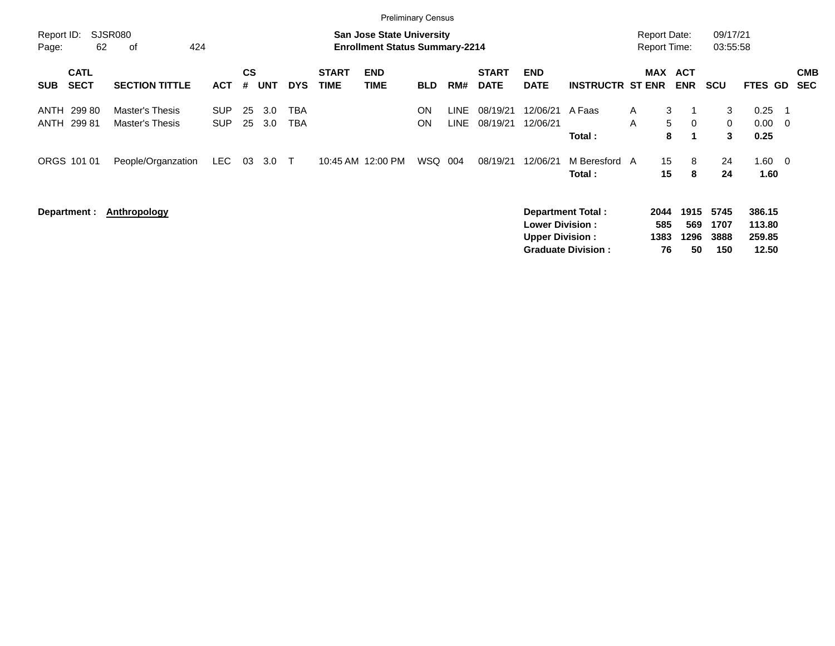|                     |                            |                                    |                          |                    |            |            |                             | <b>Preliminary Census</b>                                                 |                 |                            |                             |                                                  |                                                       |        |                                     |                           |                             |                                     |                                |                          |
|---------------------|----------------------------|------------------------------------|--------------------------|--------------------|------------|------------|-----------------------------|---------------------------------------------------------------------------|-----------------|----------------------------|-----------------------------|--------------------------------------------------|-------------------------------------------------------|--------|-------------------------------------|---------------------------|-----------------------------|-------------------------------------|--------------------------------|--------------------------|
| Report ID:<br>Page: | 62                         | SJSR080<br>424<br>оf               |                          |                    |            |            |                             | <b>San Jose State University</b><br><b>Enrollment Status Summary-2214</b> |                 |                            |                             |                                                  |                                                       |        | <b>Report Date:</b><br>Report Time: |                           | 09/17/21<br>03:55:58        |                                     |                                |                          |
| <b>SUB</b>          | <b>CATL</b><br><b>SECT</b> | <b>SECTION TITTLE</b>              | <b>ACT</b>               | $\mathsf{cs}$<br># | <b>UNT</b> | <b>DYS</b> | <b>START</b><br><b>TIME</b> | <b>END</b><br><b>TIME</b>                                                 | <b>BLD</b>      | RM#                        | <b>START</b><br><b>DATE</b> | <b>END</b><br><b>DATE</b>                        | <b>INSTRUCTR ST ENR</b>                               |        | MAX                                 | <b>ACT</b><br><b>ENR</b>  | <b>SCU</b>                  | FTES GD                             |                                | <b>CMB</b><br><b>SEC</b> |
| ANTH<br>ANTH        | 299 80<br>29981            | Master's Thesis<br>Master's Thesis | <b>SUP</b><br><b>SUP</b> | 25<br>25           | 3.0<br>3.0 | TBA<br>TBA |                             |                                                                           | <b>ON</b><br>ON | <b>LINE</b><br><b>LINE</b> | 08/19/21<br>08/19/21        | 12/06/21<br>12/06/21                             | A Faas<br>Total:                                      | A<br>A | 3<br>5<br>8                         | -1<br>$\overline{0}$      | 3<br>0<br>3                 | 0.25<br>0.00<br>0.25                | - 1<br>$\overline{\mathbf{0}}$ |                          |
|                     | ORGS 101 01                | People/Organzation                 | <b>LEC</b>               | 03                 | 3.0        | $\top$     |                             | 10:45 AM 12:00 PM                                                         | WSQ             | 004                        | 08/19/21                    | 12/06/21                                         | M Beresford A<br>Total:                               |        | 15<br>15                            | 8<br>8                    | 24<br>24                    | 1.60<br>1.60                        | $\overline{\phantom{0}}$       |                          |
|                     | Department :               | Anthropology                       |                          |                    |            |            |                             |                                                                           |                 |                            |                             | <b>Lower Division:</b><br><b>Upper Division:</b> | <b>Department Total:</b><br><b>Graduate Division:</b> |        | 2044<br>585<br>1383<br>76           | 1915<br>569<br>1296<br>50 | 5745<br>1707<br>3888<br>150 | 386.15<br>113.80<br>259.85<br>12.50 |                                |                          |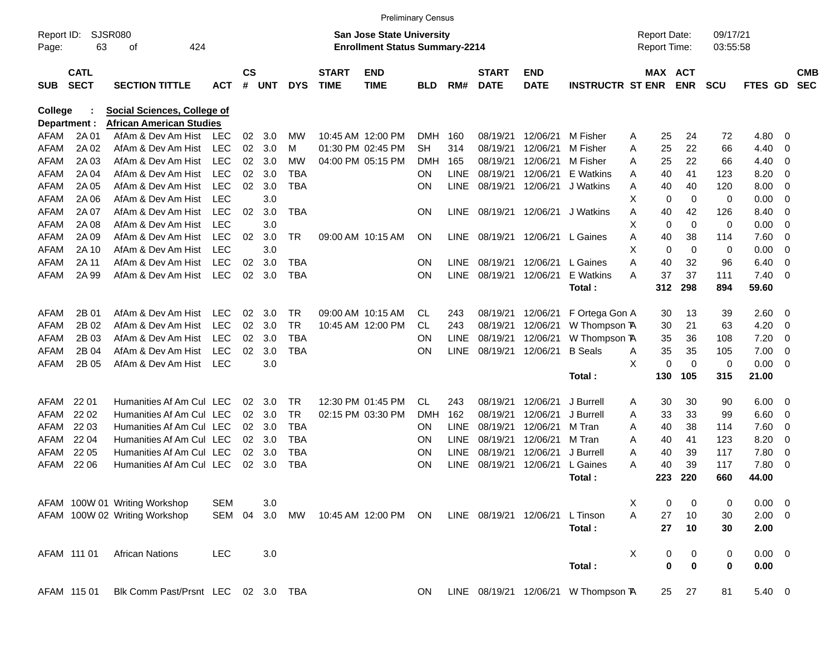|              |             |                                    |            |               |            |            |                   | <b>Preliminary Census</b>             |            |             |                        |             |                                      |   |                     |             |            |             |                          |            |
|--------------|-------------|------------------------------------|------------|---------------|------------|------------|-------------------|---------------------------------------|------------|-------------|------------------------|-------------|--------------------------------------|---|---------------------|-------------|------------|-------------|--------------------------|------------|
| Report ID:   |             | <b>SJSR080</b>                     |            |               |            |            |                   | San Jose State University             |            |             |                        |             |                                      |   | <b>Report Date:</b> |             | 09/17/21   |             |                          |            |
| Page:        | 63          | 424<br>οf                          |            |               |            |            |                   | <b>Enrollment Status Summary-2214</b> |            |             |                        |             |                                      |   | Report Time:        |             | 03:55:58   |             |                          |            |
|              | <b>CATL</b> |                                    |            | $\mathsf{cs}$ |            |            | <b>START</b>      | <b>END</b>                            |            |             | <b>START</b>           | <b>END</b>  |                                      |   | MAX ACT             |             |            |             |                          | <b>CMB</b> |
| <b>SUB</b>   | <b>SECT</b> | <b>SECTION TITTLE</b>              | <b>ACT</b> | #             | <b>UNT</b> | <b>DYS</b> | <b>TIME</b>       | <b>TIME</b>                           | <b>BLD</b> | RM#         | <b>DATE</b>            | <b>DATE</b> | <b>INSTRUCTR ST ENR</b>              |   |                     | <b>ENR</b>  | <b>SCU</b> | FTES GD     |                          | <b>SEC</b> |
| College      |             | Social Sciences, College of        |            |               |            |            |                   |                                       |            |             |                        |             |                                      |   |                     |             |            |             |                          |            |
| Department : |             | <b>African American Studies</b>    |            |               |            |            |                   |                                       |            |             |                        |             |                                      |   |                     |             |            |             |                          |            |
| AFAM         | 2A 01       | AfAm & Dev Am Hist                 | LEC        | 02            | 3.0        | МW         |                   | 10:45 AM 12:00 PM                     | <b>DMH</b> | 160         | 08/19/21               | 12/06/21    | M Fisher                             | A | 25                  | 24          | 72         | 4.80        | 0                        |            |
| AFAM         | 2A 02       | AfAm & Dev Am Hist                 | <b>LEC</b> | 02            | 3.0        | м          | 01:30 PM 02:45 PM |                                       | SH         | 314         | 08/19/21               | 12/06/21    | M Fisher                             | A | 25                  | 22          | 66         | 4.40        | 0                        |            |
| AFAM         | 2A 03       | AfAm & Dev Am Hist                 | <b>LEC</b> | 02            | 3.0        | МW         |                   | 04:00 PM 05:15 PM                     | DMH        | 165         | 08/19/21               | 12/06/21    | M Fisher                             | A | 25                  | 22          | 66         | 4.40        | 0                        |            |
| AFAM         | 2A 04       | AfAm & Dev Am Hist                 | <b>LEC</b> | 02            | 3.0        | <b>TBA</b> |                   |                                       | <b>ON</b>  | LINE        | 08/19/21               | 12/06/21    | E Watkins                            | A | 40                  | 41          | 123        | 8.20        | 0                        |            |
| AFAM         | 2A 05       | AfAm & Dev Am Hist                 | <b>LEC</b> | 02            | 3.0        | TBA        |                   |                                       | <b>ON</b>  | <b>LINE</b> | 08/19/21               | 12/06/21    | J Watkins                            | A | 40                  | 40          | 120        | 8.00        | 0                        |            |
| AFAM         | 2A 06       | AfAm & Dev Am Hist                 | <b>LEC</b> |               | 3.0        |            |                   |                                       |            |             |                        |             |                                      | х | 0                   | $\mathbf 0$ | 0          | 0.00        | 0                        |            |
| <b>AFAM</b>  | 2A 07       | AfAm & Dev Am Hist                 | <b>LEC</b> | 02            | 3.0        | <b>TBA</b> |                   |                                       | ON         | <b>LINE</b> | 08/19/21               | 12/06/21    | J Watkins                            | Α | 40                  | 42          | 126        | 8.40        | 0                        |            |
| AFAM         | 2A 08       | AfAm & Dev Am Hist                 | <b>LEC</b> |               | 3.0        |            |                   |                                       |            |             |                        |             |                                      | Х | 0                   | $\mathbf 0$ | 0          | 0.00        | 0                        |            |
| AFAM         | 2A 09       | AfAm & Dev Am Hist                 | <b>LEC</b> | 02            | 3.0        | <b>TR</b>  | 09:00 AM 10:15 AM |                                       | ON         | <b>LINE</b> | 08/19/21               | 12/06/21    | L Gaines                             | Α | 40                  | 38          | 114        | 7.60        | 0                        |            |
| <b>AFAM</b>  | 2A 10       | AfAm & Dev Am Hist                 | <b>LEC</b> |               | 3.0        |            |                   |                                       |            |             |                        |             |                                      | X | 0                   | $\mathbf 0$ | 0          | 0.00        | 0                        |            |
| AFAM         | 2A 11       | AfAm & Dev Am Hist                 | <b>LEC</b> | 02            | 3.0        | <b>TBA</b> |                   |                                       | <b>ON</b>  | LINE.       | 08/19/21               | 12/06/21    | L Gaines                             | A | 40                  | 32          | 96         | 6.40        | 0                        |            |
| <b>AFAM</b>  | 2A 99       | AfAm & Dev Am Hist                 | <b>LEC</b> | 02            | 3.0        | TBA        |                   |                                       | <b>ON</b>  | <b>LINE</b> | 08/19/21               | 12/06/21    | E Watkins                            | А | 37                  | 37          | 111        | 7.40        | 0                        |            |
|              |             |                                    |            |               |            |            |                   |                                       |            |             |                        |             | Total:                               |   | 312                 | 298         | 894        | 59.60       |                          |            |
| AFAM         | 2B 01       | AfAm & Dev Am Hist                 | <b>LEC</b> | 02            | 3.0        | TR         | 09:00 AM 10:15 AM |                                       | CL         | 243         | 08/19/21               | 12/06/21    | F Ortega Gon A                       |   | 30                  | 13          | 39         | 2.60        | - 0                      |            |
| AFAM         | 2B 02       | AfAm & Dev Am Hist                 | <b>LEC</b> | 02            | 3.0        | <b>TR</b>  |                   | 10:45 AM 12:00 PM                     | CL.        | 243         | 08/19/21               | 12/06/21    | W Thompson TA                        |   | 30                  | 21          | 63         | 4.20        | 0                        |            |
| AFAM         | 2B 03       | AfAm & Dev Am Hist                 | <b>LEC</b> | 02            | 3.0        | <b>TBA</b> |                   |                                       | <b>ON</b>  | LINE        | 08/19/21               | 12/06/21    | W Thompson TA                        |   | 35                  | 36          | 108        | 7.20        | 0                        |            |
| AFAM         | 2B 04       | AfAm & Dev Am Hist                 | <b>LEC</b> | 02            | 3.0        | <b>TBA</b> |                   |                                       | <b>ON</b>  | <b>LINE</b> | 08/19/21               | 12/06/21    | <b>B</b> Seals                       | Α | 35                  | 35          | 105        | 7.00        | 0                        |            |
| <b>AFAM</b>  | 2B 05       | AfAm & Dev Am Hist                 | <b>LEC</b> |               | 3.0        |            |                   |                                       |            |             |                        |             |                                      | X | 0                   | $\mathbf 0$ | 0          | 0.00        | - 0                      |            |
|              |             |                                    |            |               |            |            |                   |                                       |            |             |                        |             | Total:                               |   | 130                 | 105         | 315        | 21.00       |                          |            |
|              |             |                                    |            |               |            |            |                   |                                       |            |             |                        |             |                                      |   |                     |             |            |             |                          |            |
| AFAM         | 22 01       | Humanities Af Am Cul LEC           |            | 02            | 3.0        | <b>TR</b>  |                   | 12:30 PM 01:45 PM                     | CL.        | 243         | 08/19/21               | 12/06/21    | J Burrell                            | Α | 30                  | 30          | 90         | 6.00        | - 0                      |            |
| AFAM         | 22 02       | Humanities Af Am Cul LEC           |            | 02            | 3.0        | <b>TR</b>  |                   | 02:15 PM 03:30 PM                     | DMH        | 162         | 08/19/21               | 12/06/21    | J Burrell                            | A | 33                  | 33          | 99         | 6.60        | 0                        |            |
| AFAM         | 22 03       | Humanities Af Am Cul LEC           |            | 02            | 3.0        | <b>TBA</b> |                   |                                       | <b>ON</b>  | <b>LINE</b> | 08/19/21               | 12/06/21    | M Tran                               | A | 40                  | 38          | 114        | 7.60        | 0                        |            |
| AFAM         | 22 04       | Humanities Af Am Cul LEC           |            | 02            | 3.0        | TBA        |                   |                                       | <b>ON</b>  | LINE        | 08/19/21               | 12/06/21    | M Tran                               | A | 40                  | 41          | 123        | 8.20        | 0                        |            |
| AFAM         | 22 05       | Humanities Af Am Cul LEC           |            | 02            | 3.0        | <b>TBA</b> |                   |                                       | ON         | <b>LINE</b> | 08/19/21               | 12/06/21    | J Burrell                            | A | 40                  | 39          | 117        | 7.80        | 0                        |            |
| AFAM         | 22 06       | Humanities Af Am Cul LEC           |            | 02            | 3.0        | <b>TBA</b> |                   |                                       | <b>ON</b>  | <b>LINE</b> | 08/19/21               | 12/06/21    | L Gaines                             | A | 40                  | 39          | 117        | 7.80        | 0                        |            |
|              |             |                                    |            |               |            |            |                   |                                       |            |             |                        |             | Total :                              |   | 223                 | 220         | 660        | 44.00       |                          |            |
|              |             | AFAM 100W 01 Writing Workshop      | <b>SEM</b> |               | 3.0        |            |                   |                                       |            |             |                        |             |                                      | Χ | 0                   | 0           | 0          | 0.00        | $\overline{\phantom{0}}$ |            |
|              |             | AFAM 100W 02 Writing Workshop      | SEM        | 04            | 3.0        | MW         |                   | 10:45 AM 12:00 PM ON                  |            |             | LINE 08/19/21 12/06/21 |             | L Tinson                             | Α | 27                  | 10          | 30         | $2.00 \t 0$ |                          |            |
|              |             |                                    |            |               |            |            |                   |                                       |            |             |                        |             | Total:                               |   | 27                  | 10          | 30         | 2.00        |                          |            |
|              | AFAM 111 01 | <b>African Nations</b>             | <b>LEC</b> |               | 3.0        |            |                   |                                       |            |             |                        |             |                                      | X | 0                   | 0           | 0          | 0.00 0      |                          |            |
|              |             |                                    |            |               |            |            |                   |                                       |            |             |                        |             | Total:                               |   | $\bf{0}$            | $\mathbf 0$ | 0          | 0.00        |                          |            |
|              |             |                                    |            |               |            |            |                   |                                       |            |             |                        |             |                                      |   |                     |             |            |             |                          |            |
|              | AFAM 115 01 | Blk Comm Past/Prsnt LEC 02 3.0 TBA |            |               |            |            |                   |                                       | <b>ON</b>  |             |                        |             | LINE 08/19/21 12/06/21 W Thompson TA |   | 25                  | 27          | 81         | 5.40 0      |                          |            |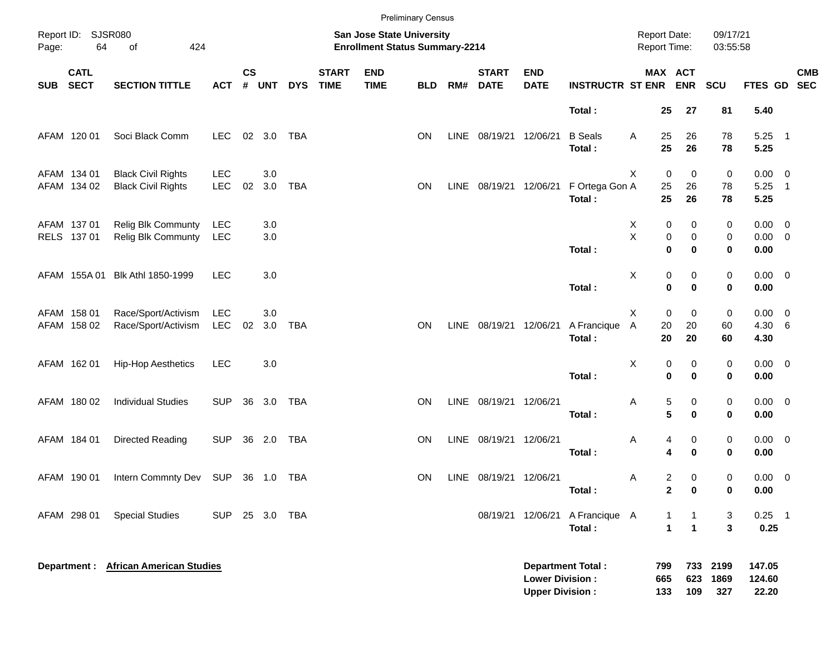|            |                            |                                                        |                          |                             |            |            |                             |                                                                    | <b>Preliminary Census</b> |      |                             |                                                  |                          |                                            |                                                           |                      |                                    |                          |
|------------|----------------------------|--------------------------------------------------------|--------------------------|-----------------------------|------------|------------|-----------------------------|--------------------------------------------------------------------|---------------------------|------|-----------------------------|--------------------------------------------------|--------------------------|--------------------------------------------|-----------------------------------------------------------|----------------------|------------------------------------|--------------------------|
| Page:      | Report ID: SJSR080<br>64   | 424<br>οf                                              |                          |                             |            |            |                             | San Jose State University<br><b>Enrollment Status Summary-2214</b> |                           |      |                             |                                                  |                          | <b>Report Date:</b><br><b>Report Time:</b> |                                                           | 09/17/21<br>03:55:58 |                                    |                          |
| <b>SUB</b> | <b>CATL</b><br><b>SECT</b> | <b>SECTION TITTLE</b>                                  | <b>ACT</b>               | $\mathsf{cs}$<br>$\pmb{\#}$ | <b>UNT</b> | <b>DYS</b> | <b>START</b><br><b>TIME</b> | <b>END</b><br><b>TIME</b>                                          | <b>BLD</b>                | RM#  | <b>START</b><br><b>DATE</b> | <b>END</b><br><b>DATE</b>                        | <b>INSTRUCTR ST ENR</b>  |                                            | MAX ACT<br><b>ENR</b>                                     | SCU                  | FTES GD SEC                        | <b>CMB</b>               |
|            |                            |                                                        |                          |                             |            |            |                             |                                                                    |                           |      |                             |                                                  | Total:                   | 25                                         | 27                                                        | 81                   | 5.40                               |                          |
|            | AFAM 120 01                | Soci Black Comm                                        | <b>LEC</b>               |                             | 02 3.0     | <b>TBA</b> |                             |                                                                    | ON                        | LINE | 08/19/21                    | 12/06/21                                         | <b>B</b> Seals<br>Total: | 25<br>Α<br>25                              | 26<br>26                                                  | 78<br>78             | $5.25$ 1<br>5.25                   |                          |
|            | AFAM 134 01<br>AFAM 134 02 | <b>Black Civil Rights</b><br><b>Black Civil Rights</b> | <b>LEC</b><br><b>LEC</b> | 02                          | 3.0<br>3.0 | <b>TBA</b> |                             |                                                                    | ON                        | LINE | 08/19/21                    | 12/06/21                                         | F Ortega Gon A<br>Total: | X<br>25<br>25                              | 0<br>0<br>26<br>26                                        | 0<br>78<br>78        | $0.00 \t 0$<br>5.25<br>5.25        | $\overline{\phantom{1}}$ |
|            | AFAM 137 01<br>RELS 137 01 | <b>Relig Blk Communty</b><br><b>Relig Blk Communty</b> | LEC<br>LEC               |                             | 3.0<br>3.0 |            |                             |                                                                    |                           |      |                             |                                                  | Total:                   | Х<br>X                                     | 0<br>0<br>0<br>0<br>$\mathbf 0$<br>0                      | 0<br>0<br>0          | $0.00 \t 0$<br>$0.00 \t 0$<br>0.00 |                          |
|            | AFAM 155A 01               | Blk Athl 1850-1999                                     | <b>LEC</b>               |                             | 3.0        |            |                             |                                                                    |                           |      |                             |                                                  | Total:                   | х                                          | 0<br>0<br>$\mathbf 0$<br>0                                | 0<br>0               | $0.00 \t 0$<br>0.00                |                          |
|            | AFAM 158 01<br>AFAM 158 02 | Race/Sport/Activism<br>Race/Sport/Activism             | <b>LEC</b><br>LEC        | 02                          | 3.0<br>3.0 | <b>TBA</b> |                             |                                                                    | ON                        | LINE | 08/19/21                    | 12/06/21                                         | A Francique<br>Total:    | X<br>20<br>Α<br>20                         | 0<br>0<br>20<br>20                                        | 0<br>60<br>60        | $0.00 \t 0$<br>4.30 6<br>4.30      |                          |
|            | AFAM 162 01                | <b>Hip-Hop Aesthetics</b>                              | <b>LEC</b>               |                             | 3.0        |            |                             |                                                                    |                           |      |                             |                                                  | Total:                   | х                                          | 0<br>0<br>$\bf{0}$<br>0                                   | 0<br>0               | $0.00 \t 0$<br>0.00                |                          |
|            | AFAM 180 02                | <b>Individual Studies</b>                              | <b>SUP</b>               |                             | 36 3.0     | TBA        |                             |                                                                    | ON                        | LINE | 08/19/21 12/06/21           |                                                  | Total:                   | Α                                          | 5<br>0<br>5<br>$\bf{0}$                                   | 0<br>0               | $0.00 \t 0$<br>0.00                |                          |
|            | AFAM 184 01                | Directed Reading                                       | <b>SUP</b>               |                             | 36 2.0     | TBA        |                             |                                                                    | ON                        | LINE | 08/19/21                    | 12/06/21                                         | Total:                   | Α                                          | 0<br>4<br>$\bf{0}$<br>4                                   | 0<br>0               | $0.00 \t 0$<br>0.00                |                          |
|            | AFAM 190 01                | Intern Commnty Dev SUP 36 1.0 TBA                      |                          |                             |            |            |                             |                                                                    | ON                        |      | LINE 08/19/21 12/06/21      |                                                  | Total:                   | Α                                          | 2<br>0<br>$\mathbf{2}$<br>0                               | 0<br>0               | $0.00 \t 0$<br>0.00                |                          |
|            | AFAM 298 01                | <b>Special Studies</b>                                 | SUP 25 3.0 TBA           |                             |            |            |                             |                                                                    |                           |      |                             | 08/19/21 12/06/21                                | A Francique A<br>Total:  |                                            | $\mathbf{1}$<br>1<br>$\mathbf{1}$<br>$\blacktriangleleft$ | 3<br>3               | $0.25$ 1<br>0.25                   |                          |
|            |                            | <b>Department : African American Studies</b>           |                          |                             |            |            |                             |                                                                    |                           |      |                             | <b>Lower Division:</b><br><b>Upper Division:</b> | <b>Department Total:</b> | 799<br>665<br>133                          | 733<br>623<br>109                                         | 2199<br>1869<br>327  | 147.05<br>124.60<br>22.20          |                          |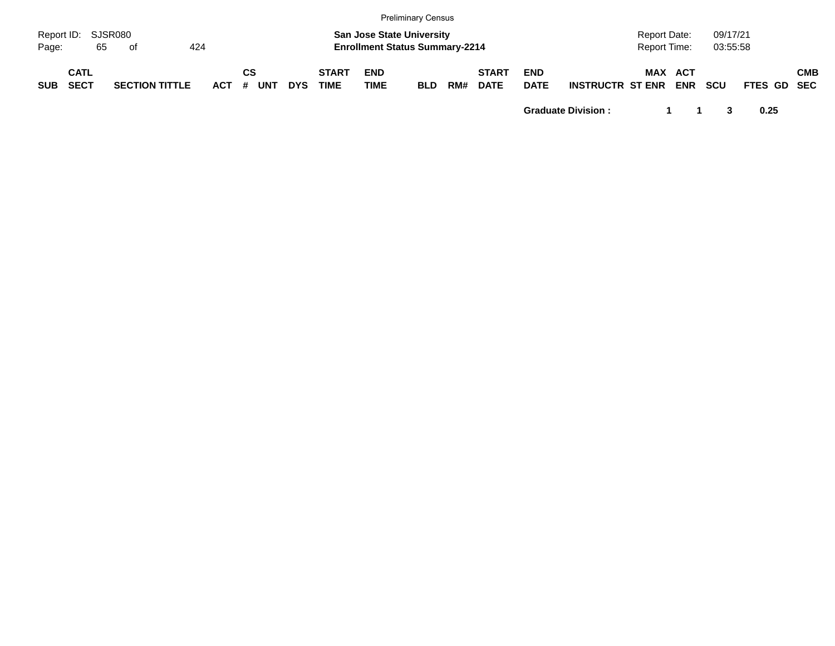|                             |                            |    |                       |     |         |    |            |            |                             |                    | <b>Preliminary Census</b>                                                 |     |                             |                           |                         |                                     |            |                      |                    |            |
|-----------------------------|----------------------------|----|-----------------------|-----|---------|----|------------|------------|-----------------------------|--------------------|---------------------------------------------------------------------------|-----|-----------------------------|---------------------------|-------------------------|-------------------------------------|------------|----------------------|--------------------|------------|
| Report ID: SJSR080<br>Page: |                            | 65 | . of                  | 424 |         |    |            |            |                             |                    | <b>San Jose State University</b><br><b>Enrollment Status Summary-2214</b> |     |                             |                           |                         | <b>Report Date:</b><br>Report Time: |            | 09/17/21<br>03:55:58 |                    |            |
| <b>SUB</b>                  | <b>CATL</b><br><b>SECT</b> |    | <b>SECTION TITTLE</b> |     | $ACT$ # | СS | <b>UNT</b> | <b>DYS</b> | <b>START</b><br><b>TIME</b> | <b>END</b><br>TIME | <b>BLD</b>                                                                | RM# | <b>START</b><br><b>DATE</b> | <b>END</b><br><b>DATE</b> | <b>INSTRUCTR ST ENR</b> | <b>MAX ACT</b>                      | <b>ENR</b> | <b>SCU</b>           | <b>FTES GD SEC</b> | <b>CMB</b> |

**Graduate Division : 1 1 3 0.25**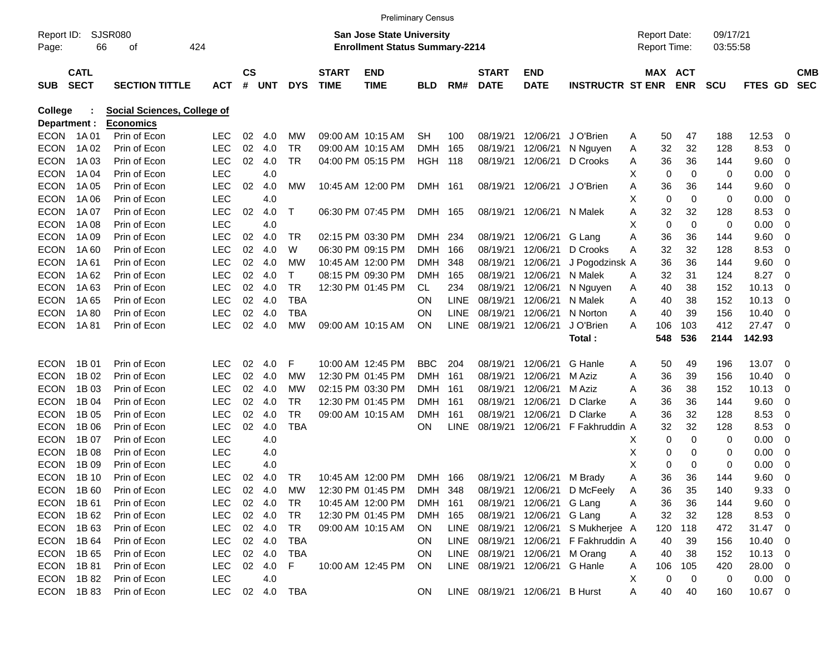|              |             |                                    |            |           |        |            |              |                                       | <b>Preliminary Census</b> |             |              |                                |                                       |   |                     |             |             |                |                          |            |
|--------------|-------------|------------------------------------|------------|-----------|--------|------------|--------------|---------------------------------------|---------------------------|-------------|--------------|--------------------------------|---------------------------------------|---|---------------------|-------------|-------------|----------------|--------------------------|------------|
| Report ID:   |             | SJSR080                            |            |           |        |            |              | <b>San Jose State University</b>      |                           |             |              |                                |                                       |   | <b>Report Date:</b> |             | 09/17/21    |                |                          |            |
| Page:        | 66          | οf                                 | 424        |           |        |            |              | <b>Enrollment Status Summary-2214</b> |                           |             |              |                                |                                       |   | <b>Report Time:</b> |             | 03:55:58    |                |                          |            |
|              | <b>CATL</b> |                                    |            | <b>CS</b> |        |            | <b>START</b> | <b>END</b>                            |                           |             | <b>START</b> | <b>END</b>                     |                                       |   | <b>MAX ACT</b>      |             |             |                |                          | <b>CMB</b> |
| <b>SUB</b>   | <b>SECT</b> | <b>SECTION TITTLE</b>              | <b>ACT</b> | #         | UNT    | <b>DYS</b> | <b>TIME</b>  | <b>TIME</b>                           | <b>BLD</b>                | RM#         | <b>DATE</b>  | <b>DATE</b>                    | <b>INSTRUCTR ST ENR</b>               |   |                     | <b>ENR</b>  | <b>SCU</b>  | <b>FTES GD</b> |                          | <b>SEC</b> |
| College      |             | <b>Social Sciences, College of</b> |            |           |        |            |              |                                       |                           |             |              |                                |                                       |   |                     |             |             |                |                          |            |
| Department : |             | <b>Economics</b>                   |            |           |        |            |              |                                       |                           |             |              |                                |                                       |   |                     |             |             |                |                          |            |
| <b>ECON</b>  | 1A 01       | Prin of Econ                       | <b>LEC</b> | 02        | 4.0    | МW         |              | 09:00 AM 10:15 AM                     | <b>SH</b>                 | 100         | 08/19/21     | 12/06/21                       | J O'Brien                             | A | 50                  | 47          | 188         | 12.53          | 0                        |            |
| <b>ECON</b>  | 1A 02       | Prin of Econ                       | <b>LEC</b> | 02        | 4.0    | TR         |              | 09:00 AM 10:15 AM                     | <b>DMH</b>                | 165         | 08/19/21     | 12/06/21                       | N Nguyen                              | A | 32                  | 32          | 128         | 8.53           | 0                        |            |
| <b>ECON</b>  | 1A 03       | Prin of Econ                       | <b>LEC</b> | 02        | 4.0    | TR         |              | 04:00 PM 05:15 PM                     | HGH                       | 118         | 08/19/21     | 12/06/21                       | D Crooks                              | A | 36                  | 36          | 144         | 9.60           | 0                        |            |
| <b>ECON</b>  | 1A 04       | Prin of Econ                       | <b>LEC</b> |           | 4.0    |            |              |                                       |                           |             |              |                                |                                       | х | 0                   | 0           | 0           | 0.00           | 0                        |            |
| <b>ECON</b>  | 1A 05       | Prin of Econ                       | <b>LEC</b> | 02        | 4.0    | МW         |              | 10:45 AM 12:00 PM                     | DMH 161                   |             | 08/19/21     | 12/06/21                       | J O'Brien                             | A | 36                  | 36          | 144         | 9.60           | 0                        |            |
| <b>ECON</b>  | 1A 06       | Prin of Econ                       | <b>LEC</b> |           | 4.0    |            |              |                                       |                           |             |              |                                |                                       | х | 0                   | $\mathbf 0$ | 0           | 0.00           | 0                        |            |
| <b>ECON</b>  | 1A 07       | Prin of Econ                       | <b>LEC</b> | 02        | 4.0    | Т          |              | 06:30 PM 07:45 PM                     | DMH 165                   |             | 08/19/21     | 12/06/21                       | N Malek                               | A | 32                  | 32          | 128         | 8.53           | 0                        |            |
| <b>ECON</b>  | 1A 08       | Prin of Econ                       | <b>LEC</b> |           | 4.0    |            |              |                                       |                           |             |              |                                |                                       | х | 0                   | 0           | 0           | 0.00           | 0                        |            |
| <b>ECON</b>  | 1A 09       | Prin of Econ                       | <b>LEC</b> | 02        | 4.0    | TR         |              | 02:15 PM 03:30 PM                     | DMH                       | 234         | 08/19/21     | 12/06/21                       | G Lang                                | Α | 36                  | 36          | 144         | 9.60           | 0                        |            |
| <b>ECON</b>  | 1A60        | Prin of Econ                       | <b>LEC</b> | 02        | 4.0    | W          |              | 06:30 PM 09:15 PM                     | <b>DMH</b>                | 166         | 08/19/21     | 12/06/21                       | D Crooks                              | A | 32                  | 32          | 128         | 8.53           | 0                        |            |
| <b>ECON</b>  | 1A 61       | Prin of Econ                       | <b>LEC</b> | 02        | 4.0    | МW         |              | 10:45 AM 12:00 PM                     | <b>DMH</b>                | 348         | 08/19/21     | 12/06/21                       | J Pogodzinsk A                        |   | 36                  | 36          | 144         | 9.60           | 0                        |            |
| <b>ECON</b>  | 1A 62       | Prin of Econ                       | <b>LEC</b> | 02        | 4.0    | Т          |              | 08:15 PM 09:30 PM                     | <b>DMH</b>                | 165         | 08/19/21     | 12/06/21                       | N Malek                               | A | 32                  | 31          | 124         | 8.27           | 0                        |            |
| <b>ECON</b>  | 1A63        | Prin of Econ                       | <b>LEC</b> | 02        | 4.0    | TR         |              | 12:30 PM 01:45 PM                     | CL.                       | 234         | 08/19/21     | 12/06/21                       | N Nguyen                              | A | 40                  | 38          | 152         | 10.13          | 0                        |            |
| <b>ECON</b>  | 1A 65       | Prin of Econ                       | <b>LEC</b> | 02        | 4.0    | <b>TBA</b> |              |                                       | ΟN                        | <b>LINE</b> | 08/19/21     | 12/06/21                       | N Malek                               | A | 40                  | 38          | 152         | 10.13          | 0                        |            |
| <b>ECON</b>  | 1A 80       | Prin of Econ                       | <b>LEC</b> | 02        | 4.0    | TBA        |              |                                       | ΟN                        | <b>LINE</b> | 08/19/21     | 12/06/21                       | N Norton                              | A | 40                  | 39          | 156         | 10.40          | 0                        |            |
| <b>ECON</b>  | 1A 81       | Prin of Econ                       | <b>LEC</b> | 02        | 4.0    | MW         |              | 09:00 AM 10:15 AM                     | ΟN                        | <b>LINE</b> | 08/19/21     | 12/06/21                       | J O'Brien                             | A | 106                 | 103         | 412         | 27.47          | - 0                      |            |
|              |             |                                    |            |           |        |            |              |                                       |                           |             |              |                                | Total:                                |   | 548                 | 536         | 2144        | 142.93         |                          |            |
| <b>ECON</b>  | 1B 01       | Prin of Econ                       | <b>LEC</b> | 02        | 4.0    | F          |              | 10:00 AM 12:45 PM                     | <b>BBC</b>                | 204         | 08/19/21     | 12/06/21                       | G Hanle                               | A | 50                  | 49          | 196         | 13.07          | - 0                      |            |
| <b>ECON</b>  | 1B 02       | Prin of Econ                       | <b>LEC</b> | 02        | 4.0    | МW         |              | 12:30 PM 01:45 PM                     | <b>DMH</b>                | 161         | 08/19/21     | 12/06/21                       | M Aziz                                | Α | 36                  | 39          | 156         | 10.40          | 0                        |            |
| <b>ECON</b>  | 1B 03       | Prin of Econ                       | <b>LEC</b> | 02        | 4.0    | МW         |              | 02:15 PM 03:30 PM                     | <b>DMH</b>                | 161         | 08/19/21     | 12/06/21                       | M Aziz                                | A | 36                  | 38          | 152         | 10.13          | 0                        |            |
| <b>ECON</b>  | 1B 04       | Prin of Econ                       | <b>LEC</b> | 02        | 4.0    | TR         |              | 12:30 PM 01:45 PM                     | <b>DMH</b>                | 161         | 08/19/21     | 12/06/21                       | D Clarke                              | A | 36                  | 36          | 144         | 9.60           | 0                        |            |
| <b>ECON</b>  | 1B 05       | Prin of Econ                       | <b>LEC</b> | 02        | 4.0    | TR         |              | 09:00 AM 10:15 AM                     | <b>DMH</b>                | 161         | 08/19/21     | 12/06/21                       | D Clarke                              | A | 36                  | 32          | 128         | 8.53           | 0                        |            |
| <b>ECON</b>  | 1B 06       | Prin of Econ                       | <b>LEC</b> | 02        | 4.0    | <b>TBA</b> |              |                                       | ON.                       | <b>LINE</b> | 08/19/21     | 12/06/21                       | F Fakhruddin A                        |   | 32                  | 32          | 128         | 8.53           | 0                        |            |
| <b>ECON</b>  | 1B 07       | Prin of Econ                       | <b>LEC</b> |           | 4.0    |            |              |                                       |                           |             |              |                                |                                       | X | 0                   | 0           | 0           | 0.00           | 0                        |            |
| <b>ECON</b>  | 1B 08       | Prin of Econ                       | <b>LEC</b> |           | 4.0    |            |              |                                       |                           |             |              |                                |                                       | х | 0                   | 0           | 0           | 0.00           | 0                        |            |
| <b>ECON</b>  | 1B 09       | Prin of Econ                       | <b>LEC</b> |           | 4.0    |            |              |                                       |                           |             |              |                                |                                       | X | 0                   | 0           | $\mathbf 0$ | 0.00           | 0                        |            |
| <b>ECON</b>  | 1B 10       | Prin of Econ                       | <b>LEC</b> | 02        | 4.0    | TR         |              | 10:45 AM 12:00 PM                     | DMH 166                   |             |              | 08/19/21 12/06/21              | M Brady                               | A | 36                  | 36          | 144         | 9.60           | 0                        |            |
|              | ECON 1B60   | Prin of Econ                       | <b>LEC</b> |           | 02 4.0 | MW         |              | 12:30 PM 01:45 PM                     | DMH 348                   |             |              |                                | 08/19/21 12/06/21 D McFeely           | A | 36                  | 35          | 140         | 9.33           | $\overline{0}$           |            |
| ECON         | 1B 61       | Prin of Econ                       | <b>LEC</b> |           | 02 4.0 | TR         |              | 10:45 AM 12:00 PM                     | DMH 161                   |             |              | 08/19/21 12/06/21 G Lang       |                                       | A | 36                  | 36          | 144         | 9.60           | $\overline{\phantom{0}}$ |            |
| ECON         | 1B 62       | Prin of Econ                       | <b>LEC</b> |           | 02 4.0 | TR         |              | 12:30 PM 01:45 PM                     | DMH 165                   |             |              | 08/19/21 12/06/21 G Lang       |                                       | A | 32                  | 32          | 128         | 8.53           | $\overline{\phantom{0}}$ |            |
| ECON         | 1B 63       | Prin of Econ                       | <b>LEC</b> |           | 02 4.0 | TR         |              | 09:00 AM 10:15 AM                     | ON.                       |             |              |                                | LINE 08/19/21 12/06/21 S Mukherjee A  |   | 120                 | 118         | 472         | 31.47 0        |                          |            |
| <b>ECON</b>  | 1B 64       | Prin of Econ                       | <b>LEC</b> |           | 02 4.0 | TBA        |              |                                       | ON.                       |             |              |                                | LINE 08/19/21 12/06/21 F Fakhruddin A |   | 40                  | 39          | 156         | 10.40          | $\overline{\phantom{0}}$ |            |
| ECON         | 1B 65       | Prin of Econ                       | LEC        |           | 02 4.0 | TBA        |              |                                       | ON.                       |             |              | LINE 08/19/21 12/06/21         | M Orang                               | A | 40                  | 38          | 152         | $10.13$ 0      |                          |            |
| ECON         | 1B 81       | Prin of Econ                       | LEC        |           | 02 4.0 | F          |              | 10:00 AM 12:45 PM                     | ON                        |             |              | LINE 08/19/21 12/06/21 G Hanle |                                       | A | 106                 | 105         | 420         | 28.00 0        |                          |            |
|              | ECON 1B82   | Prin of Econ                       | <b>LEC</b> |           | 4.0    |            |              |                                       |                           |             |              |                                |                                       | X | 0                   | 0           | 0           | $0.00 \t 0$    |                          |            |
|              | ECON 1B83   | Prin of Econ                       | LEC 02 4.0 |           |        | TBA        |              |                                       | ON                        |             |              | LINE 08/19/21 12/06/21 B Hurst |                                       | Α | 40                  | 40          | 160         | 10.67 0        |                          |            |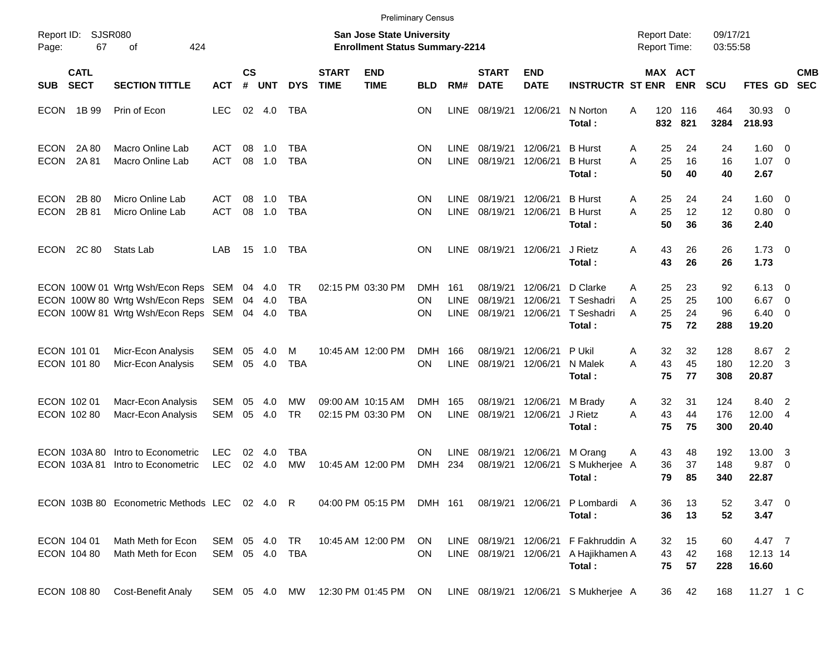|                            |                             |                                                                                                                   |                              |                    |                      |                                       |                             |                                                                           | <b>Preliminary Census</b> |                                   |                                                  |                                  |                                                |                                     |                      |                        |                                                   |                                |                          |
|----------------------------|-----------------------------|-------------------------------------------------------------------------------------------------------------------|------------------------------|--------------------|----------------------|---------------------------------------|-----------------------------|---------------------------------------------------------------------------|---------------------------|-----------------------------------|--------------------------------------------------|----------------------------------|------------------------------------------------|-------------------------------------|----------------------|------------------------|---------------------------------------------------|--------------------------------|--------------------------|
| Report ID:<br>Page:        | SJSR080<br>67               | 424<br>оf                                                                                                         |                              |                    |                      |                                       |                             | <b>San Jose State University</b><br><b>Enrollment Status Summary-2214</b> |                           |                                   |                                                  |                                  |                                                | <b>Report Date:</b><br>Report Time: |                      | 09/17/21<br>03:55:58   |                                                   |                                |                          |
| <b>SUB</b>                 | <b>CATL</b><br><b>SECT</b>  | <b>SECTION TITTLE</b>                                                                                             | <b>ACT</b>                   | $\mathsf{cs}$<br># | <b>UNT</b>           | <b>DYS</b>                            | <b>START</b><br><b>TIME</b> | <b>END</b><br><b>TIME</b>                                                 | <b>BLD</b>                | RM#                               | <b>START</b><br><b>DATE</b>                      | <b>END</b><br><b>DATE</b>        | <b>INSTRUCTR ST ENR</b>                        | MAX ACT                             | <b>ENR</b>           | <b>SCU</b>             | FTES GD                                           |                                | <b>CMB</b><br><b>SEC</b> |
| <b>ECON</b>                | 1B 99                       | Prin of Econ                                                                                                      | <b>LEC</b>                   |                    | 02 4.0               | TBA                                   |                             |                                                                           | ΟN                        | <b>LINE</b>                       | 08/19/21                                         | 12/06/21                         | N Norton<br>Total:                             | 120<br>A<br>832                     | 116<br>821           | 464<br>3284            | 30.93 0<br>218.93                                 |                                |                          |
| <b>ECON</b><br><b>ECON</b> | 2A 80<br>2A 81              | <b>Macro Online Lab</b><br><b>Macro Online Lab</b>                                                                | <b>ACT</b><br><b>ACT</b>     | 08<br>08           | 1.0<br>1.0           | TBA<br><b>TBA</b>                     |                             |                                                                           | <b>ON</b><br>ΟN           | <b>LINE</b><br><b>LINE</b>        | 08/19/21<br>08/19/21                             | 12/06/21<br>12/06/21             | <b>B</b> Hurst<br><b>B</b> Hurst<br>Total:     | 25<br>Α<br>25<br>A<br>50            | 24<br>16<br>40       | 24<br>16<br>40         | $1.60 \ 0$<br>$1.07 \t 0$<br>2.67                 |                                |                          |
| <b>ECON</b><br><b>ECON</b> | 2B 80<br>2B 81              | Micro Online Lab<br>Micro Online Lab                                                                              | <b>ACT</b><br><b>ACT</b>     | 08<br>08           | 1.0<br>1.0           | TBA<br><b>TBA</b>                     |                             |                                                                           | <b>ON</b><br>ΟN           | <b>LINE</b><br><b>LINE</b>        | 08/19/21<br>08/19/21                             | 12/06/21<br>12/06/21             | <b>B</b> Hurst<br><b>B</b> Hurst<br>Total:     | 25<br>Α<br>25<br>A<br>50            | 24<br>12<br>36       | 24<br>12<br>36         | $1.60 \ 0$<br>$0.80 \ 0$<br>2.40                  |                                |                          |
| <b>ECON</b>                | 2C 80                       | Stats Lab                                                                                                         | LAB                          |                    | 15 1.0               | TBA                                   |                             |                                                                           | ON                        | <b>LINE</b>                       | 08/19/21                                         | 12/06/21                         | J Rietz<br>Total:                              | 43<br>A<br>43                       | 26<br>26             | 26<br>26               | $1.73 \quad 0$<br>1.73                            |                                |                          |
|                            |                             | ECON 100W 01 Wrtg Wsh/Econ Reps SEM<br>ECON 100W 80 Wrtg Wsh/Econ Reps SEM<br>ECON 100W 81 Wrtg Wsh/Econ Reps SEM |                              | 04<br>04           | 4.0<br>4.0<br>04 4.0 | <b>TR</b><br><b>TBA</b><br><b>TBA</b> |                             | 02:15 PM 03:30 PM                                                         | <b>DMH</b><br>ΟN<br>ΟN    | 161<br><b>LINE</b><br><b>LINE</b> | 08/19/21<br>08/19/21<br>08/19/21                 | 12/06/21<br>12/06/21<br>12/06/21 | D Clarke<br>T Seshadri<br>T Seshadri<br>Total: | 25<br>A<br>25<br>A<br>25<br>A<br>75 | 23<br>25<br>24<br>72 | 92<br>100<br>96<br>288 | $6.13 \quad 0$<br>6.67<br>$6.40 \quad 0$<br>19.20 | $\overline{\phantom{0}}$       |                          |
|                            | ECON 101 01<br>ECON 101 80  | Micr-Econ Analysis<br>Micr-Econ Analysis                                                                          | <b>SEM</b><br>SEM            | 05<br>05           | 4.0<br>4.0           | M<br><b>TBA</b>                       |                             | 10:45 AM 12:00 PM                                                         | <b>DMH</b><br>ΟN          | 166<br><b>LINE</b>                | 08/19/21<br>08/19/21                             | 12/06/21<br>12/06/21             | P Ukil<br>N Malek<br>Total:                    | 32<br>Α<br>43<br>A<br>75            | 32<br>45<br>77       | 128<br>180<br>308      | 8.67<br>12.20<br>20.87                            | $\overline{2}$<br>-3           |                          |
|                            | ECON 102 01<br>ECON 102 80  | Macr-Econ Analysis<br>Macr-Econ Analysis                                                                          | <b>SEM</b><br>SEM            | 05<br>05           | 4.0<br>4.0           | MW<br><b>TR</b>                       |                             | 09:00 AM 10:15 AM<br>02:15 PM 03:30 PM                                    | <b>DMH</b><br>ON          | 165<br><b>LINE</b>                | 08/19/21<br>08/19/21                             | 12/06/21<br>12/06/21             | M Brady<br>J Rietz<br>Total:                   | 32<br>Α<br>43<br>A<br>75            | 31<br>44<br>75       | 124<br>176<br>300      | 8.40<br>12.00 4<br>20.40                          | $\overline{\phantom{0}}^2$     |                          |
|                            | ECON 103A80<br>ECON 103A 81 | Intro to Econometric<br>Intro to Econometric                                                                      | <b>LEC</b><br><b>LEC</b>     | 02<br>02           | 4.0<br>4.0           | <b>TBA</b><br><b>MW</b>               |                             | 10:45 AM 12:00 PM                                                         | ON<br><b>DMH</b>          | <b>LINE</b><br>234                | 08/19/21<br>08/19/21                             | 12/06/21<br>12/06/21             | M Orang<br>S Mukherjee A<br>Total:             | 43<br>Α<br>36<br>79                 | 48<br>37<br>85       | 192<br>148<br>340      | 13.00<br>9.87<br>22.87                            | -3<br>$\overline{\phantom{0}}$ |                          |
|                            |                             | ECON 103B 80 Econometric Methods LEC 02 4.0 R                                                                     |                              |                    |                      |                                       |                             | 04:00 PM 05:15 PM                                                         | DMH 161                   |                                   |                                                  |                                  | 08/19/21 12/06/21 P Lombardi A<br>Total:       | 36<br>36                            | 13<br>13             | 52<br>52               | $3.47 \quad 0$<br>3.47                            |                                |                          |
|                            | ECON 104 01<br>ECON 104 80  | Math Meth for Econ<br>Math Meth for Econ                                                                          | SEM 05 4.0<br>SEM 05 4.0 TBA |                    |                      | TR                                    |                             | 10:45 AM 12:00 PM                                                         | ON.<br><b>ON</b>          |                                   | LINE 08/19/21 12/06/21<br>LINE 08/19/21 12/06/21 |                                  | F Fakhruddin A<br>A Hajikhamen A<br>Total:     | 32<br>43<br>75                      | 15<br>42<br>57       | 60<br>168<br>228       | 4.47 7<br>12.13 14<br>16.60                       |                                |                          |
|                            | ECON 108 80                 | <b>Cost-Benefit Analy</b>                                                                                         | SEM 05 4.0 MW                |                    |                      |                                       |                             | 12:30 PM 01:45 PM                                                         | ON                        |                                   |                                                  |                                  | LINE 08/19/21 12/06/21 S Mukherjee A           | 36                                  | 42                   | 168                    | 11.27 1 C                                         |                                |                          |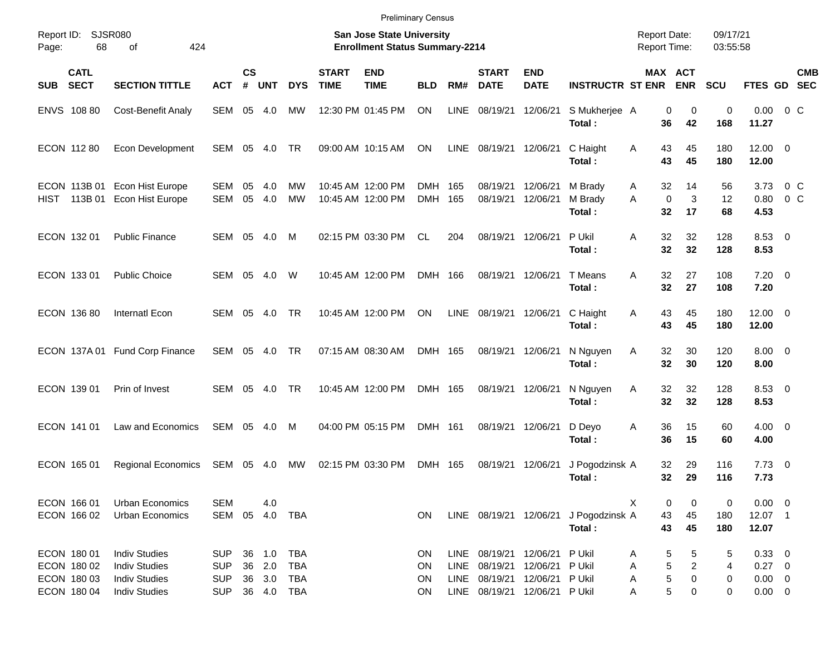|                                                          |                                                                                              |                                                      |                |                      |                                                 |                             | <b>Preliminary Census</b>                                                 |                      |                                    |                                                                  |                                                       |                                                 |                                            |                                                            |                      |                                                  |                           |            |
|----------------------------------------------------------|----------------------------------------------------------------------------------------------|------------------------------------------------------|----------------|----------------------|-------------------------------------------------|-----------------------------|---------------------------------------------------------------------------|----------------------|------------------------------------|------------------------------------------------------------------|-------------------------------------------------------|-------------------------------------------------|--------------------------------------------|------------------------------------------------------------|----------------------|--------------------------------------------------|---------------------------|------------|
| Report ID:<br>68<br>Page:                                | <b>SJSR080</b><br>424<br>οf                                                                  |                                                      |                |                      |                                                 |                             | <b>San Jose State University</b><br><b>Enrollment Status Summary-2214</b> |                      |                                    |                                                                  |                                                       |                                                 | <b>Report Date:</b><br><b>Report Time:</b> |                                                            | 09/17/21<br>03:55:58 |                                                  |                           |            |
| <b>CATL</b><br><b>SECT</b><br><b>SUB</b>                 | <b>SECTION TITTLE</b>                                                                        | <b>ACT</b>                                           | <b>CS</b><br># | <b>UNT</b>           | <b>DYS</b>                                      | <b>START</b><br><b>TIME</b> | <b>END</b><br><b>TIME</b>                                                 | <b>BLD</b>           | RM#                                | <b>START</b><br><b>DATE</b>                                      | <b>END</b><br><b>DATE</b>                             | <b>INSTRUCTR ST ENR</b>                         |                                            | MAX ACT<br><b>ENR</b>                                      | <b>SCU</b>           | FTES GD SEC                                      |                           | <b>CMB</b> |
| ENVS 108 80                                              | <b>Cost-Benefit Analy</b>                                                                    | SEM 05 4.0                                           |                |                      | МW                                              |                             | 12:30 PM 01:45 PM                                                         | <b>ON</b>            | <b>LINE</b>                        | 08/19/21                                                         | 12/06/21                                              | S Mukherjee A<br>Total:                         | 36                                         | 0<br>0<br>42                                               | $\mathbf 0$<br>168   | $0.00 \t 0 C$<br>11.27                           |                           |            |
| ECON 112 80                                              | Econ Development                                                                             | SEM                                                  |                | 05 4.0               | TR                                              |                             | 09:00 AM 10:15 AM                                                         | ON                   | LINE                               | 08/19/21                                                         | 12/06/21                                              | C Haight<br>Total:                              | 43<br>Α<br>43                              | 45<br>45                                                   | 180<br>180           | $12.00 \t 0$<br>12.00                            |                           |            |
| ECON 113B 01<br>HIST 113B 01                             | Econ Hist Europe<br>Econ Hist Europe                                                         | SEM<br>SEM                                           | 05<br>05       | 4.0<br>4.0           | MW<br>MW                                        |                             | 10:45 AM 12:00 PM<br>10:45 AM 12:00 PM                                    | DMH<br><b>DMH</b>    | 165<br>165                         | 08/19/21<br>08/19/21                                             | 12/06/21<br>12/06/21                                  | M Brady<br>M Brady<br>Total:                    | 32<br>A<br>$\mathbf 0$<br>A<br>32          | 14<br>3<br>17                                              | 56<br>12<br>68       | 3.73<br>0.80<br>4.53                             | $0\,$ C<br>0 <sup>o</sup> |            |
| ECON 132 01                                              | <b>Public Finance</b>                                                                        | SEM 05                                               |                | 4.0                  | M                                               |                             | 02:15 PM 03:30 PM                                                         | <b>CL</b>            | 204                                |                                                                  | 08/19/21 12/06/21                                     | P Ukil<br>Total:                                | 32<br>Α<br>32                              | 32<br>32                                                   | 128<br>128           | $8.53$ 0<br>8.53                                 |                           |            |
| ECON 133 01                                              | <b>Public Choice</b>                                                                         | SEM 05                                               |                | 4.0                  | W                                               |                             | 10:45 AM 12:00 PM                                                         | DMH 166              |                                    |                                                                  | 08/19/21 12/06/21                                     | T Means<br>Total:                               | 32<br>A<br>32                              | 27<br>27                                                   | 108<br>108           | $7.20 \t 0$<br>7.20                              |                           |            |
| ECON 136 80                                              | <b>Internatl Econ</b>                                                                        | SEM 05                                               |                | 4.0                  | <b>TR</b>                                       |                             | 10:45 AM 12:00 PM                                                         | ON                   | LINE                               | 08/19/21                                                         | 12/06/21                                              | C Haight<br>Total:                              | 43<br>Α<br>43                              | 45<br>45                                                   | 180<br>180           | $12.00 \t 0$<br>12.00                            |                           |            |
|                                                          | ECON 137A 01 Fund Corp Finance                                                               | SEM                                                  | 05             | - 4.0                | TR                                              |                             | 07:15 AM 08:30 AM                                                         | DMH 165              |                                    | 08/19/21 12/06/21                                                |                                                       | N Nguyen<br>Total:                              | 32<br>Α<br>32                              | 30<br>30                                                   | 120<br>120           | $8.00 \t 0$<br>8.00                              |                           |            |
| ECON 139 01                                              | Prin of Invest                                                                               | <b>SEM</b>                                           | 05             | 4.0                  | <b>TR</b>                                       |                             | 10:45 AM 12:00 PM                                                         | DMH 165              |                                    |                                                                  | 08/19/21 12/06/21                                     | N Nguyen<br>Total:                              | 32<br>Α<br>32                              | 32<br>32                                                   | 128<br>128           | $8.53$ 0<br>8.53                                 |                           |            |
| ECON 141 01                                              | Law and Economics                                                                            | SEM 05 4.0                                           |                |                      | M                                               |                             | 04:00 PM 05:15 PM                                                         | DMH 161              |                                    |                                                                  | 08/19/21 12/06/21                                     | D Deyo<br>Total:                                | 36<br>Α<br>36                              | 15<br>15                                                   | 60<br>60             | $4.00 \ 0$<br>4.00                               |                           |            |
| ECON 165 01                                              | <b>Regional Economics</b>                                                                    | SEM 05 4.0                                           |                |                      | МW                                              |                             | 02:15 PM 03:30 PM                                                         | DMH 165              |                                    | 08/19/21                                                         | 12/06/21                                              | J Pogodzinsk A<br>Total:                        | 32<br>32                                   | 29<br>29                                                   | 116<br>116           | $7.73 \t 0$<br>7.73                              |                           |            |
| ECON 166 01<br>ECON 166 02                               | <b>Urban Economics</b><br>Urban Economics                                                    | <b>SEM</b>                                           |                | 4.0                  | SEM 05 4.0 TBA                                  |                             |                                                                           | ON                   |                                    |                                                                  |                                                       | LINE 08/19/21 12/06/21 J Pogodzinsk A<br>Total: | X<br>43<br>43                              | 0<br>0<br>45<br>45                                         | 0<br>180<br>180      | $0.00 \t 0$<br>12.07 1<br>12.07                  |                           |            |
| ECON 180 01<br>ECON 180 02<br>ECON 180 03<br>ECON 180 04 | <b>Indiv Studies</b><br><b>Indiv Studies</b><br><b>Indiv Studies</b><br><b>Indiv Studies</b> | <b>SUP</b><br><b>SUP</b><br><b>SUP</b><br><b>SUP</b> | 36<br>36       | 1.0<br>2.0<br>36 3.0 | <b>TBA</b><br><b>TBA</b><br>TBA<br>36  4.0  TBA |                             |                                                                           | ON<br>ON<br>ON<br>ON | <b>LINE</b><br><b>LINE</b><br>LINE | 08/19/21<br>08/19/21<br>08/19/21<br>LINE 08/19/21 12/06/21 PUkil | 12/06/21 P Ukil<br>12/06/21 P Ukil<br>12/06/21 P Ukil |                                                 | Α<br>Α<br>Α<br>Α                           | 5<br>5<br>5<br>$\overline{\mathbf{c}}$<br>5<br>0<br>5<br>0 | 5<br>4<br>0<br>0     | 0.33 0<br>$0.27$ 0<br>$0.00 \t 0$<br>$0.00 \t 0$ |                           |            |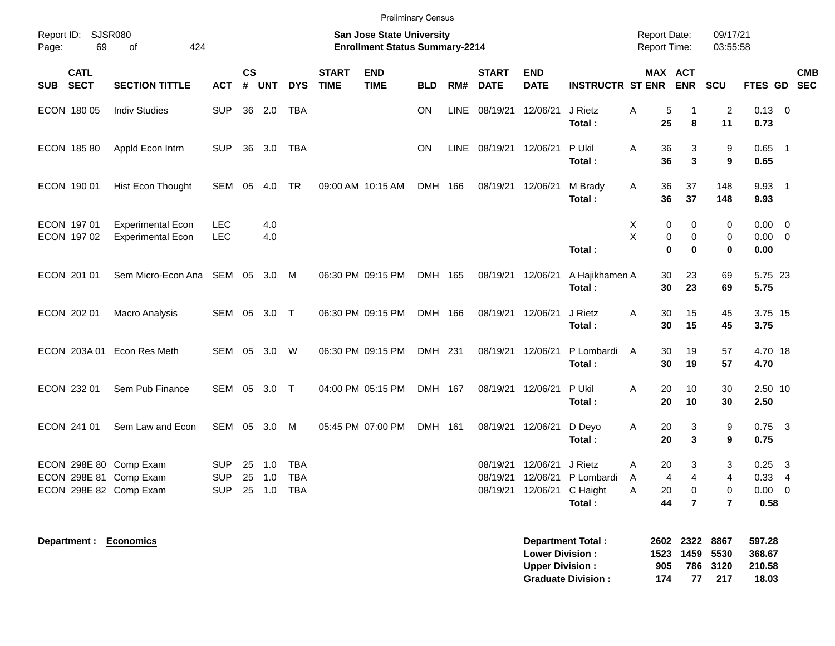| Report ID: SJSR080<br>69<br>Page:                                          | 424<br>of                                            |                                        |                   |                   |                                        |                             | <b>Preliminary Census</b><br><b>San Jose State University</b><br><b>Enrollment Status Summary-2214</b> |           |             |                             |                                                    |                                             | <b>Report Date:</b><br><b>Report Time:</b>               |                                            | 09/17/21<br>03:55:58                       |                              |                                                            |            |
|----------------------------------------------------------------------------|------------------------------------------------------|----------------------------------------|-------------------|-------------------|----------------------------------------|-----------------------------|--------------------------------------------------------------------------------------------------------|-----------|-------------|-----------------------------|----------------------------------------------------|---------------------------------------------|----------------------------------------------------------|--------------------------------------------|--------------------------------------------|------------------------------|------------------------------------------------------------|------------|
| <b>CATL</b><br><b>SECT</b><br>SUB                                          | <b>SECTION TITTLE</b>                                | <b>ACT</b>                             | <b>CS</b><br>$\#$ | <b>UNT</b>        | <b>DYS</b>                             | <b>START</b><br><b>TIME</b> | <b>END</b><br><b>TIME</b>                                                                              | BLD       | RM#         | <b>START</b><br><b>DATE</b> | <b>END</b><br><b>DATE</b>                          | <b>INSTRUCTR ST ENR</b>                     | MAX ACT                                                  | <b>ENR</b>                                 | SCU                                        | FTES GD SEC                  |                                                            | <b>CMB</b> |
| ECON 180 05                                                                | <b>Indiv Studies</b>                                 | <b>SUP</b>                             |                   | 36 2.0            | <b>TBA</b>                             |                             |                                                                                                        | <b>ON</b> | <b>LINE</b> | 08/19/21 12/06/21           |                                                    | J Rietz<br>Total:                           | $\,$ 5 $\,$<br>Α<br>25                                   | -1<br>8                                    | 2<br>11                                    | $0.13 \ 0$<br>0.73           |                                                            |            |
| ECON 185 80                                                                | Appld Econ Intrn                                     | <b>SUP</b>                             | 36                | 3.0               | <b>TBA</b>                             |                             |                                                                                                        | <b>ON</b> | LINE        | 08/19/21 12/06/21           |                                                    | P Ukil<br>Total:                            | 36<br>A<br>36                                            | 3<br>$\mathbf{3}$                          | 9<br>9                                     | $0.65$ 1<br>0.65             |                                                            |            |
| ECON 190 01                                                                | Hist Econ Thought                                    | <b>SEM</b>                             | 05                | 4.0               | TR                                     |                             | 09:00 AM 10:15 AM                                                                                      | DMH 166   |             | 08/19/21 12/06/21           |                                                    | M Brady<br>Total:                           | 36<br>Α<br>36                                            | 37<br>37                                   | 148<br>148                                 | $9.93$ 1<br>9.93             |                                                            |            |
| ECON 197 01<br>ECON 197 02                                                 | <b>Experimental Econ</b><br><b>Experimental Econ</b> | <b>LEC</b><br><b>LEC</b>               |                   | 4.0<br>4.0        |                                        |                             |                                                                                                        |           |             |                             |                                                    | Total:                                      | Χ<br>0<br>X<br>$\pmb{0}$<br>$\bf{0}$                     | 0<br>$\mathbf 0$<br>$\bf{0}$               | 0<br>$\mathbf 0$<br>$\bf{0}$               | 0.00<br>$0.00 \t 0$<br>0.00  | $\overline{0}$                                             |            |
| ECON 201 01                                                                | Sem Micro-Econ Ana                                   | SEM                                    | 05                | $3.0$ M           |                                        |                             | 06:30 PM 09:15 PM                                                                                      | DMH 165   |             |                             | 08/19/21 12/06/21                                  | A Hajikhamen A<br>Total:                    | 30<br>30                                                 | 23<br>23                                   | 69<br>69                                   | 5.75 23<br>5.75              |                                                            |            |
| ECON 202 01                                                                | Macro Analysis                                       | SEM                                    |                   | 05 3.0 T          |                                        |                             | 06:30 PM 09:15 PM                                                                                      | DMH 166   |             |                             | 08/19/21 12/06/21                                  | J Rietz<br>Total:                           | 30<br>Α<br>30                                            | 15<br>15                                   | 45<br>45                                   | 3.75 15<br>3.75              |                                                            |            |
| ECON 203A 01                                                               | Econ Res Meth                                        | SEM                                    |                   | 05 3.0            | W                                      |                             | 06:30 PM 09:15 PM                                                                                      | DMH 231   |             |                             | 08/19/21 12/06/21                                  | P Lombardi<br>Total:                        | 30<br>Α<br>30                                            | 19<br>19                                   | 57<br>57                                   | 4.70 18<br>4.70              |                                                            |            |
| ECON 232 01                                                                | Sem Pub Finance                                      | SEM                                    | 05                | 3.0 T             |                                        |                             | 04:00 PM 05:15 PM                                                                                      | DMH 167   |             |                             | 08/19/21 12/06/21                                  | P Ukil<br>Total:                            | 20<br>A<br>20                                            | 10<br>10                                   | 30<br>30                                   | 2.50 10<br>2.50              |                                                            |            |
| ECON 241 01                                                                | Sem Law and Econ                                     | <b>SEM</b>                             |                   | 05 3.0            | M                                      |                             | 05:45 PM 07:00 PM                                                                                      | DMH 161   |             | 08/19/21 12/06/21           |                                                    | D Devo<br>Total:                            | Α<br>20<br>20                                            | 3<br>$\mathbf{3}$                          | 9<br>9                                     | $0.75$ 3<br>0.75             |                                                            |            |
| ECON 298E 80 Comp Exam<br>ECON 298E 81 Comp Exam<br>ECON 298E 82 Comp Exam |                                                      | <b>SUP</b><br><b>SUP</b><br><b>SUP</b> | 25<br>25<br>25    | 1.0<br>1.0<br>1.0 | <b>TBA</b><br><b>TBA</b><br><b>TBA</b> |                             |                                                                                                        |           |             | 08/19/21                    | 08/19/21 12/06/21<br>12/06/21<br>08/19/21 12/06/21 | J Rietz<br>P Lombardi<br>C Haight<br>Total: | A<br>20<br>$\overline{\mathbf{4}}$<br>A<br>Α<br>20<br>44 | 3<br>$\overline{4}$<br>0<br>$\overline{7}$ | 3<br>$\overline{4}$<br>0<br>$\overline{7}$ | 0.25<br>0.33<br>0.00<br>0.58 | $\mathbf{3}$<br>$\overline{4}$<br>$\overline{\phantom{0}}$ |            |
| Denartment · Fronomics                                                     |                                                      |                                        |                   |                   |                                        |                             |                                                                                                        |           |             |                             |                                                    | Denartment Total .                          |                                                          | 2602 2322                                  | 8867                                       | 597 28                       |                                                            |            |

| <b>Department Total:</b>  |     | 2602 2322 8867 |          | 597.28 |
|---------------------------|-----|----------------|----------|--------|
| <b>Lower Division :</b>   |     | 1523 1459 5530 |          | 368.67 |
| Upper Division:           | 905 |                | 786 3120 | 210.58 |
| <b>Graduate Division:</b> | 174 | 77             | -217     | 18.03  |

**Department : Economics**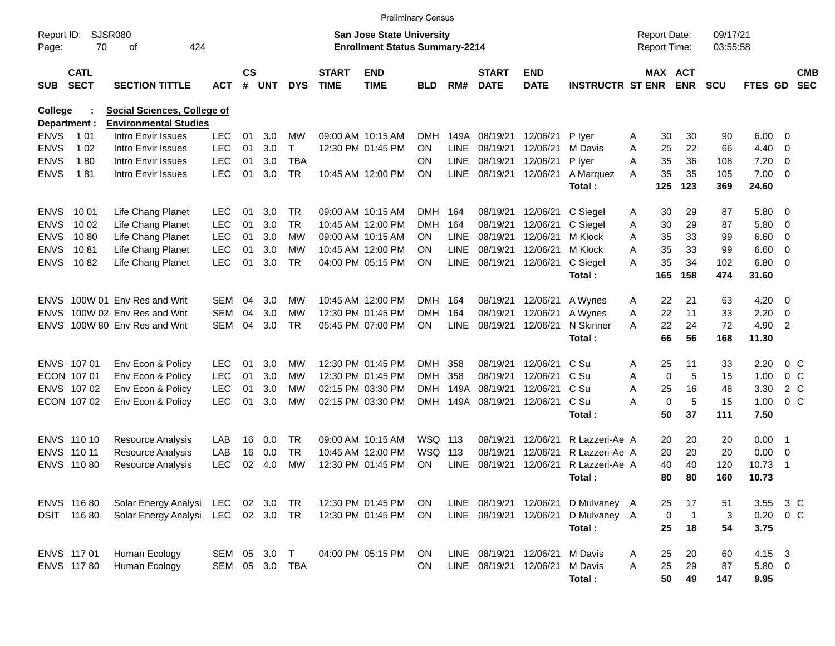|                             |                            |                                                             |                |                    |            |            |                             | <b>Preliminary Census</b>                                                 |            |             |                             |                           |                         |   |                                            |                |                      |               |                |                          |
|-----------------------------|----------------------------|-------------------------------------------------------------|----------------|--------------------|------------|------------|-----------------------------|---------------------------------------------------------------------------|------------|-------------|-----------------------------|---------------------------|-------------------------|---|--------------------------------------------|----------------|----------------------|---------------|----------------|--------------------------|
| Report ID:<br>Page:         | <b>SJSR080</b><br>70       | 424<br>οf                                                   |                |                    |            |            |                             | <b>San Jose State University</b><br><b>Enrollment Status Summary-2214</b> |            |             |                             |                           |                         |   | <b>Report Date:</b><br><b>Report Time:</b> |                | 09/17/21<br>03:55:58 |               |                |                          |
| <b>SUB</b>                  | <b>CATL</b><br><b>SECT</b> | <b>SECTION TITTLE</b>                                       | <b>ACT</b>     | $\mathsf{cs}$<br># | <b>UNT</b> | <b>DYS</b> | <b>START</b><br><b>TIME</b> | <b>END</b><br><b>TIME</b>                                                 | <b>BLD</b> | RM#         | <b>START</b><br><b>DATE</b> | <b>END</b><br><b>DATE</b> | <b>INSTRUCTR ST ENR</b> |   | MAX ACT                                    | <b>ENR</b>     | <b>SCU</b>           | FTES GD       |                | <b>CMB</b><br><b>SEC</b> |
| College                     |                            | Social Sciences, College of<br><b>Environmental Studies</b> |                |                    |            |            |                             |                                                                           |            |             |                             |                           |                         |   |                                            |                |                      |               |                |                          |
| Department :<br><b>ENVS</b> | 1 0 1                      | Intro Envir Issues                                          | <b>LEC</b>     | 01                 | 3.0        | МW         |                             | 09:00 AM 10:15 AM                                                         | <b>DMH</b> | 149A        | 08/19/21                    | 12/06/21                  | P lyer                  | A | 30                                         | 30             | 90                   | 6.00          | - 0            |                          |
| <b>ENVS</b>                 | 1 0 2                      | Intro Envir Issues                                          | <b>LEC</b>     | 01                 | 3.0        | T          |                             | 12:30 PM 01:45 PM                                                         | <b>ON</b>  | <b>LINE</b> | 08/19/21                    | 12/06/21                  | M Davis                 | A | 25                                         | 22             | 66                   | 4.40          | $\overline{0}$ |                          |
| <b>ENVS</b>                 | 180                        | Intro Envir Issues                                          | <b>LEC</b>     | 01                 | 3.0        | <b>TBA</b> |                             |                                                                           | <b>ON</b>  | <b>LINE</b> | 08/19/21                    | 12/06/21                  | P lyer                  | A | 35                                         | 36             | 108                  | 7.20          | $\overline{0}$ |                          |
| <b>ENVS</b>                 | 181                        | Intro Envir Issues                                          | <b>LEC</b>     | 01                 | 3.0        | <b>TR</b>  |                             | 10:45 AM 12:00 PM                                                         | <b>ON</b>  | <b>LINE</b> | 08/19/21                    | 12/06/21                  | A Marquez               | A | 35                                         | 35             | 105                  | 7.00          | 0              |                          |
|                             |                            |                                                             |                |                    |            |            |                             |                                                                           |            |             |                             |                           | Total:                  |   | 125                                        | 123            | 369                  | 24.60         |                |                          |
| <b>ENVS</b>                 | 10 01                      | Life Chang Planet                                           | <b>LEC</b>     | 01                 | 3.0        | <b>TR</b>  |                             | 09:00 AM 10:15 AM                                                         | <b>DMH</b> | 164         | 08/19/21                    | 12/06/21                  | C Siegel                | A | 30                                         | 29             | 87                   | 5.80          | - 0            |                          |
| <b>ENVS</b>                 | 10 02                      | Life Chang Planet                                           | <b>LEC</b>     | 01                 | 3.0        | <b>TR</b>  |                             | 10:45 AM 12:00 PM                                                         | <b>DMH</b> | 164         | 08/19/21                    | 12/06/21                  | C Siegel                | A | 30                                         | 29             | 87                   | 5.80          | 0              |                          |
| <b>ENVS</b>                 | 1080                       | Life Chang Planet                                           | <b>LEC</b>     | 01                 | 3.0        | МW         |                             | 09:00 AM 10:15 AM                                                         | ON.        | <b>LINE</b> | 08/19/21                    | 12/06/21                  | M Klock                 | A | 35                                         | 33             | 99                   | 6.60          | $\overline{0}$ |                          |
| <b>ENVS</b>                 | 1081                       | Life Chang Planet                                           | <b>LEC</b>     | 01                 | 3.0        | <b>MW</b>  |                             | 10:45 AM 12:00 PM                                                         | <b>ON</b>  | <b>LINE</b> | 08/19/21                    | 12/06/21                  | M Klock                 | A | 35                                         | 33             | 99                   | 6.60          | $\overline{0}$ |                          |
| <b>ENVS</b>                 | 1082                       | Life Chang Planet                                           | <b>LEC</b>     | 01                 | 3.0        | <b>TR</b>  |                             | 04:00 PM 05:15 PM                                                         | <b>ON</b>  | <b>LINE</b> | 08/19/21                    | 12/06/21                  | C Siegel                | A | 35                                         | 34             | 102                  | 6.80          | - 0            |                          |
|                             |                            |                                                             |                |                    |            |            |                             |                                                                           |            |             |                             |                           | Total:                  |   | 165                                        | 158            | 474                  | 31.60         |                |                          |
| <b>ENVS</b>                 |                            | 100W 01 Env Res and Writ                                    | <b>SEM</b>     | 04                 | 3.0        | МW         |                             | 10:45 AM 12:00 PM                                                         | <b>DMH</b> | 164         | 08/19/21                    | 12/06/21                  | A Wynes                 | A | 22                                         | 21             | 63                   | 4.20          | - 0            |                          |
| <b>ENVS</b>                 |                            | 100W 02 Env Res and Writ                                    | <b>SEM</b>     | 04                 | 3.0        | <b>MW</b>  |                             | 12:30 PM 01:45 PM                                                         | <b>DMH</b> | 164         | 08/19/21                    | 12/06/21                  | A Wynes                 | A | 22                                         | 11             | 33                   | 2.20          | $\overline{0}$ |                          |
| <b>ENVS</b>                 |                            | 100W 80 Env Res and Writ                                    | <b>SEM</b>     | 04                 | 3.0        | <b>TR</b>  |                             | 05:45 PM 07:00 PM                                                         | <b>ON</b>  | <b>LINE</b> | 08/19/21                    | 12/06/21                  | N Skinner               | A | 22                                         | 24             | 72                   | 4.90          | $\overline{2}$ |                          |
|                             |                            |                                                             |                |                    |            |            |                             |                                                                           |            |             |                             |                           | Total:                  |   | 66                                         | 56             | 168                  | 11.30         |                |                          |
| ENVS 107 01                 |                            | Env Econ & Policy                                           | <b>LEC</b>     | 01                 | 3.0        | МW         |                             | 12:30 PM 01:45 PM                                                         | <b>DMH</b> | 358         | 08/19/21                    | 12/06/21                  | C Su                    | A | 25                                         | 11             | 33                   | 2.20          | 0 <sup>C</sup> |                          |
| ECON 107 01                 |                            | Env Econ & Policy                                           | <b>LEC</b>     | 01                 | 3.0        | МW         |                             | 12:30 PM 01:45 PM                                                         | <b>DMH</b> | 358         | 08/19/21                    | 12/06/21                  | C Su                    | A | 0                                          | 5              | 15                   | 1.00          | $0\,C$         |                          |
|                             | ENVS 107 02                | Env Econ & Policy                                           | <b>LEC</b>     | 01                 | 3.0        | <b>MW</b>  |                             | 02:15 PM 03:30 PM                                                         | <b>DMH</b> | 149A        | 08/19/21                    | 12/06/21                  | C Su                    | A | 25                                         | 16             | 48                   | 3.30          | $2\degree$ C   |                          |
|                             | ECON 107 02                | Env Econ & Policy                                           | <b>LEC</b>     | 01                 | 3.0        | <b>MW</b>  |                             | 02:15 PM 03:30 PM                                                         | <b>DMH</b> | 149A        | 08/19/21                    | 12/06/21                  | C Su                    | A | 0                                          | 5              | 15                   | 1.00          | $0\,C$         |                          |
|                             |                            |                                                             |                |                    |            |            |                             |                                                                           |            |             |                             |                           | Total:                  |   | 50                                         | 37             | 111                  | 7.50          |                |                          |
|                             | ENVS 110 10                | <b>Resource Analysis</b>                                    | LAB            | 16                 | 0.0        | <b>TR</b>  |                             | 09:00 AM 10:15 AM                                                         | WSQ        | 113         | 08/19/21                    | 12/06/21                  | R Lazzeri-Ae A          |   | 20                                         | 20             | 20                   | 0.00          | - 1            |                          |
| ENVS 110 11                 |                            | Resource Analysis                                           | LAB            | 16                 | 0.0        | <b>TR</b>  |                             | 10:45 AM 12:00 PM                                                         | <b>WSQ</b> | 113         | 08/19/21                    | 12/06/21                  | R Lazzeri-Ae A          |   | 20                                         | 20             | 20                   | 0.00          | - 0            |                          |
| <b>ENVS</b>                 | 11080                      | <b>Resource Analysis</b>                                    | LEC            | 02                 | 4.0        | <b>MW</b>  |                             | 12:30 PM 01:45 PM                                                         | <b>ON</b>  | LINE        | 08/19/21                    | 12/06/21                  | R Lazzeri-Ae A          |   | 40                                         | 40             | 120                  | 10.73         | - 1            |                          |
|                             |                            |                                                             |                |                    |            |            |                             |                                                                           |            |             |                             |                           | Total:                  |   | 80                                         | 80             | 160                  | 10.73         |                |                          |
|                             | ENVS 116 80                | Solar Energy Analysi                                        | LEC            | 02                 | 3.0        | TR         |                             | 12:30 PM 01:45 PM                                                         | ON         |             | LINE 08/19/21 12/06/21      |                           | D Mulvaney A            |   | 25                                         | 17             | 51                   | 3.55          | 3 C            |                          |
|                             | DSIT 116 80                | Solar Energy Analysi LEC 02 3.0                             |                |                    |            | TR         |                             | 12:30 PM 01:45 PM                                                         | ON.        |             | LINE 08/19/21 12/06/21      |                           | D Mulvaney A            |   | 0                                          | $\overline{1}$ | 3                    | $0.20 \t 0 C$ |                |                          |
|                             |                            |                                                             |                |                    |            |            |                             |                                                                           |            |             |                             |                           | Total:                  |   | 25                                         | 18             | 54                   | 3.75          |                |                          |
| ENVS 117 01                 |                            | Human Ecology                                               | SEM 05         |                    | 3.0        | $\top$     |                             | 04:00 PM 05:15 PM                                                         | ON         |             | LINE 08/19/21 12/06/21      |                           | M Davis                 | Α | 25                                         | 20             | 60                   | 4.15 3        |                |                          |
|                             | ENVS 117 80                | Human Ecology                                               | SEM 05 3.0 TBA |                    |            |            |                             |                                                                           | <b>ON</b>  |             | LINE 08/19/21 12/06/21      |                           | M Davis                 | A | 25                                         | 29             | 87                   | 5.80 0        |                |                          |
|                             |                            |                                                             |                |                    |            |            |                             |                                                                           |            |             |                             |                           | Total:                  |   | 50                                         | 49             | 147                  | 9.95          |                |                          |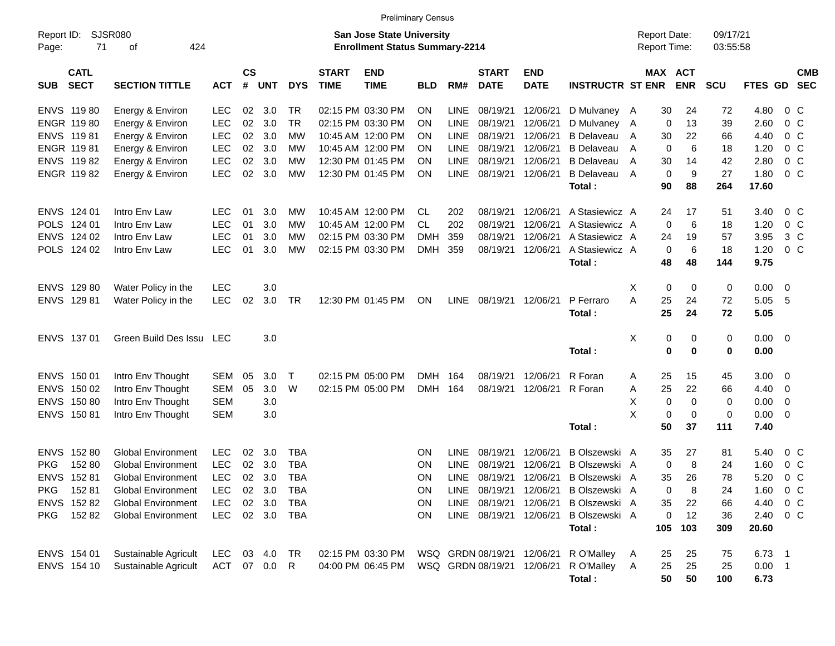|                                          |                                        |              |                |            |             |                             |                                                                           | <b>Preliminary Census</b> |             |                             |                           |                                       |                                     |                       |                      |                        |                          |                          |
|------------------------------------------|----------------------------------------|--------------|----------------|------------|-------------|-----------------------------|---------------------------------------------------------------------------|---------------------------|-------------|-----------------------------|---------------------------|---------------------------------------|-------------------------------------|-----------------------|----------------------|------------------------|--------------------------|--------------------------|
| Report ID:<br>71<br>Page:                | <b>SJSR080</b><br>424<br>оf            |              |                |            |             |                             | <b>San Jose State University</b><br><b>Enrollment Status Summary-2214</b> |                           |             |                             |                           |                                       | <b>Report Date:</b><br>Report Time: |                       | 09/17/21<br>03:55:58 |                        |                          |                          |
| <b>CATL</b><br><b>SECT</b><br><b>SUB</b> | <b>SECTION TITTLE</b>                  | <b>ACT</b>   | <b>CS</b><br># | <b>UNT</b> | <b>DYS</b>  | <b>START</b><br><b>TIME</b> | <b>END</b><br><b>TIME</b>                                                 | <b>BLD</b>                | RM#         | <b>START</b><br><b>DATE</b> | <b>END</b><br><b>DATE</b> | <b>INSTRUCTR ST ENR</b>               |                                     | MAX ACT<br><b>ENR</b> | <b>SCU</b>           | FTES GD                |                          | <b>CMB</b><br><b>SEC</b> |
| ENVS 11980                               | Energy & Environ                       | LEC          | 02             | 3.0        | TR          |                             | 02:15 PM 03:30 PM                                                         | ON                        | <b>LINE</b> | 08/19/21                    | 12/06/21                  | D Mulvaney A                          | 30                                  | 24                    | 72                   | 4.80                   | 0 C                      |                          |
| ENGR 11980                               | Energy & Environ                       | <b>LEC</b>   | 02             | 3.0        | <b>TR</b>   |                             | 02:15 PM 03:30 PM                                                         | ON                        | LINE        | 08/19/21                    | 12/06/21                  | D Mulvaney A                          |                                     | 0<br>13               | 39                   | 2.60                   | $0\,$ C                  |                          |
| ENVS 11981                               | Energy & Environ                       | LEC          | 02             | 3.0        | MW          |                             | 10:45 AM 12:00 PM                                                         | ΟN                        | LINE        | 08/19/21                    | 12/06/21                  | <b>B</b> Delaveau                     | 30<br>A                             | 22                    | 66                   | 4.40                   | $0\,C$                   |                          |
| ENGR 11981                               | Energy & Environ                       | <b>LEC</b>   | 02             | 3.0        | MW          |                             | 10:45 AM 12:00 PM                                                         | ΟN                        | LINE        | 08/19/21                    | 12/06/21                  | <b>B</b> Delaveau                     | A                                   | 6<br>0                | 18                   | 1.20                   | $0\,C$                   |                          |
| ENVS 11982                               | Energy & Environ                       | <b>LEC</b>   | 02             | 3.0        | MW          |                             | 12:30 PM 01:45 PM                                                         | ΟN                        | LINE        | 08/19/21                    | 12/06/21                  | <b>B</b> Delaveau                     | 30<br>A                             | 14                    | 42                   | 2.80                   | 0 <sup>o</sup>           |                          |
| ENGR 11982                               | Energy & Environ                       | <b>LEC</b>   | 02             | 3.0        | MW          |                             | 12:30 PM 01:45 PM                                                         | ΟN                        | LINE        | 08/19/21                    | 12/06/21                  | <b>B</b> Delaveau                     | A                                   | 0<br>9                | 27                   | 1.80                   | 0 C                      |                          |
|                                          |                                        |              |                |            |             |                             |                                                                           |                           |             |                             |                           | Total:                                | 90                                  | 88                    | 264                  | 17.60                  |                          |                          |
| ENVS 124 01                              | Intro Env Law                          | <b>LEC</b>   | 01             | 3.0        | MW          |                             | 10:45 AM 12:00 PM                                                         | CL                        | 202         | 08/19/21                    | 12/06/21                  | A Stasiewicz A                        | 24                                  | 17                    | 51                   | 3.40                   | 0 C                      |                          |
| POLS 124 01                              | Intro Env Law                          | <b>LEC</b>   | 01             | 3.0        | MW          |                             | 10:45 AM 12:00 PM                                                         | CL.                       | 202         | 08/19/21                    | 12/06/21                  | A Stasiewicz A                        |                                     | 0<br>6                | 18                   | 1.20                   | 0 <sup>o</sup>           |                          |
| ENVS 124 02                              | Intro Env Law                          | <b>LEC</b>   | 01             | 3.0        | MW          |                             | 02:15 PM 03:30 PM                                                         | <b>DMH</b>                | 359         | 08/19/21                    | 12/06/21                  | A Stasiewicz A                        | 24                                  | 19                    | 57                   | 3.95                   | $3\,C$                   |                          |
| POLS 124 02                              | Intro Env Law                          | <b>LEC</b>   | 01             | 3.0        | MW          |                             | 02:15 PM 03:30 PM                                                         | <b>DMH</b>                | 359         | 08/19/21                    | 12/06/21                  | A Stasiewicz A                        |                                     | 0<br>6                | 18                   | 1.20                   | 0 <sup>o</sup>           |                          |
|                                          |                                        |              |                |            |             |                             |                                                                           |                           |             |                             |                           | Total:                                | 48                                  | 48                    | 144                  | 9.75                   |                          |                          |
|                                          |                                        |              |                |            |             |                             |                                                                           |                           |             |                             |                           |                                       |                                     |                       |                      |                        |                          |                          |
| ENVS 129 80                              | Water Policy in the                    | <b>LEC</b>   |                | 3.0        |             |                             |                                                                           |                           |             |                             |                           |                                       | Х                                   | 0<br>0                | 0                    | 0.00                   | $\overline{\phantom{0}}$ |                          |
| ENVS 129 81                              | Water Policy in the                    | <b>LEC</b>   | 02             | 3.0        | TR          |                             | 12:30 PM 01:45 PM                                                         | ON                        | LINE        | 08/19/21                    | 12/06/21                  | P Ferraro                             | A<br>25                             | 24                    | 72                   | 5.05                   | -5                       |                          |
|                                          |                                        |              |                |            |             |                             |                                                                           |                           |             |                             |                           | Total:                                | 25                                  | 24                    | 72                   | 5.05                   |                          |                          |
| ENVS 137 01                              | Green Build Des Issu                   | <b>LEC</b>   |                | 3.0        |             |                             |                                                                           |                           |             |                             |                           |                                       | X                                   | 0<br>0                | 0                    | $0.00 \t 0$            |                          |                          |
|                                          |                                        |              |                |            |             |                             |                                                                           |                           |             |                             |                           | Total:                                |                                     | 0<br>0                | 0                    | 0.00                   |                          |                          |
|                                          |                                        |              |                |            |             |                             |                                                                           |                           |             |                             |                           | R Foran                               |                                     |                       |                      |                        |                          |                          |
| ENVS 150 01<br>ENVS 150 02               | Intro Env Thought                      | SEM<br>SEM   | 05<br>05       | 3.0        | $\top$<br>W |                             | 02:15 PM 05:00 PM                                                         | DMH<br>DMH 164            | 164         | 08/19/21<br>08/19/21        | 12/06/21<br>12/06/21      | R Foran                               | 25<br>A<br>25                       | 15<br>22              | 45<br>66             | 3.00                   | $\overline{\mathbf{0}}$  |                          |
| ENVS 150 80                              | Intro Env Thought<br>Intro Env Thought | <b>SEM</b>   |                | 3.0<br>3.0 |             |                             | 02:15 PM 05:00 PM                                                         |                           |             |                             |                           |                                       | Α<br>Х                              | 0<br>0                | 0                    | $4.40 \quad 0$<br>0.00 | $\overline{\mathbf{0}}$  |                          |
| ENVS 150 81                              | Intro Env Thought                      | <b>SEM</b>   |                | 3.0        |             |                             |                                                                           |                           |             |                             |                           |                                       | X                                   | 0<br>0                | 0                    | 0.00                   | - 0                      |                          |
|                                          |                                        |              |                |            |             |                             |                                                                           |                           |             |                             |                           | Total:                                | 50                                  | 37                    | 111                  | 7.40                   |                          |                          |
|                                          |                                        |              |                |            |             |                             |                                                                           |                           |             |                             |                           |                                       |                                     |                       |                      |                        |                          |                          |
| ENVS 152 80                              | <b>Global Environment</b>              | <b>LEC</b>   | 02             | 3.0        | TBA         |                             |                                                                           | ON                        | <b>LINE</b> | 08/19/21                    | 12/06/21                  | B Olszewski A                         | 35                                  | 27                    | 81                   | 5.40                   | 0 C                      |                          |
| 15280<br><b>PKG</b>                      | <b>Global Environment</b>              | <b>LEC</b>   | 02             | 3.0        | <b>TBA</b>  |                             |                                                                           | ON                        | LINE        | 08/19/21                    | 12/06/21                  | B Olszewski A                         |                                     | 0<br>8                | 24                   | 1.60                   | 0 C                      |                          |
| ENVS 152 81                              | <b>Global Environment</b>              | <b>LEC</b>   | 02             | 3.0        | <b>TBA</b>  |                             |                                                                           | ΟN                        | <b>LINE</b> | 08/19/21                    | 12/06/21                  | B Olszewski A                         | 35                                  | 26                    | 78                   | 5.20                   | 0 <sup>o</sup>           |                          |
| <b>PKG</b><br>15281                      | <b>Global Environment</b>              | LEC          |                | 02 3.0     | <b>TBA</b>  |                             |                                                                           | ${\sf ON}$                |             |                             |                           | LINE 08/19/21 12/06/21 B Olszewski A  |                                     | $\pmb{0}$<br>8        | 24                   | 1.60 0 C               |                          |                          |
| ENVS 152 82                              | <b>Global Environment</b>              | <b>LEC</b>   |                | 02 3.0     | TBA         |                             |                                                                           | ON                        |             | LINE 08/19/21 12/06/21      |                           | B Olszewski A                         | 35                                  | 22                    | 66                   | 4.40 0 C               |                          |                          |
| 152 82<br>PKG                            | <b>Global Environment</b>              | <b>LEC</b>   |                |            | 02 3.0 TBA  |                             |                                                                           | ON                        |             | LINE 08/19/21 12/06/21      |                           | B Olszewski A                         |                                     | 12<br>0               | 36                   | 2.40 0 C               |                          |                          |
|                                          |                                        |              |                |            |             |                             |                                                                           |                           |             |                             |                           | Total:                                | 105                                 | 103                   | 309                  | 20.60                  |                          |                          |
| ENVS 154 01                              | Sustainable Agricult                   | LEC          |                | 03 4.0     | TR          |                             | 02:15 PM 03:30 PM                                                         |                           |             |                             |                           | WSQ GRDN 08/19/21 12/06/21 R O'Malley | 25<br>A                             | 25                    | 75                   | 6.73 1                 |                          |                          |
| ENVS 154 10                              | Sustainable Agricult                   | ACT 07 0.0 R |                |            |             |                             | 04:00 PM 06:45 PM                                                         |                           |             |                             |                           | WSQ GRDN 08/19/21 12/06/21 R O'Malley | 25<br>A                             | 25                    | 25                   | $0.00$ 1               |                          |                          |
|                                          |                                        |              |                |            |             |                             |                                                                           |                           |             |                             |                           | Total:                                | 50                                  | 50                    | 100                  | 6.73                   |                          |                          |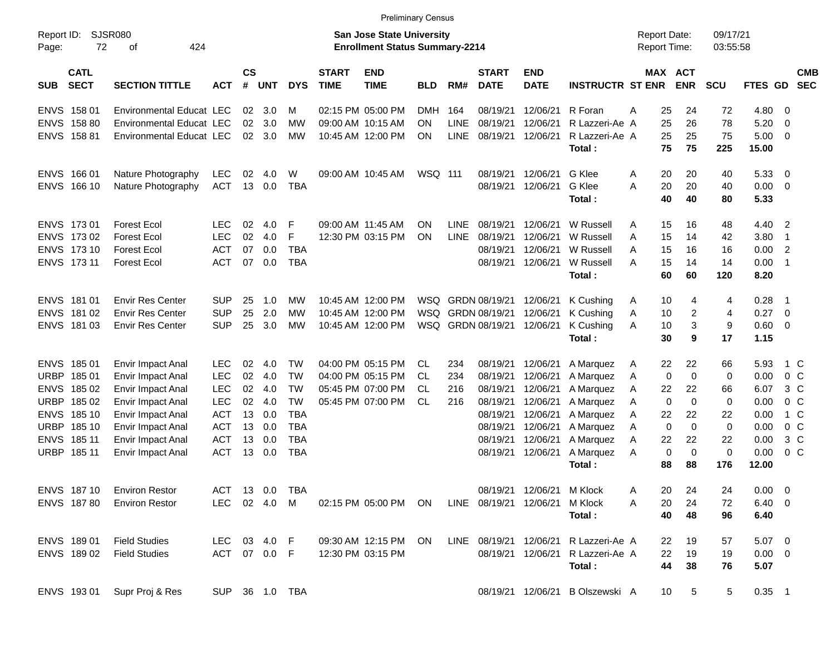|                     |                            |                                 |              |                 |                |            |                             | <b>Preliminary Census</b>                                                 |            |             |                             |                           |                                       |   |                                     |             |                      |                |                          |                          |
|---------------------|----------------------------|---------------------------------|--------------|-----------------|----------------|------------|-----------------------------|---------------------------------------------------------------------------|------------|-------------|-----------------------------|---------------------------|---------------------------------------|---|-------------------------------------|-------------|----------------------|----------------|--------------------------|--------------------------|
| Report ID:<br>Page: | 72                         | SJSR080<br>424<br>οf            |              |                 |                |            |                             | <b>San Jose State University</b><br><b>Enrollment Status Summary-2214</b> |            |             |                             |                           |                                       |   | <b>Report Date:</b><br>Report Time: |             | 09/17/21<br>03:55:58 |                |                          |                          |
| <b>SUB</b>          | <b>CATL</b><br><b>SECT</b> | <b>SECTION TITTLE</b>           | <b>ACT</b>   | <b>CS</b><br>#  | <b>UNT</b>     | <b>DYS</b> | <b>START</b><br><b>TIME</b> | <b>END</b><br><b>TIME</b>                                                 | <b>BLD</b> | RM#         | <b>START</b><br><b>DATE</b> | <b>END</b><br><b>DATE</b> | <b>INSTRUCTR ST ENR</b>               |   | MAX ACT                             | <b>ENR</b>  | SCU                  | <b>FTES GD</b> |                          | <b>CMB</b><br><b>SEC</b> |
|                     | ENVS 15801                 | Environmental Educat LEC        |              | 02 <sub>2</sub> | 3.0            | M          |                             | 02:15 PM 05:00 PM                                                         | <b>DMH</b> | 164         | 08/19/21                    | 12/06/21                  | R Foran                               | Α | 25                                  | 24          | 72                   | 4.80           | $\overline{\phantom{0}}$ |                          |
|                     | ENVS 158 80                | <b>Environmental Educat LEC</b> |              | 02 <sub>2</sub> | 3.0            | <b>MW</b>  |                             | 09:00 AM 10:15 AM                                                         | ΟN         | LINE        | 08/19/21                    | 12/06/21                  | R Lazzeri-Ae A                        |   | 25                                  | 26          | 78                   | 5.20           | $\overline{\mathbf{0}}$  |                          |
|                     | ENVS 158 81                | <b>Environmental Educat LEC</b> |              | 02              | 3.0            | <b>MW</b>  |                             | 10:45 AM 12:00 PM                                                         | ON         | <b>LINE</b> | 08/19/21                    | 12/06/21                  | R Lazzeri-Ae A                        |   | 25                                  | 25          | 75                   | 5.00           | $\overline{\phantom{0}}$ |                          |
|                     |                            |                                 |              |                 |                |            |                             |                                                                           |            |             |                             |                           | Total:                                |   | 75                                  | 75          | 225                  | 15.00          |                          |                          |
|                     | ENVS 166 01                | Nature Photography              | <b>LEC</b>   | 02              | 4.0            | W          |                             | 09:00 AM 10:45 AM                                                         | WSQ 111    |             | 08/19/21                    | 12/06/21                  | G Klee                                | A | 20                                  | 20          | 40                   | 5.33           | $\overline{\mathbf{0}}$  |                          |
|                     | ENVS 166 10                | Nature Photography              | <b>ACT</b>   | 13              | 0.0            | <b>TBA</b> |                             |                                                                           |            |             | 08/19/21                    | 12/06/21                  | G Klee                                | A | 20                                  | 20          | 40                   | 0.00           | $\overline{\phantom{0}}$ |                          |
|                     |                            |                                 |              |                 |                |            |                             |                                                                           |            |             |                             |                           | Total:                                |   | 40                                  | 40          | 80                   | 5.33           |                          |                          |
|                     | ENVS 173 01                | <b>Forest Ecol</b>              | LEC.         | 02              | 4.0            | F          |                             | 09:00 AM 11:45 AM                                                         | ΟN         | LINE        | 08/19/21                    | 12/06/21                  | W Russell                             | A | 15                                  | 16          | 48                   | 4.40           | $\overline{\phantom{0}}$ |                          |
|                     | ENVS 173 02                | <b>Forest Ecol</b>              | <b>LEC</b>   | 02              | 4.0            | F          |                             | 12:30 PM 03:15 PM                                                         | <b>ON</b>  | LINE        | 08/19/21                    | 12/06/21                  | W Russell                             | A | 15                                  | 14          | 42                   | 3.80           | $\overline{1}$           |                          |
|                     | ENVS 173 10                | <b>Forest Ecol</b>              | <b>ACT</b>   | 07              | 0.0            | <b>TBA</b> |                             |                                                                           |            |             | 08/19/21                    | 12/06/21                  | W Russell                             | A | 15                                  | 16          | 16                   | 0.00           | $\overline{\phantom{a}}$ |                          |
|                     | ENVS 173 11                | <b>Forest Ecol</b>              | <b>ACT</b>   | 07              | 0.0            | <b>TBA</b> |                             |                                                                           |            |             | 08/19/21                    | 12/06/21                  | W Russell                             | A | 15                                  | 14          | 14                   | 0.00           | - 1                      |                          |
|                     |                            |                                 |              |                 |                |            |                             |                                                                           |            |             |                             |                           | Total:                                |   | 60                                  | 60          | 120                  | 8.20           |                          |                          |
|                     | ENVS 181 01                | <b>Envir Res Center</b>         | <b>SUP</b>   | 25              | 1.0            | MW         |                             | 10:45 AM 12:00 PM                                                         |            |             | WSQ GRDN 08/19/21           | 12/06/21                  | K Cushing                             | A | 10                                  | 4           | 4                    | 0.28           | - 1                      |                          |
|                     | ENVS 181 02                | <b>Envir Res Center</b>         | <b>SUP</b>   | 25              | 2.0            | <b>MW</b>  |                             | 10:45 AM 12:00 PM                                                         |            |             | WSQ GRDN 08/19/21           | 12/06/21                  | K Cushing                             | Α | 10                                  | 2           | 4                    | 0.27           | $\overline{\mathbf{0}}$  |                          |
|                     | ENVS 18103                 | <b>Envir Res Center</b>         | <b>SUP</b>   | 25              | 3.0            | MW         |                             | 10:45 AM 12:00 PM                                                         |            |             | WSQ GRDN 08/19/21           | 12/06/21                  | K Cushing                             | A | 10                                  | 3           | 9                    | 0.60 0         |                          |                          |
|                     |                            |                                 |              |                 |                |            |                             |                                                                           |            |             |                             |                           | Total:                                |   | 30                                  | 9           | 17                   | 1.15           |                          |                          |
|                     | ENVS 185 01                | Envir Impact Anal               | <b>LEC</b>   | 02              | 4.0            | <b>TW</b>  |                             | 04:00 PM 05:15 PM                                                         | CL.        | 234         | 08/19/21                    | 12/06/21                  | A Marquez                             | A | 22                                  | 22          | 66                   | 5.93           | $1\,C$                   |                          |
|                     | URBP 185 01                | Envir Impact Anal               | <b>LEC</b>   | $02\,$          | 4.0            | <b>TW</b>  |                             | 04:00 PM 05:15 PM                                                         | CL         | 234         | 08/19/21                    | 12/06/21                  | A Marquez                             | A | $\mathbf 0$                         | $\mathbf 0$ | 0                    | 0.00           | 0 <sup>o</sup>           |                          |
|                     | ENVS 185 02                | Envir Impact Anal               | <b>LEC</b>   | 02              | 4.0            | <b>TW</b>  |                             | 05:45 PM 07:00 PM                                                         | CL.        | 216         | 08/19/21                    | 12/06/21                  | A Marquez                             | A | 22                                  | 22          | 66                   | 6.07           | $3\,C$                   |                          |
|                     | URBP 18502                 | Envir Impact Anal               | <b>LEC</b>   | 02              | 4.0            | <b>TW</b>  |                             | 05:45 PM 07:00 PM                                                         | CL         | 216         | 08/19/21                    | 12/06/21                  | A Marquez                             | A | $\mathbf 0$                         | $\mathbf 0$ | 0                    | 0.00           | 0 <sup>o</sup>           |                          |
|                     | ENVS 185 10                | Envir Impact Anal               | <b>ACT</b>   | 13              | 0.0            | <b>TBA</b> |                             |                                                                           |            |             | 08/19/21                    | 12/06/21                  | A Marquez                             | Α | 22                                  | 22          | 22                   | 0.00           | 1 C                      |                          |
|                     | URBP 18510                 | Envir Impact Anal               | <b>ACT</b>   | 13              | 0.0            | <b>TBA</b> |                             |                                                                           |            |             | 08/19/21                    | 12/06/21                  | A Marquez                             | A | $\mathbf 0$                         | $\mathbf 0$ | $\mathbf 0$          | 0.00           | 0 <sup>o</sup>           |                          |
|                     | ENVS 185 11                | Envir Impact Anal               | <b>ACT</b>   | 13              | 0.0            | <b>TBA</b> |                             |                                                                           |            |             | 08/19/21                    | 12/06/21                  | A Marquez                             | Α | 22                                  | 22          | 22                   | 0.00           | $3\,C$                   |                          |
|                     | URBP 18511                 | Envir Impact Anal               | <b>ACT</b>   | 13              | 0.0            | <b>TBA</b> |                             |                                                                           |            |             | 08/19/21                    | 12/06/21                  | A Marquez                             | A | 0                                   | $\mathbf 0$ | $\pmb{0}$            | 0.00           | 0 <sup>o</sup>           |                          |
|                     |                            |                                 |              |                 |                |            |                             |                                                                           |            |             |                             |                           | Total:                                |   | 88                                  | 88          | 176                  | 12.00          |                          |                          |
|                     | ENVS 187 10                | <b>Environ Restor</b>           |              |                 | ACT 13 0.0 TBA |            |                             |                                                                           |            |             |                             | 08/19/21 12/06/21 M Klock |                                       | A | 20                                  | 24          | 24                   | $0.00 \t 0$    |                          |                          |
|                     | ENVS 18780                 | <b>Environ Restor</b>           |              |                 | LEC 02 4.0 M   |            |                             | 02:15 PM 05:00 PM ON                                                      |            |             | LINE 08/19/21 12/06/21      |                           | M Klock                               | A | 20                                  | 24          | 72                   | $6.40 \quad 0$ |                          |                          |
|                     |                            |                                 |              |                 |                |            |                             |                                                                           |            |             |                             |                           | Total:                                |   | 40                                  | 48          | 96                   | 6.40           |                          |                          |
|                     | ENVS 18901                 | <b>Field Studies</b>            | LEC 03 4.0 F |                 |                |            |                             | 09:30 AM 12:15 PM ON                                                      |            |             |                             |                           | LINE 08/19/21 12/06/21 R Lazzeri-Ae A |   | 22                                  | 19          | 57                   | $5.07\ 0$      |                          |                          |
|                     | ENVS 18902                 | <b>Field Studies</b>            | ACT 07 0.0 F |                 |                |            |                             | 12:30 PM 03:15 PM                                                         |            |             |                             |                           | 08/19/21 12/06/21 R Lazzeri-Ae A      |   | 22                                  | 19          | 19                   | $0.00 \t 0$    |                          |                          |
|                     |                            |                                 |              |                 |                |            |                             |                                                                           |            |             |                             |                           | Total:                                |   | 44                                  | 38          | 76                   | 5.07           |                          |                          |
|                     |                            |                                 |              |                 |                |            |                             |                                                                           |            |             |                             |                           |                                       |   |                                     |             |                      |                |                          |                          |

ENVS 193 01 Supr Proj & Res SUP 36 1.0 TBA 08/19/21 12/06/21 B Olszewski A 10 5 5 0.35 1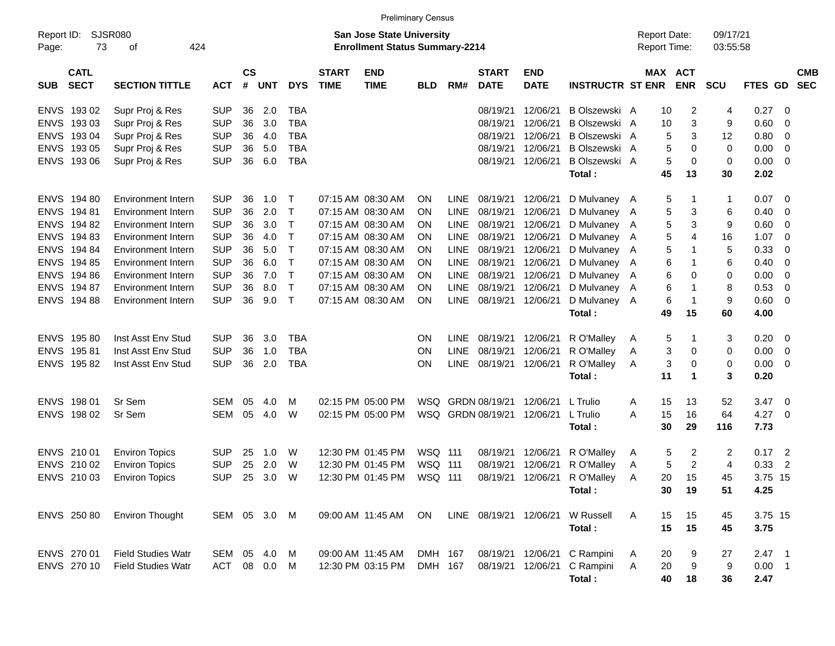|                     |                            |                           |              |                    |            |             |                             |                                                                           | <b>Preliminary Census</b> |             |                             |                           |                         |                                     |    |                       |                      |          |                            |                          |
|---------------------|----------------------------|---------------------------|--------------|--------------------|------------|-------------|-----------------------------|---------------------------------------------------------------------------|---------------------------|-------------|-----------------------------|---------------------------|-------------------------|-------------------------------------|----|-----------------------|----------------------|----------|----------------------------|--------------------------|
| Report ID:<br>Page: | 73                         | SJSR080<br>424<br>оf      |              |                    |            |             |                             | <b>San Jose State University</b><br><b>Enrollment Status Summary-2214</b> |                           |             |                             |                           |                         | <b>Report Date:</b><br>Report Time: |    |                       | 09/17/21<br>03:55:58 |          |                            |                          |
| <b>SUB</b>          | <b>CATL</b><br><b>SECT</b> | <b>SECTION TITTLE</b>     | <b>ACT</b>   | $\mathsf{cs}$<br># | <b>UNT</b> | <b>DYS</b>  | <b>START</b><br><b>TIME</b> | <b>END</b><br><b>TIME</b>                                                 | <b>BLD</b>                | RM#         | <b>START</b><br><b>DATE</b> | <b>END</b><br><b>DATE</b> | <b>INSTRUCTR ST ENR</b> |                                     |    | MAX ACT<br><b>ENR</b> | <b>SCU</b>           | FTES GD  |                            | <b>CMB</b><br><b>SEC</b> |
| <b>ENVS</b>         | 19302                      | Supr Proj & Res           | <b>SUP</b>   | 36                 | 2.0        | <b>TBA</b>  |                             |                                                                           |                           |             | 08/19/21                    | 12/06/21                  | B Olszewski A           |                                     | 10 | 2                     | 4                    | 0.27     | 0                          |                          |
| <b>ENVS</b>         | 19303                      | Supr Proj & Res           | <b>SUP</b>   | 36                 | 3.0        | <b>TBA</b>  |                             |                                                                           |                           |             | 08/19/21                    | 12/06/21                  | B Olszewski A           |                                     | 10 | 3                     | 9                    | 0.60     | 0                          |                          |
| <b>ENVS</b>         | 19304                      | Supr Proj & Res           | <b>SUP</b>   | 36                 | 4.0        | <b>TBA</b>  |                             |                                                                           |                           |             | 08/19/21                    | 12/06/21                  | B Olszewski A           |                                     | 5  | 3                     | 12                   | 0.80     | 0                          |                          |
| <b>ENVS</b>         | 193 05                     | Supr Proj & Res           | <b>SUP</b>   | 36                 | 5.0        | <b>TBA</b>  |                             |                                                                           |                           |             | 08/19/21                    | 12/06/21                  | B Olszewski A           |                                     | 5  | 0                     | 0                    | 0.00     | 0                          |                          |
|                     | ENVS 193 06                | Supr Proj & Res           | <b>SUP</b>   | 36                 | 6.0        | <b>TBA</b>  |                             |                                                                           |                           |             | 08/19/21                    | 12/06/21                  | B Olszewski A           |                                     | 5  | 0                     | 0                    | 0.00     | - 0                        |                          |
|                     |                            |                           |              |                    |            |             |                             |                                                                           |                           |             |                             |                           | Total:                  |                                     | 45 | 13                    | 30                   | 2.02     |                            |                          |
| <b>ENVS</b>         | 194 80                     | Environment Intern        | <b>SUP</b>   | 36                 | 1.0        | Т           |                             | 07:15 AM 08:30 AM                                                         | ON                        | <b>LINE</b> | 08/19/21                    | 12/06/21                  | D Mulvaney A            |                                     | 5  | -1                    | 1                    | 0.07     | -0                         |                          |
| <b>ENVS</b>         | 19481                      | <b>Environment Intern</b> | <b>SUP</b>   | 36                 | 2.0        | $\mathsf T$ |                             | 07:15 AM 08:30 AM                                                         | ON                        | <b>LINE</b> | 08/19/21                    | 12/06/21                  | D Mulvaney A            |                                     | 5  | 3                     | 6                    | 0.40     | -0                         |                          |
| <b>ENVS</b>         | 19482                      | Environment Intern        | <b>SUP</b>   | 36                 | 3.0        | Т           |                             | 07:15 AM 08:30 AM                                                         | <b>ON</b>                 | <b>LINE</b> | 08/19/21                    | 12/06/21                  | D Mulvaney A            |                                     | 5  | 3                     | 9                    | 0.60     | 0                          |                          |
| <b>ENVS</b>         | 19483                      | Environment Intern        | <b>SUP</b>   | 36                 | 4.0        | Т           |                             | 07:15 AM 08:30 AM                                                         | <b>ON</b>                 | <b>LINE</b> | 08/19/21                    | 12/06/21                  | D Mulvaney A            |                                     | 5  | 4                     | 16                   | 1.07     | 0                          |                          |
| <b>ENVS</b>         | 19484                      | Environment Intern        | <b>SUP</b>   | 36                 | 5.0        | Т           |                             | 07:15 AM 08:30 AM                                                         | ON                        | <b>LINE</b> | 08/19/21                    | 12/06/21                  | D Mulvaney A            |                                     | 5  | $\mathbf 1$           | 5                    | 0.33     | 0                          |                          |
| <b>ENVS</b>         | 19485                      | Environment Intern        | <b>SUP</b>   | 36                 | 6.0        | Т           |                             | 07:15 AM 08:30 AM                                                         | ON                        | <b>LINE</b> | 08/19/21                    | 12/06/21                  | D Mulvaney A            |                                     | 6  | $\mathbf 1$           | 6                    | 0.40     | $\Omega$                   |                          |
| <b>ENVS</b>         | 19486                      | Environment Intern        | <b>SUP</b>   | 36                 | 7.0        | $\mathsf T$ |                             | 07:15 AM 08:30 AM                                                         | ON                        | <b>LINE</b> | 08/19/21                    | 12/06/21                  | D Mulvaney A            |                                     | 6  | 0                     | 0                    | 0.00     | 0                          |                          |
| <b>ENVS</b>         | 194 87                     | Environment Intern        | <b>SUP</b>   | 36                 | 8.0        | Т           |                             | 07:15 AM 08:30 AM                                                         | <b>ON</b>                 | <b>LINE</b> | 08/19/21                    | 12/06/21                  | D Mulvaney A            |                                     | 6  | $\mathbf 1$           | 8                    | 0.53     | 0                          |                          |
|                     | ENVS 194 88                | Environment Intern        | <b>SUP</b>   | 36                 | 9.0        | $\top$      |                             | 07:15 AM 08:30 AM                                                         | ON                        | <b>LINE</b> | 08/19/21                    | 12/06/21                  | D Mulvaney A            |                                     | 6  | $\mathbf 1$           | 9                    | 0.60     | $\Omega$                   |                          |
|                     |                            |                           |              |                    |            |             |                             |                                                                           |                           |             |                             |                           | Total:                  |                                     | 49 | 15                    | 60                   | 4.00     |                            |                          |
| <b>ENVS</b>         | 19580                      | Inst Asst Env Stud        | <b>SUP</b>   | 36                 | 3.0        | <b>TBA</b>  |                             |                                                                           | <b>ON</b>                 | <b>LINE</b> | 08/19/21                    | 12/06/21                  | R O'Malley              | A                                   | 5  | -1                    | 3                    | 0.20     | - 0                        |                          |
| <b>ENVS</b>         | 19581                      | Inst Asst Env Stud        | <b>SUP</b>   | 36                 | 1.0        | <b>TBA</b>  |                             |                                                                           | ON                        | <b>LINE</b> | 08/19/21                    | 12/06/21                  | R O'Malley              | A                                   | 3  | 0                     | 0                    | 0.00     | 0                          |                          |
|                     | ENVS 195 82                | Inst Asst Env Stud        | <b>SUP</b>   | 36                 | 2.0        | <b>TBA</b>  |                             |                                                                           | ON                        | <b>LINE</b> | 08/19/21                    | 12/06/21                  | R O'Malley              | A                                   | 3  | 0                     | 0                    | 0.00     | - 0                        |                          |
|                     |                            |                           |              |                    |            |             |                             |                                                                           |                           |             |                             |                           | Total:                  |                                     | 11 | $\blacktriangleleft$  | 3                    | 0.20     |                            |                          |
|                     | ENVS 198 01                | Sr Sem                    | <b>SEM</b>   | 05                 | 4.0        | м           |                             | 02:15 PM 05:00 PM                                                         | WSQ                       |             | GRDN 08/19/21               | 12/06/21                  | L Trulio                | A                                   | 15 | 13                    | 52                   | 3.47     | - 0                        |                          |
|                     | ENVS 198 02                | Sr Sem                    | <b>SEM</b>   | 05                 | 4.0        | W           |                             | 02:15 PM 05:00 PM                                                         | WSQ                       |             | GRDN 08/19/21               | 12/06/21                  | L Trulio                | A                                   | 15 | 16                    | 64                   | 4.27     | - 0                        |                          |
|                     |                            |                           |              |                    |            |             |                             |                                                                           |                           |             |                             |                           | Total:                  |                                     | 30 | 29                    | 116                  | 7.73     |                            |                          |
|                     | ENVS 210 01                | <b>Environ Topics</b>     | <b>SUP</b>   | 25                 | 1.0        | W           |                             | 12:30 PM 01:45 PM                                                         | WSQ 111                   |             | 08/19/21                    | 12/06/21                  | R O'Malley              | A                                   | 5  | $\overline{c}$        | 2                    | 0.17     | $\overline{\phantom{0}}^2$ |                          |
|                     | ENVS 210 02                | <b>Environ Topics</b>     | <b>SUP</b>   | 25                 | 2.0        | W           |                             | 12:30 PM 01:45 PM                                                         | WSQ 111                   |             | 08/19/21                    | 12/06/21                  | R O'Malley              | A                                   | 5  | $\overline{2}$        | 4                    | 0.33     | $\overline{2}$             |                          |
|                     | ENVS 210 03                | <b>Environ Topics</b>     | <b>SUP</b>   | 25                 | 3.0        | W           |                             | 12:30 PM 01:45 PM                                                         | WSQ 111                   |             | 08/19/21                    | 12/06/21                  | R O'Malley              | A                                   | 20 | 15                    | 45                   | 3.75 15  |                            |                          |
|                     |                            |                           |              |                    |            |             |                             |                                                                           |                           |             |                             |                           | Total :                 |                                     | 30 | 19                    | 51                   | 4.25     |                            |                          |
|                     | ENVS 250 80                | <b>Environ Thought</b>    | SEM 05 3.0 M |                    |            |             |                             | 09:00 AM 11:45 AM                                                         | ON.                       |             | LINE 08/19/21 12/06/21      |                           | W Russell               | A                                   | 15 | 15                    | 45                   | 3.75 15  |                            |                          |
|                     |                            |                           |              |                    |            |             |                             |                                                                           |                           |             |                             |                           | Total:                  |                                     | 15 | 15                    | 45                   | 3.75     |                            |                          |
|                     | ENVS 270 01                | <b>Field Studies Watr</b> | SEM 05       |                    | 4.0        | M           |                             | 09:00 AM 11:45 AM                                                         | DMH 167                   |             | 08/19/21                    | 12/06/21                  | C Rampini               | A                                   | 20 | 9                     | 27                   | $2.47$ 1 |                            |                          |
|                     | ENVS 270 10                | <b>Field Studies Watr</b> | ACT 08 0.0   |                    |            | M           |                             | 12:30 PM 03:15 PM                                                         | DMH 167                   |             | 08/19/21                    | 12/06/21                  | C Rampini               | A                                   | 20 | $\boldsymbol{9}$      | 9                    | $0.00$ 1 |                            |                          |
|                     |                            |                           |              |                    |            |             |                             |                                                                           |                           |             |                             |                           | Total:                  |                                     | 40 | $18$                  | 36                   | 2.47     |                            |                          |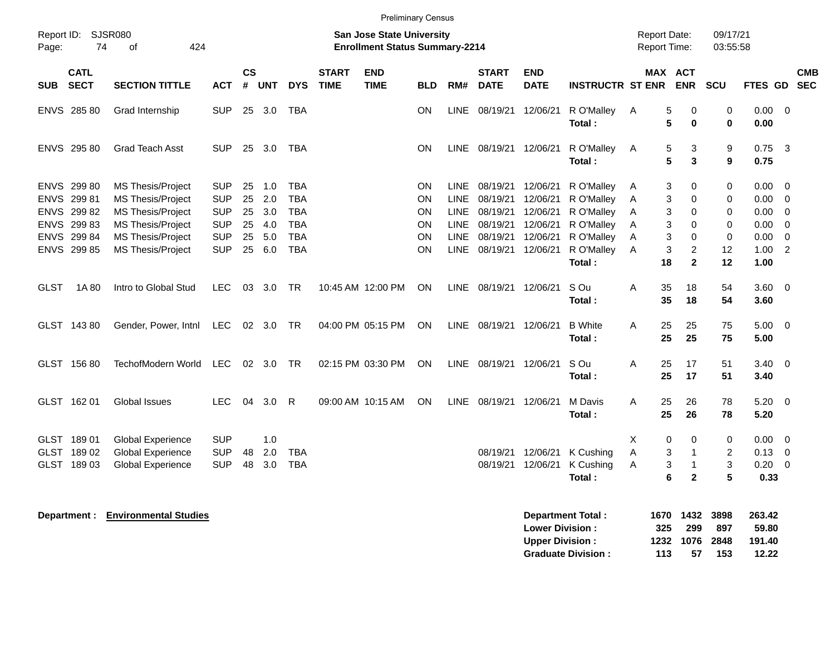| Page:                      | Report ID: SJSR080<br>74       | 424<br>of                                                          |                                        |                    |                   |                                        |                             | <b>Preliminary Census</b><br>San Jose State University<br><b>Enrollment Status Summary-2214</b> |                       |                                           |                                           |                           |                                        |             |             | <b>Report Date:</b><br>Report Time:     | 09/17/21<br>03:55:58           |                        |                                           |            |
|----------------------------|--------------------------------|--------------------------------------------------------------------|----------------------------------------|--------------------|-------------------|----------------------------------------|-----------------------------|-------------------------------------------------------------------------------------------------|-----------------------|-------------------------------------------|-------------------------------------------|---------------------------|----------------------------------------|-------------|-------------|-----------------------------------------|--------------------------------|------------------------|-------------------------------------------|------------|
| <b>SUB</b>                 | <b>CATL</b><br><b>SECT</b>     | <b>SECTION TITTLE</b>                                              | <b>ACT</b>                             | $\mathsf{cs}$<br># | <b>UNT</b>        | <b>DYS</b>                             | <b>START</b><br><b>TIME</b> | <b>END</b><br><b>TIME</b>                                                                       | <b>BLD</b>            | RM#                                       | <b>START</b><br><b>DATE</b>               | <b>END</b><br><b>DATE</b> | <b>INSTRUCTR ST ENR</b>                |             |             | MAX ACT<br><b>ENR</b>                   | SCU                            | FTES GD SEC            |                                           | <b>CMB</b> |
|                            | ENVS 285 80                    | Grad Internship                                                    | <b>SUP</b>                             | 25                 | 3.0               | <b>TBA</b>                             |                             |                                                                                                 | ON                    | LINE                                      | 08/19/21                                  | 12/06/21                  | R O'Malley<br>Total:                   | Α           | 5<br>5      | 0<br>$\mathbf 0$                        | $\pmb{0}$<br>$\mathbf 0$       | 0.00<br>0.00           | $\overline{0}$                            |            |
|                            | ENVS 295 80                    | <b>Grad Teach Asst</b>                                             | <b>SUP</b>                             |                    | 25 3.0            | TBA                                    |                             |                                                                                                 | ON                    |                                           | LINE 08/19/21 12/06/21                    |                           | R O'Malley<br>Total:                   | A           | 5<br>5      | 3<br>3                                  | 9<br>$\boldsymbol{9}$          | $0.75$ 3<br>0.75       |                                           |            |
|                            | ENVS 299 80<br>ENVS 299 81     | MS Thesis/Project<br>MS Thesis/Project                             | <b>SUP</b><br><b>SUP</b>               | 25<br>25           | 1.0<br>2.0        | <b>TBA</b><br><b>TBA</b>               |                             |                                                                                                 | ON<br><b>ON</b>       | LINE<br><b>LINE</b>                       | 08/19/21 12/06/21<br>08/19/21             | 12/06/21                  | R O'Malley<br>R O'Malley               | A<br>Α      | 3<br>3      | 0<br>0                                  | 0<br>0                         | 0.00<br>0.00           | - 0<br>0                                  |            |
| <b>ENVS</b><br><b>ENVS</b> | ENVS 299 82<br>29983<br>299 84 | <b>MS Thesis/Project</b><br>MS Thesis/Project<br>MS Thesis/Project | <b>SUP</b><br><b>SUP</b><br><b>SUP</b> | 25<br>25<br>25     | 3.0<br>4.0<br>5.0 | <b>TBA</b><br><b>TBA</b><br><b>TBA</b> |                             |                                                                                                 | <b>ON</b><br>ON<br>ON | <b>LINE</b><br><b>LINE</b><br><b>LINE</b> | 08/19/21<br>08/19/21 12/06/21<br>08/19/21 | 12/06/21<br>12/06/21      | R O'Malley<br>R O'Malley<br>R O'Malley | A<br>Α<br>Α | 3<br>3<br>3 | 0<br>0<br>0                             | 0<br>0<br>0                    | 0.00<br>0.00<br>0.00   | $\overline{0}$<br>$\overline{0}$<br>0     |            |
|                            | ENVS 299 85                    | MS Thesis/Project                                                  | <b>SUP</b>                             | 25                 | 6.0               | <b>TBA</b>                             |                             |                                                                                                 | ON                    | <b>LINE</b>                               | 08/19/21                                  | 12/06/21                  | R O'Malley<br>Total:                   | A           | 3<br>18     | $\overline{\mathbf{c}}$<br>$\mathbf{2}$ | 12<br>12                       | 1.00<br>1.00           | $\overline{2}$                            |            |
| GLST                       | 1A 80                          | Intro to Global Stud                                               | LEC.                                   | 03                 | 3.0               | TR                                     |                             | 10:45 AM 12:00 PM                                                                               | ON                    |                                           | LINE 08/19/21                             | 12/06/21                  | S Ou<br>Total:                         | A           | 35<br>35    | 18<br>18                                | 54<br>54                       | $3.60\quad 0$<br>3.60  |                                           |            |
|                            | GLST 14380                     | Gender, Power, Intnl                                               | LEC                                    |                    | 02 3.0            | TR                                     |                             | 04:00 PM 05:15 PM                                                                               | ON                    |                                           | LINE 08/19/21 12/06/21                    |                           | <b>B</b> White<br>Total:               | Α           | 25<br>25    | 25<br>25                                | 75<br>75                       | 5.00<br>5.00           | $\overline{\mathbf{0}}$                   |            |
|                            | GLST 156 80                    | TechofModern World                                                 | <b>LEC</b>                             |                    | 02 3.0            | TR                                     |                             | 02:15 PM 03:30 PM                                                                               | ON                    |                                           | LINE 08/19/21                             | 12/06/21                  | S Ou<br>Total:                         | A           | 25<br>25    | 17<br>17                                | 51<br>51                       | $3.40 \quad 0$<br>3.40 |                                           |            |
|                            | GLST 162 01                    | <b>Global Issues</b>                                               | <b>LEC</b>                             | 04                 | 3.0               | R                                      |                             | 09:00 AM 10:15 AM                                                                               | ON                    | LINE                                      | 08/19/21 12/06/21                         |                           | M Davis<br>Total:                      | A           | 25<br>25    | 26<br>26                                | 78<br>78                       | 5.20<br>5.20           | $\overline{\mathbf{0}}$                   |            |
|                            | GLST 189 01<br>GLST 189 02     | <b>Global Experience</b><br><b>Global Experience</b>               | <b>SUP</b><br><b>SUP</b>               | 48                 | 1.0<br>2.0        | <b>TBA</b>                             |                             |                                                                                                 |                       |                                           | 08/19/21                                  | 12/06/21                  | K Cushing                              | Χ<br>A      | 0<br>3      | 0<br>$\mathbf{1}$                       | 0<br>$\overline{2}$            | 0.00<br>0.13           | $\overline{\mathbf{0}}$<br>$\overline{0}$ |            |
|                            | GLST 189 03                    | <b>Global Experience</b>                                           | <b>SUP</b>                             | 48                 | 3.0               | <b>TBA</b>                             |                             |                                                                                                 |                       |                                           | 08/19/21                                  | 12/06/21                  | K Cushing<br>Total:                    | A           | 3<br>6      | $\overline{1}$<br>$\mathbf{2}$          | $\ensuremath{\mathsf{3}}$<br>5 | 0.20<br>0.33           | $\overline{\mathbf{0}}$                   |            |
|                            |                                | <b>Department : Environmental Studies</b>                          |                                        |                    |                   |                                        |                             |                                                                                                 |                       |                                           |                                           |                           | <b>Department Total:</b>               |             |             | 1670 1432                               | 3898                           | 263.42                 |                                           |            |

| Department Total:         |     | 2010 432 304   |      | 203.42 |
|---------------------------|-----|----------------|------|--------|
| <b>Lower Division:</b>    | 325 | - 299          | 897  | 59.80  |
| <b>Upper Division:</b>    |     | 1232 1076 2848 |      | 191.40 |
| <b>Graduate Division:</b> | 113 | 57             | -153 | 12.22  |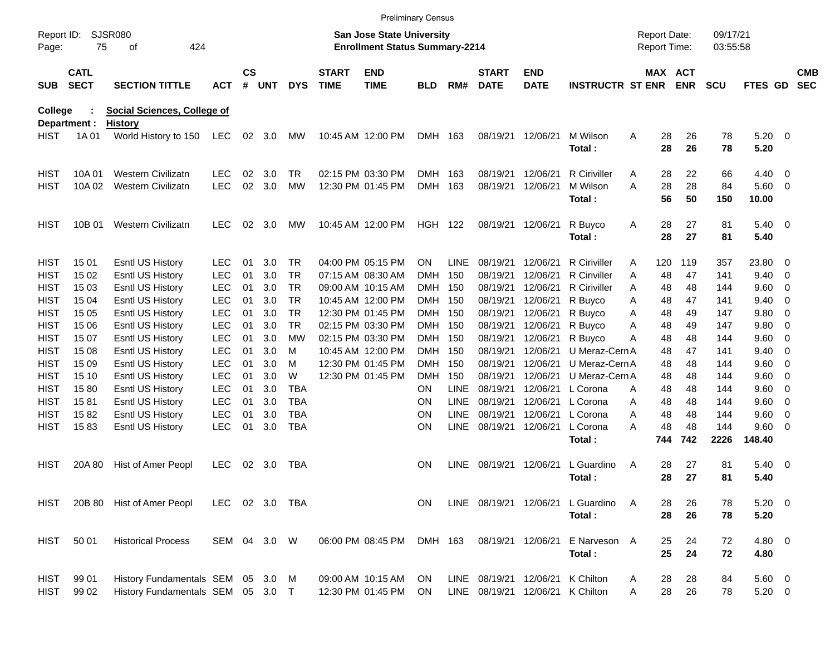|                     |                            |                                        |                          |                    |            |                          |                             |                                                                           | <b>Preliminary Census</b> |                     |                             |                           |                         |                                     |                |                      |                    |                          |                          |
|---------------------|----------------------------|----------------------------------------|--------------------------|--------------------|------------|--------------------------|-----------------------------|---------------------------------------------------------------------------|---------------------------|---------------------|-----------------------------|---------------------------|-------------------------|-------------------------------------|----------------|----------------------|--------------------|--------------------------|--------------------------|
| Report ID:<br>Page: | 75                         | SJSR080<br>424<br>οf                   |                          |                    |            |                          |                             | <b>San Jose State University</b><br><b>Enrollment Status Summary-2214</b> |                           |                     |                             |                           |                         | <b>Report Date:</b><br>Report Time: |                | 09/17/21<br>03:55:58 |                    |                          |                          |
| <b>SUB</b>          | <b>CATL</b><br><b>SECT</b> | <b>SECTION TITTLE</b>                  | <b>ACT</b>               | $\mathsf{cs}$<br># | <b>UNT</b> | <b>DYS</b>               | <b>START</b><br><b>TIME</b> | <b>END</b><br><b>TIME</b>                                                 | <b>BLD</b>                | RM#                 | <b>START</b><br><b>DATE</b> | <b>END</b><br><b>DATE</b> | <b>INSTRUCTR ST ENR</b> |                                     | MAX ACT<br>ENR | <b>SCU</b>           | FTES GD            |                          | <b>CMB</b><br><b>SEC</b> |
| <b>College</b>      |                            | <b>Social Sciences, College of</b>     |                          |                    |            |                          |                             |                                                                           |                           |                     |                             |                           |                         |                                     |                |                      |                    |                          |                          |
| <b>HIST</b>         | Department :<br>1A 01      | <b>History</b><br>World History to 150 | LEC                      |                    | 02 3.0     | MW                       |                             | 10:45 AM 12:00 PM                                                         | DMH 163                   |                     |                             | 08/19/21 12/06/21         | M Wilson<br>Total:      | Α<br>28<br>28                       | 26<br>26       | 78<br>78             | $5.20 \ 0$<br>5.20 |                          |                          |
| <b>HIST</b>         | 10A 01                     | <b>Western Civilizatn</b>              | <b>LEC</b>               | 02                 | 3.0        | TR                       |                             | 02:15 PM 03:30 PM                                                         | DMH                       | 163                 | 08/19/21                    | 12/06/21                  | R Ciriviller            | 28<br>A                             | 22             | 66                   | 4.40               | $\overline{\phantom{0}}$ |                          |
| <b>HIST</b>         | 10A 02                     | <b>Western Civilizatn</b>              | <b>LEC</b>               | 02                 | 3.0        | <b>MW</b>                |                             | 12:30 PM 01:45 PM                                                         | <b>DMH</b>                | 163                 | 08/19/21                    | 12/06/21                  | M Wilson                | A<br>28                             | 28             | 84                   | 5.60 0             |                          |                          |
|                     |                            |                                        |                          |                    |            |                          |                             |                                                                           |                           |                     |                             |                           | Total:                  | 56                                  | 50             | 150                  | 10.00              |                          |                          |
| <b>HIST</b>         | 10B 01                     | <b>Western Civilizatn</b>              | <b>LEC</b>               | 02                 | 3.0        | МW                       |                             | 10:45 AM 12:00 PM                                                         | <b>HGH 122</b>            |                     |                             | 08/19/21 12/06/21         | R Buyco<br>Total:       | Α<br>28<br>28                       | 27<br>27       | 81<br>81             | $5.40 \ 0$<br>5.40 |                          |                          |
| <b>HIST</b>         | 15 01                      | Esntl US History                       | <b>LEC</b>               | 01                 | 3.0        | TR.                      |                             | 04:00 PM 05:15 PM                                                         | ON.                       | LINE                | 08/19/21                    | 12/06/21                  | <b>R</b> Ciriviller     | A<br>120                            | 119            | 357                  | 23.80              | - 0                      |                          |
| <b>HIST</b>         | 15 02                      | <b>Esntl US History</b>                | <b>LEC</b>               | 01                 | 3.0        | TR.                      |                             | 07:15 AM 08:30 AM                                                         | DMH                       | 150                 | 08/19/21                    | 12/06/21                  | R Ciriviller            | 48<br>Α                             | 47             | 141                  | 9.40               | 0                        |                          |
| <b>HIST</b>         | 15 03                      | <b>Esntl US History</b>                | <b>LEC</b>               | 01                 | 3.0        | <b>TR</b>                |                             | 09:00 AM 10:15 AM                                                         | <b>DMH</b>                | 150                 | 08/19/21                    | 12/06/21                  | <b>R</b> Ciriviller     | 48<br>A                             | 48             | 144                  | 9.60               | 0                        |                          |
| <b>HIST</b>         | 15 04                      | <b>Esntl US History</b>                | <b>LEC</b>               | 01                 | 3.0        | TR.                      |                             | 10:45 AM 12:00 PM                                                         | <b>DMH</b>                | 150                 | 08/19/21                    | 12/06/21                  | R Buyco                 | Α<br>48                             | 47             | 141                  | 9.40               | 0                        |                          |
| <b>HIST</b>         | 15 05                      | <b>Esntl US History</b>                | <b>LEC</b>               | 01                 | 3.0        | TR.                      |                             | 12:30 PM 01:45 PM                                                         | <b>DMH</b>                | 150                 | 08/19/21                    | 12/06/21                  | R Buyco                 | 48<br>Α                             | 49             | 147                  | 9.80               | 0                        |                          |
| <b>HIST</b>         | 15 06                      | <b>Esntl US History</b>                | <b>LEC</b>               | 01                 | 3.0        | <b>TR</b>                |                             | 02:15 PM 03:30 PM                                                         | <b>DMH</b>                | 150                 | 08/19/21                    | 12/06/21                  | R Buyco                 | 48<br>Α                             | 49             | 147                  | 9.80               | 0                        |                          |
| <b>HIST</b>         | 15 07                      | <b>Esntl US History</b>                | <b>LEC</b>               | 01                 | 3.0        | МW                       |                             | 02:15 PM 03:30 PM                                                         | <b>DMH</b>                | 150                 | 08/19/21                    | 12/06/21                  | R Buyco                 | 48<br>A                             | 48             | 144                  | 9.60               | 0                        |                          |
| <b>HIST</b>         | 15 08                      | <b>Esntl US History</b>                | <b>LEC</b>               | 01                 | 3.0        | м                        |                             | 10:45 AM 12:00 PM                                                         | DMH                       | 150                 | 08/19/21                    | 12/06/21                  | U Meraz-Cern A          | 48                                  | 47             | 141                  | 9.40               | 0                        |                          |
| <b>HIST</b>         | 15 09                      | Esntl US History                       | <b>LEC</b>               | 01                 | 3.0        | м                        |                             | 12:30 PM 01:45 PM                                                         | DMH                       | 150                 | 08/19/21                    | 12/06/21                  | U Meraz-Cern A          | 48                                  | 48             | 144                  | 9.60               | 0                        |                          |
| <b>HIST</b>         | 15 10                      | Esntl US History                       | <b>LEC</b>               | 01                 | 3.0        | W                        |                             | 12:30 PM 01:45 PM                                                         | DMH                       | 150                 | 08/19/21                    | 12/06/21                  | U Meraz-Cern A          | 48                                  | 48             | 144                  | 9.60               | 0                        |                          |
| <b>HIST</b>         | 1580                       | Esntl US History                       | <b>LEC</b>               | 01                 | 3.0        | <b>TBA</b>               |                             |                                                                           | ON                        | LINE                | 08/19/21                    | 12/06/21                  | L Corona                | 48<br>A                             | 48             | 144                  | 9.60               | 0                        |                          |
| <b>HIST</b>         | 1581                       | Esntl US History                       | <b>LEC</b>               | 01                 | 3.0        | <b>TBA</b><br><b>TBA</b> |                             |                                                                           | <b>ON</b>                 | <b>LINE</b>         | 08/19/21                    | 12/06/21                  | L Corona                | 48<br>A                             | 48             | 144                  | 9.60               | 0                        |                          |
| <b>HIST</b>         | 1582                       | Esntl US History<br>Esntl US History   | <b>LEC</b><br><b>LEC</b> | 01                 | 3.0<br>3.0 | <b>TBA</b>               |                             |                                                                           | <b>ON</b><br><b>ON</b>    | <b>LINE</b><br>LINE | 08/19/21                    | 12/06/21<br>12/06/21      | L Corona<br>L Corona    | 48<br>A<br>48<br>Α                  | 48<br>48       | 144<br>144           | 9.60<br>9.60       | 0<br>- 0                 |                          |
| <b>HIST</b>         | 1583                       |                                        |                          | 01                 |            |                          |                             |                                                                           |                           |                     | 08/19/21                    |                           | Total:                  | 744                                 | 742            | 2226                 | 148.40             |                          |                          |
| <b>HIST</b>         | 20A 80                     | Hist of Amer Peopl                     | <b>LEC</b>               | 02                 | 3.0        | TBA                      |                             |                                                                           | <b>ON</b>                 | <b>LINE</b>         | 08/19/21 12/06/21           |                           | L Guardino              | 28<br>A                             | 27             | 81                   | $5.40 \ 0$         |                          |                          |
|                     |                            |                                        |                          |                    |            |                          |                             |                                                                           |                           |                     |                             |                           | Total:                  | 28                                  | 27             | 81                   | 5.40               |                          |                          |
| HIST                |                            | 20B 80 Hist of Amer Peopl              | LEC 02 3.0 TBA           |                    |            |                          |                             |                                                                           | ON                        |                     | LINE 08/19/21 12/06/21      |                           | L Guardino<br>Total:    | A<br>28<br>28                       | 26<br>26       | 78<br>78             | 5.20 0<br>5.20     |                          |                          |
| <b>HIST</b>         | 50 01                      | <b>Historical Process</b>              | SEM 04 3.0 W             |                    |            |                          |                             | 06:00 PM 08:45 PM                                                         | DMH 163                   |                     |                             | 08/19/21 12/06/21         | E Narveson A            | 25                                  | 24             | 72                   | 4.80 0             |                          |                          |
|                     |                            |                                        |                          |                    |            |                          |                             |                                                                           |                           |                     |                             |                           | Total:                  | 25                                  | 24             | 72                   | 4.80               |                          |                          |
| HIST                | 99 01                      | History Fundamentals SEM 05 3.0 M      |                          |                    |            |                          |                             | 09:00 AM 10:15 AM                                                         | ON                        |                     | LINE 08/19/21 12/06/21      |                           | K Chilton               | 28<br>A                             | 28             | 84                   | 5.60 0             |                          |                          |
| <b>HIST</b>         | 99 02                      | History Fundamentals SEM 05 3.0 T      |                          |                    |            |                          |                             | 12:30 PM 01:45 PM                                                         | ON                        |                     | LINE 08/19/21 12/06/21      |                           | K Chilton               | 28<br>Α                             | 26             | 78                   | $5.20 \t 0$        |                          |                          |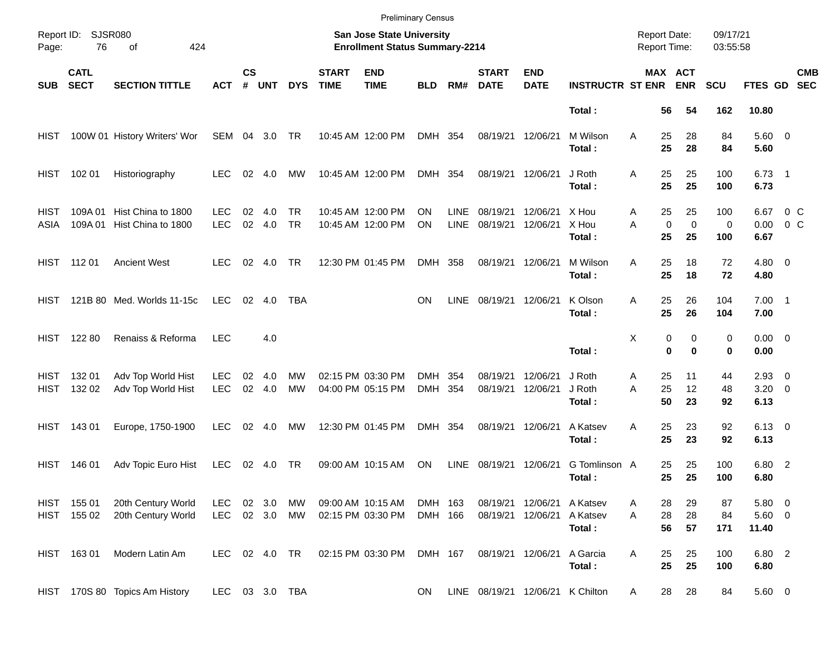|               |                                       |                                                  |                          |                    |            |                  |                             |                                                                    | <b>Preliminary Census</b> |                            |                             |                                        |                            |                                            |                                        |                      |                                |                   |                          |
|---------------|---------------------------------------|--------------------------------------------------|--------------------------|--------------------|------------|------------------|-----------------------------|--------------------------------------------------------------------|---------------------------|----------------------------|-----------------------------|----------------------------------------|----------------------------|--------------------------------------------|----------------------------------------|----------------------|--------------------------------|-------------------|--------------------------|
| Page:         | Report ID: SJSR080<br>76<br>of<br>424 |                                                  |                          |                    |            |                  |                             | San Jose State University<br><b>Enrollment Status Summary-2214</b> |                           |                            |                             |                                        |                            | <b>Report Date:</b><br><b>Report Time:</b> |                                        | 09/17/21<br>03:55:58 |                                |                   |                          |
| <b>SUB</b>    | <b>CATL</b><br><b>SECT</b>            | <b>SECTION TITTLE</b>                            | <b>ACT</b>               | $\mathsf{cs}$<br># | <b>UNT</b> | <b>DYS</b>       | <b>START</b><br><b>TIME</b> | <b>END</b><br><b>TIME</b>                                          | <b>BLD</b>                | RM#                        | <b>START</b><br><b>DATE</b> | <b>END</b><br><b>DATE</b>              | <b>INSTRUCTR ST ENR</b>    |                                            | MAX ACT<br><b>ENR</b>                  | <b>SCU</b>           | <b>FTES GD</b>                 |                   | <b>CMB</b><br><b>SEC</b> |
|               |                                       |                                                  |                          |                    |            |                  |                             |                                                                    |                           |                            |                             |                                        | Total:                     | 56                                         | 54                                     | 162                  | 10.80                          |                   |                          |
| HIST          |                                       | 100W 01 History Writers' Wor                     | SEM 04 3.0 TR            |                    |            |                  |                             | 10:45 AM 12:00 PM                                                  | DMH 354                   |                            | 08/19/21                    | 12/06/21                               | M Wilson<br>Total:         | A<br>25<br>25                              | 28<br>28                               | 84<br>84             | 5.60 0<br>5.60                 |                   |                          |
| HIST          | 102 01                                | Historiography                                   | <b>LEC</b>               | 02                 | 4.0        | MW               |                             | 10:45 AM 12:00 PM                                                  | DMH 354                   |                            | 08/19/21                    | 12/06/21                               | J Roth<br>Total:           | 25<br>Α<br>25                              | 25<br>25                               | 100<br>100           | $6.73$ 1<br>6.73               |                   |                          |
| HIST<br>ASIA  | 109A 01                               | Hist China to 1800<br>109A 01 Hist China to 1800 | <b>LEC</b><br><b>LEC</b> | 02<br>02           | 4.0<br>4.0 | TR.<br><b>TR</b> |                             | 10:45 AM 12:00 PM<br>10:45 AM 12:00 PM                             | ΟN<br><b>ON</b>           | <b>LINE</b><br><b>LINE</b> | 08/19/21<br>08/19/21        | 12/06/21<br>12/06/21                   | X Hou<br>X Hou<br>Total:   | 25<br>A<br>A<br>25                         | 25<br>$\mathbf 0$<br>$\mathbf 0$<br>25 | 100<br>0<br>100      | 6.67<br>0.00<br>6.67           | $0\,$ C<br>$0\,C$ |                          |
|               | HIST 11201                            | <b>Ancient West</b>                              | <b>LEC</b>               | 02                 | 4.0        | TR               |                             | 12:30 PM 01:45 PM                                                  | DMH 358                   |                            | 08/19/21                    | 12/06/21                               | M Wilson<br>Total:         | 25<br>Α<br>25                              | 18<br>18                               | 72<br>72             | $4.80\ 0$<br>4.80              |                   |                          |
| HIST.         |                                       | 121B 80 Med. Worlds 11-15c                       | <b>LEC</b>               |                    | 02 4.0     | TBA              |                             |                                                                    | <b>ON</b>                 | <b>LINE</b>                | 08/19/21                    | 12/06/21                               | K Olson<br>Total:          | 25<br>Α<br>25                              | 26<br>26                               | 104<br>104           | $7.00$ 1<br>7.00               |                   |                          |
|               | HIST 122 80                           | Renaiss & Reforma                                | <b>LEC</b>               |                    | 4.0        |                  |                             |                                                                    |                           |                            |                             |                                        | Total:                     | Χ                                          | 0<br>0<br>$\bf{0}$<br>$\bf{0}$         | 0<br>0               | $0.00 \t 0$<br>0.00            |                   |                          |
| HIST.<br>HIST | 132 01<br>132 02                      | Adv Top World Hist<br>Adv Top World Hist         | LEC<br><b>LEC</b>        | 02<br>02           | 4.0<br>4.0 | МW<br>MW         |                             | 02:15 PM 03:30 PM<br>04:00 PM 05:15 PM                             | DMH<br>DMH 354            | 354                        | 08/19/21<br>08/19/21        | 12/06/21<br>12/06/21                   | J Roth<br>J Roth<br>Total: | 25<br>Α<br>25<br>A<br>50                   | 11<br>12<br>23                         | 44<br>48<br>92       | $2.93$ 0<br>$3.20 \ 0$<br>6.13 |                   |                          |
| HIST          | 143 01                                | Europe, 1750-1900                                | <b>LEC</b>               |                    | 02 4.0     | МW               |                             | 12:30 PM 01:45 PM                                                  | DMH 354                   |                            | 08/19/21                    | 12/06/21                               | A Katsev<br>Total:         | 25<br>Α<br>25                              | 23<br>23                               | 92<br>92             | $6.13 \quad 0$<br>6.13         |                   |                          |
| HIST          | 146 01                                | Adv Topic Euro Hist                              | <b>LEC</b>               |                    | 02 4.0     | TR               |                             | 09:00 AM 10:15 AM                                                  | ON                        | <b>LINE</b>                | 08/19/21                    | 12/06/21                               | G Tomlinson A<br>Total:    | 25<br>25                                   | 25<br>25                               | 100<br>100           | 6.80 2<br>6.80                 |                   |                          |
|               | HIST 155 01<br>HIST 155 02            | 20th Century World<br>20th Century World         | LEC.<br>LEC 02 3.0 MW    |                    | 02 3.0     | МW               |                             | 09:00 AM 10:15 AM<br>02:15 PM 03:30 PM                             | DMH 163<br>DMH 166        |                            | 08/19/21                    | 08/19/21 12/06/21 A Katsev<br>12/06/21 | A Katsev<br>Total:         | 28<br>Α<br>28<br>A<br>56                   | 29<br>28<br>57                         | 87<br>84<br>171      | 5.80 0<br>$5.60$ 0<br>11.40    |                   |                          |
|               | HIST 16301                            | Modern Latin Am                                  | LEC 02 4.0 TR            |                    |            |                  |                             | 02:15 PM 03:30 PM                                                  | DMH 167                   |                            |                             | 08/19/21 12/06/21                      | A Garcia<br>Total:         | 25<br>A<br>25                              | 25<br>25                               | 100<br>100           | 6.80 2<br>6.80                 |                   |                          |
|               |                                       | HIST 170S 80 Topics Am History                   | LEC 03 3.0 TBA           |                    |            |                  |                             |                                                                    | ON                        |                            |                             | LINE 08/19/21 12/06/21 K Chilton       |                            | 28<br>A                                    | 28                                     | 84                   | 5.60 0                         |                   |                          |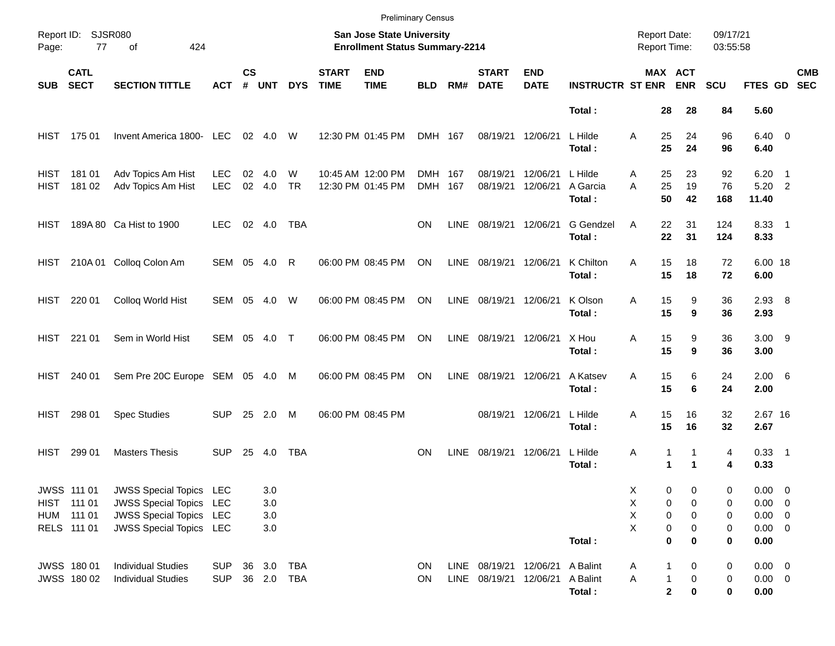|              |                                                         |                                                                                                                              |                          |                    |                          |                |                             | <b>Preliminary Census</b>                                          |                    |             |                                                                    |                           |                               |                                            |                                                       |                       |                                                             |                          |                          |
|--------------|---------------------------------------------------------|------------------------------------------------------------------------------------------------------------------------------|--------------------------|--------------------|--------------------------|----------------|-----------------------------|--------------------------------------------------------------------|--------------------|-------------|--------------------------------------------------------------------|---------------------------|-------------------------------|--------------------------------------------|-------------------------------------------------------|-----------------------|-------------------------------------------------------------|--------------------------|--------------------------|
| Page:        | Report ID: SJSR080<br>77<br>424<br>of                   |                                                                                                                              |                          |                    |                          |                |                             | San Jose State University<br><b>Enrollment Status Summary-2214</b> |                    |             |                                                                    |                           |                               | <b>Report Date:</b><br><b>Report Time:</b> |                                                       | 09/17/21<br>03:55:58  |                                                             |                          |                          |
| <b>SUB</b>   | <b>CATL</b><br><b>SECT</b>                              | <b>SECTION TITTLE</b>                                                                                                        | <b>ACT</b>               | $\mathsf{cs}$<br># | <b>UNT</b>               | <b>DYS</b>     | <b>START</b><br><b>TIME</b> | <b>END</b><br><b>TIME</b>                                          | <b>BLD</b>         | RM#         | <b>START</b><br><b>DATE</b>                                        | <b>END</b><br><b>DATE</b> | <b>INSTRUCTR ST ENR</b>       |                                            | <b>MAX ACT</b><br><b>ENR</b>                          | <b>SCU</b>            | FTES GD                                                     |                          | <b>CMB</b><br><b>SEC</b> |
|              |                                                         |                                                                                                                              |                          |                    |                          |                |                             |                                                                    |                    |             |                                                                    |                           | Total:                        | 28                                         | 28                                                    | 84                    | 5.60                                                        |                          |                          |
| HIST         | 175 01                                                  | Invent America 1800- LEC                                                                                                     |                          |                    | 02 4.0                   | W              |                             | 12:30 PM 01:45 PM                                                  | DMH 167            |             | 08/19/21                                                           | 12/06/21                  | L Hilde<br>Total:             | 25<br>A<br>25                              | 24<br>24                                              | 96<br>96              | $6.40 \quad 0$<br>6.40                                      |                          |                          |
| HIST<br>HIST | 18101<br>181 02                                         | Adv Topics Am Hist<br>Adv Topics Am Hist                                                                                     | <b>LEC</b><br><b>LEC</b> | 02<br>02           | 4.0<br>4.0               | W<br><b>TR</b> |                             | 10:45 AM 12:00 PM<br>12:30 PM 01:45 PM                             | DMH 167<br>DMH 167 |             | 08/19/21<br>08/19/21                                               | 12/06/21<br>12/06/21      | L Hilde<br>A Garcia<br>Total: | 25<br>Α<br>25<br>A<br>50                   | 23<br>19<br>42                                        | 92<br>76<br>168       | 6.20<br>$5.20$ 2<br>11.40                                   | $\overline{\phantom{1}}$ |                          |
| HIST.        |                                                         | 189A 80 Ca Hist to 1900                                                                                                      | <b>LEC</b>               |                    | 02 4.0                   | TBA            |                             |                                                                    | <b>ON</b>          | LINE        | 08/19/21                                                           | 12/06/21                  | G Gendzel<br>Total:           | 22<br>A<br>22                              | 31<br>31                                              | 124<br>124            | 8.33 1<br>8.33                                              |                          |                          |
| HIST         |                                                         | 210A 01 Colloq Colon Am                                                                                                      | SEM 05 4.0               |                    |                          | R              |                             | 06:00 PM 08:45 PM                                                  | ON                 | LINE        | 08/19/21                                                           | 12/06/21                  | K Chilton<br>Total:           | 15<br>A<br>15                              | 18<br>18                                              | 72<br>72              | 6.00 18<br>6.00                                             |                          |                          |
| HIST         | 220 01                                                  | Colloq World Hist                                                                                                            | SEM 05 4.0               |                    |                          | W              |                             | 06:00 PM 08:45 PM                                                  | ON                 | LINE        | 08/19/21                                                           | 12/06/21                  | K Olson<br>Total:             | 15<br>Α<br>15                              | 9<br>9                                                | 36<br>36              | $2.93$ 8<br>2.93                                            |                          |                          |
|              | HIST 221 01                                             | Sem in World Hist                                                                                                            | SEM 05 4.0 T             |                    |                          |                |                             | 06:00 PM 08:45 PM                                                  | ON                 | LINE        | 08/19/21                                                           | 12/06/21                  | X Hou<br>Total:               | 15<br>Α<br>15                              | 9<br>9                                                | 36<br>36              | $3.00$ 9<br>3.00                                            |                          |                          |
| HIST         | 240 01                                                  | Sem Pre 20C Europe SEM 05 4.0 M                                                                                              |                          |                    |                          |                |                             | 06:00 PM 08:45 PM                                                  | ON                 | <b>LINE</b> | 08/19/21                                                           | 12/06/21                  | A Katsev<br>Total:            | 15<br>Α<br>15                              | 6<br>6                                                | 24<br>24              | $2.00\quad 6$<br>2.00                                       |                          |                          |
| HIST         | 298 01                                                  | <b>Spec Studies</b>                                                                                                          | <b>SUP</b>               |                    | 25 2.0                   | M              |                             | 06:00 PM 08:45 PM                                                  |                    |             | 08/19/21                                                           | 12/06/21                  | L Hilde<br>Total:             | 15<br>Α<br>15                              | 16<br>16                                              | 32<br>32              | 2.67 16<br>2.67                                             |                          |                          |
| HIST         | 299 01                                                  | <b>Masters Thesis</b>                                                                                                        | <b>SUP</b>               | 25                 | 4.0                      | TBA            |                             |                                                                    | <b>ON</b>          | <b>LINE</b> | 08/19/21                                                           | 12/06/21                  | L Hilde<br>Total:             | Α                                          | 1<br>1<br>1<br>$\blacktriangleleft$                   | 4<br>4                | $0.33$ 1<br>0.33                                            |                          |                          |
|              | JWSS 111 01<br>HIST 111 01<br>HUM 111 01<br>RELS 111 01 | <b>JWSS Special Topics LEC</b><br><b>JWSS Special Topics</b><br><b>JWSS Special Topics</b><br><b>JWSS Special Topics LEC</b> | LEC<br>LEC               |                    | 3.0<br>3.0<br>3.0<br>3.0 |                |                             |                                                                    |                    |             |                                                                    |                           | Total:                        | Χ<br>Χ<br>Χ<br>X                           | 0<br>0<br>0<br>0<br>0<br>0<br>0<br>0<br>$\bf{0}$<br>0 | 0<br>0<br>0<br>0<br>0 | 0.00 0<br>$0.00 \t 0$<br>$0.00 \t 0$<br>$0.00 \t 0$<br>0.00 |                          |                          |
|              | JWSS 180 01<br>JWSS 180 02                              | <b>Individual Studies</b><br><b>Individual Studies</b>                                                                       | <b>SUP</b><br><b>SUP</b> | 36                 | 3.0<br>36 2.0 TBA        | TBA            |                             |                                                                    | ON<br>ON           |             | LINE 08/19/21 12/06/21 A Balint<br>LINE 08/19/21 12/06/21 A Balint |                           | Total:                        | A<br>Α                                     | 1<br>0<br>$\boldsymbol{0}$<br>1<br>$\mathbf 2$<br>0   | 0<br>0<br>0           | $0.00 \t 0$<br>$0.00 \t 0$<br>0.00                          |                          |                          |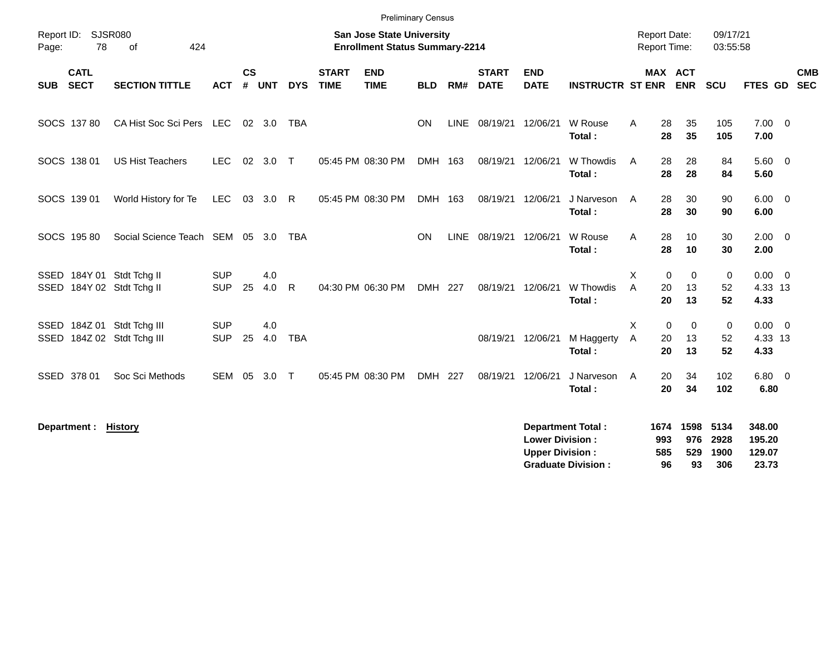| Report ID: SJSR080                                       |                                 |                          |                    |            |            |                             | <b>Preliminary Census</b><br><b>San Jose State University</b> |            |             |                             |                                                  |                                                       | <b>Report Date:</b> |                          |                          | 09/17/21                    |                                     |                          |
|----------------------------------------------------------|---------------------------------|--------------------------|--------------------|------------|------------|-----------------------------|---------------------------------------------------------------|------------|-------------|-----------------------------|--------------------------------------------------|-------------------------------------------------------|---------------------|--------------------------|--------------------------|-----------------------------|-------------------------------------|--------------------------|
| 78<br>Page:                                              | 424<br>of                       |                          |                    |            |            |                             | <b>Enrollment Status Summary-2214</b>                         |            |             |                             |                                                  |                                                       | Report Time:        |                          |                          | 03:55:58                    |                                     |                          |
| <b>CATL</b><br><b>SECT</b><br><b>SUB</b>                 | <b>SECTION TITTLE</b>           | <b>ACT</b>               | $\mathsf{cs}$<br># | <b>UNT</b> | <b>DYS</b> | <b>START</b><br><b>TIME</b> | <b>END</b><br><b>TIME</b>                                     | <b>BLD</b> | RM#         | <b>START</b><br><b>DATE</b> | <b>END</b><br><b>DATE</b>                        | <b>INSTRUCTR ST ENR ENR</b>                           |                     | MAX ACT                  |                          | <b>SCU</b>                  | FTES GD                             | <b>CMB</b><br><b>SEC</b> |
| SOCS 13780                                               | CA Hist Soc Sci Pers LEC        |                          |                    | 02 3.0     | TBA        |                             |                                                               | <b>ON</b>  | <b>LINE</b> |                             | 08/19/21 12/06/21                                | W Rouse<br>Total:                                     | A                   | 28<br>28                 | 35<br>35                 | 105<br>105                  | $7.00 \t 0$<br>7.00                 |                          |
| SOCS 138 01                                              | <b>US Hist Teachers</b>         | <b>LEC</b>               |                    | 02 3.0 T   |            |                             | 05:45 PM 08:30 PM                                             | DMH 163    |             | 08/19/21                    | 12/06/21                                         | W Thowdis<br>Total:                                   | A                   | 28<br>28                 | 28<br>28                 | 84<br>84                    | $5.60$ 0<br>5.60                    |                          |
| SOCS 139 01                                              | World History for Te            | LEC                      |                    | 03 3.0 R   |            |                             | 05:45 PM 08:30 PM                                             | DMH 163    |             |                             | 08/19/21 12/06/21                                | J Narveson<br>Total:                                  | A                   | 28<br>28                 | 30<br>30                 | 90<br>90                    | $6.00 \quad 0$<br>6.00              |                          |
| SOCS 195 80                                              | Social Science Teach SEM 05 3.0 |                          |                    |            | <b>TBA</b> |                             |                                                               | ON         | <b>LINE</b> | 08/19/21 12/06/21           |                                                  | W Rouse<br>Total:                                     | A                   | 28<br>28                 | 10<br>10                 | 30<br>30                    | $2.00 \t 0$<br>2.00                 |                          |
| SSED 184Y 01 Stdt Tchg II<br>SSED 184Y 02 Stdt Tchg II   |                                 | <b>SUP</b><br><b>SUP</b> | 25                 | 4.0<br>4.0 | - R        |                             | 04:30 PM 06:30 PM                                             | DMH 227    |             | 08/19/21                    | 12/06/21                                         | W Thowdis<br>Total:                                   | X<br>A              | 0<br>20<br>20            | $\Omega$<br>13<br>13     | $\mathbf 0$<br>52<br>52     | $0.00 \ 0$<br>4.33 13<br>4.33       |                          |
| SSED 184Z 01 Stdt Tchg III<br>SSED 184Z 02 Stdt Tchg III |                                 | <b>SUP</b><br><b>SUP</b> | 25                 | 4.0<br>4.0 | <b>TBA</b> |                             |                                                               |            |             | 08/19/21                    | 12/06/21                                         | M Haggerty<br>Total:                                  | X<br>A              | 0<br>20<br>20            | $\mathbf 0$<br>13<br>13  | 0<br>52<br>52               | $0.00 \t 0$<br>4.33 13<br>4.33      |                          |
| SSED 378 01                                              | Soc Sci Methods                 | SEM 05                   |                    | 3.0        | $\top$     |                             | 05:45 PM 08:30 PM                                             | DMH 227    |             | 08/19/21                    | 12/06/21                                         | J Narveson<br>Total:                                  | A                   | 20<br>20                 | 34<br>34                 | 102<br>102                  | $6.80$ 0<br>6.80                    |                          |
| Department : History                                     |                                 |                          |                    |            |            |                             |                                                               |            |             |                             | <b>Lower Division:</b><br><b>Upper Division:</b> | <b>Department Total:</b><br><b>Graduate Division:</b> |                     | 1674<br>993<br>585<br>96 | 1598<br>976<br>529<br>93 | 5134<br>2928<br>1900<br>306 | 348.00<br>195.20<br>129.07<br>23.73 |                          |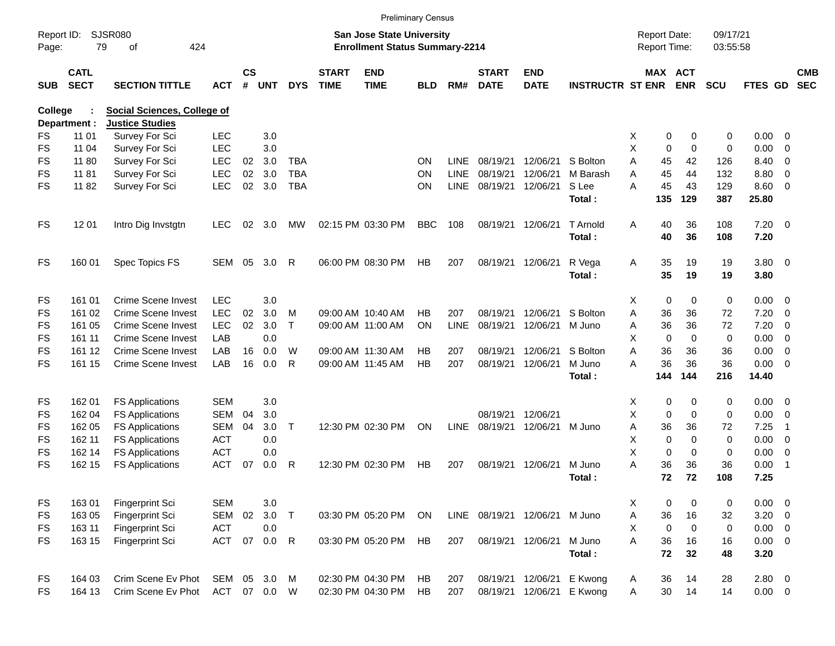|                     |                            |                                    |              |                    |            |            |                             |                                                                           | <b>Preliminary Census</b> |             |                             |                               |                         |   |                                     |                       |                      |                     |                          |                          |
|---------------------|----------------------------|------------------------------------|--------------|--------------------|------------|------------|-----------------------------|---------------------------------------------------------------------------|---------------------------|-------------|-----------------------------|-------------------------------|-------------------------|---|-------------------------------------|-----------------------|----------------------|---------------------|--------------------------|--------------------------|
| Report ID:<br>Page: |                            | <b>SJSR080</b><br>79<br>424<br>οf  |              |                    |            |            |                             | <b>San Jose State University</b><br><b>Enrollment Status Summary-2214</b> |                           |             |                             |                               |                         |   | <b>Report Date:</b><br>Report Time: |                       | 09/17/21<br>03:55:58 |                     |                          |                          |
| <b>SUB</b>          | <b>CATL</b><br><b>SECT</b> | <b>SECTION TITTLE</b>              | <b>ACT</b>   | $\mathsf{cs}$<br># | <b>UNT</b> | <b>DYS</b> | <b>START</b><br><b>TIME</b> | <b>END</b><br><b>TIME</b>                                                 | <b>BLD</b>                | RM#         | <b>START</b><br><b>DATE</b> | <b>END</b><br><b>DATE</b>     | <b>INSTRUCTR ST ENR</b> |   |                                     | MAX ACT<br><b>ENR</b> | <b>SCU</b>           | FTES GD             |                          | <b>CMB</b><br><b>SEC</b> |
| College             |                            | <b>Social Sciences, College of</b> |              |                    |            |            |                             |                                                                           |                           |             |                             |                               |                         |   |                                     |                       |                      |                     |                          |                          |
|                     | Department :               | <b>Justice Studies</b>             |              |                    |            |            |                             |                                                                           |                           |             |                             |                               |                         |   |                                     |                       |                      |                     |                          |                          |
| FS                  | 11 01                      | Survey For Sci                     | <b>LEC</b>   |                    | 3.0        |            |                             |                                                                           |                           |             |                             |                               |                         | X | 0                                   | 0                     | 0                    | 0.00                | $\overline{\phantom{0}}$ |                          |
| <b>FS</b>           | 11 04                      | Survey For Sci                     | <b>LEC</b>   |                    | 3.0        |            |                             |                                                                           |                           |             |                             |                               |                         | X | $\mathbf 0$                         | $\mathbf 0$           | 0                    | 0.00                | $\overline{0}$           |                          |
| <b>FS</b>           | 11 80                      | Survey For Sci                     | <b>LEC</b>   | 02                 | 3.0        | <b>TBA</b> |                             |                                                                           | ON                        | LINE        | 08/19/21                    | 12/06/21                      | S Bolton                | A | 45                                  | 42                    | 126                  | 8.40                | $\overline{0}$           |                          |
| <b>FS</b>           | 11 81                      | Survey For Sci                     | <b>LEC</b>   | 02                 | 3.0        | <b>TBA</b> |                             |                                                                           | ON                        | <b>LINE</b> | 08/19/21                    | 12/06/21                      | M Barash                | A | 45                                  | 44                    | 132                  | 8.80                | 0                        |                          |
| <b>FS</b>           | 11 82                      | Survey For Sci                     | <b>LEC</b>   | 02                 | 3.0        | <b>TBA</b> |                             |                                                                           | ΟN                        | LINE        | 08/19/21                    | 12/06/21                      | S Lee                   | A | 45                                  | 43                    | 129                  | 8.60                | - 0                      |                          |
|                     |                            |                                    |              |                    |            |            |                             |                                                                           |                           |             |                             |                               | Total:                  |   | 135                                 | 129                   | 387                  | 25.80               |                          |                          |
| <b>FS</b>           | 12 01                      | Intro Dig Invstgtn                 | <b>LEC</b>   | 02                 | 3.0        | MW         |                             | 02:15 PM 03:30 PM                                                         | <b>BBC</b>                | 108         | 08/19/21                    | 12/06/21                      | T Arnold<br>Total:      | A | 40<br>40                            | 36<br>36              | 108<br>108           | $7.20 \t 0$<br>7.20 |                          |                          |
| <b>FS</b>           | 160 01                     | Spec Topics FS                     | <b>SEM</b>   | 05                 | 3.0        | R          |                             | 06:00 PM 08:30 PM                                                         | HB                        | 207         |                             | 08/19/21 12/06/21             | R Vega<br>Total:        | Α | 35<br>35                            | 19<br>19              | 19<br>19             | 3.80 0<br>3.80      |                          |                          |
| <b>FS</b>           | 161 01                     | Crime Scene Invest                 | <b>LEC</b>   |                    | 3.0        |            |                             |                                                                           |                           |             |                             |                               |                         | X | 0                                   | $\mathbf 0$           | 0                    | 0.00                | $\overline{\phantom{0}}$ |                          |
| <b>FS</b>           | 161 02                     | Crime Scene Invest                 | <b>LEC</b>   | 02                 | 3.0        | M          |                             | 09:00 AM 10:40 AM                                                         | HВ                        | 207         | 08/19/21                    | 12/06/21                      | S Bolton                | A | 36                                  | 36                    | 72                   | 7.20                | $\overline{0}$           |                          |
| <b>FS</b>           | 161 05                     | Crime Scene Invest                 | <b>LEC</b>   | 02                 | 3.0        | T          |                             | 09:00 AM 11:00 AM                                                         | ON                        | LINE        | 08/19/21                    | 12/06/21                      | M Juno                  | Α | 36                                  | 36                    | 72                   | 7.20                | $\overline{0}$           |                          |
| <b>FS</b>           | 161 11                     | Crime Scene Invest                 | LAB          |                    | 0.0        |            |                             |                                                                           |                           |             |                             |                               |                         | X | $\mathbf 0$                         | $\Omega$              | 0                    | 0.00                | - 0                      |                          |
| <b>FS</b>           | 161 12                     | Crime Scene Invest                 | LAB          | 16                 | 0.0        | W          |                             | 09:00 AM 11:30 AM                                                         | <b>HB</b>                 | 207         | 08/19/21                    | 12/06/21                      | S Bolton                | A | 36                                  | 36                    | 36                   | 0.00                | $\overline{0}$           |                          |
| <b>FS</b>           | 161 15                     | <b>Crime Scene Invest</b>          | LAB          | 16                 | 0.0        | R          |                             | 09:00 AM 11:45 AM                                                         | <b>HB</b>                 | 207         | 08/19/21                    | 12/06/21                      | M Juno                  | A | 36                                  | 36                    | 36                   | 0.00                | $\overline{\phantom{0}}$ |                          |
|                     |                            |                                    |              |                    |            |            |                             |                                                                           |                           |             |                             |                               | Total:                  |   | 144                                 | 144                   | 216                  | 14.40               |                          |                          |
| FS                  | 162 01                     | <b>FS Applications</b>             | <b>SEM</b>   |                    | 3.0        |            |                             |                                                                           |                           |             |                             |                               |                         | X | 0                                   | 0                     | 0                    | $0.00 \t 0$         |                          |                          |
| FS                  | 162 04                     | <b>FS Applications</b>             | <b>SEM</b>   | 04                 | 3.0        |            |                             |                                                                           |                           |             | 08/19/21                    | 12/06/21                      |                         | Χ | $\mathbf 0$                         | $\Omega$              | 0                    | 0.00                | $\overline{\mathbf{0}}$  |                          |
| FS                  | 162 05                     | <b>FS Applications</b>             | <b>SEM</b>   | 04                 | 3.0        | Τ          |                             | 12:30 PM 02:30 PM                                                         | ON                        | <b>LINE</b> | 08/19/21                    | 12/06/21                      | M Juno                  | A | 36                                  | 36                    | 72                   | 7.25                | -1                       |                          |
| FS                  | 162 11                     | <b>FS Applications</b>             | <b>ACT</b>   |                    | 0.0        |            |                             |                                                                           |                           |             |                             |                               |                         | х | $\mathbf 0$                         | $\Omega$              | 0                    | 0.00                | 0                        |                          |
| FS                  | 162 14                     | <b>FS Applications</b>             | <b>ACT</b>   |                    | 0.0        |            |                             |                                                                           |                           |             |                             |                               |                         | X | $\mathbf 0$                         | $\mathbf 0$           | 0                    | 0.00                | $\mathbf 0$              |                          |
| <b>FS</b>           | 162 15                     | <b>FS Applications</b>             | <b>ACT</b>   | 07                 | 0.0        | R          |                             | 12:30 PM 02:30 PM                                                         | HB                        | 207         | 08/19/21                    | 12/06/21                      | M Juno                  | Α | 36                                  | 36                    | 36                   | 0.00                | $\overline{1}$           |                          |
|                     |                            |                                    |              |                    |            |            |                             |                                                                           |                           |             |                             |                               | Total:                  |   | 72                                  | 72                    | 108                  | 7.25                |                          |                          |
| <b>FS</b>           | 16301                      | Fingerprint Sci                    | <b>SEM</b>   |                    | 3.0        |            |                             |                                                                           |                           |             |                             |                               |                         | х | 0                                   | 0                     | 0                    | $0.00 \t 0$         |                          |                          |
| FS                  | 163 05                     | Fingerprint Sci                    | <b>SEM</b>   | 02                 | 3.0        | $\top$     |                             | 03:30 PM 05:20 PM                                                         | ON                        |             |                             | LINE 08/19/21 12/06/21 M Juno |                         | Α | 36                                  | 16                    | 32                   | $3.20 \ 0$          |                          |                          |
| FS                  | 163 11                     | Fingerprint Sci                    | <b>ACT</b>   |                    | 0.0        |            |                             |                                                                           |                           |             |                             |                               |                         | X | 0                                   | $\mathbf 0$           | 0                    | $0.00 \t 0$         |                          |                          |
| <b>FS</b>           | 163 15                     | Fingerprint Sci                    | <b>ACT</b>   | 07                 | $0.0$ R    |            |                             | 03:30 PM 05:20 PM                                                         | HB                        | 207         |                             | 08/19/21 12/06/21             | M Juno                  | A | 36                                  | 16                    | 16                   | $0.00 \t 0$         |                          |                          |
|                     |                            |                                    |              |                    |            |            |                             |                                                                           |                           |             |                             |                               | Total:                  |   | 72                                  | 32                    | 48                   | 3.20                |                          |                          |
| <b>FS</b>           | 164 03                     | Crim Scene Ev Phot                 | SEM 05 3.0   |                    |            | M          |                             | 02:30 PM 04:30 PM                                                         | HB                        | 207         |                             | 08/19/21 12/06/21             | E Kwong                 | A | 36                                  | 14                    | 28                   | $2.80 \t 0$         |                          |                          |
| FS                  | 164 13                     | Crim Scene Ev Phot                 | ACT 07 0.0 W |                    |            |            |                             | 02:30 PM 04:30 PM                                                         | HB                        | 207         |                             | 08/19/21 12/06/21             | E Kwong                 | Α | 30                                  | 14                    | 14                   | $0.00 \t 0$         |                          |                          |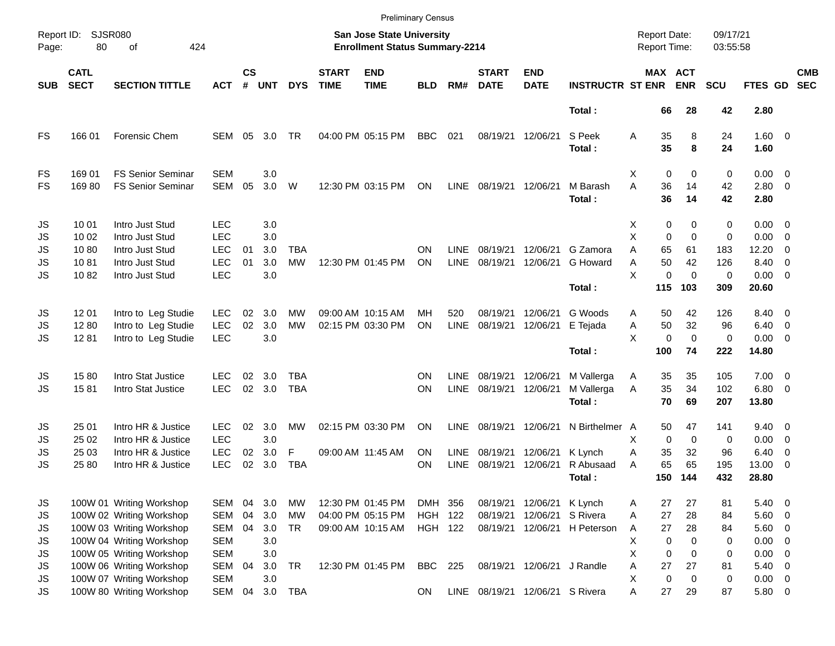|                     |                            |                             |            |                    |            |            |                             |                                                                           | <b>Preliminary Census</b> |             |                             |                                 |                         |   |                                     |                       |                      |                     |                          |                          |
|---------------------|----------------------------|-----------------------------|------------|--------------------|------------|------------|-----------------------------|---------------------------------------------------------------------------|---------------------------|-------------|-----------------------------|---------------------------------|-------------------------|---|-------------------------------------|-----------------------|----------------------|---------------------|--------------------------|--------------------------|
| Report ID:<br>Page: | 80                         | <b>SJSR080</b><br>424<br>of |            |                    |            |            |                             | <b>San Jose State University</b><br><b>Enrollment Status Summary-2214</b> |                           |             |                             |                                 |                         |   | <b>Report Date:</b><br>Report Time: |                       | 09/17/21<br>03:55:58 |                     |                          |                          |
| <b>SUB</b>          | <b>CATL</b><br><b>SECT</b> | <b>SECTION TITTLE</b>       | <b>ACT</b> | $\mathsf{cs}$<br># | <b>UNT</b> | <b>DYS</b> | <b>START</b><br><b>TIME</b> | <b>END</b><br><b>TIME</b>                                                 | <b>BLD</b>                | RM#         | <b>START</b><br><b>DATE</b> | <b>END</b><br><b>DATE</b>       | <b>INSTRUCTR ST ENR</b> |   |                                     | MAX ACT<br><b>ENR</b> | <b>SCU</b>           | FTES GD             |                          | <b>CMB</b><br><b>SEC</b> |
|                     |                            |                             |            |                    |            |            |                             |                                                                           |                           |             |                             |                                 | Total:                  |   | 66                                  | 28                    | 42                   | 2.80                |                          |                          |
| FS                  | 166 01                     | <b>Forensic Chem</b>        | SEM        | 05                 | 3.0        | <b>TR</b>  |                             | 04:00 PM 05:15 PM                                                         | <b>BBC</b>                | 021         | 08/19/21                    | 12/06/21                        | S Peek<br>Total:        | Α | 35<br>35                            | 8<br>8                | 24<br>24             | $1.60 \ 0$<br>1.60  |                          |                          |
| FS                  | 169 01                     | <b>FS Senior Seminar</b>    | <b>SEM</b> |                    | 3.0        |            |                             |                                                                           |                           |             |                             |                                 |                         | X | $\mathbf 0$                         | 0                     | 0                    | $0.00 \t 0$         |                          |                          |
| FS                  | 16980                      | <b>FS Senior Seminar</b>    | <b>SEM</b> | 05                 | 3.0        | W          |                             | 12:30 PM 03:15 PM                                                         | ON                        | <b>LINE</b> | 08/19/21                    | 12/06/21                        | M Barash<br>Total:      | A | 36<br>36                            | 14<br>14              | 42<br>42             | $2.80 \t 0$<br>2.80 |                          |                          |
| JS                  | 10 01                      | Intro Just Stud             | <b>LEC</b> |                    | 3.0        |            |                             |                                                                           |                           |             |                             |                                 |                         | X | 0                                   | 0                     | 0                    | $0.00 \t 0$         |                          |                          |
| JS                  | 10 02                      | Intro Just Stud             | <b>LEC</b> |                    | 3.0        |            |                             |                                                                           |                           |             |                             |                                 |                         | X | $\mathbf 0$                         | $\mathbf 0$           | 0                    | 0.00                | $\overline{\phantom{0}}$ |                          |
| <b>JS</b>           | 1080                       | Intro Just Stud             | <b>LEC</b> | 01                 | 3.0        | <b>TBA</b> |                             |                                                                           | ON                        | <b>LINE</b> | 08/19/21                    | 12/06/21                        | G Zamora                | A | 65                                  | 61                    | 183                  | 12.20               | $\overline{0}$           |                          |
| <b>JS</b>           | 1081                       | Intro Just Stud             | <b>LEC</b> | 01                 | 3.0        | <b>MW</b>  |                             | 12:30 PM 01:45 PM                                                         | ON                        | <b>LINE</b> | 08/19/21                    | 12/06/21                        | G Howard                | A | 50                                  | 42                    | 126                  | 8.40                | - 0                      |                          |
| <b>JS</b>           | 1082                       | Intro Just Stud             | <b>LEC</b> |                    | 3.0        |            |                             |                                                                           |                           |             |                             |                                 |                         | X | $\mathbf 0$                         | $\Omega$              | 0                    | $0.00 \t 0$         |                          |                          |
|                     |                            |                             |            |                    |            |            |                             |                                                                           |                           |             |                             |                                 | Total:                  |   | 115                                 | 103                   | 309                  | 20.60               |                          |                          |
| JS                  | 12 01                      | Intro to Leg Studie         | <b>LEC</b> | 02                 | 3.0        | MW         |                             | 09:00 AM 10:15 AM                                                         | MН                        | 520         | 08/19/21                    | 12/06/21                        | G Woods                 | Α | 50                                  | 42                    | 126                  | 8.40 0              |                          |                          |
| JS                  | 1280                       | Intro to Leg Studie         | <b>LEC</b> | 02                 | 3.0        | <b>MW</b>  |                             | 02:15 PM 03:30 PM                                                         | ON                        | <b>LINE</b> | 08/19/21                    | 12/06/21                        | E Tejada                | Α | 50                                  | 32                    | 96                   | 6.40                | $\overline{\phantom{0}}$ |                          |
| <b>JS</b>           | 1281                       | Intro to Leg Studie         | <b>LEC</b> |                    | 3.0        |            |                             |                                                                           |                           |             |                             |                                 |                         | X | $\mathbf 0$                         | $\Omega$              | $\pmb{0}$            | $0.00 \t 0$         |                          |                          |
|                     |                            |                             |            |                    |            |            |                             |                                                                           |                           |             |                             |                                 | Total:                  |   | 100                                 | 74                    | 222                  | 14.80               |                          |                          |
| JS                  | 1580                       | Intro Stat Justice          | LEC        | 02                 | 3.0        | <b>TBA</b> |                             |                                                                           | ON                        | <b>LINE</b> | 08/19/21                    | 12/06/21                        | M Vallerga              | Α | 35                                  | 35                    | 105                  | $7.00 \t 0$         |                          |                          |
| <b>JS</b>           | 1581                       | Intro Stat Justice          | <b>LEC</b> | 02                 | 3.0        | <b>TBA</b> |                             |                                                                           | ON                        | <b>LINE</b> | 08/19/21                    | 12/06/21                        | M Vallerga              | A | 35                                  | 34                    | 102                  | $6.80$ 0            |                          |                          |
|                     |                            |                             |            |                    |            |            |                             |                                                                           |                           |             |                             |                                 | Total:                  |   | 70                                  | 69                    | 207                  | 13.80               |                          |                          |
| JS                  | 25 01                      | Intro HR & Justice          | <b>LEC</b> | 02                 | 3.0        | MW         |                             | 02:15 PM 03:30 PM                                                         | ΟN                        | <b>LINE</b> | 08/19/21                    | 12/06/21                        | N Birthelmer A          |   | 50                                  | 47                    | 141                  | $9.40 \quad 0$      |                          |                          |
| JS                  | 25 02                      | Intro HR & Justice          | <b>LEC</b> |                    | 3.0        |            |                             |                                                                           |                           |             |                             |                                 |                         | х | $\mathbf 0$                         | $\mathbf 0$           | 0                    | 0.00                | $\overline{\mathbf{0}}$  |                          |
| JS                  | 25 03                      | Intro HR & Justice          | <b>LEC</b> | 02                 | 3.0        | F          |                             | 09:00 AM 11:45 AM                                                         | <b>ON</b>                 | LINE        | 08/19/21                    | 12/06/21                        | K Lynch                 | Α | 35                                  | 32                    | 96                   | 6.40                | 0                        |                          |
| JS                  | 25 80                      | Intro HR & Justice          | <b>LEC</b> | 02                 | 3.0        | <b>TBA</b> |                             |                                                                           | ΟN                        | <b>LINE</b> | 08/19/21                    | 12/06/21                        | R Abusaad               | Α | 65                                  | 65                    | 195                  | 13.00               | - 0                      |                          |
|                     |                            |                             |            |                    |            |            |                             |                                                                           |                           |             |                             |                                 | Total:                  |   | 150                                 | 144                   | 432                  | 28.80               |                          |                          |
| JS                  |                            | 100W 01 Writing Workshop    | SEM        | 04                 | 3.0        | MW         |                             | 12:30 PM 01:45 PM                                                         | DMH 356                   |             |                             | 08/19/21 12/06/21 K Lynch       |                         | Α | 27                                  | 27                    | 81                   | 5.40 0              |                          |                          |
| JS                  |                            | 100W 02 Writing Workshop    | SEM        | 04                 | 3.0        | <b>MW</b>  |                             | 04:00 PM 05:15 PM                                                         | <b>HGH 122</b>            |             | 08/19/21                    | 12/06/21                        | S Rivera                | Α | 27                                  | 28                    | 84                   | 5.60 0              |                          |                          |
| JS                  |                            | 100W 03 Writing Workshop    | <b>SEM</b> | 04                 | 3.0        | <b>TR</b>  |                             | 09:00 AM 10:15 AM                                                         | <b>HGH 122</b>            |             | 08/19/21                    |                                 | 12/06/21 H Peterson     | A | 27                                  | 28                    | 84                   | 5.60 0              |                          |                          |
| JS                  |                            | 100W 04 Writing Workshop    | <b>SEM</b> |                    | 3.0        |            |                             |                                                                           |                           |             |                             |                                 |                         | Χ | 0                                   | $\mathbf 0$           | 0                    | 0.00                | $\overline{\phantom{0}}$ |                          |
| <b>JS</b>           |                            | 100W 05 Writing Workshop    | <b>SEM</b> |                    | 3.0        |            |                             |                                                                           |                           |             |                             |                                 |                         | X | 0                                   | $\mathbf 0$           | 0                    | 0.00                | $\overline{0}$           |                          |
| <b>JS</b>           |                            | 100W 06 Writing Workshop    | SEM        | 04                 | 3.0        | <b>TR</b>  |                             | 12:30 PM 01:45 PM                                                         | <b>BBC</b>                | 225         |                             | 08/19/21 12/06/21 J Randle      |                         | Α | 27                                  | 27                    | 81                   | 5.40                | $\overline{\phantom{0}}$ |                          |
| <b>JS</b>           |                            | 100W 07 Writing Workshop    | <b>SEM</b> |                    | 3.0        |            |                             |                                                                           |                           |             |                             |                                 |                         | X | $\mathbf 0$                         | $\mathbf 0$           | 0                    | $0.00 \t 0$         |                          |                          |
| <b>JS</b>           |                            | 100W 80 Writing Workshop    | SEM        | 04                 | 3.0        | <b>TBA</b> |                             |                                                                           | <b>ON</b>                 |             |                             | LINE 08/19/21 12/06/21 S Rivera |                         | Α | 27                                  | 29                    | 87                   | 5.80 0              |                          |                          |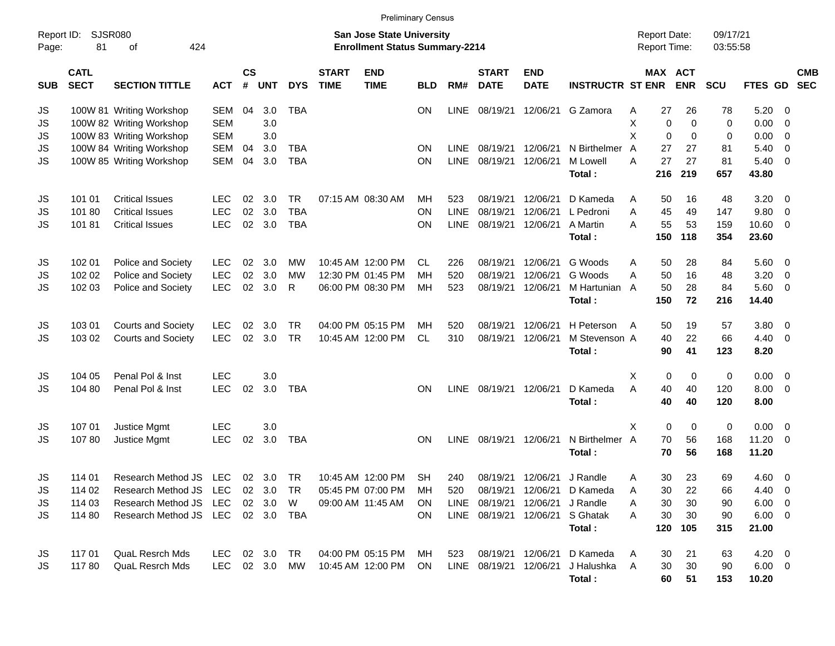|                      |                                      |                                                                                                     |                                        |                |                            |                                |                             |                                                                           | <b>Preliminary Census</b>           |                                   |                                             |                                                       |                                                        |                                     |                             |                              |                             |                                                                   |                                           |                          |
|----------------------|--------------------------------------|-----------------------------------------------------------------------------------------------------|----------------------------------------|----------------|----------------------------|--------------------------------|-----------------------------|---------------------------------------------------------------------------|-------------------------------------|-----------------------------------|---------------------------------------------|-------------------------------------------------------|--------------------------------------------------------|-------------------------------------|-----------------------------|------------------------------|-----------------------------|-------------------------------------------------------------------|-------------------------------------------|--------------------------|
| Report ID:<br>Page:  | 81                                   | <b>SJSR080</b><br>424<br>οf                                                                         |                                        |                |                            |                                |                             | <b>San Jose State University</b><br><b>Enrollment Status Summary-2214</b> |                                     |                                   |                                             |                                                       |                                                        | <b>Report Date:</b><br>Report Time: |                             |                              | 09/17/21<br>03:55:58        |                                                                   |                                           |                          |
| <b>SUB</b>           | <b>CATL</b><br><b>SECT</b>           | <b>SECTION TITTLE</b>                                                                               | <b>ACT</b>                             | <b>CS</b><br># | <b>UNT</b>                 | <b>DYS</b>                     | <b>START</b><br><b>TIME</b> | <b>END</b><br><b>TIME</b>                                                 | <b>BLD</b>                          | RM#                               | <b>START</b><br><b>DATE</b>                 | <b>END</b><br><b>DATE</b>                             | <b>INSTRUCTR ST ENR</b>                                |                                     |                             | <b>MAX ACT</b><br><b>ENR</b> | <b>SCU</b>                  | FTES GD                                                           |                                           | <b>CMB</b><br><b>SEC</b> |
| JS<br>JS<br>JS       |                                      | 100W 81 Writing Workshop<br>100W 82 Writing Workshop<br>100W 83 Writing Workshop                    | <b>SEM</b><br><b>SEM</b><br><b>SEM</b> | 04             | 3.0<br>3.0<br>3.0          | <b>TBA</b>                     |                             |                                                                           | ΟN                                  | <b>LINE</b>                       | 08/19/21                                    | 12/06/21                                              | G Zamora                                               | Α<br>X<br>X                         | 27<br>0<br>0                | 26<br>0<br>0                 | 78<br>0<br>0                | 5.20<br>0.00<br>0.00                                              | - 0<br>0<br>0                             |                          |
| JS<br>JS             |                                      | 100W 84 Writing Workshop<br>100W 85 Writing Workshop                                                | <b>SEM</b><br>SEM                      | 04<br>04       | 3.0<br>3.0                 | <b>TBA</b><br><b>TBA</b>       |                             |                                                                           | ΟN<br>ON                            | <b>LINE</b><br><b>LINE</b>        | 08/19/21<br>08/19/21                        | 12/06/21<br>12/06/21                                  | N Birthelmer<br>M Lowell<br>Total:                     | A<br>A                              | 27<br>27<br>216             | 27<br>27<br>219              | 81<br>81<br>657             | 5.40<br>5.40<br>43.80                                             | 0<br>0                                    |                          |
| JS<br>JS<br>JS       | 101 01<br>10180<br>10181             | <b>Critical Issues</b><br><b>Critical Issues</b><br><b>Critical Issues</b>                          | LEC.<br><b>LEC</b><br><b>LEC</b>       | 02<br>02<br>02 | 3.0<br>3.0<br>3.0          | TR<br><b>TBA</b><br><b>TBA</b> |                             | 07:15 AM 08:30 AM                                                         | MH<br>ON<br>ON                      | 523<br><b>LINE</b><br><b>LINE</b> | 08/19/21<br>08/19/21<br>08/19/21            | 12/06/21<br>12/06/21<br>12/06/21                      | D Kameda<br>L Pedroni<br>A Martin<br>Total:            | A<br>A<br>А                         | 50<br>45<br>55<br>150       | 16<br>49<br>53<br>118        | 48<br>147<br>159<br>354     | 3.20<br>9.80<br>10.60<br>23.60                                    | $\overline{\phantom{0}}$<br>0<br>0        |                          |
| JS<br>JS<br>JS       | 102 01<br>102 02<br>102 03           | Police and Society<br>Police and Society<br>Police and Society                                      | <b>LEC</b><br><b>LEC</b><br><b>LEC</b> | 02<br>02<br>02 | 3.0<br>3.0<br>3.0          | МW<br>МW<br>R                  |                             | 10:45 AM 12:00 PM<br>12:30 PM 01:45 PM<br>06:00 PM 08:30 PM               | CL.<br>MH<br>MH                     | 226<br>520<br>523                 | 08/19/21<br>08/19/21<br>08/19/21            | 12/06/21<br>12/06/21<br>12/06/21                      | G Woods<br>G Woods<br>M Hartunian<br>Total:            | Α<br>A<br>A                         | 50<br>50<br>50<br>150       | 28<br>16<br>28<br>72         | 84<br>48<br>84<br>216       | 5.60<br>3.20<br>5.60<br>14.40                                     | $\overline{\mathbf{0}}$<br>0<br>0         |                          |
| JS<br>JS             | 103 01<br>103 02                     | <b>Courts and Society</b><br><b>Courts and Society</b>                                              | <b>LEC</b><br><b>LEC</b>               | 02<br>02       | 3.0<br>3.0                 | TR<br><b>TR</b>                |                             | 04:00 PM 05:15 PM<br>10:45 AM 12:00 PM                                    | MH<br><b>CL</b>                     | 520<br>310                        | 08/19/21<br>08/19/21                        | 12/06/21<br>12/06/21                                  | H Peterson<br>M Stevenson A<br>Total:                  | A                                   | 50<br>40<br>90              | 19<br>22<br>41               | 57<br>66<br>123             | 3.80<br>4.40<br>8.20                                              | $\overline{\mathbf{0}}$<br>0              |                          |
| JS<br>JS             | 104 05<br>104 80                     | Penal Pol & Inst<br>Penal Pol & Inst                                                                | <b>LEC</b><br><b>LEC</b>               | 02             | 3.0<br>3.0                 | <b>TBA</b>                     |                             |                                                                           | ON                                  | <b>LINE</b>                       | 08/19/21                                    | 12/06/21                                              | D Kameda<br>Total:                                     | X<br>A                              | 0<br>40<br>40               | 0<br>40<br>40                | 0<br>120<br>120             | 0.00<br>8.00<br>8.00                                              | $\overline{\mathbf{0}}$<br>$\overline{0}$ |                          |
| JS<br>JS             | 107 01<br>10780                      | Justice Mgmt<br>Justice Mgmt                                                                        | <b>LEC</b><br><b>LEC</b>               | 02             | 3.0<br>3.0                 | <b>TBA</b>                     |                             |                                                                           | ON                                  | <b>LINE</b>                       | 08/19/21 12/06/21                           |                                                       | N Birthelmer A<br>Total:                               | X                                   | 0<br>70<br>70               | 0<br>56<br>56                | 0<br>168<br>168             | 0.00<br>11.20<br>11.20                                            | $\overline{\mathbf{0}}$<br>0              |                          |
| JS<br>JS<br>JS<br>JS | 114 01<br>114 02<br>114 03<br>114 80 | Research Method JS<br>Research Method JS LEC<br>Research Method JS<br>Research Method JS LEC 02 3.0 | LEC<br>LEC                             |                | 02 3.0<br>02 3.0<br>02 3.0 | TR<br>TR<br>W<br>TBA           |                             | 10:45 AM 12:00 PM<br>05:45 PM 07:00 PM<br>09:00 AM 11:45 AM               | <b>SH</b><br>MН<br><b>ON</b><br>ON. | 240<br>520<br>LINE                | 08/19/21<br>08/19/21<br>LINE 08/19/21       | 12/06/21<br>08/19/21 12/06/21<br>12/06/21<br>12/06/21 | J Randle<br>D Kameda<br>J Randle<br>S Ghatak<br>Total: | Α<br>Α<br>Α<br>A                    | 30<br>30<br>30<br>30<br>120 | 23<br>22<br>30<br>30<br>105  | 69<br>66<br>90<br>90<br>315 | $4.60$ 0<br>$4.40 \quad 0$<br>$6.00 \t 0$<br>$6.00 \t 0$<br>21.00 |                                           |                          |
| JS<br>JS             | 117 01<br>11780                      | <b>QuaL Resrch Mds</b><br><b>QuaL Resrch Mds</b>                                                    | <b>LEC</b><br>LEC 02 3.0               |                | 02 3.0                     | TR<br>MW                       |                             | 04:00 PM 05:15 PM<br>10:45 AM 12:00 PM                                    | МH<br><b>ON</b>                     | 523                               | 08/19/21 12/06/21<br>LINE 08/19/21 12/06/21 |                                                       | D Kameda<br>J Halushka<br>Total:                       | A<br>A                              | 30<br>30<br>60              | 21<br>30<br>51               | 63<br>90<br>153             | $4.20 \ 0$<br>$6.00 \quad 0$<br>10.20                             |                                           |                          |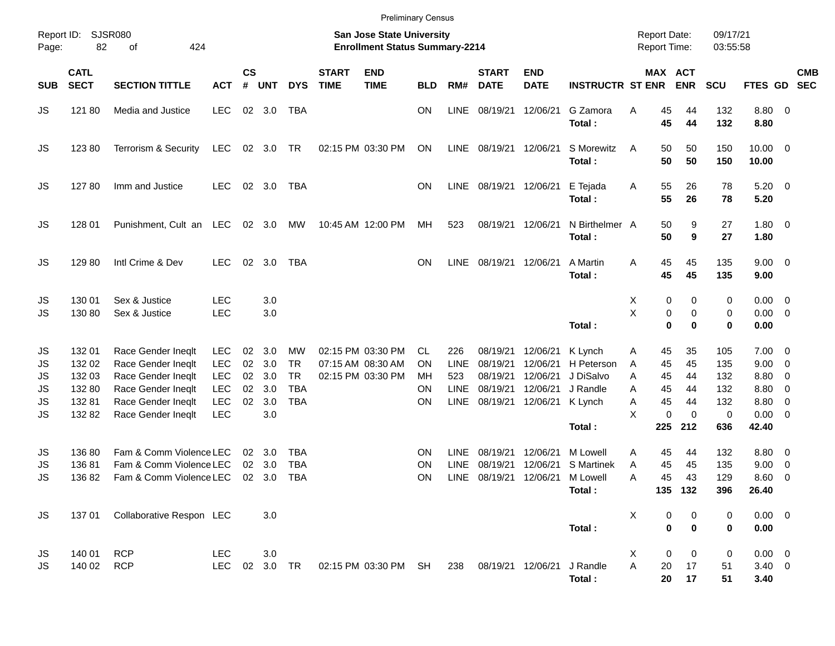|                                                       |                                                         |                                                                                                                                  |                                                                                  |                            |                                        |                                                          |                             | <b>Preliminary Census</b>                                                 |                                   |                                                  |                                                          |                                                          |                                                                     |                                                                 |                                             |                                                       |                                                              |                                                                                                                   |                          |
|-------------------------------------------------------|---------------------------------------------------------|----------------------------------------------------------------------------------------------------------------------------------|----------------------------------------------------------------------------------|----------------------------|----------------------------------------|----------------------------------------------------------|-----------------------------|---------------------------------------------------------------------------|-----------------------------------|--------------------------------------------------|----------------------------------------------------------|----------------------------------------------------------|---------------------------------------------------------------------|-----------------------------------------------------------------|---------------------------------------------|-------------------------------------------------------|--------------------------------------------------------------|-------------------------------------------------------------------------------------------------------------------|--------------------------|
| Report ID:<br>Page:                                   | 82                                                      | <b>SJSR080</b><br>424<br>оf                                                                                                      |                                                                                  |                            |                                        |                                                          |                             | <b>San Jose State University</b><br><b>Enrollment Status Summary-2214</b> |                                   |                                                  |                                                          |                                                          |                                                                     | <b>Report Date:</b><br><b>Report Time:</b>                      |                                             | 09/17/21<br>03:55:58                                  |                                                              |                                                                                                                   |                          |
| <b>SUB</b>                                            | <b>CATL</b><br><b>SECT</b>                              | <b>SECTION TITTLE</b>                                                                                                            | <b>ACT</b>                                                                       | <b>CS</b><br>$\pmb{\#}$    | <b>UNT</b>                             | <b>DYS</b>                                               | <b>START</b><br><b>TIME</b> | <b>END</b><br><b>TIME</b>                                                 | <b>BLD</b>                        | RM#                                              | <b>START</b><br><b>DATE</b>                              | <b>END</b><br><b>DATE</b>                                | <b>INSTRUCTR ST ENR</b>                                             |                                                                 | MAX ACT<br><b>ENR</b>                       | <b>SCU</b>                                            | FTES GD                                                      |                                                                                                                   | <b>CMB</b><br><b>SEC</b> |
| JS                                                    | 121 80                                                  | Media and Justice                                                                                                                | <b>LEC</b>                                                                       |                            | 02 3.0                                 | <b>TBA</b>                                               |                             |                                                                           | <b>ON</b>                         | <b>LINE</b>                                      | 08/19/21                                                 | 12/06/21                                                 | G Zamora<br>Total:                                                  | 45<br>A<br>45                                                   | 44<br>44                                    | 132<br>132                                            | $8.80\ 0$<br>8.80                                            |                                                                                                                   |                          |
| JS                                                    | 12380                                                   | Terrorism & Security                                                                                                             | LEC                                                                              |                            | 02 3.0 TR                              |                                                          |                             | 02:15 PM 03:30 PM                                                         | ON                                | LINE                                             | 08/19/21 12/06/21                                        |                                                          | S Morewitz<br>Total:                                                | 50<br>A<br>50                                                   | 50<br>50                                    | 150<br>150                                            | $10.00 \t 0$<br>10.00                                        |                                                                                                                   |                          |
| JS                                                    | 12780                                                   | Imm and Justice                                                                                                                  | <b>LEC</b>                                                                       |                            | 02 3.0                                 | <b>TBA</b>                                               |                             |                                                                           | <b>ON</b>                         | <b>LINE</b>                                      |                                                          | 08/19/21 12/06/21                                        | E Tejada<br>Total:                                                  | Α<br>55<br>55                                                   | 26<br>26                                    | 78<br>78                                              | $5.20 \ 0$<br>5.20                                           |                                                                                                                   |                          |
| JS                                                    | 128 01                                                  | Punishment, Cult an LEC                                                                                                          |                                                                                  |                            | 02 3.0                                 | MW                                                       |                             | 10:45 AM 12:00 PM                                                         | МH                                | 523                                              | 08/19/21 12/06/21                                        |                                                          | N Birthelmer A<br>Total:                                            | 50<br>50                                                        | 9<br>9                                      | 27<br>27                                              | $1.80 \ 0$<br>1.80                                           |                                                                                                                   |                          |
| JS                                                    | 129 80                                                  | Intl Crime & Dev                                                                                                                 | <b>LEC</b>                                                                       | 02                         | 3.0                                    | <b>TBA</b>                                               |                             |                                                                           | <b>ON</b>                         | <b>LINE</b>                                      | 08/19/21 12/06/21                                        |                                                          | A Martin<br>Total:                                                  | 45<br>A<br>45                                                   | 45<br>45                                    | 135<br>135                                            | $9.00 \t 0$<br>9.00                                          |                                                                                                                   |                          |
| JS<br>JS                                              | 130 01<br>130 80                                        | Sex & Justice<br>Sex & Justice                                                                                                   | <b>LEC</b><br><b>LEC</b>                                                         |                            | 3.0<br>3.0                             |                                                          |                             |                                                                           |                                   |                                                  |                                                          |                                                          | Total:                                                              | X<br>Χ                                                          | 0<br>0<br>0<br>0<br>0<br>0                  | 0<br>0<br>0                                           | $0.00 \t 0$<br>$0.00 \t 0$<br>0.00                           |                                                                                                                   |                          |
| JS<br>JS<br><b>JS</b><br><b>JS</b><br>JS<br><b>JS</b> | 132 01<br>132 02<br>132 03<br>132 80<br>13281<br>132 82 | Race Gender Ineqlt<br>Race Gender Ineglt<br>Race Gender Ineqlt<br>Race Gender Ineqlt<br>Race Gender Ineglt<br>Race Gender Ineqlt | <b>LEC</b><br><b>LEC</b><br><b>LEC</b><br><b>LEC</b><br><b>LEC</b><br><b>LEC</b> | 02<br>02<br>02<br>02<br>02 | 3.0<br>3.0<br>3.0<br>3.0<br>3.0<br>3.0 | МW<br><b>TR</b><br><b>TR</b><br><b>TBA</b><br><b>TBA</b> |                             | 02:15 PM 03:30 PM<br>07:15 AM 08:30 AM<br>02:15 PM 03:30 PM               | CL<br>ΟN<br>МH<br>ON<br><b>ON</b> | 226<br><b>LINE</b><br>523<br>LINE<br><b>LINE</b> | 08/19/21<br>08/19/21<br>08/19/21<br>08/19/21<br>08/19/21 | 12/06/21<br>12/06/21<br>12/06/21<br>12/06/21<br>12/06/21 | K Lynch<br>H Peterson<br>J DiSalvo<br>J Randle<br>K Lynch<br>Total: | 45<br>Α<br>45<br>A<br>45<br>Α<br>45<br>Α<br>45<br>A<br>X<br>225 | 35<br>45<br>44<br>44<br>44<br>0<br>0<br>212 | 105<br>135<br>132<br>132<br>132<br>$\mathbf 0$<br>636 | $7.00 \t 0$<br>9.00<br>8.80<br>8.80<br>8.80<br>0.00<br>42.40 | $\overline{\mathbf{0}}$<br>$\overline{\mathbf{0}}$<br>$\overline{\mathbf{0}}$<br>$\overline{0}$<br>$\overline{0}$ |                          |
| JS<br>JS<br><b>JS</b>                                 | 136 80<br>13681<br>13682                                | Fam & Comm Violence LEC<br>Fam & Comm Violence LEC<br>Fam & Comm Violence LEC                                                    |                                                                                  | 02<br>02                   | 3.0<br>3.0<br>02 3.0                   | <b>TBA</b><br><b>TBA</b><br><b>TBA</b>                   |                             |                                                                           | ΟN<br>ΟN<br><b>ON</b>             | <b>LINE</b><br><b>LINE</b><br><b>LINE</b>        | 08/19/21<br>08/19/21<br>08/19/21                         | 12/06/21<br>12/06/21<br>12/06/21                         | M Lowell<br>S Martinek<br>M Lowell<br>Total:                        | Α<br>45<br>45<br>A<br>45<br>Α                                   | 44<br>45<br>43<br>135 132                   | 132<br>135<br>129<br>396                              | 8.80<br>9.00<br>8.60<br>26.40                                | $\overline{\mathbf{0}}$<br>0<br>- 0                                                                               |                          |
| JS.                                                   |                                                         | 137 01 Collaborative Respon LEC                                                                                                  |                                                                                  |                            | 3.0                                    |                                                          |                             |                                                                           |                                   |                                                  |                                                          |                                                          | Total:                                                              | X                                                               | $\mathbf 0$<br>0<br>$\bf{0}$<br>$\bf{0}$    | 0<br>$\bf{0}$                                         | $0.00 \t 0$<br>0.00                                          |                                                                                                                   |                          |
| JS.<br>JS                                             | 140 01<br>140 02                                        | <b>RCP</b><br><b>RCP</b>                                                                                                         | LEC<br><b>LEC</b>                                                                |                            | 3.0<br>02 3.0 TR                       |                                                          |                             | 02:15 PM 03:30 PM SH                                                      |                                   | 238                                              | 08/19/21 12/06/21 J Randle                               |                                                          | Total :                                                             | X<br>A<br>20                                                    | 0<br>0<br>17<br>20<br>17                    | 0<br>51<br>51                                         | $0.00 \t 0$<br>$3.40 \ 0$<br>3.40                            |                                                                                                                   |                          |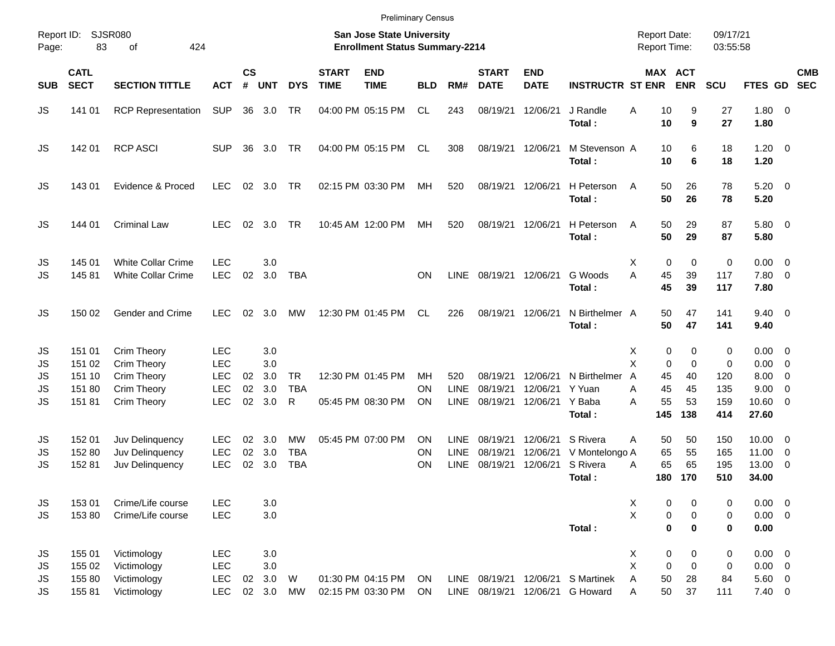|                            |                                               |                                                                         |                                                                    |                |                                 |                              |                             | <b>Preliminary Census</b>                                                 |                              |                                   |                                  |                                  |                                      |                                                                |                               |                             |                                                            |                                                      |            |
|----------------------------|-----------------------------------------------|-------------------------------------------------------------------------|--------------------------------------------------------------------|----------------|---------------------------------|------------------------------|-----------------------------|---------------------------------------------------------------------------|------------------------------|-----------------------------------|----------------------------------|----------------------------------|--------------------------------------|----------------------------------------------------------------|-------------------------------|-----------------------------|------------------------------------------------------------|------------------------------------------------------|------------|
| Report ID:<br>Page:        | 83                                            | SJSR080<br>424<br>οf                                                    |                                                                    |                |                                 |                              |                             | <b>San Jose State University</b><br><b>Enrollment Status Summary-2214</b> |                              |                                   |                                  |                                  |                                      | <b>Report Date:</b><br><b>Report Time:</b>                     |                               | 09/17/21<br>03:55:58        |                                                            |                                                      |            |
| <b>SUB</b>                 | <b>CATL</b><br><b>SECT</b>                    | <b>SECTION TITTLE</b>                                                   | <b>ACT</b>                                                         | <b>CS</b><br># | <b>UNT</b>                      | <b>DYS</b>                   | <b>START</b><br><b>TIME</b> | <b>END</b><br><b>TIME</b>                                                 | <b>BLD</b>                   | RM#                               | <b>START</b><br><b>DATE</b>      | <b>END</b><br><b>DATE</b>        | <b>INSTRUCTR ST ENR</b>              | <b>MAX ACT</b>                                                 | <b>ENR</b>                    | <b>SCU</b>                  | FTES GD SEC                                                |                                                      | <b>CMB</b> |
| JS                         | 141 01                                        | <b>RCP Representation</b>                                               | <b>SUP</b>                                                         |                | 36 3.0                          | TR                           |                             | 04:00 PM 05:15 PM                                                         | CL                           | 243                               | 08/19/21                         | 12/06/21                         | J Randle<br>Total:                   | 10<br>Α<br>10                                                  | 9<br>9                        | 27<br>27                    | 1.80 0<br>1.80                                             |                                                      |            |
| JS                         | 142 01                                        | <b>RCP ASCI</b>                                                         | <b>SUP</b>                                                         | 36             | 3.0                             | TR                           |                             | 04:00 PM 05:15 PM                                                         | CL.                          | 308                               | 08/19/21 12/06/21                |                                  | M Stevenson A<br>Total:              | 10<br>10                                                       | 6<br>6                        | 18<br>18                    | $1.20 \t 0$<br>1.20                                        |                                                      |            |
| JS                         | 143 01                                        | Evidence & Proced                                                       | <b>LEC</b>                                                         | 02             | 3.0                             | TR                           |                             | 02:15 PM 03:30 PM                                                         | MН                           | 520                               |                                  | 08/19/21 12/06/21                | H Peterson<br>Total:                 | 50<br>A<br>50                                                  | 26<br>26                      | 78<br>78                    | $5.20 \ 0$<br>5.20                                         |                                                      |            |
| JS                         | 144 01                                        | <b>Criminal Law</b>                                                     | <b>LEC</b>                                                         |                | 02 3.0                          | <b>TR</b>                    |                             | 10:45 AM 12:00 PM                                                         | MH                           | 520                               | 08/19/21                         | 12/06/21                         | H Peterson<br>Total:                 | 50<br>A<br>50                                                  | 29<br>29                      | 87<br>87                    | 5.80 0<br>5.80                                             |                                                      |            |
| JS<br>JS                   | 145 01<br>14581                               | <b>White Collar Crime</b><br>White Collar Crime                         | <b>LEC</b><br><b>LEC</b>                                           | 02             | 3.0<br>3.0                      | <b>TBA</b>                   |                             |                                                                           | <b>ON</b>                    | <b>LINE</b>                       |                                  | 08/19/21 12/06/21                | G Woods<br>Total:                    | 0<br>Х<br>A<br>45<br>45                                        | 0<br>39<br>39                 | 0<br>117<br>117             | $0.00 \t 0$<br>7.80 0<br>7.80                              |                                                      |            |
| JS                         | 150 02                                        | Gender and Crime                                                        | <b>LEC</b>                                                         | 02             | 3.0                             | МW                           |                             | 12:30 PM 01:45 PM                                                         | <b>CL</b>                    | 226                               | 08/19/21                         | 12/06/21                         | N Birthelmer A<br>Total:             | 50<br>50                                                       | 47<br>47                      | 141<br>141                  | $9.40 \quad 0$<br>9.40                                     |                                                      |            |
| JS<br>JS<br>JS<br>JS<br>JS | 151 01<br>151 02<br>151 10<br>151 80<br>15181 | Crim Theory<br>Crim Theory<br>Crim Theory<br>Crim Theory<br>Crim Theory | <b>LEC</b><br><b>LEC</b><br><b>LEC</b><br><b>LEC</b><br><b>LEC</b> | 02<br>02<br>02 | 3.0<br>3.0<br>3.0<br>3.0<br>3.0 | <b>TR</b><br><b>TBA</b><br>R |                             | 12:30 PM 01:45 PM<br>05:45 PM 08:30 PM                                    | <b>MH</b><br>ON<br><b>ON</b> | 520<br><b>LINE</b><br><b>LINE</b> | 08/19/21<br>08/19/21<br>08/19/21 | 12/06/21<br>12/06/21<br>12/06/21 | N Birthelmer<br>Y Yuan<br>Y Baba     | 0<br>Х<br>X<br>0<br>$\overline{A}$<br>45<br>45<br>Α<br>55<br>Α | 0<br>0<br>40<br>45<br>53      | 0<br>0<br>120<br>135<br>159 | $0.00 \t 0$<br>$0.00 \t 0$<br>8.00<br>9.00<br>$10.60 \t 0$ | $\overline{\phantom{0}}$<br>$\overline{\phantom{0}}$ |            |
| JS                         | 152 01                                        | Juv Delinquency                                                         | <b>LEC</b>                                                         | 02             | 3.0                             | МW                           |                             | 05:45 PM 07:00 PM                                                         | ΟN                           | <b>LINE</b>                       | 08/19/21                         | 12/06/21                         | Total:<br>S Rivera                   | 145<br>50<br>A                                                 | 138<br>50                     | 414<br>150                  | 27.60<br>$10.00 \t 0$                                      |                                                      |            |
| JS<br>JS                   | 152 80<br>15281                               | Juv Delinquency<br>Juv Delinquency                                      | <b>LEC</b><br><b>LEC</b>                                           | 02<br>02       | 3.0<br>3.0                      | <b>TBA</b><br><b>TBA</b>     |                             |                                                                           | ON<br>ΟN                     | LINE<br><b>LINE</b>               | 08/19/21<br>08/19/21             | 12/06/21<br>12/06/21             | V Montelongo A<br>S Rivera<br>Total: | 65<br>65<br>A<br>180                                           | 55<br>65<br>170               | 165<br>195<br>510           | 11.00<br>13.00 0<br>34.00                                  | $\overline{\phantom{0}}$                             |            |
| JS<br>JS.                  | 153 01<br>15380                               | Crime/Life course<br>Crime/Life course                                  | <b>LEC</b><br>LEC                                                  |                | 3.0<br>3.0                      |                              |                             |                                                                           |                              |                                   |                                  |                                  | Total:                               | X<br>0<br>X<br>0<br>$\pmb{0}$                                  | 0<br>$\pmb{0}$<br>$\mathbf 0$ | 0<br>0<br>0                 | $0.00 \t 0$<br>$0.00 \t 0$<br>0.00                         |                                                      |            |
| JS<br>JS<br>JS<br>JS.      | 155 01<br>155 02<br>155 80<br>15581           | Victimology<br>Victimology<br>Victimology<br>Victimology                | <b>LEC</b><br>LEC<br>LEC<br><b>LEC</b>                             | 02             | 3.0<br>3.0<br>3.0<br>02 3.0     | W<br><b>MW</b>               |                             | 01:30 PM 04:15 PM<br>02:15 PM 03:30 PM                                    | ON<br>ON                     | LINE                              | 08/19/21<br>LINE 08/19/21        | 12/06/21                         | 12/06/21 S Martinek<br>G Howard      | X<br>$\pmb{0}$<br>X<br>$\pmb{0}$<br>50<br>Α<br>50<br>Α         | 0<br>$\mathbf 0$<br>28<br>37  | 0<br>0<br>84<br>111         | $0.00 \t 0$<br>$0.00 \t 0$<br>$5.60$ 0<br>$7.40 \ 0$       |                                                      |            |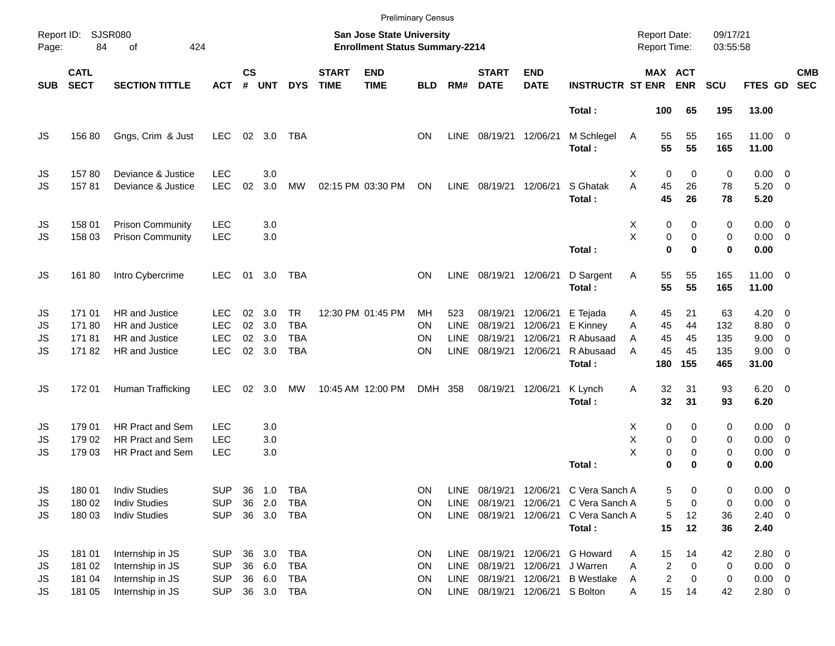|            |                            |                         |            |                    |            |            |                             |                                                                    | <b>Preliminary Census</b> |             |                             |                           |                         |                                            |                              |                      |                       |                         |            |
|------------|----------------------------|-------------------------|------------|--------------------|------------|------------|-----------------------------|--------------------------------------------------------------------|---------------------------|-------------|-----------------------------|---------------------------|-------------------------|--------------------------------------------|------------------------------|----------------------|-----------------------|-------------------------|------------|
| Page:      | Report ID: SJSR080<br>84   | 424<br>of               |            |                    |            |            |                             | San Jose State University<br><b>Enrollment Status Summary-2214</b> |                           |             |                             |                           |                         | <b>Report Date:</b><br><b>Report Time:</b> |                              | 09/17/21<br>03:55:58 |                       |                         |            |
| <b>SUB</b> | <b>CATL</b><br><b>SECT</b> | <b>SECTION TITTLE</b>   | <b>ACT</b> | $\mathsf{cs}$<br># | <b>UNT</b> | <b>DYS</b> | <b>START</b><br><b>TIME</b> | <b>END</b><br><b>TIME</b>                                          | <b>BLD</b>                | RM#         | <b>START</b><br><b>DATE</b> | <b>END</b><br><b>DATE</b> | <b>INSTRUCTR ST ENR</b> |                                            | <b>MAX ACT</b><br><b>ENR</b> | <b>SCU</b>           | FTES GD SEC           |                         | <b>CMB</b> |
|            |                            |                         |            |                    |            |            |                             |                                                                    |                           |             |                             |                           | Total:                  | 100                                        | 65                           | 195                  | 13.00                 |                         |            |
| JS         | 156 80                     | Gngs, Crim & Just       | <b>LEC</b> |                    | 02 3.0     | TBA        |                             |                                                                    | <b>ON</b>                 | LINE        | 08/19/21 12/06/21           |                           | M Schlegel<br>Total:    | 55<br>Α<br>55                              | 55<br>55                     | 165<br>165           | $11.00 \t 0$<br>11.00 |                         |            |
| JS         | 15780                      | Deviance & Justice      | <b>LEC</b> |                    | 3.0        |            |                             |                                                                    |                           |             |                             |                           |                         | 0<br>х                                     | 0                            | 0                    | $0.00 \t 0$           |                         |            |
| JS         | 15781                      | Deviance & Justice      | <b>LEC</b> | 02                 | 3.0        | MW         |                             | 02:15 PM 03:30 PM                                                  | ON                        | LINE        | 08/19/21                    | 12/06/21                  | S Ghatak                | A<br>45                                    | 26                           | 78                   | $5.20 \ 0$            |                         |            |
|            |                            |                         |            |                    |            |            |                             |                                                                    |                           |             |                             |                           | Total:                  | 45                                         | 26                           | 78                   | 5.20                  |                         |            |
| JS         | 158 01                     | <b>Prison Community</b> | <b>LEC</b> |                    | 3.0        |            |                             |                                                                    |                           |             |                             |                           |                         | 0<br>X                                     | 0                            | 0                    | $0.00 \t 0$           |                         |            |
| JS         | 158 03                     | <b>Prison Community</b> | <b>LEC</b> |                    | 3.0        |            |                             |                                                                    |                           |             |                             |                           |                         | X<br>0                                     | 0                            | 0                    | $0.00 \t 0$           |                         |            |
|            |                            |                         |            |                    |            |            |                             |                                                                    |                           |             |                             |                           | Total:                  | $\mathbf 0$                                | $\bf{0}$                     | 0                    | 0.00                  |                         |            |
| JS         | 16180                      | Intro Cybercrime        | <b>LEC</b> | 01                 | 3.0        | TBA        |                             |                                                                    | <b>ON</b>                 | LINE        | 08/19/21 12/06/21           |                           | D Sargent<br>Total:     | 55<br>Α<br>55                              | 55<br>55                     | 165<br>165           | $11.00 \t 0$<br>11.00 |                         |            |
| JS         | 171 01                     | <b>HR</b> and Justice   | <b>LEC</b> | 02                 | 3.0        | <b>TR</b>  |                             | 12:30 PM 01:45 PM                                                  | MН                        | 523         | 08/19/21                    | 12/06/21                  | E Tejada                | 45<br>Α                                    | 21                           | 63                   | $4.20 \ 0$            |                         |            |
| JS         | 17180                      | HR and Justice          | <b>LEC</b> | 02                 | 3.0        | <b>TBA</b> |                             |                                                                    | ΟN                        | LINE        | 08/19/21                    | 12/06/21                  | E Kinney                | 45<br>A                                    | 44                           | 132                  | 8.80 0                |                         |            |
| JS         | 17181                      | HR and Justice          | <b>LEC</b> | 02                 | 3.0        | <b>TBA</b> |                             |                                                                    | ΟN                        | <b>LINE</b> | 08/19/21                    | 12/06/21                  | R Abusaad               | 45<br>A                                    | 45                           | 135                  | $9.00 \t 0$           |                         |            |
| JS         | 17182                      | HR and Justice          | <b>LEC</b> |                    | 02 3.0     | <b>TBA</b> |                             |                                                                    | ON                        | <b>LINE</b> | 08/19/21                    | 12/06/21                  | R Abusaad<br>Total:     | 45<br>A<br>180                             | 45<br>155                    | 135<br>465           | $9.00 \t 0$<br>31.00  |                         |            |
| JS         | 172 01                     | Human Trafficking       | <b>LEC</b> | 02                 | 3.0        | МW         |                             | 10:45 AM 12:00 PM                                                  | DMH 358                   |             | 08/19/21                    | 12/06/21                  | K Lynch                 | 32<br>Α                                    | 31                           | 93                   | $6.20 \quad 0$        |                         |            |
|            |                            |                         |            |                    |            |            |                             |                                                                    |                           |             |                             |                           | Total:                  | 32                                         | 31                           | 93                   | 6.20                  |                         |            |
| JS         | 179 01                     | <b>HR Pract and Sem</b> | <b>LEC</b> |                    | 3.0        |            |                             |                                                                    |                           |             |                             |                           |                         | X<br>0                                     | 0                            | 0                    | $0.00 \t 0$           |                         |            |
| JS         | 179 02                     | HR Pract and Sem        | <b>LEC</b> |                    | 3.0        |            |                             |                                                                    |                           |             |                             |                           |                         | X<br>0                                     | 0                            | 0                    | $0.00 \t 0$           |                         |            |
| JS         | 179 03                     | <b>HR Pract and Sem</b> | <b>LEC</b> |                    | 3.0        |            |                             |                                                                    |                           |             |                             |                           |                         | X<br>$\pmb{0}$                             | $\mathbf 0$                  | 0                    | $0.00 \t 0$           |                         |            |
|            |                            |                         |            |                    |            |            |                             |                                                                    |                           |             |                             |                           | Total:                  | 0                                          | $\bf{0}$                     | 0                    | 0.00                  |                         |            |
| JS         | 180 01                     | <b>Indiv Studies</b>    | <b>SUP</b> | 36                 | 1.0        | <b>TBA</b> |                             |                                                                    | ON                        | LINE        | 08/19/21                    |                           | 12/06/21 C Vera Sanch A | 5                                          | 0                            | 0                    | 0.00                  | $\overline{\mathbf{0}}$ |            |
| JS         | 180 02                     | <b>Indiv Studies</b>    | <b>SUP</b> | 36                 | 2.0        | <b>TBA</b> |                             |                                                                    | ON                        | <b>LINE</b> | 08/19/21                    |                           | 12/06/21 C Vera Sanch A | 5                                          | 0                            | 0                    | $0.00 \t 0$           |                         |            |
| JS         | 180 03                     | <b>Indiv Studies</b>    | <b>SUP</b> |                    | 36 3.0     | TBA        |                             |                                                                    | ON                        | LINE        | 08/19/21                    |                           | 12/06/21 C Vera Sanch A | 5                                          | 12                           | 36                   | $2.40 \ 0$            |                         |            |
|            |                            |                         |            |                    |            |            |                             |                                                                    |                           |             |                             |                           | Total:                  | 15                                         | 12                           | 36                   | 2.40                  |                         |            |
| JS         | 181 01                     | Internship in JS        | <b>SUP</b> | 36                 | 3.0        | <b>TBA</b> |                             |                                                                    | ON                        | <b>LINE</b> | 08/19/21                    | 12/06/21                  | G Howard                | 15<br>Α                                    | 14                           | 42                   | 2.80 0                |                         |            |
| JS         | 181 02                     | Internship in JS        | <b>SUP</b> | 36                 | 6.0        | <b>TBA</b> |                             |                                                                    | ON                        | <b>LINE</b> | 08/19/21                    | 12/06/21                  | J Warren                | 2<br>Α                                     | 0                            | 0                    | $0.00 \t 0$           |                         |            |
| JS         | 181 04                     | Internship in JS        | <b>SUP</b> | 36                 | 6.0        | TBA        |                             |                                                                    | ON                        | <b>LINE</b> | 08/19/21                    | 12/06/21                  | <b>B</b> Westlake       | $\overline{\mathbf{c}}$<br>A               | 0                            | 0                    | $0.00 \t 0$           |                         |            |
| JS         | 181 05                     | Internship in JS        | <b>SUP</b> |                    | 36 3.0     | TBA        |                             |                                                                    | ON                        | LINE        | 08/19/21                    | 12/06/21 S Bolton         |                         | 15<br>Α                                    | 14                           | 42                   | 2.80 0                |                         |            |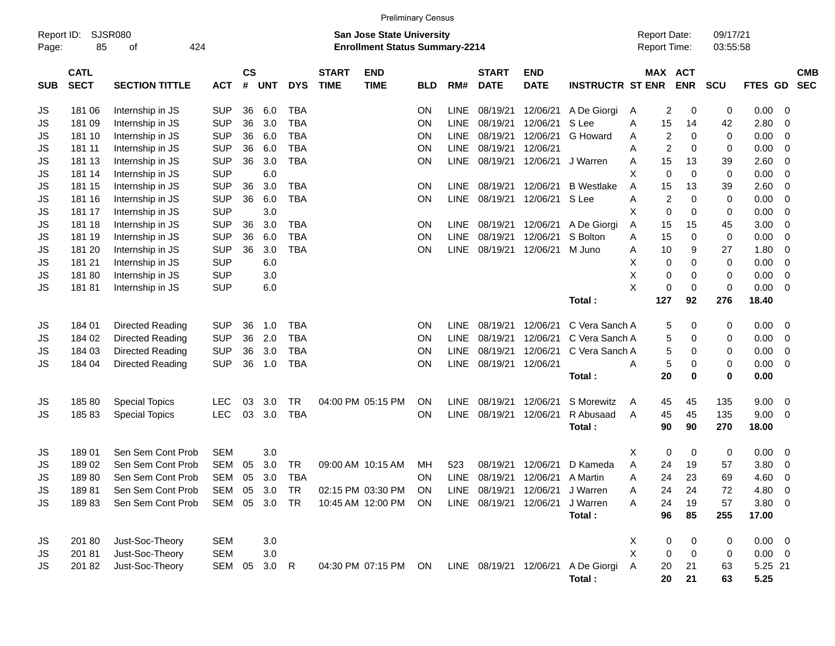|                     |                            |                         |            |                |              |            |                             |                                                                           | <b>Preliminary Census</b> |             |                             |                           |                         |   |                                     |             |                      |               |             |                          |
|---------------------|----------------------------|-------------------------|------------|----------------|--------------|------------|-----------------------------|---------------------------------------------------------------------------|---------------------------|-------------|-----------------------------|---------------------------|-------------------------|---|-------------------------------------|-------------|----------------------|---------------|-------------|--------------------------|
| Report ID:<br>Page: | 85                         | SJSR080<br>424<br>οf    |            |                |              |            |                             | <b>San Jose State University</b><br><b>Enrollment Status Summary-2214</b> |                           |             |                             |                           |                         |   | <b>Report Date:</b><br>Report Time: |             | 09/17/21<br>03:55:58 |               |             |                          |
| <b>SUB</b>          | <b>CATL</b><br><b>SECT</b> | <b>SECTION TITTLE</b>   | <b>ACT</b> | <b>CS</b><br># | <b>UNT</b>   | <b>DYS</b> | <b>START</b><br><b>TIME</b> | <b>END</b><br><b>TIME</b>                                                 | <b>BLD</b>                | RM#         | <b>START</b><br><b>DATE</b> | <b>END</b><br><b>DATE</b> | <b>INSTRUCTR ST ENR</b> |   | MAX ACT                             | <b>ENR</b>  | <b>SCU</b>           | FTES GD       |             | <b>CMB</b><br><b>SEC</b> |
| JS                  | 181 06                     | Internship in JS        | <b>SUP</b> | 36             | 6.0          | <b>TBA</b> |                             |                                                                           | ON                        | <b>LINE</b> | 08/19/21                    | 12/06/21                  | A De Giorgi             | A | 2                                   | 0           | 0                    | 0.00          | 0           |                          |
| <b>JS</b>           | 181 09                     | Internship in JS        | <b>SUP</b> | 36             | 3.0          | <b>TBA</b> |                             |                                                                           | ΟN                        | <b>LINE</b> | 08/19/21                    | 12/06/21                  | S Lee                   | Α | 15                                  | 14          | 42                   | 2.80          | 0           |                          |
| JS                  | 181 10                     | Internship in JS        | <b>SUP</b> | 36             | 6.0          | <b>TBA</b> |                             |                                                                           | ON                        | <b>LINE</b> | 08/19/21                    | 12/06/21                  | G Howard                | Α | 2                                   | 0           | 0                    | 0.00          | 0           |                          |
| <b>JS</b>           | 181 11                     | Internship in JS        | <b>SUP</b> | 36             | 6.0          | <b>TBA</b> |                             |                                                                           | ON                        | <b>LINE</b> | 08/19/21                    | 12/06/21                  |                         | A | 2                                   | 0           | 0                    | 0.00          | 0           |                          |
| <b>JS</b>           | 181 13                     | Internship in JS        | <b>SUP</b> | 36             | 3.0          | <b>TBA</b> |                             |                                                                           | ON                        | <b>LINE</b> | 08/19/21                    | 12/06/21                  | J Warren                | Α | 15                                  | 13          | 39                   | 2.60          | 0           |                          |
| <b>JS</b>           | 181 14                     | Internship in JS        | <b>SUP</b> |                | 6.0          |            |                             |                                                                           |                           |             |                             |                           |                         | X | $\mathbf 0$                         | $\mathbf 0$ | 0                    | 0.00          | $\mathbf 0$ |                          |
| <b>JS</b>           | 181 15                     | Internship in JS        | <b>SUP</b> | 36             | 3.0          | <b>TBA</b> |                             |                                                                           | ON                        |             | LINE 08/19/21               | 12/06/21                  | <b>B</b> Westlake       | A | 15                                  | 13          | 39                   | 2.60          | 0           |                          |
| <b>JS</b>           | 181 16                     | Internship in JS        | <b>SUP</b> | 36             | 6.0          | <b>TBA</b> |                             |                                                                           | ON                        | <b>LINE</b> | 08/19/21                    | 12/06/21                  | S Lee                   | Α | 2                                   | 0           | 0                    | 0.00          | 0           |                          |
| <b>JS</b>           | 181 17                     | Internship in JS        | <b>SUP</b> |                | 3.0          |            |                             |                                                                           |                           |             |                             |                           |                         | X | 0                                   | 0           | 0                    | 0.00          | $\mathbf 0$ |                          |
| <b>JS</b>           | 181 18                     | Internship in JS        | <b>SUP</b> | 36             | 3.0          | <b>TBA</b> |                             |                                                                           | ON                        |             | LINE 08/19/21               | 12/06/21                  | A De Giorgi             | Α | 15                                  | 15          | 45                   | 3.00          | 0           |                          |
| <b>JS</b>           | 181 19                     | Internship in JS        | <b>SUP</b> | 36             | 6.0          | <b>TBA</b> |                             |                                                                           | ON                        | <b>LINE</b> | 08/19/21                    | 12/06/21                  | S Bolton                | Α | 15                                  | 0           | 0                    | 0.00          | 0           |                          |
| <b>JS</b>           | 181 20                     | Internship in JS        | <b>SUP</b> | 36             | 3.0          | <b>TBA</b> |                             |                                                                           | ON                        | <b>LINE</b> | 08/19/21                    | 12/06/21                  | M Juno                  | Α | 10                                  | 9           | 27                   | 1.80          | 0           |                          |
| JS                  | 181 21                     | Internship in JS        | <b>SUP</b> |                | 6.0          |            |                             |                                                                           |                           |             |                             |                           |                         | х | 0                                   | 0           | 0                    | 0.00          | $\mathbf 0$ |                          |
| <b>JS</b>           | 18180                      | Internship in JS        | <b>SUP</b> |                | 3.0          |            |                             |                                                                           |                           |             |                             |                           |                         | X | 0                                   | 0           | 0                    | 0.00          | $\mathbf 0$ |                          |
| JS                  | 18181                      | Internship in JS        | <b>SUP</b> |                | 6.0          |            |                             |                                                                           |                           |             |                             |                           |                         | X | 0                                   | 0           | $\mathbf 0$          | 0.00          | $\mathbf 0$ |                          |
|                     |                            |                         |            |                |              |            |                             |                                                                           |                           |             |                             |                           | Total:                  |   | 127                                 | 92          | 276                  | 18.40         |             |                          |
| JS                  | 184 01                     | <b>Directed Reading</b> | <b>SUP</b> | 36             | 1.0          | TBA        |                             |                                                                           | ΟN                        | <b>LINE</b> | 08/19/21                    | 12/06/21                  | C Vera Sanch A          |   | 5                                   | 0           | 0                    | 0.00          | 0           |                          |
| JS                  | 184 02                     | <b>Directed Reading</b> | <b>SUP</b> | 36             | 2.0          | <b>TBA</b> |                             |                                                                           | ΟN                        | <b>LINE</b> | 08/19/21                    | 12/06/21                  | C Vera Sanch A          |   | 5                                   | 0           | 0                    | 0.00          | $\mathbf 0$ |                          |
| JS                  | 184 03                     | <b>Directed Reading</b> | <b>SUP</b> | 36             | 3.0          | <b>TBA</b> |                             |                                                                           | ΟN                        | <b>LINE</b> | 08/19/21                    | 12/06/21                  | C Vera Sanch A          |   | 5                                   | 0           | 0                    | 0.00          | 0           |                          |
| JS                  | 184 04                     | Directed Reading        | <b>SUP</b> | 36             | 1.0          | <b>TBA</b> |                             |                                                                           | ON                        | LINE        | 08/19/21 12/06/21           |                           |                         | Α | 5                                   | 0           | 0                    | 0.00          | 0           |                          |
|                     |                            |                         |            |                |              |            |                             |                                                                           |                           |             |                             |                           | Total:                  |   | 20                                  | $\mathbf 0$ | $\bf{0}$             | 0.00          |             |                          |
|                     |                            |                         |            |                |              |            |                             |                                                                           |                           |             | 08/19/21                    | 12/06/21                  | S Morewitz              |   |                                     |             |                      |               |             |                          |
| JS                  | 18580                      | <b>Special Topics</b>   | <b>LEC</b> | 03<br>03       | 3.0<br>3.0   | TR         |                             | 04:00 PM 05:15 PM                                                         | <b>ON</b>                 | <b>LINE</b> |                             |                           |                         | A | 45                                  | 45          | 135<br>135           | 9.00          | 0           |                          |
| JS                  | 18583                      | <b>Special Topics</b>   | <b>LEC</b> |                |              | <b>TBA</b> |                             |                                                                           | ON                        | LINE        | 08/19/21                    | 12/06/21                  | R Abusaad               | Α | 45<br>90                            | 45<br>90    | 270                  | 9.00<br>18.00 | 0           |                          |
|                     |                            |                         |            |                |              |            |                             |                                                                           |                           |             |                             |                           | Total:                  |   |                                     |             |                      |               |             |                          |
| JS                  | 18901                      | Sen Sem Cont Prob       | <b>SEM</b> |                | 3.0          |            |                             |                                                                           |                           |             |                             |                           |                         | X | 0                                   | 0           | 0                    | 0.00          | 0           |                          |
| JS                  | 18902                      | Sen Sem Cont Prob       | <b>SEM</b> | 05             | 3.0          | TR         |                             | 09:00 AM 10:15 AM                                                         | MН                        | 523         | 08/19/21                    | 12/06/21                  | D Kameda                | Α | 24                                  | 19          | 57                   | 3.80          | 0           |                          |
| JS                  | 18980                      | Sen Sem Cont Prob       | <b>SEM</b> | 05             | 3.0          | <b>TBA</b> |                             |                                                                           | ON                        | <b>LINE</b> | 08/19/21 12/06/21           |                           | A Martin                | Α | 24                                  | 23          | 69                   | 4.60          | 0           |                          |
| JS                  | 18981                      | Sen Sem Cont Prob       | SEM        | 05             | 3.0          | TR         |                             | 02:15 PM 03:30 PM                                                         | ON                        |             | LINE 08/19/21 12/06/21      |                           | J Warren                | Α | 24                                  | 24          | 72                   | 4.80          | $\mathbf 0$ |                          |
| JS.                 | 18983                      | Sen Sem Cont Prob       | SEM 05 3.0 |                |              | TR         |                             | 10:45 AM 12:00 PM                                                         | ON.                       |             | LINE 08/19/21 12/06/21      |                           | J Warren                | Α | 24                                  | 19          | 57                   | 3.80 0        |             |                          |
|                     |                            |                         |            |                |              |            |                             |                                                                           |                           |             |                             |                           | Total:                  |   | 96                                  | 85          | 255                  | 17.00         |             |                          |
| JS                  | 20180                      | Just-Soc-Theory         | <b>SEM</b> |                | 3.0          |            |                             |                                                                           |                           |             |                             |                           |                         | X | 0                                   | 0           | 0                    | $0.00 \t 0$   |             |                          |
| JS                  | 20181                      | Just-Soc-Theory         | <b>SEM</b> |                | 3.0          |            |                             |                                                                           |                           |             |                             |                           |                         | X | 0                                   | 0           | 0                    | $0.00 \t 0$   |             |                          |
| JS                  | 20182                      | Just-Soc-Theory         |            |                | SEM 05 3.0 R |            |                             | 04:30 PM 07:15 PM ON                                                      |                           |             | LINE 08/19/21 12/06/21      |                           | A De Giorgi             | Α | 20                                  | 21          | 63                   | 5.25 21       |             |                          |
|                     |                            |                         |            |                |              |            |                             |                                                                           |                           |             |                             |                           | Total:                  |   | 20                                  | 21          | 63                   | 5.25          |             |                          |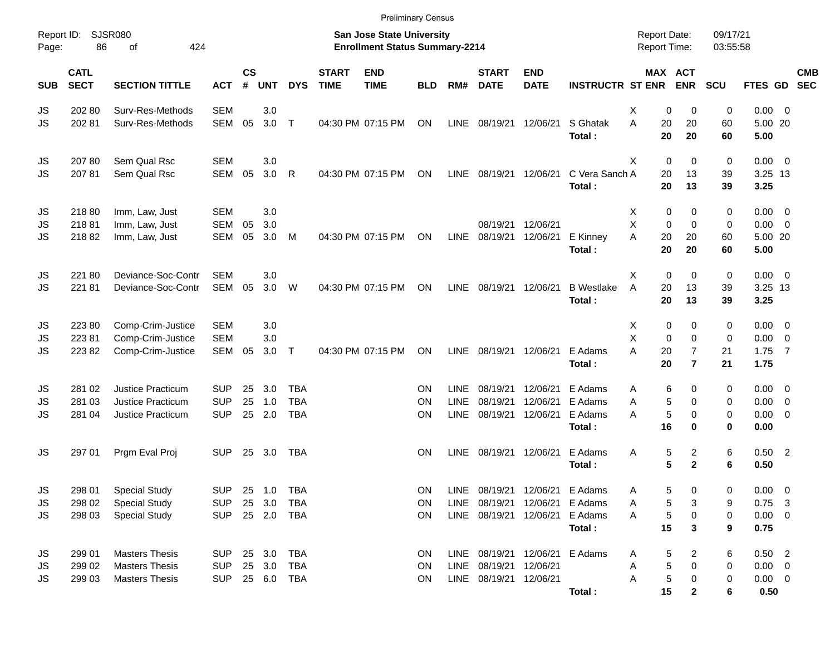|                     |                                                                                                 |                             |            |    |                         |              |                             |                                                                    | <b>Preliminary Census</b> |             |                             |                                |                          |                                     |                            |                      |                 |                           |
|---------------------|-------------------------------------------------------------------------------------------------|-----------------------------|------------|----|-------------------------|--------------|-----------------------------|--------------------------------------------------------------------|---------------------------|-------------|-----------------------------|--------------------------------|--------------------------|-------------------------------------|----------------------------|----------------------|-----------------|---------------------------|
| Report ID:<br>Page: | 86                                                                                              | <b>SJSR080</b><br>424<br>of |            |    |                         |              |                             | San Jose State University<br><b>Enrollment Status Summary-2214</b> |                           |             |                             |                                |                          | <b>Report Date:</b><br>Report Time: |                            | 09/17/21<br>03:55:58 |                 |                           |
| <b>SUB</b>          | <b>CATL</b><br><b>SECT</b><br><b>SECTION TITTLE</b><br><b>ACT</b><br>202 80<br>Surv-Res-Methods |                             |            |    | <b>CS</b><br><b>UNT</b> | <b>DYS</b>   | <b>START</b><br><b>TIME</b> | <b>END</b><br><b>TIME</b>                                          | <b>BLD</b>                | RM#         | <b>START</b><br><b>DATE</b> | <b>END</b><br><b>DATE</b>      | <b>INSTRUCTR ST ENR</b>  |                                     | MAX ACT<br><b>ENR</b>      | SCU                  |                 | <b>CMB</b><br>FTES GD SEC |
| JS                  |                                                                                                 |                             | <b>SEM</b> |    | 3.0                     |              |                             |                                                                    |                           |             |                             |                                |                          | х                                   | 0<br>$\Omega$              | 0                    | 0.00            | $\overline{\mathbf{0}}$   |
| JS                  | 202 81                                                                                          | Surv-Res-Methods            | SEM        | 05 | 3.0                     | $\mathsf{T}$ |                             | 04:30 PM 07:15 PM                                                  | ON                        | LINE        | 08/19/21                    | 12/06/21                       | S Ghatak<br>Total:       | A<br>20<br>20                       | 20<br>20                   | 60<br>60             | 5.00 20<br>5.00 |                           |
| JS                  | 207 80                                                                                          | Sem Qual Rsc                | <b>SEM</b> |    | 3.0                     |              |                             |                                                                    |                           |             |                             |                                |                          | X                                   | 0<br>$\mathbf 0$           | 0                    | $0.00 \t 0$     |                           |
| JS                  | 20781                                                                                           | Sem Qual Rsc                | <b>SEM</b> | 05 | 3.0                     | R            |                             | 04:30 PM 07:15 PM                                                  | ON                        | LINE        | 08/19/21                    | 12/06/21                       | C Vera Sanch A<br>Total: | 20<br>20                            | 13<br>13                   | 39<br>39             | 3.25 13<br>3.25 |                           |
| JS                  | 21880                                                                                           | Imm, Law, Just              | <b>SEM</b> |    | 3.0                     |              |                             |                                                                    |                           |             |                             |                                |                          | X                                   | 0<br>0                     | 0                    | 0.00            | $\overline{\mathbf{0}}$   |
| JS                  | 21881                                                                                           | Imm, Law, Just              | <b>SEM</b> | 05 | 3.0                     |              |                             |                                                                    |                           |             | 08/19/21                    | 12/06/21                       |                          | X                                   | 0<br>$\Omega$              | 0                    | 0.00            | $\overline{\mathbf{0}}$   |
| JS                  | 21882                                                                                           | Imm, Law, Just              | <b>SEM</b> | 05 | 3.0                     | M            |                             | 04:30 PM 07:15 PM                                                  | ON                        | LINE        | 08/19/21                    | 12/06/21                       | E Kinney<br>Total:       | A<br>20<br>20                       | 20<br>20                   | 60<br>60             | 5.00 20<br>5.00 |                           |
| JS                  | 22180                                                                                           | Deviance-Soc-Contr          | <b>SEM</b> |    | 3.0                     |              |                             |                                                                    |                           |             |                             |                                |                          | Χ                                   | 0<br>$\mathbf 0$           | 0                    | $0.00 \t 0$     |                           |
| JS                  | 22181                                                                                           | Deviance-Soc-Contr          | SEM        | 05 | 3.0                     | W            |                             | 04:30 PM 07:15 PM                                                  | ON                        | LINE        | 08/19/21                    | 12/06/21                       | <b>B</b> Westlake        | A<br>20                             | 13                         | 39                   | 3.25 13         |                           |
|                     |                                                                                                 |                             |            |    |                         |              |                             |                                                                    |                           |             |                             |                                | Total:                   | 20                                  | 13                         | 39                   | 3.25            |                           |
| JS                  | 22380                                                                                           | Comp-Crim-Justice           | <b>SEM</b> |    | 3.0                     |              |                             |                                                                    |                           |             |                             |                                |                          | X                                   | 0<br>0                     | 0                    | 0.00            | $\overline{\mathbf{0}}$   |
| JS                  | 22381                                                                                           | Comp-Crim-Justice           | <b>SEM</b> |    | 3.0                     |              |                             |                                                                    |                           |             |                             |                                |                          | X                                   | $\Omega$<br>0              | $\mathbf 0$          | 0.00            | $\overline{0}$            |
| JS                  | 22382                                                                                           | Comp-Crim-Justice           | SEM        | 05 | 3.0                     | $\mathsf{T}$ |                             | 04:30 PM 07:15 PM                                                  | ON                        | <b>LINE</b> | 08/19/21                    | 12/06/21                       | E Adams                  | A<br>20                             | $\overline{7}$             | 21                   | 1.75            | $\overline{7}$            |
|                     |                                                                                                 |                             |            |    |                         |              |                             |                                                                    |                           |             |                             |                                | Total:                   | 20                                  | $\overline{7}$             | 21                   | 1.75            |                           |
| JS                  | 281 02                                                                                          | <b>Justice Practicum</b>    | <b>SUP</b> | 25 | 3.0                     | <b>TBA</b>   |                             |                                                                    | ΟN                        | LINE        | 08/19/21                    | 12/06/21                       | E Adams                  | A                                   | 6<br>0                     | 0                    | 0.00            | $\overline{\mathbf{0}}$   |
| JS                  | 281 03                                                                                          | Justice Practicum           | <b>SUP</b> | 25 | 1.0                     | <b>TBA</b>   |                             |                                                                    | ΟN                        | <b>LINE</b> | 08/19/21                    | 12/06/21                       | E Adams                  | Α                                   | $\mathbf 5$<br>$\Omega$    | 0                    | 0.00            | $\overline{0}$            |
| JS                  | 281 04                                                                                          | Justice Practicum           | <b>SUP</b> | 25 | 2.0                     | <b>TBA</b>   |                             |                                                                    | ON                        | <b>LINE</b> | 08/19/21                    | 12/06/21                       | E Adams                  | A                                   | $\overline{5}$<br>$\Omega$ | $\mathbf 0$          | 0.00            | $\overline{0}$            |
|                     |                                                                                                 |                             |            |    |                         |              |                             |                                                                    |                           |             |                             |                                | Total:                   | 16                                  | 0                          | $\mathbf 0$          | 0.00            |                           |
| JS                  | 297 01                                                                                          | Prgm Eval Proj              | <b>SUP</b> | 25 | 3.0                     | TBA          |                             |                                                                    | <b>ON</b>                 | <b>LINE</b> | 08/19/21                    | 12/06/21                       | E Adams                  | Α                                   | 5<br>2                     | 6                    | $0.50$ 2        |                           |
|                     |                                                                                                 |                             |            |    |                         |              |                             |                                                                    |                           |             |                             |                                | Total:                   |                                     | 5<br>$\mathbf{2}$          | 6                    | 0.50            |                           |
| JS                  | 298 01                                                                                          | <b>Special Study</b>        | <b>SUP</b> |    | 25 1.0                  | <b>TBA</b>   |                             |                                                                    | ON                        | LINE        |                             | 08/19/21 12/06/21 E Adams      |                          | Α                                   | 5<br>0                     | 0                    | 0.00            | $\overline{\mathbf{0}}$   |
| JS                  | 298 02                                                                                          | <b>Special Study</b>        | <b>SUP</b> |    | 25 3.0                  | <b>TBA</b>   |                             |                                                                    | ON                        | <b>LINE</b> | 08/19/21                    |                                | 12/06/21 E Adams         | Α                                   | 5<br>3                     | 9                    | 0.75            | $\overline{\mathbf{3}}$   |
| JS                  | 298 03                                                                                          | <b>Special Study</b>        | <b>SUP</b> |    | 25  2.0  TBA            |              |                             |                                                                    | ON                        |             |                             | LINE 08/19/21 12/06/21         | E Adams                  | Α                                   | 5<br>0                     | 0                    | $0.00 \t 0$     |                           |
|                     |                                                                                                 |                             |            |    |                         |              |                             |                                                                    |                           |             |                             |                                | Total:                   | 15                                  | 3                          | 9                    | 0.75            |                           |
| JS                  | 299 01                                                                                          | <b>Masters Thesis</b>       | <b>SUP</b> |    | 25 3.0                  | <b>TBA</b>   |                             |                                                                    | ON                        |             |                             | LINE 08/19/21 12/06/21 E Adams |                          | Α                                   | 5<br>2                     | 6                    | $0.50$ 2        |                           |
| JS                  | 299 02                                                                                          | <b>Masters Thesis</b>       | <b>SUP</b> |    | 25 3.0                  | TBA          |                             |                                                                    | ON                        | LINE        | 08/19/21                    | 12/06/21                       |                          | Α                                   | 5<br>$\Omega$              | 0                    | $0.00 \t 0$     |                           |
| JS                  | 299 03                                                                                          | <b>Masters Thesis</b>       | <b>SUP</b> |    |                         | 25 6.0 TBA   |                             |                                                                    | ON                        |             | LINE 08/19/21 12/06/21      |                                |                          | Α                                   | $\mathbf 5$<br>0           | 0                    | $0.00 \t 0$     |                           |
|                     |                                                                                                 |                             |            |    |                         |              |                             |                                                                    |                           |             |                             |                                | Total:                   | 15                                  | $\mathbf{2}$               | 6                    | 0.50            |                           |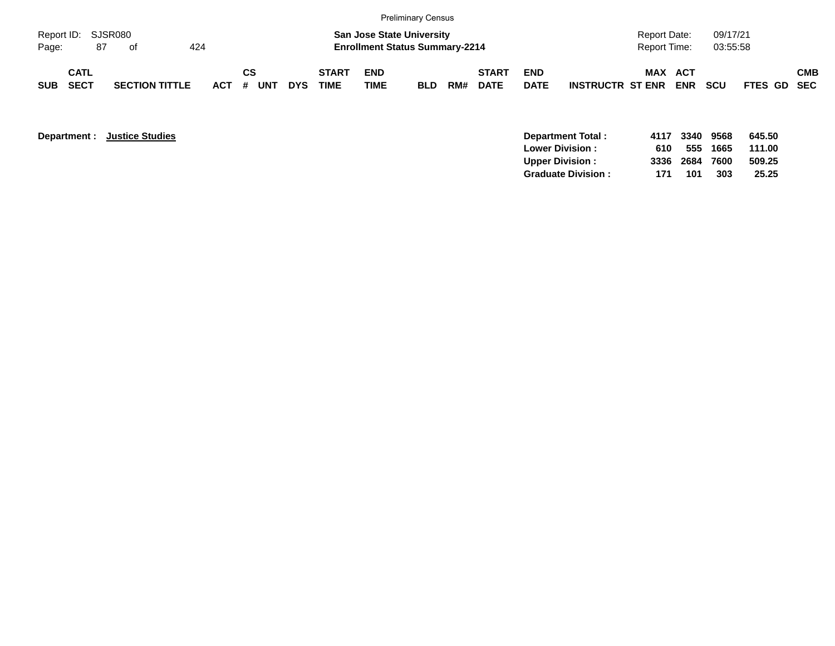|                             |                            |    |                       |     |           |    |            |                             |                    | <b>Preliminary Census</b>                                                 |     |                             |                           |                         |                                     |            |                      |             |            |
|-----------------------------|----------------------------|----|-----------------------|-----|-----------|----|------------|-----------------------------|--------------------|---------------------------------------------------------------------------|-----|-----------------------------|---------------------------|-------------------------|-------------------------------------|------------|----------------------|-------------|------------|
| Report ID: SJSR080<br>Page: |                            | 87 | of                    | 424 |           |    |            |                             |                    | <b>San Jose State University</b><br><b>Enrollment Status Summary-2214</b> |     |                             |                           |                         | <b>Report Date:</b><br>Report Time: |            | 09/17/21<br>03:55:58 |             |            |
| <b>SUB</b>                  | <b>CATL</b><br><b>SECT</b> |    | <b>SECTION TITTLE</b> |     | ACT # UNT | СS | <b>DYS</b> | <b>START</b><br><b>TIME</b> | <b>END</b><br>TIME | <b>BLD</b>                                                                | RM# | <b>START</b><br><b>DATE</b> | <b>END</b><br><b>DATE</b> | <b>INSTRUCTR ST ENR</b> | MAX ACT                             | <b>ENR</b> | <b>SCU</b>           | FTES GD SEC | <b>CMB</b> |

| <b>Department:</b> | <b>Justice Studies</b> | Department Total:         | 4117 | 3340 | 9568 | 645.50 |
|--------------------|------------------------|---------------------------|------|------|------|--------|
|                    |                        | <b>Lower Division:</b>    | 610  | 555  | 1665 | 111.00 |
|                    |                        | Upper Division:           | 3336 | 2684 | 7600 | 509.25 |
|                    |                        | <b>Graduate Division:</b> | 171  | 101  | 303  | 25.25  |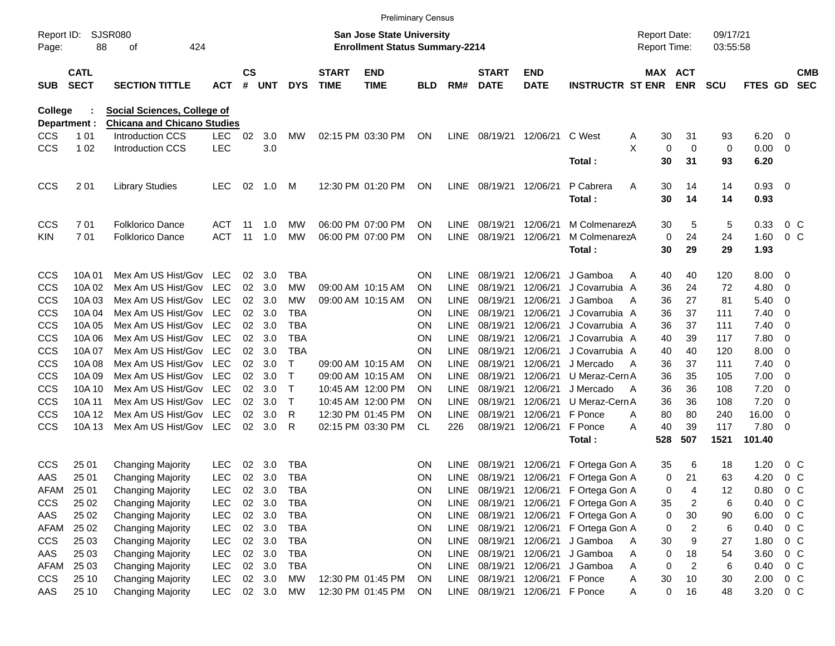|                     |                            |                                    |            |                    |            |            |                             | <b>Preliminary Census</b>                                                 |            |             |                             |                           |                         |                                     |                |                      |                |                          |                          |
|---------------------|----------------------------|------------------------------------|------------|--------------------|------------|------------|-----------------------------|---------------------------------------------------------------------------|------------|-------------|-----------------------------|---------------------------|-------------------------|-------------------------------------|----------------|----------------------|----------------|--------------------------|--------------------------|
| Report ID:<br>Page: | 88                         | <b>SJSR080</b><br>424<br>οf        |            |                    |            |            |                             | <b>San Jose State University</b><br><b>Enrollment Status Summary-2214</b> |            |             |                             |                           |                         | <b>Report Date:</b><br>Report Time: |                | 09/17/21<br>03:55:58 |                |                          |                          |
| <b>SUB</b>          | <b>CATL</b><br><b>SECT</b> | <b>SECTION TITTLE</b>              | <b>ACT</b> | $\mathsf{cs}$<br># | <b>UNT</b> | <b>DYS</b> | <b>START</b><br><b>TIME</b> | <b>END</b><br><b>TIME</b>                                                 | <b>BLD</b> | RM#         | <b>START</b><br><b>DATE</b> | <b>END</b><br><b>DATE</b> | <b>INSTRUCTR ST ENR</b> | MAX ACT                             | <b>ENR</b>     | <b>SCU</b>           | <b>FTES GD</b> |                          | <b>CMB</b><br><b>SEC</b> |
| <b>College</b>      |                            | <b>Social Sciences, College of</b> |            |                    |            |            |                             |                                                                           |            |             |                             |                           |                         |                                     |                |                      |                |                          |                          |
| Department :        |                            | <b>Chicana and Chicano Studies</b> |            |                    |            |            |                             |                                                                           |            |             |                             |                           |                         |                                     |                |                      |                |                          |                          |
| <b>CCS</b>          | 1 0 1                      | Introduction CCS                   | <b>LEC</b> | 02                 | 3.0        | МW         |                             | 02:15 PM 03:30 PM                                                         | ON         | LINE        | 08/19/21                    | 12/06/21                  | C West                  | 30<br>Α                             | 31             | 93                   | 6.20           | - 0                      |                          |
| <b>CCS</b>          | 1 0 2                      | Introduction CCS                   | <b>LEC</b> |                    | 3.0        |            |                             |                                                                           |            |             |                             |                           |                         | X<br>0                              | $\mathbf 0$    | 0                    | 0.00           | $\overline{\phantom{0}}$ |                          |
|                     |                            |                                    |            |                    |            |            |                             |                                                                           |            |             |                             |                           | Total:                  | 30                                  | 31             | 93                   | 6.20           |                          |                          |
| <b>CCS</b>          | 201                        | <b>Library Studies</b>             | <b>LEC</b> | 02                 | 1.0        | м          |                             | 12:30 PM 01:20 PM                                                         | ON         | <b>LINE</b> | 08/19/21 12/06/21           |                           | P Cabrera               | Α<br>30                             | 14             | 14                   | 0.93 0         |                          |                          |
|                     |                            |                                    |            |                    |            |            |                             |                                                                           |            |             |                             |                           | Total:                  | 30                                  | 14             | 14                   | 0.93           |                          |                          |
| <b>CCS</b>          | 701                        | <b>Folklorico Dance</b>            | ACT        | -11                | 1.0        | МW         |                             | 06:00 PM 07:00 PM                                                         | <b>ON</b>  | LINE        | 08/19/21                    | 12/06/21                  | M ColmenarezA           | 30                                  | 5              | 5                    | 0.33           | 0 <sup>o</sup>           |                          |
| <b>KIN</b>          | 701                        | <b>Folklorico Dance</b>            | <b>ACT</b> | 11                 | 1.0        | <b>MW</b>  |                             | 06:00 PM 07:00 PM                                                         | <b>ON</b>  | <b>LINE</b> | 08/19/21                    | 12/06/21                  | M ColmenarezA           | 0                                   | 24             | 24                   | 1.60           | 0 <sup>o</sup>           |                          |
|                     |                            |                                    |            |                    |            |            |                             |                                                                           |            |             |                             |                           | Total:                  | 30                                  | 29             | 29                   | 1.93           |                          |                          |
| <b>CCS</b>          | 10A 01                     | Mex Am US Hist/Gov LEC             |            | 02                 | 3.0        | TBA        |                             |                                                                           | <b>ON</b>  | LINE        | 08/19/21                    | 12/06/21                  | J Gamboa                | 40<br>Α                             | 40             | 120                  | 8.00           | $\overline{\phantom{0}}$ |                          |
| <b>CCS</b>          | 10A 02                     | Mex Am US Hist/Gov                 | <b>LEC</b> | 02                 | 3.0        | <b>MW</b>  |                             | 09:00 AM 10:15 AM                                                         | <b>ON</b>  | <b>LINE</b> | 08/19/21                    | 12/06/21                  | J Covarrubia A          | 36                                  | 24             | 72                   | 4.80           | $\overline{\mathbf{0}}$  |                          |
| <b>CCS</b>          | 10A03                      | Mex Am US Hist/Gov                 | <b>LEC</b> | 02                 | 3.0        | MW         |                             | 09:00 AM 10:15 AM                                                         | OΝ         | <b>LINE</b> | 08/19/21                    | 12/06/21                  | J Gamboa                | 36<br>A                             | 27             | 81                   | 5.40           | $\overline{\mathbf{0}}$  |                          |
| <b>CCS</b>          | 10A 04                     | Mex Am US Hist/Gov                 | LEC        | 02                 | 3.0        | TBA        |                             |                                                                           | <b>ON</b>  | <b>LINE</b> | 08/19/21                    | 12/06/21                  | J Covarrubia A          | 36                                  | 37             | 111                  | 7.40           | $\overline{\mathbf{0}}$  |                          |
| <b>CCS</b>          | 10A 05                     | Mex Am US Hist/Gov                 | <b>LEC</b> | 02                 | 3.0        | <b>TBA</b> |                             |                                                                           | <b>ON</b>  | <b>LINE</b> | 08/19/21                    | 12/06/21                  | J Covarrubia A          | 36                                  | 37             | 111                  | 7.40           | $\overline{\mathbf{0}}$  |                          |
| <b>CCS</b>          | 10A 06                     | Mex Am US Hist/Gov                 | <b>LEC</b> | 02                 | 3.0        | <b>TBA</b> |                             |                                                                           | <b>ON</b>  | <b>LINE</b> | 08/19/21                    | 12/06/21                  | J Covarrubia A          | 40                                  | 39             | 117                  | 7.80           | $\overline{\mathbf{0}}$  |                          |
| <b>CCS</b>          | 10A 07                     | Mex Am US Hist/Gov                 | <b>LEC</b> | 02                 | 3.0        | TBA        |                             |                                                                           | <b>ON</b>  | <b>LINE</b> | 08/19/21                    | 12/06/21                  | J Covarrubia A          | 40                                  | 40             | 120                  | 8.00           | $\overline{\mathbf{0}}$  |                          |
| <b>CCS</b>          | 10A 08                     | Mex Am US Hist/Gov                 | <b>LEC</b> | 02                 | 3.0        |            |                             | 09:00 AM 10:15 AM                                                         | ON         | <b>LINE</b> | 08/19/21                    | 12/06/21                  | J Mercado               | 36<br>A                             | 37             | 111                  | 7.40           | $\overline{\phantom{0}}$ |                          |
| <b>CCS</b>          | 10A 09                     | Mex Am US Hist/Gov                 | <b>LEC</b> | 02                 | 3.0        |            |                             | 09:00 AM 10:15 AM                                                         | <b>ON</b>  | <b>LINE</b> | 08/19/21                    | 12/06/21                  | U Meraz-Cern A          | 36                                  | 35             | 105                  | 7.00           | $\overline{\phantom{0}}$ |                          |
| <b>CCS</b>          | 10A 10                     | Mex Am US Hist/Gov                 | <b>LEC</b> | 02                 | 3.0        | Т          |                             | 10:45 AM 12:00 PM                                                         | <b>ON</b>  | <b>LINE</b> | 08/19/21                    | 12/06/21                  | J Mercado               | 36<br>$\mathsf{A}$                  | 36             | 108                  | 7.20           | 0                        |                          |
| <b>CCS</b>          | 10A 11                     | Mex Am US Hist/Gov                 | <b>LEC</b> | 02                 | 3.0        | Т          |                             | 10:45 AM 12:00 PM                                                         | <b>ON</b>  | <b>LINE</b> | 08/19/21                    | 12/06/21                  | U Meraz-Cern A          | 36                                  | 36             | 108                  | 7.20           | 0                        |                          |
| <b>CCS</b>          | 10A 12                     | Mex Am US Hist/Gov                 | <b>LEC</b> | 02                 | 3.0        | R          |                             | 12:30 PM 01:45 PM                                                         | <b>ON</b>  | <b>LINE</b> | 08/19/21                    | 12/06/21                  | F Ponce                 | 80<br>A                             | 80             | 240                  | 16.00          | 0                        |                          |
| <b>CCS</b>          | 10A 13                     | Mex Am US Hist/Gov                 | LEC        | 02                 | 3.0        | R          |                             | 02:15 PM 03:30 PM                                                         | CL         | 226         | 08/19/21                    | 12/06/21                  | F Ponce                 | 40<br>Α                             | 39             | 117                  | 7.80           | - 0                      |                          |
|                     |                            |                                    |            |                    |            |            |                             |                                                                           |            |             |                             |                           | Total:                  | 528                                 | 507            | 1521                 | 101.40         |                          |                          |
| <b>CCS</b>          | 25 01                      | <b>Changing Majority</b>           | <b>LEC</b> | 02                 | 3.0        | TBA        |                             |                                                                           | ON         | LINE        | 08/19/21                    | 12/06/21                  | F Ortega Gon A          | 35                                  | 6              | 18                   | 1.20           | 0 <sup>o</sup>           |                          |
| AAS                 | 25 01                      | <b>Changing Majority</b>           | LEC        |                    | 02 3.0     | <b>TBA</b> |                             |                                                                           | <b>ON</b>  | LINE        |                             | 08/19/21 12/06/21         | F Ortega Gon A          | 0                                   | 21             | 63                   | 4.20           | 0 <sup>o</sup>           |                          |
| AFAM                | 25 01                      | <b>Changing Majority</b>           | <b>LEC</b> | 02                 | 3.0        | TBA        |                             |                                                                           | ON         | LINE        |                             | 08/19/21 12/06/21         | F Ortega Gon A          | 0                                   | 4              | 12                   | 0.80           | 0 <sup>o</sup>           |                          |
| <b>CCS</b>          | 25 02                      | <b>Changing Majority</b>           | LEC        | 02                 | 3.0        | <b>TBA</b> |                             |                                                                           | ON         | LINE        | 08/19/21                    | 12/06/21                  | F Ortega Gon A          | 35                                  | 2              | 6                    | 0.40           | 0 <sup>o</sup>           |                          |
| AAS                 | 25 02                      | <b>Changing Majority</b>           | <b>LEC</b> | 02                 | 3.0        | <b>TBA</b> |                             |                                                                           | ON         | LINE        | 08/19/21                    | 12/06/21                  | F Ortega Gon A          | 0                                   | $30\,$         | 90                   | 6.00           | 0 <sup>o</sup>           |                          |
| AFAM                | 25 02                      | <b>Changing Majority</b>           | <b>LEC</b> | 02                 | 3.0        | <b>TBA</b> |                             |                                                                           | ON         | LINE        | 08/19/21                    | 12/06/21                  | F Ortega Gon A          | 0                                   | $\overline{c}$ | 6                    | 0.40           | 0 <sup>o</sup>           |                          |
| <b>CCS</b>          | 25 03                      | <b>Changing Majority</b>           | <b>LEC</b> | 02 <sub>o</sub>    | 3.0        | <b>TBA</b> |                             |                                                                           | ON         | LINE        | 08/19/21                    | 12/06/21                  | J Gamboa                | $30\,$<br>Α                         | 9              | 27                   | 1.80           | 0 <sup>o</sup>           |                          |
| AAS                 | 25 03                      | <b>Changing Majority</b>           | <b>LEC</b> |                    | 02 3.0     | <b>TBA</b> |                             |                                                                           | ON         | LINE        | 08/19/21                    | 12/06/21                  | J Gamboa                | 0<br>Α                              | 18             | 54                   | 3.60           | 0 <sup>o</sup>           |                          |
| AFAM                | 25 03                      | <b>Changing Majority</b>           | <b>LEC</b> |                    | 02 3.0     | <b>TBA</b> |                             |                                                                           | ON         | LINE        | 08/19/21                    | 12/06/21                  | J Gamboa                | 0<br>Α                              | $\overline{c}$ | 6                    | 0.40           | 0 <sup>o</sup>           |                          |
| <b>CCS</b>          | 25 10                      | <b>Changing Majority</b>           | LEC        |                    | 02 3.0     | MW         |                             | 12:30 PM 01:45 PM                                                         | ON         | <b>LINE</b> | 08/19/21                    | 12/06/21                  | F Ponce                 | $30\,$<br>Α                         | 10             | 30                   | 2.00           | 0 <sup>o</sup>           |                          |
| AAS                 | 25 10                      | <b>Changing Majority</b>           | <b>LEC</b> |                    | 02 3.0     | MW         |                             | 12:30 PM 01:45 PM                                                         | ON         | LINE        |                             | 08/19/21 12/06/21 F Ponce |                         | 0<br>Α                              | 16             | 48                   | 3.20           | $0\,C$                   |                          |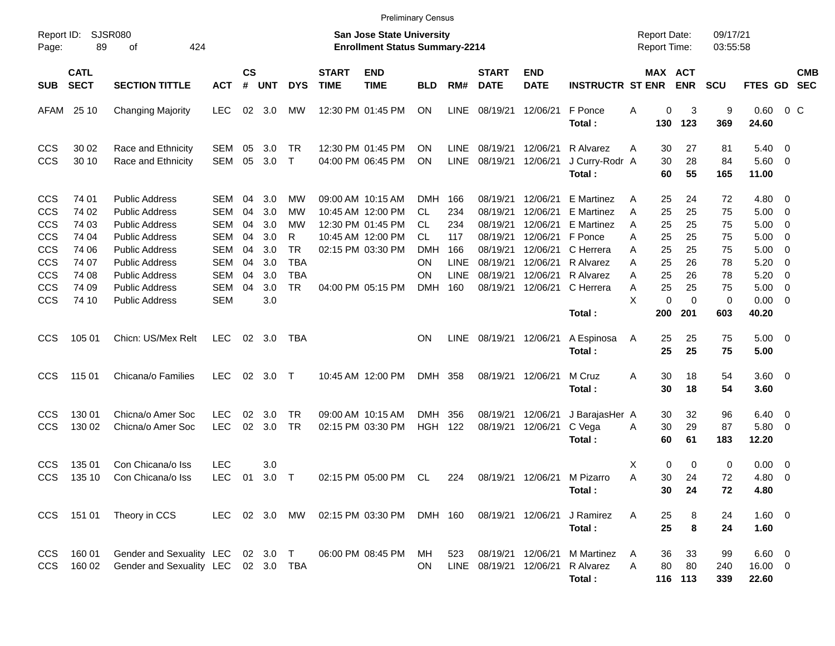|                                                                                  |                                                    |                                                                                                                                                                             |                                                                    |                                  |                                               |                                                              |                             | <b>Preliminary Census</b>                                                                             |                                                                       |                                         |                                                                      |                                                                      |                                                                                             |                            |                                            |                                  |                                  |                                                   |                                                                                                                                       |                          |
|----------------------------------------------------------------------------------|----------------------------------------------------|-----------------------------------------------------------------------------------------------------------------------------------------------------------------------------|--------------------------------------------------------------------|----------------------------------|-----------------------------------------------|--------------------------------------------------------------|-----------------------------|-------------------------------------------------------------------------------------------------------|-----------------------------------------------------------------------|-----------------------------------------|----------------------------------------------------------------------|----------------------------------------------------------------------|---------------------------------------------------------------------------------------------|----------------------------|--------------------------------------------|----------------------------------|----------------------------------|---------------------------------------------------|---------------------------------------------------------------------------------------------------------------------------------------|--------------------------|
| Report ID:<br>Page:                                                              | 89                                                 | <b>SJSR080</b><br>424<br>οf                                                                                                                                                 |                                                                    |                                  |                                               |                                                              |                             | <b>San Jose State University</b><br><b>Enrollment Status Summary-2214</b>                             |                                                                       |                                         |                                                                      |                                                                      |                                                                                             |                            | <b>Report Date:</b><br><b>Report Time:</b> |                                  | 09/17/21<br>03:55:58             |                                                   |                                                                                                                                       |                          |
| <b>SUB</b>                                                                       | <b>CATL</b><br><b>SECT</b>                         | <b>SECTION TITTLE</b>                                                                                                                                                       | <b>ACT</b>                                                         | <b>CS</b><br>#                   | <b>UNT</b>                                    | <b>DYS</b>                                                   | <b>START</b><br><b>TIME</b> | <b>END</b><br><b>TIME</b>                                                                             | <b>BLD</b>                                                            | RM#                                     | <b>START</b><br><b>DATE</b>                                          | <b>END</b><br><b>DATE</b>                                            | <b>INSTRUCTR ST ENR</b>                                                                     |                            | <b>MAX ACT</b>                             | <b>ENR</b>                       | <b>SCU</b>                       | <b>FTES GD</b>                                    |                                                                                                                                       | <b>CMB</b><br><b>SEC</b> |
| AFAM                                                                             | 25 10                                              | <b>Changing Majority</b>                                                                                                                                                    | <b>LEC</b>                                                         | 02                               | 3.0                                           | <b>MW</b>                                                    |                             | 12:30 PM 01:45 PM                                                                                     | ΟN                                                                    | LINE                                    | 08/19/21                                                             | 12/06/21                                                             | F Ponce<br>Total:                                                                           | Α                          | 0<br>130                                   | 3<br>123                         | 9<br>369                         | 0.60<br>24.60                                     | $0\,$ C                                                                                                                               |                          |
| <b>CCS</b><br><b>CCS</b>                                                         | 30 02<br>30 10                                     | Race and Ethnicity<br>Race and Ethnicity                                                                                                                                    | SEM<br>SEM                                                         | 05<br>05                         | 3.0<br>3.0                                    | TR<br>$\top$                                                 |                             | 12:30 PM 01:45 PM<br>04:00 PM 06:45 PM                                                                | ΟN<br>ΟN                                                              | <b>LINE</b><br>LINE                     | 08/19/21<br>08/19/21                                                 | 12/06/21<br>12/06/21                                                 | R Alvarez<br>J Curry-Rodr A<br>Total:                                                       | Α                          | 30<br>30<br>60                             | 27<br>28<br>55                   | 81<br>84<br>165                  | 5.40<br>$5.60$ 0<br>11.00                         | $\overline{\phantom{0}}$                                                                                                              |                          |
| <b>CCS</b><br><b>CCS</b><br><b>CCS</b><br><b>CCS</b><br><b>CCS</b><br><b>CCS</b> | 74 01<br>74 02<br>74 03<br>74 04<br>74 06<br>74 07 | <b>Public Address</b><br><b>Public Address</b><br><b>Public Address</b><br><b>Public Address</b><br><b>Public Address</b><br><b>Public Address</b><br><b>Public Address</b> | SEM<br><b>SEM</b><br>SEM<br><b>SEM</b><br><b>SEM</b><br><b>SEM</b> | 04<br>04<br>04<br>04<br>04<br>04 | 3.0<br>3.0<br>3.0<br>3.0<br>3.0<br>3.0<br>3.0 | МW<br>МW<br>МW<br>R<br><b>TR</b><br><b>TBA</b><br><b>TBA</b> |                             | 09:00 AM 10:15 AM<br>10:45 AM 12:00 PM<br>12:30 PM 01:45 PM<br>10:45 AM 12:00 PM<br>02:15 PM 03:30 PM | <b>DMH</b><br><b>CL</b><br><b>CL</b><br><b>CL</b><br><b>DMH</b><br>ΟN | 166<br>234<br>234<br>117<br>166<br>LINE | 08/19/21<br>08/19/21<br>08/19/21<br>08/19/21<br>08/19/21<br>08/19/21 | 12/06/21<br>12/06/21<br>12/06/21<br>12/06/21<br>12/06/21<br>12/06/21 | E Martinez<br><b>E</b> Martinez<br>E Martinez<br>12/06/21 F Ponce<br>C Herrera<br>R Alvarez | Α<br>A<br>A<br>Α<br>Α<br>A | 25<br>25<br>25<br>25<br>25<br>25           | 24<br>25<br>25<br>25<br>25<br>26 | 72<br>75<br>75<br>75<br>75<br>78 | $4.80\ 0$<br>5.00<br>5.00<br>5.00<br>5.00<br>5.20 | $\overline{\phantom{0}}$<br>$\overline{\phantom{0}}$<br>$\overline{\mathbf{0}}$<br>$\overline{\mathbf{0}}$<br>$\overline{\mathbf{0}}$ |                          |
| <b>CCS</b><br><b>CCS</b><br><b>CCS</b>                                           | 74 08<br>74 09<br>74 10                            | <b>Public Address</b><br><b>Public Address</b>                                                                                                                              | <b>SEM</b><br><b>SEM</b><br><b>SEM</b>                             | 04<br>04                         | 3.0<br>3.0                                    | <b>TR</b>                                                    |                             | 04:00 PM 05:15 PM                                                                                     | ΟN<br><b>DMH</b>                                                      | LINE<br>160                             | 08/19/21<br>08/19/21                                                 | 12/06/21                                                             | R Alvarez<br>C Herrera<br>Total:                                                            | Α<br>Α<br>X                | 25<br>25<br>$\pmb{0}$<br>200               | 26<br>25<br>$\Omega$<br>201      | 78<br>75<br>0<br>603             | 5.20<br>5.00<br>0.00<br>40.20                     | $\overline{\mathbf{0}}$<br>$\overline{\phantom{0}}$<br>$\overline{\phantom{0}}$                                                       |                          |
| <b>CCS</b>                                                                       | 105 01                                             | Chicn: US/Mex Relt                                                                                                                                                          | LEC                                                                |                                  | $02 \quad 3.0$                                | TBA                                                          |                             |                                                                                                       | ΟN                                                                    | LINE                                    | 08/19/21 12/06/21                                                    |                                                                      | A Espinosa<br>Total:                                                                        | A                          | 25<br>25                                   | 25<br>25                         | 75<br>75                         | $5.00 \t 0$<br>5.00                               |                                                                                                                                       |                          |
| <b>CCS</b>                                                                       | 115 01                                             | Chicana/o Families                                                                                                                                                          | <b>LEC</b>                                                         |                                  | 02 3.0                                        | $\top$                                                       |                             | 10:45 AM 12:00 PM                                                                                     | DMH 358                                                               |                                         | 08/19/21                                                             | 12/06/21                                                             | M Cruz<br>Total:                                                                            | Α                          | 30<br>30                                   | 18<br>18                         | 54<br>54                         | $3.60 \ 0$<br>3.60                                |                                                                                                                                       |                          |
| <b>CCS</b><br><b>CCS</b>                                                         | 130 01<br>130 02                                   | Chicna/o Amer Soc<br>Chicna/o Amer Soc                                                                                                                                      | <b>LEC</b><br><b>LEC</b>                                           | 02<br>02                         | 3.0<br>3.0                                    | <b>TR</b><br><b>TR</b>                                       |                             | 09:00 AM 10:15 AM<br>02:15 PM 03:30 PM                                                                | <b>DMH</b><br><b>HGH</b>                                              | 356<br>122                              | 08/19/21<br>08/19/21                                                 | 12/06/21<br>12/06/21                                                 | J BarajasHer A<br>C Vega<br>Total:                                                          | A                          | 30<br>30<br>60                             | 32<br>29<br>61                   | 96<br>87<br>183                  | $6.40 \quad 0$<br>5.80 0<br>12.20                 |                                                                                                                                       |                          |
| CCS<br><b>CCS</b>                                                                | 135 01<br>135 10                                   | Con Chicana/o Iss<br>Con Chicana/o Iss                                                                                                                                      | <b>LEC</b><br><b>LEC</b>                                           | 01                               | 3.0<br>3.0                                    | $\top$                                                       |                             | 02:15 PM 05:00 PM                                                                                     | CL                                                                    | 224                                     | 08/19/21                                                             | 12/06/21                                                             | M Pizarro<br>Total:                                                                         | х<br>Α                     | 0<br>30<br>30                              | 0<br>24<br>24                    | 0<br>72<br>72                    | $0.00 \t 0$<br>4.80<br>4.80                       | $\overline{\phantom{0}}$                                                                                                              |                          |
|                                                                                  |                                                    | CCS 151 01 Theory in CCS                                                                                                                                                    |                                                                    |                                  |                                               |                                                              |                             | LEC 02 3.0 MW 02:15 PM 03:30 PM DMH 160 08/19/21 12/06/21                                             |                                                                       |                                         |                                                                      |                                                                      | J Ramirez<br>Total:                                                                         | A                          | 25<br>25                                   | 8<br>$\pmb{8}$                   | 24<br>24                         | 1.60 0<br>1.60                                    |                                                                                                                                       |                          |
| <b>CCS</b><br><b>CCS</b>                                                         | 160 01<br>160 02                                   | Gender and Sexuality LEC 02 3.0 T<br>Gender and Sexuality LEC 02 3.0 TBA                                                                                                    |                                                                    |                                  |                                               |                                                              |                             | 06:00 PM 08:45 PM                                                                                     | МH<br>ON.                                                             | 523                                     | 08/19/21 12/06/21<br>LINE 08/19/21 12/06/21                          |                                                                      | M Martinez<br>R Alvarez<br>Total:                                                           | A<br>A                     | 36<br>80                                   | 33<br>80<br>116 113              | 99<br>240<br>339                 | $6.60$ 0<br>16.00 0<br>22.60                      |                                                                                                                                       |                          |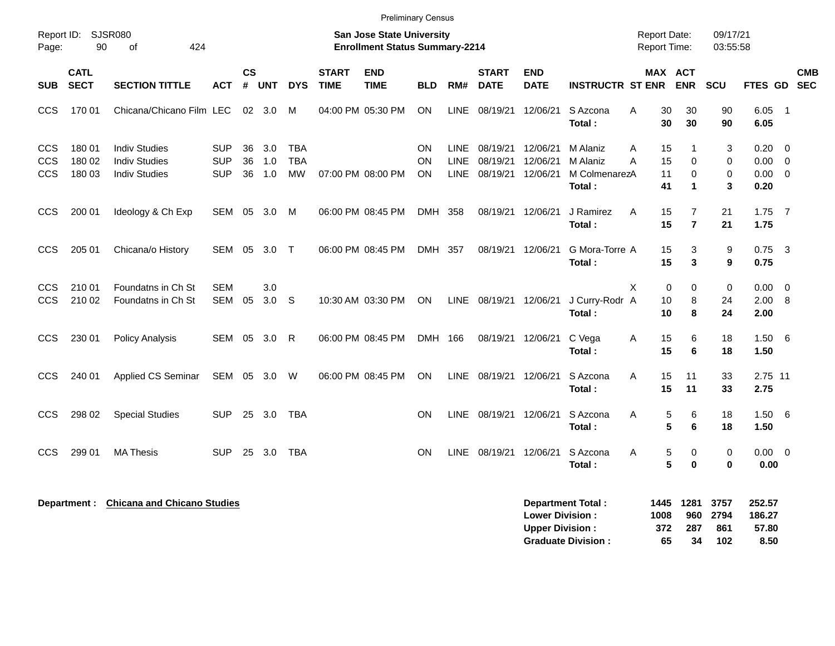|                                 |                            |                                                                      |                                        |                |                   |                                       |                             | <b>Preliminary Census</b>                                                 |                       |                                           |                                  |                                                  |                                                       |        |                                     |                                  |                            |                                   |                                                 |                          |
|---------------------------------|----------------------------|----------------------------------------------------------------------|----------------------------------------|----------------|-------------------|---------------------------------------|-----------------------------|---------------------------------------------------------------------------|-----------------------|-------------------------------------------|----------------------------------|--------------------------------------------------|-------------------------------------------------------|--------|-------------------------------------|----------------------------------|----------------------------|-----------------------------------|-------------------------------------------------|--------------------------|
| Page:                           | Report ID: SJSR080<br>90   | 424<br>of                                                            |                                        |                |                   |                                       |                             | <b>San Jose State University</b><br><b>Enrollment Status Summary-2214</b> |                       |                                           |                                  |                                                  |                                                       |        | Report Date:<br><b>Report Time:</b> |                                  | 09/17/21<br>03:55:58       |                                   |                                                 |                          |
| SUB.                            | <b>CATL</b><br><b>SECT</b> | <b>SECTION TITTLE</b>                                                | <b>ACT</b>                             | <b>CS</b><br># | <b>UNT</b>        | <b>DYS</b>                            | <b>START</b><br><b>TIME</b> | <b>END</b><br><b>TIME</b>                                                 | <b>BLD</b>            | RM#                                       | <b>START</b><br><b>DATE</b>      | <b>END</b><br><b>DATE</b>                        | <b>INSTRUCTR ST ENR</b>                               |        | MAX ACT                             | <b>ENR</b>                       | <b>SCU</b>                 | <b>FTES GD</b>                    |                                                 | <b>CMB</b><br><b>SEC</b> |
| <b>CCS</b>                      | 170 01                     | Chicana/Chicano Film LEC                                             |                                        |                | $02 \quad 3.0$    | M                                     |                             | 04:00 PM 05:30 PM                                                         | <b>ON</b>             | LINE                                      | 08/19/21                         | 12/06/21                                         | S Azcona<br>Total:                                    | Α      | 30<br>30                            | 30<br>30                         | 90<br>90                   | 6.05<br>6.05                      | $\overline{\phantom{0}}$ 1                      |                          |
| CCS<br><b>CCS</b><br><b>CCS</b> | 180 01<br>180 02<br>180 03 | <b>Indiv Studies</b><br><b>Indiv Studies</b><br><b>Indiv Studies</b> | <b>SUP</b><br><b>SUP</b><br><b>SUP</b> | 36<br>36<br>36 | 3.0<br>1.0<br>1.0 | <b>TBA</b><br><b>TBA</b><br><b>MW</b> |                             | 07:00 PM 08:00 PM                                                         | ON<br><b>ON</b><br>ON | <b>LINE</b><br><b>LINE</b><br><b>LINE</b> | 08/19/21<br>08/19/21<br>08/19/21 | 12/06/21<br>12/06/21<br>12/06/21                 | M Alaniz<br>M Alaniz<br>M ColmenarezA<br>Total:       | Α<br>A | 15<br>15<br>11<br>41                | -1<br>$\Omega$<br>$\Omega$<br>1  | 3<br>0<br>0<br>3           | 0.20<br>0.00<br>0.00<br>0.20      | $\overline{0}$<br>$\overline{0}$<br>$\mathbf 0$ |                          |
| <b>CCS</b>                      | 200 01                     | Ideology & Ch Exp                                                    | SEM                                    | 05             | 3.0               | M                                     | 06:00 PM 08:45 PM           |                                                                           | DMH 358               |                                           | 08/19/21                         | 12/06/21                                         | J Ramirez<br>Total:                                   | Α      | 15<br>15                            | $\overline{7}$<br>$\overline{7}$ | 21<br>21                   | 1.75<br>1.75                      | $\overline{7}$                                  |                          |
| <b>CCS</b>                      | 205 01                     | Chicana/o History                                                    | SEM 05                                 |                | 3.0               | $\top$                                |                             | 06:00 PM 08:45 PM                                                         | DMH 357               |                                           | 08/19/21                         | 12/06/21                                         | G Mora-Torre A<br>Total:                              |        | 15<br>15                            | 3<br>3                           | 9<br>9                     | $0.75$ 3<br>0.75                  |                                                 |                          |
| <b>CCS</b><br><b>CCS</b>        | 210 01<br>210 02           | Foundatns in Ch St<br>Foundatns in Ch St                             | <b>SEM</b><br>SEM                      | 05             | 3.0<br>3.0        | S                                     |                             | 10:30 AM 03:30 PM                                                         | ON                    | LINE                                      | 08/19/21 12/06/21                |                                                  | J Curry-Rodr A<br>Total:                              | X      | $\mathbf 0$<br>10<br>10             | 0<br>8<br>8                      | $\mathbf 0$<br>24<br>24    | 0.00<br>2.00<br>2.00              | $\mathbf 0$<br>8                                |                          |
| CCS                             | 230 01                     | <b>Policy Analysis</b>                                               | SEM                                    | 05             | 3.0               | R                                     |                             | 06:00 PM 08:45 PM                                                         | DMH 166               |                                           | 08/19/21                         | 12/06/21                                         | C Vega<br>Total:                                      | Α      | 15<br>15                            | 6<br>6                           | 18<br>18                   | 1.50<br>1.50                      | - 6                                             |                          |
| <b>CCS</b>                      | 240 01                     | Applied CS Seminar                                                   | SEM                                    |                | 05 3.0            | W                                     |                             | 06:00 PM 08:45 PM                                                         | ON                    | <b>LINE</b>                               | 08/19/21                         | 12/06/21                                         | S Azcona<br>Total:                                    | Α      | 15<br>15                            | 11<br>11                         | 33<br>33                   | 2.75 11<br>2.75                   |                                                 |                          |
| <b>CCS</b>                      | 298 02                     | <b>Special Studies</b>                                               | <b>SUP</b>                             |                | 25 3.0            | TBA                                   |                             |                                                                           | ON                    | <b>LINE</b>                               | 08/19/21                         | 12/06/21                                         | S Azcona<br>Total :                                   | Α      | 5<br>5                              | 6<br>6                           | 18<br>18                   | $1.50\ 6$<br>1.50                 |                                                 |                          |
| CCS                             | 299 01                     | <b>MA Thesis</b>                                                     | <b>SUP</b>                             | 25             | 3.0               | TBA                                   |                             |                                                                           | <b>ON</b>             | <b>LINE</b>                               | 08/19/21                         | 12/06/21                                         | S Azcona<br>Total:                                    | Α      | 5<br>5                              | 0<br>0                           | 0<br>$\mathbf 0$           | 0.00<br>0.00                      | $\overline{\mathbf{0}}$                         |                          |
|                                 |                            | Department : Chicana and Chicano Studies                             |                                        |                |                   |                                       |                             |                                                                           |                       |                                           |                                  | <b>Lower Division:</b><br><b>Upper Division:</b> | <b>Department Total:</b><br><b>Graduate Division:</b> |        | 1445<br>1008<br>372<br>65           | 1281<br>960<br>287<br>34         | 3757<br>2794<br>861<br>102 | 252.57<br>186.27<br>57.80<br>8.50 |                                                 |                          |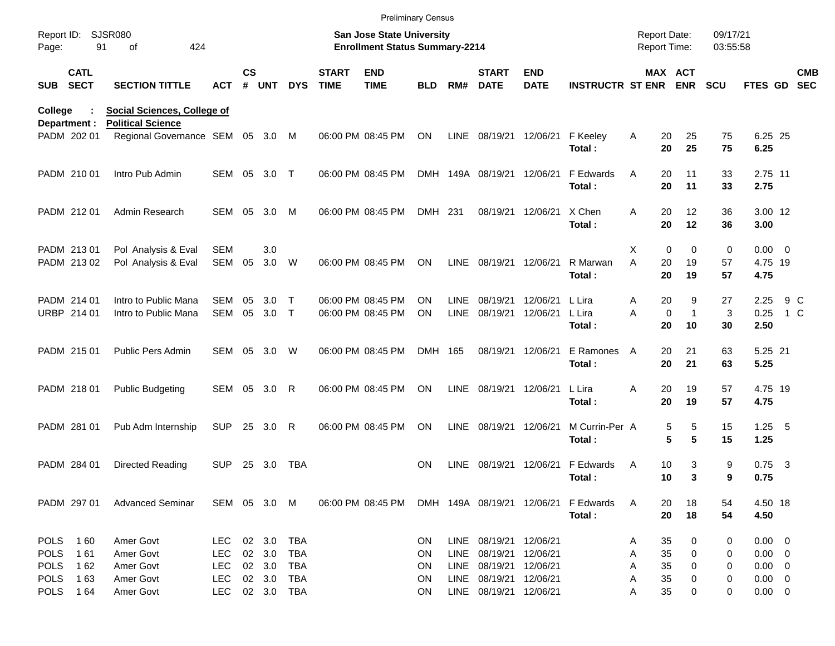|                     |                            |                                                                |                   |               |            |              |                             | <b>Preliminary Census</b>                                                 |            |                            |                             |                           |                             |                                            |                         |                      |                                |            |                          |
|---------------------|----------------------------|----------------------------------------------------------------|-------------------|---------------|------------|--------------|-----------------------------|---------------------------------------------------------------------------|------------|----------------------------|-----------------------------|---------------------------|-----------------------------|--------------------------------------------|-------------------------|----------------------|--------------------------------|------------|--------------------------|
| Report ID:<br>Page: |                            | <b>SJSR080</b><br>91<br>424<br>of                              |                   |               |            |              |                             | <b>San Jose State University</b><br><b>Enrollment Status Summary-2214</b> |            |                            |                             |                           |                             | <b>Report Date:</b><br><b>Report Time:</b> |                         | 09/17/21<br>03:55:58 |                                |            |                          |
| <b>SUB</b>          | <b>CATL</b><br><b>SECT</b> | <b>SECTION TITTLE</b>                                          | <b>ACT</b>        | $\mathsf{cs}$ | # UNT      | <b>DYS</b>   | <b>START</b><br><b>TIME</b> | <b>END</b><br><b>TIME</b>                                                 | <b>BLD</b> | RM#                        | <b>START</b><br><b>DATE</b> | <b>END</b><br><b>DATE</b> | <b>INSTRUCTR ST ENR ENR</b> |                                            | MAX ACT                 | <b>SCU</b>           | FTES GD                        |            | <b>CMB</b><br><b>SEC</b> |
| College             | Department :               | <b>Social Sciences, College of</b><br><b>Political Science</b> |                   |               |            |              |                             |                                                                           |            |                            |                             |                           |                             |                                            |                         |                      |                                |            |                          |
|                     | PADM 202 01                | Regional Governance SEM 05 3.0                                 |                   |               |            | M            |                             | 06:00 PM 08:45 PM                                                         | ON         | LINE                       | 08/19/21 12/06/21           |                           | F Keeley<br>Total:          | Α<br>20<br>20                              | 25<br>25                | 75<br>75             | 6.25 25<br>6.25                |            |                          |
|                     | PADM 210 01                | Intro Pub Admin                                                | SEM 05            |               | 3.0        | $\top$       |                             | 06:00 PM 08:45 PM                                                         |            |                            | DMH 149A 08/19/21 12/06/21  |                           | F Edwards<br>Total:         | 20<br>A<br>20                              | 11<br>11                | 33<br>33             | 2.75 11<br>2.75                |            |                          |
|                     | PADM 212 01                | Admin Research                                                 | SEM 05            |               | 3.0        | M            |                             | 06:00 PM 08:45 PM                                                         | DMH 231    |                            | 08/19/21 12/06/21           |                           | X Chen<br>Total:            | 20<br>A<br>20                              | 12<br>12                | 36<br>36             | 3.00 12<br>3.00                |            |                          |
|                     | PADM 213 01<br>PADM 213 02 | Pol Analysis & Eval<br>Pol Analysis & Eval                     | <b>SEM</b><br>SEM | 05            | 3.0<br>3.0 | W            |                             | 06:00 PM 08:45 PM                                                         | ON.        | LINE                       | 08/19/21 12/06/21           |                           | R Marwan<br>Total:          | Χ<br>0<br>A<br>20<br>20                    | $\Omega$<br>19<br>19    | 0<br>57<br>57        | $0.00 \t 0$<br>4.75 19<br>4.75 |            |                          |
|                     | PADM 214 01<br>URBP 214 01 | Intro to Public Mana<br>Intro to Public Mana                   | <b>SEM</b><br>SEM | 05<br>05      | 3.0<br>3.0 | Т<br>$\top$  |                             | 06:00 PM 08:45 PM<br>06:00 PM 08:45 PM                                    | ON<br>ON.  | <b>LINE</b><br><b>LINE</b> | 08/19/21<br>08/19/21        | 12/06/21<br>12/06/21      | L Lira<br>L Lira<br>Total:  | 20<br>A<br>A<br>$\mathbf 0$<br>20          | 9<br>$\mathbf{1}$<br>10 | 27<br>3<br>30        | 2.25<br>0.25<br>2.50           | 9 C<br>1 C |                          |
|                     | PADM 215 01                | Public Pers Admin                                              | SEM 05            |               | 3.0        | W            |                             | 06:00 PM 08:45 PM                                                         | DMH 165    |                            | 08/19/21 12/06/21           |                           | E Ramones<br>Total:         | 20<br>A<br>20                              | 21<br>21                | 63<br>63             | 5.25 21<br>5.25                |            |                          |
|                     | PADM 218 01                | <b>Public Budgeting</b>                                        | SEM 05            |               | 3.0        | R            |                             | 06:00 PM 08:45 PM                                                         | ON.        | LINE                       | 08/19/21 12/06/21           |                           | L Lira<br>Total:            | 20<br>Α<br>20                              | 19<br>19                | 57<br>57             | 4.75 19<br>4.75                |            |                          |
|                     | PADM 281 01                | Pub Adm Internship                                             | <b>SUP</b>        | 25            | 3.0        | $\mathsf{R}$ |                             | 06:00 PM 08:45 PM                                                         | ON         | <b>LINE</b>                | 08/19/21 12/06/21           |                           | M Currin-Per A<br>Total:    | 5<br>5                                     | 5<br>5                  | 15<br>15             | $1.25 - 5$<br>1.25             |            |                          |
|                     | PADM 284 01                | Directed Reading                                               | <b>SUP</b>        | 25            | 3.0        | TBA          |                             |                                                                           | ON.        | <b>LINE</b>                | 08/19/21 12/06/21           |                           | F Edwards<br>Total:         | A<br>10<br>10                              | 3<br>3                  | 9<br>9               | $0.75$ 3<br>0.75               |            |                          |
|                     | PADM 297 01                | <b>Advanced Seminar</b>                                        | SEM 05 3.0 M      |               |            |              |                             | 06:00 PM 08:45 PM DMH 149A 08/19/21 12/06/21                              |            |                            |                             |                           | F Edwards<br>Total:         | 20<br>A<br>20                              | 18<br>18                | 54<br>54             | 4.50 18<br>4.50                |            |                          |
|                     | POLS 160                   | Amer Govt                                                      | LEC.              |               | 02 3.0     | TBA          |                             |                                                                           | ON.        |                            | LINE 08/19/21 12/06/21      |                           |                             | 35<br>Α                                    | 0                       | 0                    | $0.00 \t 0$                    |            |                          |
| <b>POLS</b>         | 161                        | Amer Govt                                                      | <b>LEC</b>        |               | 02 3.0     | TBA          |                             |                                                                           | ON         | LINE                       | 08/19/21 12/06/21           |                           |                             | 35<br>Α                                    | 0                       | 0                    | $0.00 \t 0$                    |            |                          |
| <b>POLS</b>         | 162                        | Amer Govt                                                      | <b>LEC</b>        |               | 02 3.0     | TBA          |                             |                                                                           | ON         | LINE                       | 08/19/21 12/06/21           |                           |                             | 35<br>Α                                    | 0                       | 0                    | $0.00 \t 0$                    |            |                          |
| <b>POLS</b>         | 163                        | Amer Govt                                                      | <b>LEC</b>        |               | 02 3.0     | TBA          |                             |                                                                           | ON         | LINE                       | 08/19/21 12/06/21           |                           |                             | 35<br>Α                                    | 0                       | 0                    | $0.00 \t 0$                    |            |                          |
|                     | POLS 164                   | Amer Govt                                                      | <b>LEC</b>        |               | 02 3.0 TBA |              |                             |                                                                           | ON         |                            | LINE 08/19/21 12/06/21      |                           |                             | 35<br>Α                                    | 0                       | 0                    | $0.00 \t 0$                    |            |                          |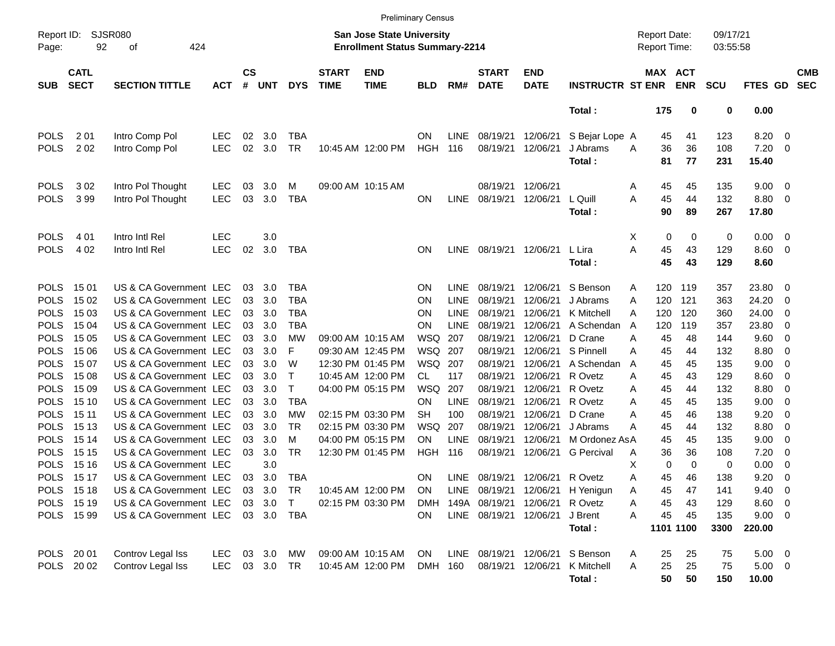|                           |                            |                        |               |                                                                    |            |            |                             | <b>Preliminary Census</b> |            |             |                             |                           |                                     |          |                       |            |                |                          |                          |
|---------------------------|----------------------------|------------------------|---------------|--------------------------------------------------------------------|------------|------------|-----------------------------|---------------------------|------------|-------------|-----------------------------|---------------------------|-------------------------------------|----------|-----------------------|------------|----------------|--------------------------|--------------------------|
| Report ID:<br>92<br>Page: |                            | SJSR080<br>424<br>оf   |               | San Jose State University<br><b>Enrollment Status Summary-2214</b> |            |            |                             |                           |            |             |                             |                           | <b>Report Date:</b><br>Report Time: |          | 09/17/21<br>03:55:58  |            |                |                          |                          |
| <b>SUB</b>                | <b>CATL</b><br><b>SECT</b> | <b>SECTION TITTLE</b>  | <b>ACT</b>    | $\mathsf{cs}$<br>#                                                 | <b>UNT</b> | <b>DYS</b> | <b>START</b><br><b>TIME</b> | <b>END</b><br><b>TIME</b> | <b>BLD</b> | RM#         | <b>START</b><br><b>DATE</b> | <b>END</b><br><b>DATE</b> | <b>INSTRUCTR ST ENR</b>             |          | MAX ACT<br><b>ENR</b> | <b>SCU</b> | <b>FTES GD</b> |                          | <b>CMB</b><br><b>SEC</b> |
|                           |                            |                        |               |                                                                    |            |            |                             |                           |            |             |                             |                           | Total:                              | 175      | 0                     | 0          | 0.00           |                          |                          |
| <b>POLS</b>               | 201                        | Intro Comp Pol         | <b>LEC</b>    | 02                                                                 | 3.0        | <b>TBA</b> |                             |                           | <b>ON</b>  | <b>LINE</b> | 08/19/21                    | 12/06/21                  | S Bejar Lope A                      |          | 45<br>41              | 123        | 8.20           | $\overline{\mathbf{0}}$  |                          |
| <b>POLS</b>               | 2 0 2                      | Intro Comp Pol         | <b>LEC</b>    | 02                                                                 | 3.0        | <b>TR</b>  |                             | 10:45 AM 12:00 PM         | HGH        | 116         | 08/19/21                    | 12/06/21                  | J Abrams                            | A        | 36<br>36              | 108        | 7.20           | - 0                      |                          |
|                           |                            |                        |               |                                                                    |            |            |                             |                           |            |             |                             |                           | Total:                              | 81       | 77                    | 231        | 15.40          |                          |                          |
| <b>POLS</b>               | 302                        | Intro Pol Thought      | LEC           | 03                                                                 | 3.0        | M          |                             | 09:00 AM 10:15 AM         |            |             | 08/19/21                    | 12/06/21                  |                                     | Α        | 45<br>45              | 135        | 9.00           | $\overline{\mathbf{0}}$  |                          |
| <b>POLS</b>               | 399                        | Intro Pol Thought      | <b>LEC</b>    | 03                                                                 | 3.0        | <b>TBA</b> |                             |                           | <b>ON</b>  | <b>LINE</b> | 08/19/21                    | 12/06/21                  | L Quill                             | Α        | 45<br>44              | 132        | 8.80           | $\overline{\mathbf{0}}$  |                          |
|                           |                            |                        |               |                                                                    |            |            |                             |                           |            |             |                             |                           | Total:                              |          | 90<br>89              | 267        | 17.80          |                          |                          |
| <b>POLS</b>               | 4 0 1                      | Intro Intl Rel         | <b>LEC</b>    |                                                                    | 3.0        |            |                             |                           |            |             |                             |                           |                                     | Х        | 0<br>0                | 0          | 0.00           | $\overline{\mathbf{0}}$  |                          |
| <b>POLS</b>               | 4 0 2                      | Intro Intl Rel         | LEC           | 02                                                                 | 3.0        | TBA        |                             |                           | <b>ON</b>  | <b>LINE</b> | 08/19/21                    | 12/06/21                  | L Lira                              | A        | 45<br>43              | 129        | 8.60           | $\overline{\mathbf{0}}$  |                          |
|                           |                            |                        |               |                                                                    |            |            |                             |                           |            |             |                             |                           | Total:                              |          | 45<br>43              | 129        | 8.60           |                          |                          |
| <b>POLS</b>               | 1501                       | US & CA Government LEC |               | 03                                                                 | 3.0        | TBA        |                             |                           | <b>ON</b>  | LINE        | 08/19/21                    | 12/06/21                  | S Benson                            | 120<br>A | 119                   | 357        | 23.80          | 0                        |                          |
| <b>POLS</b>               | 15 02                      | US & CA Government LEC |               | 03                                                                 | 3.0        | <b>TBA</b> |                             |                           | <b>ON</b>  | <b>LINE</b> | 08/19/21                    | 12/06/21                  | J Abrams                            | 120<br>Α | 121                   | 363        | 24.20          | 0                        |                          |
| <b>POLS</b>               | 15 03                      | US & CA Government LEC |               | 03                                                                 | 3.0        | <b>TBA</b> |                             |                           | <b>ON</b>  | <b>LINE</b> | 08/19/21                    | 12/06/21                  | K Mitchell                          | 120<br>A | 120                   | 360        | 24.00          | 0                        |                          |
| <b>POLS</b>               | 15 04                      | US & CA Government LEC |               | 03                                                                 | 3.0        | TBA        |                             |                           | <b>ON</b>  | <b>LINE</b> | 08/19/21                    | 12/06/21                  | A Schendan                          | 120<br>A | 119                   | 357        | 23.80          | 0                        |                          |
| <b>POLS</b>               | 15 05                      | US & CA Government LEC |               | 03                                                                 | 3.0        | МW         |                             | 09:00 AM 10:15 AM         | WSQ        | 207         | 08/19/21                    | 12/06/21                  | D Crane                             | 45<br>A  | 48                    | 144        | 9.60           | 0                        |                          |
| <b>POLS</b>               | 15 06                      | US & CA Government LEC |               | 03                                                                 | 3.0        | F          |                             | 09:30 AM 12:45 PM         | WSQ        | 207         | 08/19/21                    | 12/06/21                  | S Pinnell                           | 45<br>A  | 44                    | 132        | 8.80           | 0                        |                          |
| <b>POLS</b>               | 15 07                      | US & CA Government LEC |               | 03                                                                 | 3.0        | W          |                             | 12:30 PM 01:45 PM         | WSQ        | 207         | 08/19/21                    | 12/06/21                  | A Schendan                          | 45<br>A  | 45                    | 135        | 9.00           | 0                        |                          |
| <b>POLS</b>               | 15 08                      | US & CA Government LEC |               | 03                                                                 | 3.0        | Т          |                             | 10:45 AM 12:00 PM         | CL         | 117         | 08/19/21                    | 12/06/21                  | R Ovetz                             | 45<br>A  | 43                    | 129        | 8.60           | 0                        |                          |
| <b>POLS</b>               | 15 09                      | US & CA Government LEC |               | 03                                                                 | 3.0        | T          |                             | 04:00 PM 05:15 PM         | WSQ        | 207         | 08/19/21                    | 12/06/21                  | R Ovetz                             | 45<br>Α  | 44                    | 132        | 8.80           | 0                        |                          |
| <b>POLS</b>               | 15 10                      | US & CA Government LEC |               | 03                                                                 | 3.0        | <b>TBA</b> |                             |                           | <b>ON</b>  | <b>LINE</b> | 08/19/21                    | 12/06/21                  | R Ovetz                             | 45<br>A  | 45                    | 135        | 9.00           | 0                        |                          |
| <b>POLS</b>               | 15 11                      | US & CA Government LEC |               | 03                                                                 | 3.0        | МW         |                             | 02:15 PM 03:30 PM         | SН         | 100         | 08/19/21                    | 12/06/21                  | D Crane                             | 45<br>Α  | 46                    | 138        | 9.20           | 0                        |                          |
| <b>POLS</b>               | 15 13                      | US & CA Government LEC |               | 03                                                                 | 3.0        | <b>TR</b>  |                             | 02:15 PM 03:30 PM         | WSQ        | 207         | 08/19/21                    | 12/06/21                  | J Abrams                            | 45<br>Α  | 44                    | 132        | 8.80           | 0                        |                          |
| <b>POLS</b>               | 15 14                      | US & CA Government LEC |               | 03                                                                 | 3.0        | м          |                             | 04:00 PM 05:15 PM         | ON.        | <b>LINE</b> | 08/19/21                    | 12/06/21                  | M Ordonez AsA                       | 45       | 45                    | 135        | 9.00           | 0                        |                          |
| <b>POLS</b>               | 15 15                      | US & CA Government LEC |               | 03                                                                 | 3.0        | <b>TR</b>  |                             | 12:30 PM 01:45 PM         | HGH        | 116         | 08/19/21                    | 12/06/21                  | <b>G</b> Percival                   | Α        | 36<br>36              | 108        | 7.20           | 0                        |                          |
| POLS                      | 15 16                      | US & CA Government LEC |               |                                                                    | 3.0        |            |                             |                           |            |             |                             |                           |                                     | х        | 0<br>0                | 0          | 0.00           | 0                        |                          |
| POLS                      | 15 17                      | US & CA Government LEC |               | 03                                                                 | 3.0        | <b>TBA</b> |                             |                           | <b>ON</b>  | LINE.       |                             | 08/19/21 12/06/21 R Ovetz |                                     | Α        | 45<br>46              | 138        | 9.20           | 0                        |                          |
|                           | POLS 15 18                 | US & CA Government LEC |               |                                                                    | 03 3.0     | TR         |                             | 10:45 AM 12:00 PM         | ON         |             |                             |                           | LINE 08/19/21 12/06/21 H Yenigun    | A        | 47<br>45              | 141        | 9.40           | $\overline{\phantom{0}}$ |                          |
|                           | POLS 15 19                 | US & CA Government LEC |               |                                                                    | 03 3.0     | T          |                             | 02:15 PM 03:30 PM         | <b>DMH</b> |             | 149A 08/19/21               | 12/06/21                  | R Ovetz                             | Α        | 45<br>43              | 129        | 8.60 0         |                          |                          |
|                           | POLS 15 99                 | US & CA Government LEC |               |                                                                    | 03 3.0 TBA |            |                             |                           | ON         |             | LINE 08/19/21 12/06/21      |                           | J Brent                             | A        | 45<br>45              | 135        | $9.00 \t 0$    |                          |                          |
|                           |                            |                        |               |                                                                    |            |            |                             |                           |            |             |                             |                           | Total:                              |          | 1101 1100             | 3300       | 220.00         |                          |                          |
| POLS 2001                 |                            | Controv Legal Iss      | LEC           |                                                                    | 03 3.0     | MW         |                             | 09:00 AM 10:15 AM         | ON.        |             | LINE 08/19/21 12/06/21      |                           | S Benson                            | A        | 25<br>25              | 75         | $5.00 \t 0$    |                          |                          |
|                           | POLS 2002                  | Controv Legal Iss      | LEC 03 3.0 TR |                                                                    |            |            |                             | 10:45 AM 12:00 PM         | DMH 160    |             |                             | 08/19/21 12/06/21         | K Mitchell                          | Α        | 25<br>25              | 75         | $5.00 \t 0$    |                          |                          |
|                           |                            |                        |               |                                                                    |            |            |                             |                           |            |             |                             |                           | Total:                              |          | 50<br>50              | 150        | 10.00          |                          |                          |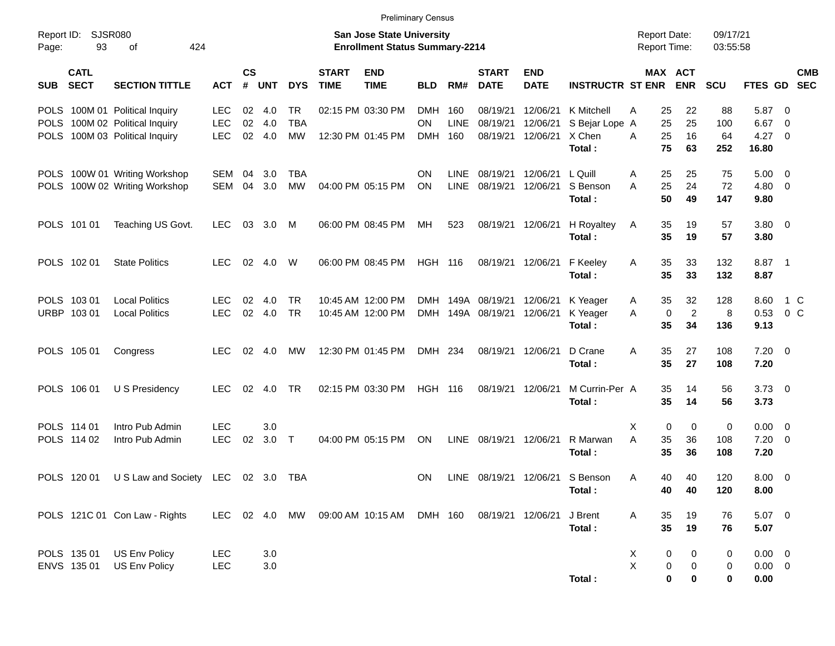| <b>Preliminary Census</b><br><b>Report Date:</b>         |                            |                                |               |                    |                                                                           |            |                             |                           |                |             |                             |                           |                            |   |                               |                      |                |                           |
|----------------------------------------------------------|----------------------------|--------------------------------|---------------|--------------------|---------------------------------------------------------------------------|------------|-----------------------------|---------------------------|----------------|-------------|-----------------------------|---------------------------|----------------------------|---|-------------------------------|----------------------|----------------|---------------------------|
| <b>SJSR080</b><br>Report ID:<br>93<br>424<br>οf<br>Page: |                            |                                |               |                    | <b>San Jose State University</b><br><b>Enrollment Status Summary-2214</b> |            |                             |                           |                |             |                             |                           |                            |   |                               | 09/17/21<br>03:55:58 |                |                           |
| <b>SUB</b>                                               | <b>CATL</b><br><b>SECT</b> | <b>SECTION TITTLE</b>          | <b>ACT</b>    | $\mathsf{cs}$<br># | <b>UNT</b>                                                                | <b>DYS</b> | <b>START</b><br><b>TIME</b> | <b>END</b><br><b>TIME</b> | <b>BLD</b>     | RM#         | <b>START</b><br><b>DATE</b> | <b>END</b><br><b>DATE</b> | <b>INSTRUCTR ST ENR</b>    |   | MAX ACT<br><b>ENR</b>         | <b>SCU</b>           |                | <b>CMB</b><br>FTES GD SEC |
|                                                          |                            | POLS 100M 01 Political Inquiry | <b>LEC</b>    |                    | $02 \quad 4.0$                                                            | TR         |                             | 02:15 PM 03:30 PM         | <b>DMH</b>     | 160         | 08/19/21                    | 12/06/21                  | K Mitchell                 | Α | 22<br>25                      | 88                   | 5.87           | - 0                       |
|                                                          |                            | POLS 100M 02 Political Inquiry | <b>LEC</b>    | 02                 | 4.0                                                                       | <b>TBA</b> |                             |                           | <b>ON</b>      | <b>LINE</b> | 08/19/21                    | 12/06/21                  | S Bejar Lope A             |   | 25<br>25                      | 100                  | 6.67           | 0                         |
|                                                          |                            | POLS 100M 03 Political Inquiry | LEC           |                    | 02 4.0                                                                    | <b>MW</b>  |                             | 12:30 PM 01:45 PM         | <b>DMH</b>     | 160         | 08/19/21                    | 12/06/21                  | X Chen<br>Total:           | А | 25<br>16<br>75<br>63          | 64<br>252            | 4.27<br>16.80  | $\overline{0}$            |
|                                                          |                            | POLS 100W 01 Writing Workshop  | SEM           | 04                 | 3.0                                                                       | <b>TBA</b> |                             |                           | ON             | <b>LINE</b> | 08/19/21                    | 12/06/21                  | L Quill                    | A | 25<br>25                      | 75                   | $5.00 \t 0$    |                           |
|                                                          |                            | POLS 100W 02 Writing Workshop  | SEM           | 04                 | 3.0                                                                       | <b>MW</b>  |                             | 04:00 PM 05:15 PM         | ON             | <b>LINE</b> | 08/19/21                    | 12/06/21                  | S Benson                   | A | 25<br>24                      | 72                   | $4.80\ 0$      |                           |
|                                                          |                            |                                |               |                    |                                                                           |            |                             |                           |                |             |                             |                           | Total:                     |   | 50<br>49                      | 147                  | 9.80           |                           |
|                                                          | POLS 101 01                | Teaching US Govt.              | <b>LEC</b>    | 03                 | 3.0                                                                       | M          |                             | 06:00 PM 08:45 PM         | МH             | 523         |                             | 08/19/21 12/06/21         | H Royaltey                 | A | 35<br>19                      | 57                   | $3.80\ 0$      |                           |
|                                                          |                            |                                |               |                    |                                                                           |            |                             |                           |                |             |                             |                           | Total:                     |   | 35<br>19                      | 57                   | 3.80           |                           |
|                                                          | POLS 102 01                | <b>State Politics</b>          | <b>LEC</b>    | 02                 | 4.0                                                                       | W          |                             | 06:00 PM 08:45 PM         | <b>HGH 116</b> |             |                             | 08/19/21 12/06/21         | F Keeley                   | Α | 35<br>33                      | 132                  | 8.87 1         |                           |
|                                                          |                            |                                |               |                    |                                                                           |            |                             |                           |                |             |                             |                           | Total:                     |   | 35<br>33                      | 132                  | 8.87           |                           |
|                                                          | POLS 103 01                | <b>Local Politics</b>          | <b>LEC</b>    | 02                 | 4.0                                                                       | TR         |                             | 10:45 AM 12:00 PM         | DMH            |             | 149A 08/19/21               | 12/06/21                  | K Yeager                   | A | 35<br>32                      | 128                  | 8.60           | 1 C                       |
|                                                          | URBP 103 01                | <b>Local Politics</b>          | <b>LEC</b>    | 02                 | 4.0                                                                       | <b>TR</b>  |                             | 10:45 AM 12:00 PM         | <b>DMH</b>     |             | 149A 08/19/21               | 12/06/21                  | K Yeager                   | A | $\overline{c}$<br>$\mathbf 0$ | 8                    | 0.53           | 0 <sup>o</sup>            |
|                                                          |                            |                                |               |                    |                                                                           |            |                             |                           |                |             |                             |                           | Total:                     |   | 35<br>34                      | 136                  | 9.13           |                           |
|                                                          | POLS 105 01                | Congress                       | <b>LEC</b>    |                    | 02 4.0                                                                    | МW         |                             | 12:30 PM 01:45 PM         | DMH 234        |             | 08/19/21                    | 12/06/21                  | D Crane                    | Α | 35<br>27                      | 108                  | $7.20 \t 0$    |                           |
|                                                          |                            |                                |               |                    |                                                                           |            |                             |                           |                |             |                             |                           | Total:                     |   | 35<br>27                      | 108                  | 7.20           |                           |
|                                                          | POLS 106 01                | U S Presidency                 | <b>LEC</b>    | 02                 | 4.0                                                                       | TR         |                             | 02:15 PM 03:30 PM         | <b>HGH 116</b> |             | 08/19/21                    | 12/06/21                  | M Currin-Per A             |   | 35<br>14                      | 56                   | $3.73 \quad 0$ |                           |
|                                                          |                            |                                |               |                    |                                                                           |            |                             |                           |                |             |                             |                           | Total:                     |   | 35<br>14                      | 56                   | 3.73           |                           |
|                                                          | POLS 114 01                | Intro Pub Admin                | <b>LEC</b>    |                    | 3.0                                                                       |            |                             |                           |                |             |                             |                           |                            | Х | 0<br>0                        | 0                    | $0.00 \t 0$    |                           |
|                                                          | POLS 114 02                | Intro Pub Admin                | <b>LEC</b>    | 02                 | 3.0                                                                       | $\top$     |                             | 04:00 PM 05:15 PM         | ON             | LINE        | 08/19/21                    | 12/06/21                  | R Marwan                   | A | 35<br>36                      | 108                  | 7.20           | $\overline{\phantom{0}}$  |
|                                                          |                            |                                |               |                    |                                                                           |            |                             |                           |                |             |                             |                           | Total:                     |   | 35<br>36                      | 108                  | 7.20           |                           |
|                                                          | POLS 120 01                | U S Law and Society LEC        |               |                    | 02 3.0                                                                    | TBA        |                             |                           | ON.            | LINE        |                             |                           | 08/19/21 12/06/21 S Benson | A | 40<br>40                      | 120                  | $8.00 \t 0$    |                           |
|                                                          |                            |                                |               |                    |                                                                           |            |                             |                           |                |             |                             |                           | Total:                     |   | 40<br>40                      | 120                  | 8.00           |                           |
|                                                          |                            | POLS 121C 01 Con Law - Rights  | LEC 02 4.0 MW |                    |                                                                           |            |                             | 09:00 AM 10:15 AM         | DMH 160        |             |                             | 08/19/21 12/06/21         | J Brent                    | Α | 35<br>19                      | 76                   | $5.07$ 0       |                           |
|                                                          |                            |                                |               |                    |                                                                           |            |                             |                           |                |             |                             |                           | Total:                     |   | 35<br>19                      | 76                   | 5.07           |                           |
|                                                          | POLS 135 01                | <b>US Env Policy</b>           | <b>LEC</b>    |                    | 3.0                                                                       |            |                             |                           |                |             |                             |                           |                            | X | 0<br>0                        | 0                    | $0.00 \t 0$    |                           |
|                                                          | ENVS 135 01                | <b>US Env Policy</b>           | LEC           |                    | 3.0                                                                       |            |                             |                           |                |             |                             |                           |                            | X | 0<br>0                        | 0                    | $0.00 \t 0$    |                           |
|                                                          |                            |                                |               |                    |                                                                           |            |                             |                           |                |             |                             |                           | Total:                     |   | 0<br>0                        | 0                    | 0.00           |                           |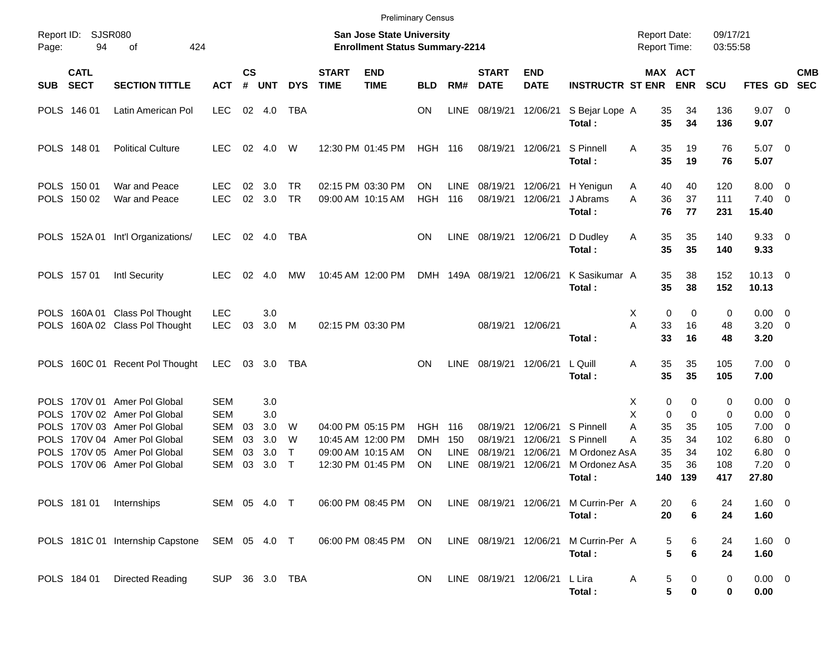|                                                                         |                            |                                                                                                                                                                     |                                                                                  |                       |                                        |                                  |                             | <b>Preliminary Census</b>                                                        |                                             |                                   |                                              |                                              |                                                          |                                     |                                |                                          |                                    |                                                     |                                                                                                                 |            |
|-------------------------------------------------------------------------|----------------------------|---------------------------------------------------------------------------------------------------------------------------------------------------------------------|----------------------------------------------------------------------------------|-----------------------|----------------------------------------|----------------------------------|-----------------------------|----------------------------------------------------------------------------------|---------------------------------------------|-----------------------------------|----------------------------------------------|----------------------------------------------|----------------------------------------------------------|-------------------------------------|--------------------------------|------------------------------------------|------------------------------------|-----------------------------------------------------|-----------------------------------------------------------------------------------------------------------------|------------|
| Page:                                                                   | Report ID: SJSR080<br>94   | 424<br>of                                                                                                                                                           |                                                                                  |                       |                                        |                                  |                             | <b>San Jose State University</b><br><b>Enrollment Status Summary-2214</b>        |                                             |                                   |                                              |                                              |                                                          | <b>Report Date:</b><br>Report Time: |                                |                                          | 09/17/21<br>03:55:58               |                                                     |                                                                                                                 |            |
| <b>SUB</b>                                                              | <b>CATL</b><br><b>SECT</b> | <b>SECTION TITTLE</b>                                                                                                                                               | <b>ACT</b>                                                                       | $\mathsf{cs}$<br>$\#$ | <b>UNT</b>                             | <b>DYS</b>                       | <b>START</b><br><b>TIME</b> | <b>END</b><br><b>TIME</b>                                                        | <b>BLD</b>                                  | RM#                               | <b>START</b><br><b>DATE</b>                  | <b>END</b><br><b>DATE</b>                    | <b>INSTRUCTR ST ENR</b>                                  | MAX ACT                             |                                | <b>ENR</b>                               | SCU                                | FTES GD SEC                                         |                                                                                                                 | <b>CMB</b> |
|                                                                         | POLS 146 01                | Latin American Pol                                                                                                                                                  | <b>LEC</b>                                                                       | 02                    | 4.0                                    | TBA                              |                             |                                                                                  | <b>ON</b>                                   | <b>LINE</b>                       | 08/19/21                                     | 12/06/21                                     | S Bejar Lope A<br>Total:                                 |                                     | 35<br>35                       | 34<br>34                                 | 136<br>136                         | $9.07$ 0<br>9.07                                    |                                                                                                                 |            |
|                                                                         | POLS 148 01                | <b>Political Culture</b>                                                                                                                                            | LEC.                                                                             | 02                    | 4.0                                    | W                                |                             | 12:30 PM 01:45 PM                                                                | <b>HGH 116</b>                              |                                   | 08/19/21 12/06/21                            |                                              | S Pinnell<br>Total:                                      | A                                   | 35<br>35                       | 19<br>19                                 | 76<br>76                           | $5.07$ 0<br>5.07                                    |                                                                                                                 |            |
|                                                                         | POLS 150 01<br>POLS 150 02 | War and Peace<br>War and Peace                                                                                                                                      | <b>LEC</b><br><b>LEC</b>                                                         | 02<br>02              | 3.0<br>3.0                             | <b>TR</b><br><b>TR</b>           |                             | 02:15 PM 03:30 PM<br>09:00 AM 10:15 AM                                           | <b>ON</b><br><b>HGH</b>                     | <b>LINE</b><br>116                | 08/19/21<br>08/19/21                         | 12/06/21<br>12/06/21                         | H Yenigun<br>J Abrams<br>Total:                          | A<br>A                              | 40<br>36<br>76                 | 40<br>37<br>77                           | 120<br>111<br>231                  | $8.00 \t 0$<br>$7.40 \ 0$<br>15.40                  |                                                                                                                 |            |
|                                                                         |                            | POLS 152A 01 Int'l Organizations/                                                                                                                                   | <b>LEC</b>                                                                       | 02                    | 4.0                                    | TBA                              |                             |                                                                                  | <b>ON</b>                                   | LINE                              | 08/19/21                                     | 12/06/21                                     | D Dudley<br>Total:                                       | Α                                   | 35<br>35                       | 35<br>35                                 | 140<br>140                         | 9.3300<br>9.33                                      |                                                                                                                 |            |
|                                                                         | POLS 157 01                | <b>Intl Security</b>                                                                                                                                                | <b>LEC</b>                                                                       | 02                    | 4.0                                    | MW                               |                             | 10:45 AM 12:00 PM                                                                |                                             |                                   | DMH 149A 08/19/21                            | 12/06/21                                     | K Sasikumar A<br>Total:                                  |                                     | 35<br>35                       | 38<br>38                                 | 152<br>152                         | $10.13 \t 0$<br>10.13                               |                                                                                                                 |            |
| <b>POLS</b>                                                             |                            | POLS 160A 01 Class Pol Thought<br>160A 02 Class Pol Thought                                                                                                         | <b>LEC</b><br><b>LEC</b>                                                         | 03                    | 3.0<br>3.0                             | M                                |                             | 02:15 PM 03:30 PM                                                                |                                             |                                   | 08/19/21 12/06/21                            |                                              | Total:                                                   | Χ<br>A                              | 0<br>33<br>33                  | $\mathbf 0$<br>16<br>16                  | 0<br>48<br>48                      | $0.00 \t 0$<br>$3.20 \ 0$<br>3.20                   |                                                                                                                 |            |
|                                                                         |                            | POLS 160C 01 Recent Pol Thought                                                                                                                                     | <b>LEC</b>                                                                       | 03                    | 3.0                                    | TBA                              |                             |                                                                                  | <b>ON</b>                                   | <b>LINE</b>                       | 08/19/21 12/06/21                            |                                              | L Quill<br>Total:                                        | A                                   | 35<br>35                       | 35<br>35                                 | 105<br>105                         | $7.00 \t 0$<br>7.00                                 |                                                                                                                 |            |
| <b>POLS</b><br><b>POLS</b><br><b>POLS</b><br><b>POLS</b><br><b>POLS</b> |                            | POLS 170V 01 Amer Pol Global<br>170V 02 Amer Pol Global<br>170V 03 Amer Pol Global<br>170V 04 Amer Pol Global<br>170V 05 Amer Pol Global<br>170V 06 Amer Pol Global | <b>SEM</b><br><b>SEM</b><br><b>SEM</b><br><b>SEM</b><br><b>SEM</b><br><b>SEM</b> | 03<br>03<br>03<br>03  | 3.0<br>3.0<br>3.0<br>3.0<br>3.0<br>3.0 | W<br>W<br>$\top$<br>$\mathsf{T}$ |                             | 04:00 PM 05:15 PM<br>10:45 AM 12:00 PM<br>09:00 AM 10:15 AM<br>12:30 PM 01:45 PM | <b>HGH</b><br><b>DMH</b><br><b>ON</b><br>ON | 116<br>150<br>LINE<br><b>LINE</b> | 08/19/21<br>08/19/21<br>08/19/21<br>08/19/21 | 12/06/21<br>12/06/21<br>12/06/21<br>12/06/21 | S Pinnell<br>S Pinnell<br>M Ordonez AsA<br>M Ordonez AsA | Χ<br>X<br>Α<br>Α                    | 0<br>0<br>35<br>35<br>35<br>35 | 0<br>$\mathbf 0$<br>35<br>34<br>34<br>36 | 0<br>0<br>105<br>102<br>102<br>108 | $0.00 \t 0$<br>0.00<br>7.00<br>6.80<br>6.80<br>7.20 | $\overline{\mathbf{0}}$<br>$\overline{\mathbf{0}}$<br>$\overline{\mathbf{0}}$<br>$\overline{\mathbf{0}}$<br>- 0 |            |
|                                                                         |                            | POLS 181 01 Internships                                                                                                                                             | SEM 05 4.0 T                                                                     |                       |                                        |                                  |                             | 06:00 PM 08:45 PM                                                                | ON                                          |                                   | LINE 08/19/21 12/06/21                       |                                              | Total:<br>M Currin-Per A<br>Total:                       |                                     | 140<br>20<br>20                | 139<br>6<br>6                            | 417<br>24<br>24                    | 27.80<br>1.60 0<br>1.60                             |                                                                                                                 |            |
|                                                                         |                            | POLS 181C 01 Internship Capstone SEM 05 4.0 T                                                                                                                       |                                                                                  |                       |                                        |                                  |                             | 06:00 PM 08:45 PM                                                                | ON                                          |                                   | LINE 08/19/21 12/06/21                       |                                              | M Currin-Per A<br>Total:                                 |                                     | 5<br>5                         | 6<br>$\bf 6$                             | 24<br>24                           | 1.60 0<br>1.60                                      |                                                                                                                 |            |
|                                                                         | POLS 184 01                | <b>Directed Reading</b>                                                                                                                                             | SUP 36 3.0 TBA                                                                   |                       |                                        |                                  |                             |                                                                                  | ON                                          |                                   | LINE 08/19/21 12/06/21                       |                                              | L Lira<br>Total:                                         | Α                                   | 5<br>5                         | 0<br>0                                   | 0<br>0                             | $0.00 \t 0$<br>0.00                                 |                                                                                                                 |            |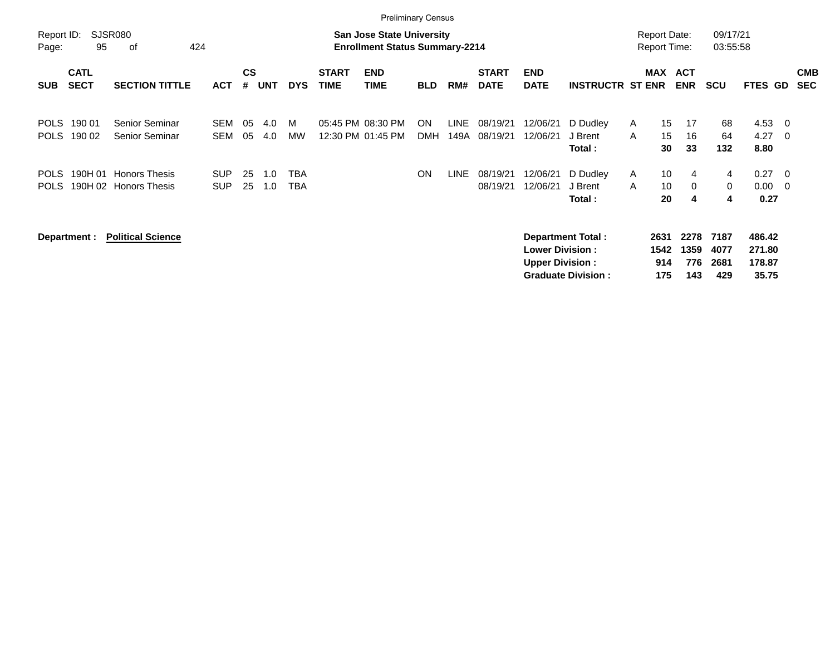|                            |                            |                                               |                          |                    |            |                          |                             | <b>Preliminary Census</b>                                                 |                  |                     |                             |                                                  |                                                       |        |                                            |                            |                             |                                     |                                           |                          |
|----------------------------|----------------------------|-----------------------------------------------|--------------------------|--------------------|------------|--------------------------|-----------------------------|---------------------------------------------------------------------------|------------------|---------------------|-----------------------------|--------------------------------------------------|-------------------------------------------------------|--------|--------------------------------------------|----------------------------|-----------------------------|-------------------------------------|-------------------------------------------|--------------------------|
| Report ID:<br>Page:        | 95                         | <b>SJSR080</b><br>424<br>οf                   |                          |                    |            |                          |                             | <b>San Jose State University</b><br><b>Enrollment Status Summary-2214</b> |                  |                     |                             |                                                  |                                                       |        | <b>Report Date:</b><br><b>Report Time:</b> |                            | 09/17/21<br>03:55:58        |                                     |                                           |                          |
| <b>SUB</b>                 | <b>CATL</b><br><b>SECT</b> | <b>SECTION TITTLE</b>                         | <b>ACT</b>               | $\mathsf{cs}$<br># | <b>UNT</b> | <b>DYS</b>               | <b>START</b><br><b>TIME</b> | <b>END</b><br><b>TIME</b>                                                 | <b>BLD</b>       | RM#                 | <b>START</b><br><b>DATE</b> | <b>END</b><br><b>DATE</b>                        | <b>INSTRUCTR ST ENR</b>                               |        | MAX                                        | <b>ACT</b><br><b>ENR</b>   | <b>SCU</b>                  | FTES GD                             |                                           | <b>CMB</b><br><b>SEC</b> |
| <b>POLS</b><br><b>POLS</b> | 190 01<br>190 02           | Senior Seminar<br><b>Senior Seminar</b>       | <b>SEM</b><br>SEM        | 05<br>05           | 4.0<br>4.0 | M<br><b>MW</b>           | 05:45 PM 08:30 PM           | 12:30 PM 01:45 PM                                                         | ON<br><b>DMH</b> | <b>LINE</b><br>149A | 08/19/21<br>08/19/21        | 12/06/21<br>12/06/21                             | D Dudley<br>J Brent<br>Total:                         | A<br>A | 15<br>15<br>30                             | 17<br>16<br>33             | 68<br>64<br>132             | 4.53<br>4.27<br>8.80                | - 0<br>$\overline{0}$                     |                          |
| <b>POLS</b><br><b>POLS</b> | 190H 01                    | <b>Honors Thesis</b><br>190H 02 Honors Thesis | <b>SUP</b><br><b>SUP</b> | 25<br>25           | 1.0<br>1.0 | <b>TBA</b><br><b>TBA</b> |                             |                                                                           | <b>ON</b>        | <b>LINE</b>         | 08/19/21<br>08/19/21        | 12/06/21<br>12/06/21                             | D Dudley<br>J Brent<br>Total:                         | A<br>A | 10<br>10<br>20                             | 4<br>0<br>4                | 4<br>$\mathbf 0$<br>4       | 0.27<br>0.00<br>0.27                | $\overline{0}$<br>$\overline{\mathbf{0}}$ |                          |
|                            | Department :               | <b>Political Science</b>                      |                          |                    |            |                          |                             |                                                                           |                  |                     |                             | <b>Lower Division:</b><br><b>Upper Division:</b> | <b>Department Total:</b><br><b>Graduate Division:</b> |        | 2631<br>1542<br>914<br>175                 | 2278<br>1359<br>776<br>143 | 7187<br>4077<br>2681<br>429 | 486.42<br>271.80<br>178.87<br>35.75 |                                           |                          |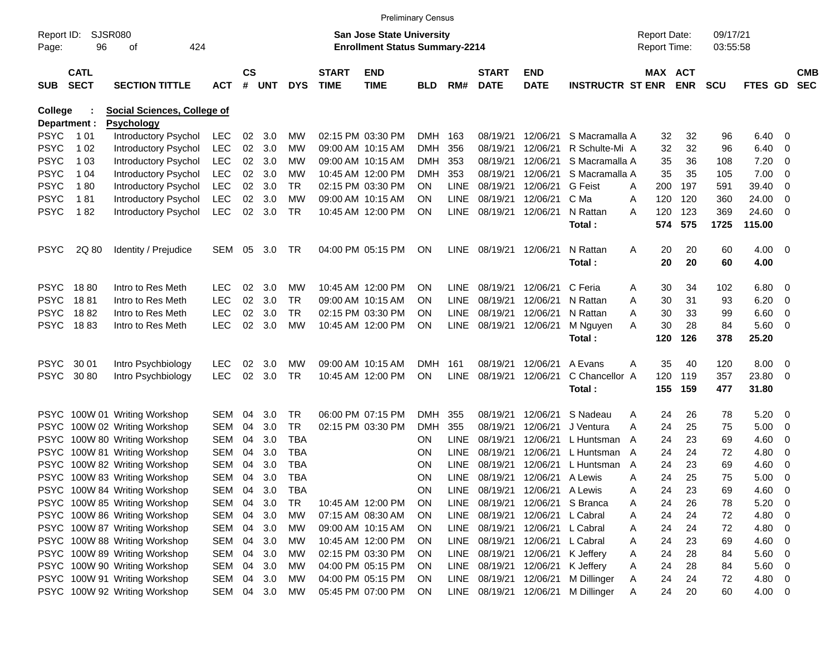|                |                            |                                    |            |                    |            |            |                                       | <b>Preliminary Census</b>        |            |             |                             |                                |                         |              |                     |            |            |             |                          |                          |
|----------------|----------------------------|------------------------------------|------------|--------------------|------------|------------|---------------------------------------|----------------------------------|------------|-------------|-----------------------------|--------------------------------|-------------------------|--------------|---------------------|------------|------------|-------------|--------------------------|--------------------------|
| Report ID:     |                            | <b>SJSR080</b>                     |            |                    |            |            |                                       | <b>San Jose State University</b> |            |             |                             |                                |                         |              | <b>Report Date:</b> |            | 09/17/21   |             |                          |                          |
| Page:          | 96                         | 424                                |            |                    |            |            | <b>Enrollment Status Summary-2214</b> |                                  |            |             |                             |                                |                         | Report Time: |                     | 03:55:58   |            |             |                          |                          |
| <b>SUB</b>     | <b>CATL</b><br><b>SECT</b> | <b>SECTION TITTLE</b>              | <b>ACT</b> | $\mathsf{cs}$<br># | <b>UNT</b> | <b>DYS</b> | <b>START</b><br><b>TIME</b>           | <b>END</b><br><b>TIME</b>        | <b>BLD</b> | RM#         | <b>START</b><br><b>DATE</b> | <b>END</b><br><b>DATE</b>      | <b>INSTRUCTR ST ENR</b> |              | MAX ACT             | <b>ENR</b> | <b>SCU</b> | FTES GD     |                          | <b>CMB</b><br><b>SEC</b> |
| <b>College</b> |                            | <b>Social Sciences, College of</b> |            |                    |            |            |                                       |                                  |            |             |                             |                                |                         |              |                     |            |            |             |                          |                          |
| Department :   |                            | <b>Psychology</b>                  |            |                    |            |            |                                       |                                  |            |             |                             |                                |                         |              |                     |            |            |             |                          |                          |
| <b>PSYC</b>    | 1 0 1                      | <b>Introductory Psychol</b>        | <b>LEC</b> | 02                 | 3.0        | МW         |                                       | 02:15 PM 03:30 PM                | <b>DMH</b> | 163         | 08/19/21                    | 12/06/21                       | S Macramalla A          |              | 32                  | 32         | 96         | 6.40        | - 0                      |                          |
| <b>PSYC</b>    | 1 0 2                      | Introductory Psychol               | <b>LEC</b> | $02\,$             | 3.0        | МW         |                                       | 09:00 AM 10:15 AM                | <b>DMH</b> | 356         | 08/19/21                    | 12/06/21                       | R Schulte-Mi A          |              | 32                  | 32         | 96         | 6.40        | 0                        |                          |
| <b>PSYC</b>    | 1 0 3                      | Introductory Psychol               | <b>LEC</b> | $02\,$             | 3.0        | МW         |                                       | 09:00 AM 10:15 AM                | <b>DMH</b> | 353         | 08/19/21                    | 12/06/21                       | S Macramalla A          |              | 35                  | 36         | 108        | 7.20        | 0                        |                          |
| <b>PSYC</b>    | 1 0 4                      | Introductory Psychol               | <b>LEC</b> | 02                 | 3.0        | МW         |                                       | 10:45 AM 12:00 PM                | <b>DMH</b> | 353         | 08/19/21                    | 12/06/21                       | S Macramalla A          |              | 35                  | 35         | 105        | 7.00        | - 0                      |                          |
| <b>PSYC</b>    | 180                        | Introductory Psychol               | <b>LEC</b> | 02                 | 3.0        | TR         |                                       | 02:15 PM 03:30 PM                | ON.        | <b>LINE</b> | 08/19/21                    | 12/06/21                       | <b>G</b> Feist          | A            | 200                 | 197        | 591        | 39.40       | 0                        |                          |
| <b>PSYC</b>    | 181                        | Introductory Psychol               | <b>LEC</b> | 02                 | 3.0        | МW         |                                       | 09:00 AM 10:15 AM                | <b>ON</b>  | <b>LINE</b> | 08/19/21                    | 12/06/21                       | C Ma                    | Α            | 120                 | 120        | 360        | 24.00       | 0                        |                          |
| <b>PSYC</b>    | 182                        | Introductory Psychol               | <b>LEC</b> | 02                 | 3.0        | <b>TR</b>  |                                       | 10:45 AM 12:00 PM                | <b>ON</b>  | <b>LINE</b> | 08/19/21                    | 12/06/21                       | N Rattan                | A            | 120                 | 123        | 369        | 24.60       | - 0                      |                          |
|                |                            |                                    |            |                    |            |            |                                       |                                  |            |             |                             |                                | Total:                  |              | 574                 | 575        | 1725       | 115.00      |                          |                          |
| <b>PSYC</b>    | 2Q 80                      | Identity / Prejudice               | SEM        | 05                 | 3.0        | TR         |                                       | 04:00 PM 05:15 PM                | ON         |             | LINE 08/19/21               | 12/06/21                       | N Rattan                | Α            | 20                  | 20         | 60         | $4.00 \ 0$  |                          |                          |
|                |                            |                                    |            |                    |            |            |                                       |                                  |            |             |                             |                                | Total:                  |              | 20                  | 20         | 60         | 4.00        |                          |                          |
|                |                            |                                    |            |                    |            |            |                                       |                                  |            |             |                             |                                |                         |              |                     |            |            |             |                          |                          |
| <b>PSYC</b>    | 1880                       | Intro to Res Meth                  | LEC        | 02                 | 3.0        | МW         |                                       | 10:45 AM 12:00 PM                | <b>ON</b>  | LINE        | 08/19/21                    | 12/06/21                       | C Feria                 | A            | 30                  | 34         | 102        | 6.80        | - 0                      |                          |
| <b>PSYC</b>    | 1881                       | Intro to Res Meth                  | <b>LEC</b> | 02                 | 3.0        | <b>TR</b>  |                                       | 09:00 AM 10:15 AM                | <b>ON</b>  | <b>LINE</b> | 08/19/21                    | 12/06/21                       | N Rattan                | A            | 30                  | 31         | 93         | 6.20        | - 0                      |                          |
| <b>PSYC</b>    | 1882                       | Intro to Res Meth                  | <b>LEC</b> | 02                 | 3.0        | TR.        |                                       | 02:15 PM 03:30 PM                | <b>ON</b>  | <b>LINE</b> | 08/19/21                    | 12/06/21                       | N Rattan                | A            | 30                  | 33         | 99         | 6.60        | 0                        |                          |
| <b>PSYC</b>    | 1883                       | Intro to Res Meth                  | <b>LEC</b> | 02                 | 3.0        | <b>MW</b>  |                                       | 10:45 AM 12:00 PM                | <b>ON</b>  | LINE        | 08/19/21                    | 12/06/21                       | M Nguyen                | A            | 30                  | 28         | 84         | 5.60        | - 0                      |                          |
|                |                            |                                    |            |                    |            |            |                                       |                                  |            |             |                             |                                | Total:                  |              | 120                 | 126        | 378        | 25.20       |                          |                          |
| <b>PSYC</b>    | 30 01                      | Intro Psychbiology                 | <b>LEC</b> | 02                 | 3.0        | МW         |                                       | 09:00 AM 10:15 AM                | <b>DMH</b> | 161         | 08/19/21                    | 12/06/21                       | A Evans                 | A            | 35                  | 40         | 120        | 8.00        | - 0                      |                          |
| <b>PSYC</b>    | 30 80                      | Intro Psychbiology                 | <b>LEC</b> | 02                 | 3.0        | <b>TR</b>  |                                       | 10:45 AM 12:00 PM                | ON         | <b>LINE</b> | 08/19/21                    | 12/06/21                       | C Chancellor A          |              | 120                 | 119        | 357        | 23.80       | - 0                      |                          |
|                |                            |                                    |            |                    |            |            |                                       |                                  |            |             |                             |                                | Total:                  |              | 155                 | 159        | 477        | 31.80       |                          |                          |
|                |                            | PSYC 100W 01 Writing Workshop      | <b>SEM</b> | 04                 | 3.0        | TR         |                                       | 06:00 PM 07:15 PM                | <b>DMH</b> | 355         | 08/19/21                    | 12/06/21                       | S Nadeau                | Α            | 24                  | 26         | 78         | 5.20        | - 0                      |                          |
|                |                            | PSYC 100W 02 Writing Workshop      | <b>SEM</b> | 04                 | 3.0        | <b>TR</b>  |                                       | 02:15 PM 03:30 PM                | <b>DMH</b> | 355         | 08/19/21                    | 12/06/21                       | J Ventura               | A            | 24                  | 25         | 75         | 5.00        | - 0                      |                          |
|                |                            | PSYC 100W 80 Writing Workshop      | <b>SEM</b> | 04                 | 3.0        | <b>TBA</b> |                                       |                                  | <b>ON</b>  | <b>LINE</b> | 08/19/21                    | 12/06/21                       | L Huntsman              | A            | 24                  | 23         | 69         | 4.60        | 0                        |                          |
|                |                            | PSYC 100W 81 Writing Workshop      | <b>SEM</b> | 04                 | 3.0        | <b>TBA</b> |                                       |                                  | <b>ON</b>  | <b>LINE</b> | 08/19/21                    | 12/06/21                       | L Huntsman A            |              | 24                  | 24         | 72         | 4.80        | 0                        |                          |
| <b>PSYC</b>    |                            | 100W 82 Writing Workshop           | <b>SEM</b> | 04                 | 3.0        | <b>TBA</b> |                                       |                                  | <b>ON</b>  | LINE        | 08/19/21                    | 12/06/21                       | L Huntsman              | A            | 24                  | 23         | 69         | 4.60        | - 0                      |                          |
|                |                            | PSYC 100W 83 Writing Workshop      | <b>SEM</b> | 04                 | 3.0        | <b>TBA</b> |                                       |                                  | <b>ON</b>  | <b>LINE</b> | 08/19/21                    | 12/06/21                       | A Lewis                 | A            | 24                  | 25         | 75         | 5.00        | $\overline{\mathbf{0}}$  |                          |
|                |                            | PSYC 100W 84 Writing Workshop      | SEM        | 04                 | 3.0        | TBA        |                                       |                                  | <b>ON</b>  |             |                             | LINE 08/19/21 12/06/21 A Lewis |                         | A            | 24                  | 23         | 69         | 4.60        | - 0                      |                          |
|                |                            | PSYC 100W 85 Writing Workshop      | SEM        | 04                 | 3.0        | TR         |                                       | 10:45 AM 12:00 PM                | <b>ON</b>  | LINE        |                             | 08/19/21 12/06/21 S Branca     |                         | A            | 24                  | 26         | 78         | 5.20        | - 0                      |                          |
|                |                            | PSYC 100W 86 Writing Workshop      | SEM        | 04                 | 3.0        | МW         |                                       | 07:15 AM 08:30 AM                | <b>ON</b>  | LINE        | 08/19/21                    | 12/06/21 L Cabral              |                         | Α            | 24                  | 24         | 72         | 4.80        | $\overline{\phantom{0}}$ |                          |
|                |                            | PSYC 100W 87 Writing Workshop      | SEM        | 04                 | 3.0        | МW         |                                       | 09:00 AM 10:15 AM                | <b>ON</b>  | LINE        | 08/19/21                    | 12/06/21 L Cabral              |                         | Α            | 24                  | 24         | 72         | 4.80 0      |                          |                          |
|                |                            | PSYC 100W 88 Writing Workshop      | SEM        | 04                 | 3.0        | МW         |                                       | 10:45 AM 12:00 PM                | <b>ON</b>  | LINE        | 08/19/21                    | 12/06/21                       | L Cabral                | Α            | 24                  | 23         | 69         | 4.60 0      |                          |                          |
|                |                            | PSYC 100W 89 Writing Workshop      | SEM        | 04                 | 3.0        | МW         |                                       | 02:15 PM 03:30 PM                | <b>ON</b>  | LINE        | 08/19/21                    | 12/06/21                       | K Jeffery               | Α            | 24                  | 28         | 84         | 5.60        | $\overline{\phantom{0}}$ |                          |
|                |                            | PSYC 100W 90 Writing Workshop      | SEM        | 04                 | 3.0        | МW         |                                       | 04:00 PM 05:15 PM                | <b>ON</b>  | LINE        | 08/19/21                    | 12/06/21                       | K Jeffery               | Α            | 24                  | 28         | 84         | 5.60        | $\overline{\phantom{0}}$ |                          |
|                |                            | PSYC 100W 91 Writing Workshop      | SEM        | 04                 | 3.0        | МW         |                                       | 04:00 PM 05:15 PM                | <b>ON</b>  | LINE        | 08/19/21                    | 12/06/21                       | M Dillinger             | A            | 24                  | 24         | 72         | 4.80 0      |                          |                          |
|                |                            | PSYC 100W 92 Writing Workshop      | SEM        |                    | 04 3.0     | MW         |                                       | 05:45 PM 07:00 PM                | ON         |             | LINE 08/19/21               | 12/06/21                       | M Dillinger             | A            | 24                  | 20         | 60         | $4.00 \t 0$ |                          |                          |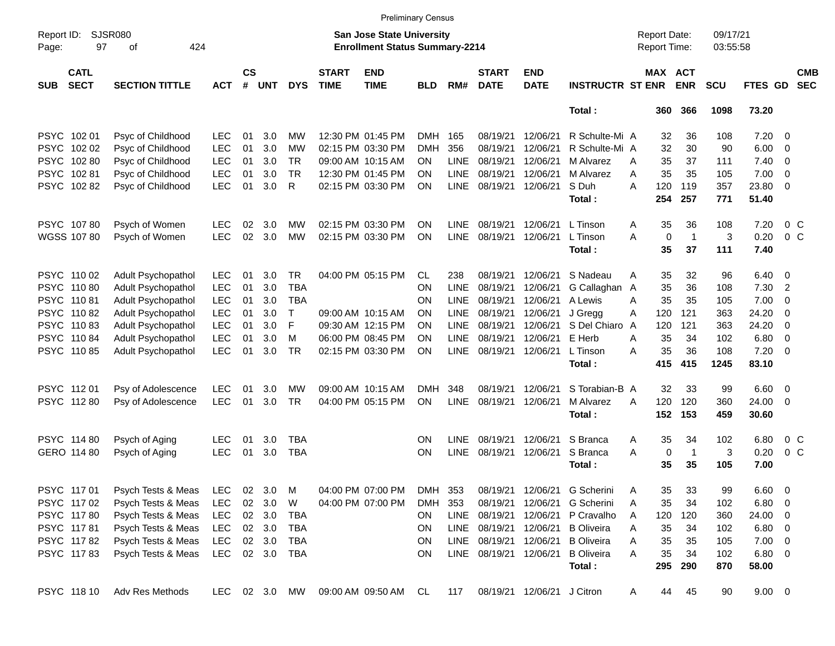|                     |                            |                             |            |                |               |            |                             |                                                                           | <b>Preliminary Census</b> |             |                             |                           |                         |                                     |             |                       |                      |               |                          |                          |
|---------------------|----------------------------|-----------------------------|------------|----------------|---------------|------------|-----------------------------|---------------------------------------------------------------------------|---------------------------|-------------|-----------------------------|---------------------------|-------------------------|-------------------------------------|-------------|-----------------------|----------------------|---------------|--------------------------|--------------------------|
| Report ID:<br>Page: | 97                         | <b>SJSR080</b><br>424<br>οf |            |                |               |            |                             | <b>San Jose State University</b><br><b>Enrollment Status Summary-2214</b> |                           |             |                             |                           |                         | <b>Report Date:</b><br>Report Time: |             |                       | 09/17/21<br>03:55:58 |               |                          |                          |
| <b>SUB</b>          | <b>CATL</b><br><b>SECT</b> | <b>SECTION TITTLE</b>       | <b>ACT</b> | <b>CS</b><br># | <b>UNT</b>    | <b>DYS</b> | <b>START</b><br><b>TIME</b> | <b>END</b><br><b>TIME</b>                                                 | <b>BLD</b>                | RM#         | <b>START</b><br><b>DATE</b> | <b>END</b><br><b>DATE</b> | <b>INSTRUCTR ST ENR</b> |                                     |             | MAX ACT<br><b>ENR</b> | SCU                  | FTES GD       |                          | <b>CMB</b><br><b>SEC</b> |
|                     |                            |                             |            |                |               |            |                             |                                                                           |                           |             |                             |                           | Total:                  |                                     | 360         | 366                   | 1098                 | 73.20         |                          |                          |
|                     | PSYC 102 01                | Psyc of Childhood           | <b>LEC</b> | 01             | 3.0           | MW         |                             | 12:30 PM 01:45 PM                                                         | DMH.                      | 165         | 08/19/21                    | 12/06/21                  | R Schulte-Mi A          |                                     | 32          | 36                    | 108                  | 7.20          | - 0                      |                          |
| <b>PSYC</b>         | 102 02                     | Psyc of Childhood           | <b>LEC</b> | 01             | 3.0           | МW         |                             | 02:15 PM 03:30 PM                                                         | DMH                       | 356         | 08/19/21                    | 12/06/21                  | R Schulte-Mi A          |                                     | 32          | 30                    | 90                   | 6.00          | $\overline{0}$           |                          |
| <b>PSYC</b>         | 10280                      | Psyc of Childhood           | <b>LEC</b> | 01             | 3.0           | <b>TR</b>  |                             | 09:00 AM 10:15 AM                                                         | <b>ON</b>                 | <b>LINE</b> | 08/19/21                    | 12/06/21                  | M Alvarez               | A                                   | 35          | 37                    | 111                  | 7.40          | $\overline{\phantom{0}}$ |                          |
| <b>PSYC</b>         | 10281                      | Psyc of Childhood           | <b>LEC</b> | 01             | 3.0           | <b>TR</b>  |                             | 12:30 PM 01:45 PM                                                         | <b>ON</b>                 | <b>LINE</b> | 08/19/21                    | 12/06/21                  | M Alvarez               | A                                   | 35          | 35                    | 105                  | 7.00          | $\overline{0}$           |                          |
| <b>PSYC</b>         | 10282                      | Psyc of Childhood           | <b>LEC</b> | 01             | 3.0           | R          |                             | 02:15 PM 03:30 PM                                                         | ON                        | <b>LINE</b> | 08/19/21                    | 12/06/21                  | S Duh                   | A                                   | 120         | 119                   | 357                  | 23.80         | $\overline{0}$           |                          |
|                     |                            |                             |            |                |               |            |                             |                                                                           |                           |             |                             |                           | Total:                  |                                     | 254         | 257                   | 771                  | 51.40         |                          |                          |
|                     | PSYC 10780                 | Psych of Women              | <b>LEC</b> | 02             | 3.0           | МW         |                             | 02:15 PM 03:30 PM                                                         | <b>ON</b>                 | <b>LINE</b> | 08/19/21                    | 12/06/21                  | L Tinson                | A                                   | 35          | 36                    | 108                  | 7.20          |                          | 0 <sup>o</sup>           |
|                     | <b>WGSS 107 80</b>         | Psych of Women              | <b>LEC</b> | 02             | 3.0           | МW         |                             | 02:15 PM 03:30 PM                                                         | ON                        | <b>LINE</b> | 08/19/21                    | 12/06/21                  | L Tinson                | A                                   | $\mathbf 0$ | $\overline{1}$        | 3                    | 0.20          |                          | $0\,C$                   |
|                     |                            |                             |            |                |               |            |                             |                                                                           |                           |             |                             |                           | Total:                  |                                     | 35          | 37                    | 111                  | 7.40          |                          |                          |
|                     | PSYC 110 02                | Adult Psychopathol          | <b>LEC</b> | 01             | 3.0           | <b>TR</b>  |                             | 04:00 PM 05:15 PM                                                         | CL.                       | 238         | 08/19/21                    | 12/06/21                  | S Nadeau                | A                                   | 35          | 32                    | 96                   | 6.40          | $\overline{\phantom{0}}$ |                          |
| <b>PSYC</b>         | 11080                      | Adult Psychopathol          | <b>LEC</b> | 01             | 3.0           | <b>TBA</b> |                             |                                                                           | ON                        | <b>LINE</b> | 08/19/21                    | 12/06/21                  | G Callaghan             | A                                   | 35          | 36                    | 108                  | 7.30          | $\overline{2}$           |                          |
| <b>PSYC</b>         | 11081                      | Adult Psychopathol          | <b>LEC</b> | 01             | 3.0           | <b>TBA</b> |                             |                                                                           | ON                        | <b>LINE</b> | 08/19/21                    | 12/06/21                  | A Lewis                 | A                                   | 35          | 35                    | 105                  | 7.00          | $\overline{0}$           |                          |
| <b>PSYC</b>         | 11082                      | Adult Psychopathol          | <b>LEC</b> | 01             | 3.0           | Τ          |                             | 09:00 AM 10:15 AM                                                         | <b>ON</b>                 | LINE        | 08/19/21                    | 12/06/21                  | J Gregg                 | Α                                   | 120         | 121                   | 363                  | 24.20         | $\overline{0}$           |                          |
| <b>PSYC</b>         | 11083                      | Adult Psychopathol          | <b>LEC</b> | 01             | 3.0           | F          |                             | 09:30 AM 12:15 PM                                                         | <b>ON</b>                 | <b>LINE</b> | 08/19/21                    | 12/06/21                  | S Del Chiaro            | A                                   | 120         | 121                   | 363                  | 24.20         | $\overline{0}$           |                          |
| <b>PSYC</b>         | 11084                      | Adult Psychopathol          | <b>LEC</b> | 01             | 3.0           | M          |                             | 06:00 PM 08:45 PM                                                         | <b>ON</b>                 | <b>LINE</b> | 08/19/21                    | 12/06/21                  | E Herb                  | A                                   | 35          | 34                    | 102                  | 6.80          | $\overline{0}$           |                          |
| <b>PSYC</b>         | 11085                      | Adult Psychopathol          | <b>LEC</b> | 01             | 3.0           | <b>TR</b>  |                             | 02:15 PM 03:30 PM                                                         | ON                        | <b>LINE</b> | 08/19/21                    | 12/06/21                  | L Tinson                | A                                   | 35          | 36                    | 108                  | 7.20          | $\overline{0}$           |                          |
|                     |                            |                             |            |                |               |            |                             |                                                                           |                           |             |                             |                           | Total:                  |                                     | 415         | 415                   | 1245                 | 83.10         |                          |                          |
|                     | PSYC 11201                 | Psy of Adolescence          | <b>LEC</b> | 01             | 3.0           | MW         |                             | 09:00 AM 10:15 AM                                                         | <b>DMH</b>                | 348         | 08/19/21                    | 12/06/21                  | S Torabian-B A          |                                     | 32          | 33                    | 99                   | 6.60          | $\overline{\phantom{0}}$ |                          |
|                     | PSYC 11280                 | Psy of Adolescence          | <b>LEC</b> | 01             | 3.0           | <b>TR</b>  |                             | 04:00 PM 05:15 PM                                                         | ON                        | <b>LINE</b> | 08/19/21                    | 12/06/21                  | M Alvarez               | A                                   | 120         | 120                   | 360                  | 24.00         | - 0                      |                          |
|                     |                            |                             |            |                |               |            |                             |                                                                           |                           |             |                             |                           | Total:                  |                                     | 152         | 153                   | 459                  | 30.60         |                          |                          |
|                     | PSYC 114 80                | Psych of Aging              | <b>LEC</b> | 01             | 3.0           | <b>TBA</b> |                             |                                                                           | <b>ON</b>                 | <b>LINE</b> | 08/19/21                    | 12/06/21                  | S Branca                | A                                   | 35          | 34                    | 102                  | 6.80          |                          | 0 <sup>o</sup>           |
|                     | GERO 114 80                | Psych of Aging              | <b>LEC</b> | 01             | 3.0           | <b>TBA</b> |                             |                                                                           | <b>ON</b>                 | <b>LINE</b> | 08/19/21                    | 12/06/21                  | S Branca                | A                                   | 0           | $\mathbf{1}$          | 3                    | 0.20          |                          | 0 <sup>o</sup>           |
|                     |                            |                             |            |                |               |            |                             |                                                                           |                           |             |                             |                           | Total:                  |                                     | 35          | 35                    | 105                  | 7.00          |                          |                          |
|                     | PSYC 117 01                | Psych Tests & Meas          | LEC        | 02             | 3.0           | M          |                             | 04:00 PM 07:00 PM                                                         | <b>DMH</b>                | 353         |                             | 08/19/21 12/06/21         | G Scherini              | Α                                   | 35          | 33                    | 99                   | $6.60\quad 0$ |                          |                          |
|                     | PSYC 117 02                | Psych Tests & Meas          | <b>LEC</b> |                | 02 3.0        | W          |                             | 04:00 PM 07:00 PM                                                         | DMH                       | 353         | 08/19/21                    | 12/06/21                  | G Scherini              | Α                                   | 35          | 34                    | 102                  | 6.80 0        |                          |                          |
|                     | PSYC 11780                 | Psych Tests & Meas          | LEC        |                | 02 3.0        | TBA        |                             |                                                                           | <b>ON</b>                 |             | LINE 08/19/21 12/06/21      |                           | P Cravalho              | A                                   | 120         | 120                   | 360                  | 24.00 0       |                          |                          |
|                     | PSYC 11781                 | Psych Tests & Meas          | LEC        |                | 02 3.0        | TBA        |                             |                                                                           | ON                        |             | LINE 08/19/21 12/06/21      |                           | <b>B</b> Oliveira       | Α                                   | 35          | 34                    | 102                  | $6.80\ 0$     |                          |                          |
|                     | PSYC 11782                 | Psych Tests & Meas          | LEC        |                | 02 3.0        | TBA        |                             |                                                                           | ON                        |             | LINE 08/19/21 12/06/21      |                           | <b>B</b> Oliveira       | Α                                   | 35          | 35                    | 105                  | $7.00 \t 0$   |                          |                          |
|                     | PSYC 11783                 | Psych Tests & Meas          | LEC        |                | 02 3.0        | TBA        |                             |                                                                           | ON                        |             | LINE 08/19/21 12/06/21      |                           | <b>B</b> Oliveira       | Α                                   | 35          | 34                    | 102                  | $6.80\ 0$     |                          |                          |
|                     |                            |                             |            |                |               |            |                             |                                                                           |                           |             |                             |                           | Total:                  |                                     | 295         | 290                   | 870                  | 58.00         |                          |                          |
|                     | PSYC 118 10                | Adv Res Methods             |            |                | LEC 02 3.0 MW |            |                             | 09:00 AM 09:50 AM CL                                                      |                           | 117         |                             | 08/19/21 12/06/21         | J Citron                | A                                   | 44          | 45                    | 90                   | $9.00 \t 0$   |                          |                          |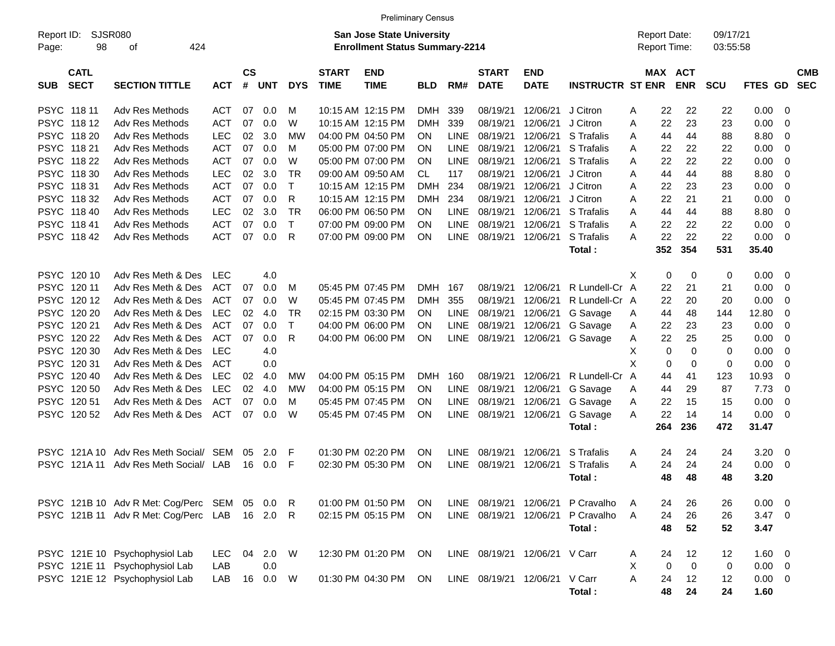|                     |                            |                                             |            |                    |            |            |                             | <b>Preliminary Census</b>                                                 |            |             |                             |                               |                                   |   |                                            |             |                      |                |     |                          |
|---------------------|----------------------------|---------------------------------------------|------------|--------------------|------------|------------|-----------------------------|---------------------------------------------------------------------------|------------|-------------|-----------------------------|-------------------------------|-----------------------------------|---|--------------------------------------------|-------------|----------------------|----------------|-----|--------------------------|
| Report ID:<br>Page: | 98                         | <b>SJSR080</b><br>424<br>οf                 |            |                    |            |            |                             | <b>San Jose State University</b><br><b>Enrollment Status Summary-2214</b> |            |             |                             |                               |                                   |   | <b>Report Date:</b><br><b>Report Time:</b> |             | 09/17/21<br>03:55:58 |                |     |                          |
| <b>SUB</b>          | <b>CATL</b><br><b>SECT</b> | <b>SECTION TITTLE</b>                       | <b>ACT</b> | $\mathsf{cs}$<br># | UNT        | <b>DYS</b> | <b>START</b><br><b>TIME</b> | <b>END</b><br><b>TIME</b>                                                 | <b>BLD</b> | RM#         | <b>START</b><br><b>DATE</b> | <b>END</b><br><b>DATE</b>     | <b>INSTRUCTR ST ENR</b>           |   | MAX ACT                                    | <b>ENR</b>  | <b>SCU</b>           | FTES GD        |     | <b>CMB</b><br><b>SEC</b> |
|                     | PSYC 118 11                | Adv Res Methods                             | ACT        | 07                 | 0.0        | м          |                             | 10:15 AM 12:15 PM                                                         | <b>DMH</b> | 339         | 08/19/21                    | 12/06/21                      | J Citron                          | A | 22                                         | 22          | 22                   | 0.00           | -0  |                          |
|                     | PSYC 118 12                | Adv Res Methods                             | <b>ACT</b> | 07                 | 0.0        | W          |                             | 10:15 AM 12:15 PM                                                         | DMH        | 339         | 08/19/21                    | 12/06/21                      | J Citron                          | A | 22                                         | 23          | 23                   | 0.00           | -0  |                          |
|                     | PSYC 118 20                | Adv Res Methods                             | <b>LEC</b> | 02                 | 3.0        | МW         |                             | 04:00 PM 04:50 PM                                                         | ON.        | <b>LINE</b> | 08/19/21                    | 12/06/21                      | S Trafalis                        | A | 44                                         | 44          | 88                   | 8.80           | 0   |                          |
|                     | PSYC 118 21                | Adv Res Methods                             | <b>ACT</b> | 07                 | 0.0        | М          |                             | 05:00 PM 07:00 PM                                                         | <b>ON</b>  | <b>LINE</b> | 08/19/21                    | 12/06/21                      | S Trafalis                        | A | 22                                         | 22          | 22                   | 0.00           | 0   |                          |
|                     | PSYC 118 22                | <b>Adv Res Methods</b>                      | <b>ACT</b> | 07                 | 0.0        | W          |                             | 05:00 PM 07:00 PM                                                         | <b>ON</b>  | LINE        | 08/19/21                    | 12/06/21                      | S Trafalis                        | A | 22                                         | 22          | 22                   | 0.00           | -0  |                          |
|                     | PSYC 118 30                | Adv Res Methods                             | <b>LEC</b> | 02                 | 3.0        | ТR         |                             | 09:00 AM 09:50 AM                                                         | CL.        | 117         | 08/19/21                    | 12/06/21                      | J Citron                          | A | 44                                         | 44          | 88                   | 8.80           | -0  |                          |
|                     | PSYC 11831                 | Adv Res Methods                             | ACT        | 07                 | 0.0        | т          |                             | 10:15 AM 12:15 PM                                                         | DMH        | 234         | 08/19/21                    | 12/06/21                      | J Citron                          | A | 22                                         | 23          | 23                   | 0.00           | 0   |                          |
|                     | PSYC 11832                 | Adv Res Methods                             | ACT        | 07                 | 0.0        | R          |                             | 10:15 AM 12:15 PM                                                         | DMH        | 234         | 08/19/21                    | 12/06/21                      | J Citron                          | A | 22                                         | 21          | 21                   | 0.00           | -0  |                          |
|                     | PSYC 118 40                | Adv Res Methods                             | <b>LEC</b> | 02                 | 3.0        | TR         |                             | 06:00 PM 06:50 PM                                                         | <b>ON</b>  | <b>LINE</b> | 08/19/21                    | 12/06/21                      | S Trafalis                        | A | 44                                         | 44          | 88                   | 8.80           | -0  |                          |
|                     | PSYC 11841                 | <b>Adv Res Methods</b>                      | <b>ACT</b> | 07                 | 0.0        | т          |                             | 07:00 PM 09:00 PM                                                         | <b>ON</b>  | <b>LINE</b> | 08/19/21                    | 12/06/21                      | S Trafalis                        | A | 22                                         | 22          | 22                   | 0.00           | 0   |                          |
|                     | PSYC 11842                 | Adv Res Methods                             | <b>ACT</b> | 07                 | 0.0        | R          |                             | 07:00 PM 09:00 PM                                                         | ON         | <b>LINE</b> | 08/19/21                    | 12/06/21                      | S Trafalis                        | A | 22                                         | 22          | 22                   | 0.00           | -0  |                          |
|                     |                            |                                             |            |                    |            |            |                             |                                                                           |            |             |                             |                               | Total:                            |   | 352                                        | 354         | 531                  | 35.40          |     |                          |
|                     |                            |                                             |            |                    |            |            |                             |                                                                           |            |             |                             |                               |                                   |   |                                            |             |                      |                |     |                          |
|                     | PSYC 12010                 | Adv Res Meth & Des                          | LEC        |                    | 4.0        |            |                             |                                                                           |            |             |                             |                               |                                   | X | 0                                          | 0           | 0                    | 0.00           | - 0 |                          |
|                     | PSYC 12011                 | Adv Res Meth & Des                          | <b>ACT</b> | 07                 | 0.0        | M          |                             | 05:45 PM 07:45 PM                                                         | <b>DMH</b> | 167         | 08/19/21                    | 12/06/21                      | R Lundell-Cr A                    |   | 22                                         | 21          | 21                   | 0.00           | -0  |                          |
|                     | PSYC 12012                 | Adv Res Meth & Des                          | <b>ACT</b> | 07                 | 0.0        | W          |                             | 05:45 PM 07:45 PM                                                         | DMH        | 355         | 08/19/21                    | 12/06/21                      | R Lundell-Cr A                    |   | 22                                         | 20          | 20                   | 0.00           | -0  |                          |
|                     | PSYC 120 20                | Adv Res Meth & Des                          | <b>LEC</b> | 02                 | 4.0        | ТR         |                             | 02:15 PM 03:30 PM                                                         | ON.        | <b>LINE</b> | 08/19/21                    | 12/06/21                      | G Savage                          | A | 44                                         | 48          | 144                  | 12.80          | 0   |                          |
|                     | PSYC 120 21                | Adv Res Meth & Des                          | <b>ACT</b> | 07                 | 0.0        | т          |                             | 04:00 PM 06:00 PM                                                         | <b>ON</b>  | <b>LINE</b> | 08/19/21                    | 12/06/21                      | G Savage                          | A | 22                                         | 23          | 23                   | 0.00           | -0  |                          |
|                     | PSYC 120 22                | Adv Res Meth & Des                          | <b>ACT</b> | 07                 | 0.0        | R          |                             | 04:00 PM 06:00 PM                                                         | ON         | LINE        | 08/19/21                    | 12/06/21                      | G Savage                          | A | 22                                         | 25          | 25                   | 0.00           | -0  |                          |
|                     | PSYC 120 30                | Adv Res Meth & Des                          | <b>LEC</b> |                    | 4.0        |            |                             |                                                                           |            |             |                             |                               |                                   | Х | 0                                          | 0           | $\mathbf 0$          | 0.00           | -0  |                          |
|                     | PSYC 120 31                | Adv Res Meth & Des                          | <b>ACT</b> |                    | 0.0        |            |                             |                                                                           |            |             |                             |                               |                                   | X | 0                                          | 0           | $\mathbf 0$          | 0.00           | 0   |                          |
|                     | PSYC 12040                 | Adv Res Meth & Des                          | <b>LEC</b> | 02                 | 4.0        | МW         |                             | 04:00 PM 05:15 PM                                                         | <b>DMH</b> | 160         | 08/19/21                    | 12/06/21                      | R Lundell-Cr A                    |   | 44                                         | 41          | 123                  | 10.93          | 0   |                          |
|                     | PSYC 120 50                | Adv Res Meth & Des                          | <b>LEC</b> | 02                 | 4.0        | МW         |                             | 04:00 PM 05:15 PM                                                         | ON.        | <b>LINE</b> | 08/19/21                    | 12/06/21                      | G Savage                          | A | 44                                         | 29          | 87                   | 7.73           | 0   |                          |
|                     | PSYC 12051                 | Adv Res Meth & Des                          | <b>ACT</b> | 07                 | 0.0        | М          |                             | 05:45 PM 07:45 PM                                                         | <b>ON</b>  | <b>LINE</b> | 08/19/21                    | 12/06/21                      | G Savage                          | A | 22                                         | 15          | 15                   | 0.00           | 0   |                          |
| PSYC                | 120 52                     | Adv Res Meth & Des                          | <b>ACT</b> | 07                 | 0.0        | W          |                             | 05:45 PM 07:45 PM                                                         | ON         | <b>LINE</b> | 08/19/21                    | 12/06/21                      | G Savage                          | A | 22                                         | 14          | 14                   | 0.00           | - 0 |                          |
|                     |                            |                                             |            |                    |            |            |                             |                                                                           |            |             |                             |                               | Total:                            |   | 264                                        | 236         | 472                  | 31.47          |     |                          |
|                     |                            |                                             |            |                    |            |            |                             |                                                                           |            |             |                             |                               |                                   |   |                                            |             |                      |                |     |                          |
|                     | <b>PSYC 121A10</b>         | Adv Res Meth Social/ SEM                    |            | 05                 | 2.0        | F          |                             | 01:30 PM 02:20 PM                                                         | <b>ON</b>  | LINE        | 08/19/21                    | 12/06/21                      | S Trafalis                        | A | 24                                         | 24          | 24                   | 3.20           | 0   |                          |
| PSYC.               | 121A 11                    | Adv Res Meth Social/                        | LAB        | 16                 | 0.0        | F          |                             | 02:30 PM 05:30 PM                                                         | ON         | <b>LINE</b> | 08/19/21                    | 12/06/21                      | S Trafalis                        | A | 24                                         | 24          | 24                   | 0.00           | - 0 |                          |
|                     |                            |                                             |            |                    |            |            |                             |                                                                           |            |             |                             |                               | Total:                            |   | 48                                         | 48          | 48                   | 3.20           |     |                          |
|                     |                            |                                             |            |                    |            |            |                             |                                                                           |            |             |                             |                               |                                   |   |                                            |             |                      |                |     |                          |
|                     |                            | PSYC 121B 10 Adv R Met: Cog/Perc SEM 05 0.0 |            |                    |            | R          |                             | 01:00 PM 01:50 PM                                                         | ON         |             |                             |                               | LINE 08/19/21 12/06/21 P Cravalho | A | 24                                         | 26          | 26                   | $0.00 \t 0$    |     |                          |
|                     |                            | PSYC 121B 11 Adv R Met: Cog/Perc LAB 16 2.0 |            |                    |            | R.         |                             | 02:15 PM 05:15 PM                                                         | ON         |             |                             |                               | LINE 08/19/21 12/06/21 P Cravalho | A | 24                                         | 26          | 26                   | $3.47 \quad 0$ |     |                          |
|                     |                            |                                             |            |                    |            |            |                             |                                                                           |            |             |                             |                               | Total:                            |   | 48                                         | 52          | 52                   | 3.47           |     |                          |
|                     |                            |                                             |            |                    |            |            |                             |                                                                           |            |             |                             |                               |                                   |   |                                            |             |                      |                |     |                          |
|                     |                            | PSYC 121E 10 Psychophysiol Lab              | LEC.       | 04                 | 2.0 W      |            |                             | 12:30 PM 01:20 PM ON                                                      |            |             |                             | LINE 08/19/21 12/06/21 V Carr |                                   | A | 24                                         | 12          | 12                   | $1.60 \t 0$    |     |                          |
|                     |                            | PSYC 121E 11 Psychophysiol Lab              | LAB        |                    | 0.0        |            |                             |                                                                           |            |             |                             |                               |                                   | Χ | 0                                          | $\mathbf 0$ | 0                    | $0.00 \t 0$    |     |                          |
|                     |                            | PSYC 121E 12 Psychophysiol Lab              | LAB        |                    | 16  0.0  W |            |                             | 01:30 PM 04:30 PM                                                         | ON         |             |                             | LINE 08/19/21 12/06/21 V Carr |                                   | A | 24                                         | 12          | 12                   | $0.00 \t 0$    |     |                          |
|                     |                            |                                             |            |                    |            |            |                             |                                                                           |            |             |                             |                               | Total:                            |   | 48                                         | 24          | 24                   | 1.60           |     |                          |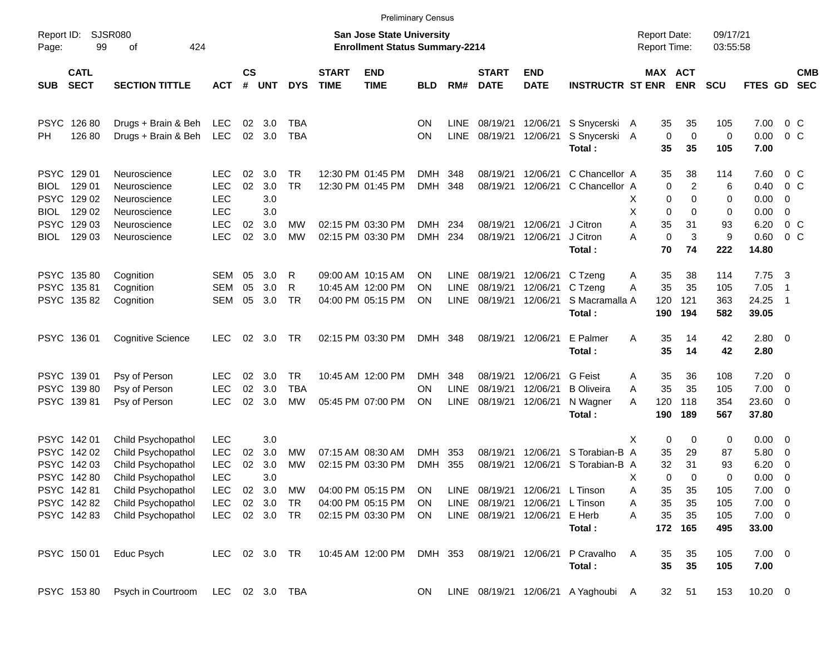|                            |                            |                                          |                          |                    |            |                  |                             |                                                                           | <b>Preliminary Census</b> |                            |                             |                           |                                     |                                     |                   |                       |                      |                      |                                        |                          |
|----------------------------|----------------------------|------------------------------------------|--------------------------|--------------------|------------|------------------|-----------------------------|---------------------------------------------------------------------------|---------------------------|----------------------------|-----------------------------|---------------------------|-------------------------------------|-------------------------------------|-------------------|-----------------------|----------------------|----------------------|----------------------------------------|--------------------------|
| Report ID:<br>Page:        | 99                         | <b>SJSR080</b><br>424<br>оf              |                          |                    |            |                  |                             | <b>San Jose State University</b><br><b>Enrollment Status Summary-2214</b> |                           |                            |                             |                           |                                     | <b>Report Date:</b><br>Report Time: |                   |                       | 09/17/21<br>03:55:58 |                      |                                        |                          |
| <b>SUB</b>                 | <b>CATL</b><br><b>SECT</b> | <b>SECTION TITTLE</b>                    | <b>ACT</b>               | $\mathsf{cs}$<br># | <b>UNT</b> | <b>DYS</b>       | <b>START</b><br><b>TIME</b> | <b>END</b><br><b>TIME</b>                                                 | <b>BLD</b>                | RM#                        | <b>START</b><br><b>DATE</b> | <b>END</b><br><b>DATE</b> | <b>INSTRUCTR ST ENR</b>             |                                     |                   | MAX ACT<br><b>ENR</b> | <b>SCU</b>           | FTES GD              |                                        | <b>CMB</b><br><b>SEC</b> |
| <b>PSYC</b>                | 126 80                     | Drugs + Brain & Beh                      | LEC                      | 02                 | 3.0        | TBA              |                             |                                                                           | ΟN                        | <b>LINE</b>                | 08/19/21                    | 12/06/21                  | S Snycerski A                       |                                     | 35                | 35                    | 105                  | 7.00                 | $0\,C$                                 |                          |
| PН                         | 126 80                     | Drugs + Brain & Beh                      | <b>LEC</b>               | 02                 | 3.0        | <b>TBA</b>       |                             |                                                                           | ON                        | <b>LINE</b>                | 08/19/21                    | 12/06/21                  | S Snycerski A<br>Total:             |                                     | 0<br>35           | 0<br>35               | 0<br>105             | 0.00<br>7.00         | 0 <sup>o</sup>                         |                          |
| <b>PSYC</b>                | 129 01                     | Neuroscience                             | <b>LEC</b>               | 02                 | 3.0        | <b>TR</b>        |                             | 12:30 PM 01:45 PM                                                         | DMH                       | 348                        | 08/19/21                    | 12/06/21                  | C Chancellor A                      |                                     | 35                | 38                    | 114                  | 7.60                 | $0\,$ C                                |                          |
| BIOL<br><b>PSYC</b>        | 129 01<br>129 02           | Neuroscience<br>Neuroscience             | <b>LEC</b><br><b>LEC</b> | 02                 | 3.0<br>3.0 | <b>TR</b>        |                             | 12:30 PM 01:45 PM                                                         | <b>DMH</b>                | 348                        | 08/19/21                    | 12/06/21                  | C Chancellor A                      | х                                   | 0<br>0            | 2<br>0                | 6<br>0               | 0.40<br>0.00         | 0 <sup>o</sup><br>0                    |                          |
| BIOL<br><b>PSYC</b>        | 129 02<br>129 03           | Neuroscience<br>Neuroscience             | <b>LEC</b><br><b>LEC</b> | 02                 | 3.0<br>3.0 | MW               |                             | 02:15 PM 03:30 PM                                                         | DMH                       | 234                        | 08/19/21                    | 12/06/21                  | J Citron                            | X<br>A                              | 0<br>35           | 0<br>31               | 0<br>93              | 0.00<br>6.20         | $\mathbf 0$<br>0 <sup>o</sup>          |                          |
| BIOL                       | 129 03                     | Neuroscience                             | <b>LEC</b>               | 02                 | 3.0        | МW               |                             | 02:15 PM 03:30 PM                                                         | DMH                       | 234                        | 08/19/21                    | 12/06/21                  | J Citron<br>Total:                  | A                                   | $\mathbf 0$<br>70 | 3<br>74               | 9<br>222             | 0.60<br>14.80        | 0 <sup>o</sup>                         |                          |
|                            | PSYC 13580                 | Cognition                                | <b>SEM</b>               | 05                 | 3.0        | R                |                             | 09:00 AM 10:15 AM                                                         | OΝ                        | <b>LINE</b>                | 08/19/21                    | 12/06/21                  | C Tzeng                             | A                                   | 35                | 38                    | 114                  | 7.75                 | $\overline{\mathbf{3}}$                |                          |
| <b>PSYC</b><br><b>PSYC</b> | 13581<br>135 82            | Cognition<br>Cognition                   | <b>SEM</b><br><b>SEM</b> | 05<br>05           | 3.0<br>3.0 | R<br><b>TR</b>   |                             | 10:45 AM 12:00 PM<br>04:00 PM 05:15 PM                                    | ΟN<br>ΟN                  | <b>LINE</b><br><b>LINE</b> | 08/19/21<br>08/19/21        | 12/06/21<br>12/06/21      | C Tzeng<br>S Macramalla A           | Α                                   | 35<br>120         | 35<br>121             | 105<br>363           | 7.05<br>24.25        | -1<br>$\overline{1}$                   |                          |
|                            |                            |                                          |                          |                    |            |                  |                             |                                                                           |                           |                            |                             |                           | Total:                              |                                     | 190               | 194                   | 582                  | 39.05                |                                        |                          |
| <b>PSYC</b>                | 136 01                     | Cognitive Science                        | <b>LEC</b>               | 02                 | 3.0        | TR               |                             | 02:15 PM 03:30 PM                                                         | <b>DMH</b>                | 348                        | 08/19/21                    | 12/06/21                  | E Palmer<br>Total:                  | Α                                   | 35<br>35          | 14<br>14              | 42<br>42             | 2.80 0<br>2.80       |                                        |                          |
|                            | PSYC 139 01                | Psy of Person                            | <b>LEC</b>               | 02                 | 3.0        | <b>TR</b>        |                             | 10:45 AM 12:00 PM                                                         | DMH                       | 348                        | 08/19/21                    | 12/06/21                  | <b>G</b> Feist                      | Α                                   | 35                | 36                    | 108                  | 7.20                 | $\overline{\phantom{0}}$               |                          |
| <b>PSYC</b><br>PSYC        | 13980<br>13981             | Psy of Person<br>Psy of Person           | <b>LEC</b><br><b>LEC</b> | 02<br>02           | 3.0<br>3.0 | <b>TBA</b><br>MW |                             | 05:45 PM 07:00 PM                                                         | ON<br>ΟN                  | <b>LINE</b><br>LINE        | 08/19/21<br>08/19/21        | 12/06/21<br>12/06/21      | <b>B</b> Oliveira<br>N Wagner       | Α<br>A                              | 35<br>120         | 35<br>118             | 105<br>354           | 7.00<br>23.60        | $\mathbf 0$<br>0                       |                          |
|                            |                            |                                          |                          |                    |            |                  |                             |                                                                           |                           |                            |                             |                           | Total:                              |                                     | 190               | 189                   | 567                  | 37.80                |                                        |                          |
| <b>PSYC</b>                | PSYC 142 01<br>142 02      | Child Psychopathol<br>Child Psychopathol | LEC<br><b>LEC</b>        | 02                 | 3.0<br>3.0 | MW               |                             | 07:15 AM 08:30 AM                                                         | <b>DMH</b>                | 353                        | 08/19/21                    | 12/06/21                  | S Torabian-B A                      | х                                   | 0<br>35           | 0<br>29               | 0<br>87              | 0.00<br>5.80         | $\overline{\mathbf{0}}$<br>$\mathbf 0$ |                          |
| <b>PSYC</b>                | 142 03                     | Child Psychopathol                       | LEC                      | 02                 | 3.0        | МW               |                             | 02:15 PM 03:30 PM                                                         | <b>DMH</b>                | 355                        | 08/19/21                    | 12/06/21                  | S Torabian-B A                      |                                     | 32                | 31                    | 93                   | 6.20                 | 0                                      |                          |
|                            | PSYC 14280<br>PSYC 14281   | Child Psychopathol<br>Child Psychopathol | <b>LEC</b><br><b>LEC</b> | 02                 | 3.0<br>3.0 | МW               |                             | 04:00 PM 05:15 PM                                                         | <b>ON</b>                 | LINE                       | 08/19/21                    | 12/06/21                  | L Tinson                            | Χ<br>А                              | 0<br>35           | 0<br>35               | 0<br>105             | 0.00<br>7.00         | 0<br>$\overline{\phantom{0}}$          |                          |
|                            | PSYC 142 82                | Child Psychopathol                       | <b>LEC</b>               |                    | 02 3.0     | <b>TR</b>        |                             | 04:00 PM 05:15 PM                                                         | ON.                       | <b>LINE</b>                | 08/19/21                    | 12/06/21                  | L Tinson                            | Α                                   | 35                | 35                    | 105                  | $7.00 \t 0$          |                                        |                          |
|                            | PSYC 14283                 | Child Psychopathol                       | <b>LEC</b>               |                    | 02 3.0     | <b>TR</b>        |                             | 02:15 PM 03:30 PM                                                         | ON.                       |                            | LINE 08/19/21               | 12/06/21                  | E Herb<br>Total:                    | Α                                   | 35<br>172         | 35<br>165             | 105<br>495           | $7.00 \t 0$<br>33.00 |                                        |                          |
|                            | PSYC 150 01                | Educ Psych                               | <b>LEC</b>               |                    | 02 3.0 TR  |                  |                             | 10:45 AM 12:00 PM                                                         | DMH 353                   |                            | 08/19/21                    | 12/06/21                  | P Cravalho<br>Total:                | Α                                   | 35<br>35          | 35<br>35              | 105<br>105           | $7.00 \t 0$<br>7.00  |                                        |                          |
|                            | PSYC 15380                 | Psych in Courtroom                       |                          |                    |            | LEC 02 3.0 TBA   |                             |                                                                           | <b>ON</b>                 |                            |                             |                           | LINE 08/19/21 12/06/21 A Yaghoubi A |                                     | 32 <sub>2</sub>   | 51                    | 153                  | $10.20 \t 0$         |                                        |                          |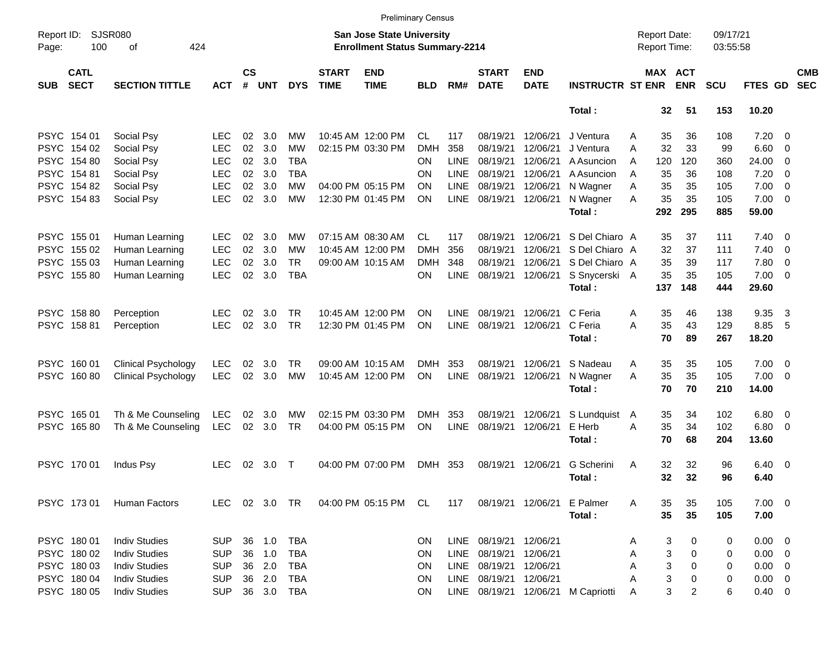|                     |                            |                             |            |                    |            |            |                             | <b>Preliminary Census</b>                                                 |            |             |                             |                           |                                    |   |                                     |                       |                      |             |                          |                          |
|---------------------|----------------------------|-----------------------------|------------|--------------------|------------|------------|-----------------------------|---------------------------------------------------------------------------|------------|-------------|-----------------------------|---------------------------|------------------------------------|---|-------------------------------------|-----------------------|----------------------|-------------|--------------------------|--------------------------|
| Report ID:<br>Page: | 100                        | <b>SJSR080</b><br>424<br>оf |            |                    |            |            |                             | <b>San Jose State University</b><br><b>Enrollment Status Summary-2214</b> |            |             |                             |                           |                                    |   | <b>Report Date:</b><br>Report Time: |                       | 09/17/21<br>03:55:58 |             |                          |                          |
| <b>SUB</b>          | <b>CATL</b><br><b>SECT</b> | <b>SECTION TITTLE</b>       | <b>ACT</b> | $\mathsf{cs}$<br># | <b>UNT</b> | <b>DYS</b> | <b>START</b><br><b>TIME</b> | <b>END</b><br><b>TIME</b>                                                 | <b>BLD</b> | RM#         | <b>START</b><br><b>DATE</b> | <b>END</b><br><b>DATE</b> | <b>INSTRUCTR ST ENR</b>            |   |                                     | MAX ACT<br><b>ENR</b> | <b>SCU</b>           | FTES GD     |                          | <b>CMB</b><br><b>SEC</b> |
|                     |                            |                             |            |                    |            |            |                             |                                                                           |            |             |                             |                           | Total:                             |   | 32                                  | 51                    | 153                  | 10.20       |                          |                          |
|                     | PSYC 154 01                | Social Psy                  | <b>LEC</b> | 02                 | 3.0        | MW         |                             | 10:45 AM 12:00 PM                                                         | CL.        | 117         | 08/19/21                    | 12/06/21                  | J Ventura                          | A | 35                                  | 36                    | 108                  | 7.20        | $\overline{\phantom{0}}$ |                          |
| <b>PSYC</b>         | 154 02                     | Social Psy                  | <b>LEC</b> | 02                 | 3.0        | MW         |                             | 02:15 PM 03:30 PM                                                         | <b>DMH</b> | 358         | 08/19/21                    | 12/06/21                  | J Ventura                          | A | 32                                  | 33                    | 99                   | 6.60        | $\overline{\mathbf{0}}$  |                          |
|                     | PSYC 154 80                | Social Psy                  | <b>LEC</b> | 02                 | 3.0        | <b>TBA</b> |                             |                                                                           | ON         | <b>LINE</b> | 08/19/21                    | 12/06/21                  | A Asuncion                         | A | 120                                 | 120                   | 360                  | 24.00       | $\overline{\mathbf{0}}$  |                          |
|                     | PSYC 154 81                | Social Psy                  | <b>LEC</b> | 02                 | 3.0        | <b>TBA</b> |                             |                                                                           | ON         | <b>LINE</b> | 08/19/21                    | 12/06/21                  | A Asuncion                         | A | 35                                  | 36                    | 108                  | 7.20        | - 0                      |                          |
|                     | PSYC 154 82                | Social Psy                  | <b>LEC</b> | 02                 | 3.0        | MW         |                             | 04:00 PM 05:15 PM                                                         | <b>ON</b>  | <b>LINE</b> | 08/19/21                    | 12/06/21                  | N Wagner                           | A | 35                                  | 35                    | 105                  | 7.00        | $\overline{0}$           |                          |
|                     | PSYC 154 83                | Social Psy                  | <b>LEC</b> | 02                 | 3.0        | MW         |                             | 12:30 PM 01:45 PM                                                         | ΟN         | <b>LINE</b> | 08/19/21                    | 12/06/21                  | N Wagner                           | A | 35                                  | 35                    | 105                  | $7.00 \t 0$ |                          |                          |
|                     |                            |                             |            |                    |            |            |                             |                                                                           |            |             |                             |                           | Total:                             |   | 292                                 | 295                   | 885                  | 59.00       |                          |                          |
|                     | PSYC 155 01                | Human Learning              | <b>LEC</b> | 02                 | 3.0        | МW         |                             | 07:15 AM 08:30 AM                                                         | CL.        | 117         | 08/19/21                    | 12/06/21                  | S Del Chiaro A                     |   | 35                                  | 37                    | 111                  | $7.40 \ 0$  |                          |                          |
| <b>PSYC</b>         | 155 02                     | Human Learning              | <b>LEC</b> | 02                 | 3.0        | МW         |                             | 10:45 AM 12:00 PM                                                         | <b>DMH</b> | 356         | 08/19/21                    | 12/06/21                  | S Del Chiaro A                     |   | 32                                  | 37                    | 111                  | 7.40        | $\overline{\mathbf{0}}$  |                          |
|                     | PSYC 155 03                | Human Learning              | <b>LEC</b> | 02                 | 3.0        | <b>TR</b>  |                             | 09:00 AM 10:15 AM                                                         | <b>DMH</b> | 348         | 08/19/21                    | 12/06/21                  | S Del Chiaro A                     |   | 35                                  | 39                    | 117                  | 7.80        | $\overline{\mathbf{0}}$  |                          |
|                     | PSYC 15580                 | Human Learning              | <b>LEC</b> | 02                 | 3.0        | <b>TBA</b> |                             |                                                                           | ON         | <b>LINE</b> | 08/19/21                    | 12/06/21                  | S Snycerski A                      |   | 35                                  | 35                    | 105                  | $7.00 \t 0$ |                          |                          |
|                     |                            |                             |            |                    |            |            |                             |                                                                           |            |             |                             |                           | Total:                             |   | 137                                 | 148                   | 444                  | 29.60       |                          |                          |
|                     | PSYC 158 80                | Perception                  | <b>LEC</b> | 02                 | 3.0        | <b>TR</b>  |                             | 10:45 AM 12:00 PM                                                         | ON         | LINE        | 08/19/21                    | 12/06/21                  | C Feria                            | A | 35                                  | 46                    | 138                  | 9.35        | $\overline{\mathbf{3}}$  |                          |
|                     | PSYC 15881                 | Perception                  | <b>LEC</b> | 02                 | 3.0        | <b>TR</b>  |                             | 12:30 PM 01:45 PM                                                         | ΟN         | <b>LINE</b> | 08/19/21                    | 12/06/21                  | C Feria                            | A | 35                                  | 43                    | 129                  | 8.85        | - 5                      |                          |
|                     |                            |                             |            |                    |            |            |                             |                                                                           |            |             |                             |                           | Total:                             |   | 70                                  | 89                    | 267                  | 18.20       |                          |                          |
|                     | PSYC 160 01                | <b>Clinical Psychology</b>  | <b>LEC</b> | 02                 | 3.0        | <b>TR</b>  |                             | 09:00 AM 10:15 AM                                                         | <b>DMH</b> | 353         | 08/19/21                    | 12/06/21                  | S Nadeau                           | A | 35                                  | 35                    | 105                  | 7.00        | $\overline{\phantom{0}}$ |                          |
| <b>PSYC</b>         | 16080                      | <b>Clinical Psychology</b>  | <b>LEC</b> | 02                 | 3.0        | <b>MW</b>  |                             | 10:45 AM 12:00 PM                                                         | ΟN         | <b>LINE</b> | 08/19/21                    | 12/06/21                  | N Wagner                           | A | 35                                  | 35                    | 105                  | 7.00        | - 0                      |                          |
|                     |                            |                             |            |                    |            |            |                             |                                                                           |            |             |                             |                           | Total:                             |   | 70                                  | 70                    | 210                  | 14.00       |                          |                          |
|                     | PSYC 165 01                | Th & Me Counseling          | <b>LEC</b> | 02                 | 3.0        | MW         |                             | 02:15 PM 03:30 PM                                                         | <b>DMH</b> | 353         | 08/19/21                    | 12/06/21                  | S Lundquist                        | A | 35                                  | 34                    | 102                  | 6.80        | $\overline{\mathbf{0}}$  |                          |
|                     | PSYC 16580                 | Th & Me Counseling          | <b>LEC</b> | 02                 | 3.0        | <b>TR</b>  |                             | 04:00 PM 05:15 PM                                                         | ON         | <b>LINE</b> | 08/19/21                    | 12/06/21                  | E Herb                             | A | 35                                  | 34                    | 102                  | $6.80$ 0    |                          |                          |
|                     |                            |                             |            |                    |            |            |                             |                                                                           |            |             |                             |                           | Total:                             |   | 70                                  | 68                    | 204                  | 13.60       |                          |                          |
|                     | PSYC 170 01                | Indus Psy                   | <b>LEC</b> | 02                 | 3.0        | Т          |                             | 04:00 PM 07:00 PM                                                         | <b>DMH</b> | 353         | 08/19/21                    | 12/06/21                  | G Scherini                         | A | 32                                  | 32                    | 96                   | 6.40        | $\overline{\phantom{0}}$ |                          |
|                     |                            |                             |            |                    |            |            |                             |                                                                           |            |             |                             |                           | Total:                             |   | 32                                  | 32                    | 96                   | 6.40        |                          |                          |
|                     | PSYC 17301                 | Human Factors               | LEC.       |                    | 02 3.0 TR  |            |                             | 04:00 PM 05:15 PM                                                         | CL.        | 117         |                             | 08/19/21 12/06/21         | E Palmer                           | A | 35                                  | 35                    | 105                  | $7.00 \ 0$  |                          |                          |
|                     |                            |                             |            |                    |            |            |                             |                                                                           |            |             |                             |                           | Total:                             |   | 35                                  | 35                    | 105                  | 7.00        |                          |                          |
|                     | PSYC 180 01                | <b>Indiv Studies</b>        | <b>SUP</b> | 36                 | 1.0        | <b>TBA</b> |                             |                                                                           | <b>ON</b>  |             | LINE 08/19/21               | 12/06/21                  |                                    | Α | 3                                   | 0                     | 0                    | $0.00 \t 0$ |                          |                          |
|                     | PSYC 180 02                | <b>Indiv Studies</b>        | <b>SUP</b> |                    | 36 1.0     | <b>TBA</b> |                             |                                                                           | <b>ON</b>  |             | LINE 08/19/21               | 12/06/21                  |                                    | A | 3                                   | 0                     | 0                    | $0.00 \t 0$ |                          |                          |
|                     | PSYC 180 03                | <b>Indiv Studies</b>        | <b>SUP</b> |                    | 36 2.0     | <b>TBA</b> |                             |                                                                           | ON         |             | LINE 08/19/21               | 12/06/21                  |                                    | Α | 3                                   | 0                     | 0                    | $0.00 \t 0$ |                          |                          |
|                     | PSYC 180 04                | <b>Indiv Studies</b>        | <b>SUP</b> |                    | 36 2.0     | <b>TBA</b> |                             |                                                                           | ON         |             | LINE 08/19/21               | 12/06/21                  |                                    | A | 3                                   | 0                     | 0                    | $0.00 \t 0$ |                          |                          |
|                     | PSYC 180 05                | <b>Indiv Studies</b>        | <b>SUP</b> |                    | 36 3.0     | <b>TBA</b> |                             |                                                                           | <b>ON</b>  |             |                             |                           | LINE 08/19/21 12/06/21 M Capriotti | A | 3                                   | $\overline{2}$        | 6                    | $0.40 \ 0$  |                          |                          |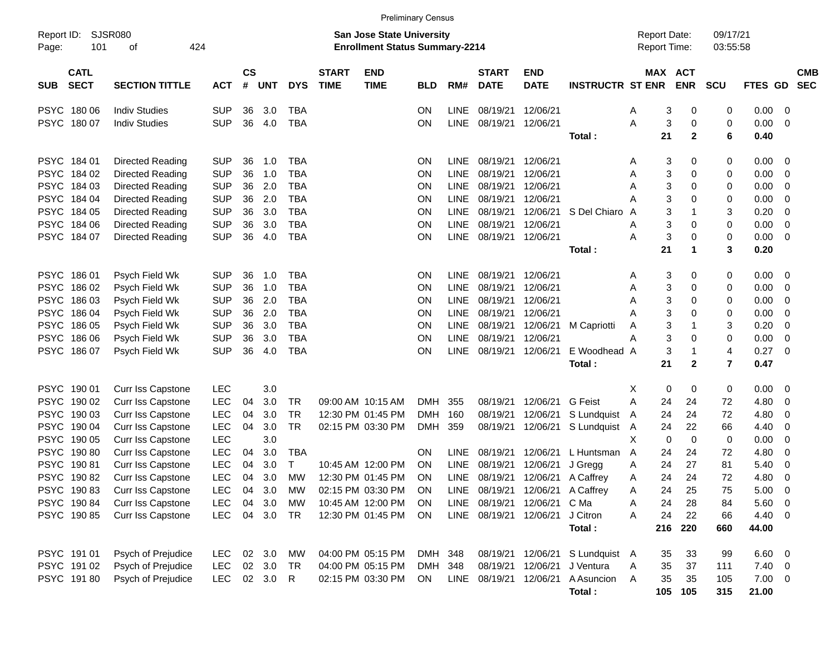|                                          |                          |            |                    |          |            |                             | <b>Preliminary Census</b>                                                 |            |             |                             |                           |                         |                                     |           |              |                      |               |                         |                          |
|------------------------------------------|--------------------------|------------|--------------------|----------|------------|-----------------------------|---------------------------------------------------------------------------|------------|-------------|-----------------------------|---------------------------|-------------------------|-------------------------------------|-----------|--------------|----------------------|---------------|-------------------------|--------------------------|
| Report ID:<br>101<br>Page:               | SJSR080<br>424<br>οf     |            |                    |          |            |                             | <b>San Jose State University</b><br><b>Enrollment Status Summary-2214</b> |            |             |                             |                           |                         | <b>Report Date:</b><br>Report Time: |           |              | 09/17/21<br>03:55:58 |               |                         |                          |
| <b>CATL</b><br><b>SECT</b><br><b>SUB</b> | <b>SECTION TITTLE</b>    | <b>ACT</b> | $\mathsf{cs}$<br># | UNT      | <b>DYS</b> | <b>START</b><br><b>TIME</b> | <b>END</b><br><b>TIME</b>                                                 | <b>BLD</b> | RM#         | <b>START</b><br><b>DATE</b> | <b>END</b><br><b>DATE</b> | <b>INSTRUCTR ST ENR</b> |                                     | MAX ACT   | <b>ENR</b>   | <b>SCU</b>           | FTES GD       |                         | <b>CMB</b><br><b>SEC</b> |
| PSYC 18006                               | <b>Indiv Studies</b>     | <b>SUP</b> | 36                 | 3.0      | <b>TBA</b> |                             |                                                                           | ON         | <b>LINE</b> | 08/19/21                    | 12/06/21                  |                         | A                                   | 3         | 0            | 0                    | 0.00          | 0                       |                          |
| PSYC 180 07                              | <b>Indiv Studies</b>     | <b>SUP</b> | 36                 | 4.0      | <b>TBA</b> |                             |                                                                           | ON         | <b>LINE</b> | 08/19/21 12/06/21           |                           |                         | Α                                   | 3         | 0            | 0                    | 0.00          | 0                       |                          |
|                                          |                          |            |                    |          |            |                             |                                                                           |            |             |                             |                           | Total:                  |                                     | 21        | $\mathbf{2}$ | 6                    | 0.40          |                         |                          |
| PSYC 184 01                              | Directed Reading         | <b>SUP</b> | 36                 | 1.0      | <b>TBA</b> |                             |                                                                           | ON         | <b>LINE</b> | 08/19/21                    | 12/06/21                  |                         | Α                                   | 3         | 0            | 0                    | 0.00          | 0                       |                          |
| PSYC 184 02                              | Directed Reading         | <b>SUP</b> | 36                 | 1.0      | <b>TBA</b> |                             |                                                                           | <b>ON</b>  | LINE        | 08/19/21                    | 12/06/21                  |                         | Α                                   | 3         | 0            | 0                    | 0.00          | 0                       |                          |
| PSYC 184 03                              | Directed Reading         | <b>SUP</b> | 36                 | 2.0      | <b>TBA</b> |                             |                                                                           | ON         | <b>LINE</b> | 08/19/21                    | 12/06/21                  |                         | Α                                   | 3         | 0            | 0                    | 0.00          | 0                       |                          |
| PSYC 184 04                              | Directed Reading         | <b>SUP</b> | 36                 | 2.0      | <b>TBA</b> |                             |                                                                           | ON         | <b>LINE</b> | 08/19/21                    | 12/06/21                  |                         | А                                   | 3         | 0            | 0                    | 0.00          | 0                       |                          |
| PSYC 184 05                              | Directed Reading         | <b>SUP</b> | 36                 | 3.0      | <b>TBA</b> |                             |                                                                           | ON         | <b>LINE</b> | 08/19/21                    | 12/06/21                  | S Del Chiaro A          |                                     | 3         | -1           | 3                    | 0.20          | 0                       |                          |
| PSYC 184 06                              | Directed Reading         | <b>SUP</b> | 36                 | 3.0      | <b>TBA</b> |                             |                                                                           | ON         | <b>LINE</b> | 08/19/21                    | 12/06/21                  |                         | А                                   | 3         | 0            | 0                    | 0.00          | 0                       |                          |
| PSYC 184 07                              | Directed Reading         | <b>SUP</b> | 36                 | 4.0      | <b>TBA</b> |                             |                                                                           | ON         | <b>LINE</b> | 08/19/21 12/06/21           |                           |                         | Α                                   | 3         | 0            | 0                    | 0.00          | 0                       |                          |
|                                          |                          |            |                    |          |            |                             |                                                                           |            |             |                             |                           | Total:                  |                                     | 21        | $\mathbf 1$  | 3                    | 0.20          |                         |                          |
| PSYC 186 01                              | Psych Field Wk           | <b>SUP</b> | 36                 | 1.0      | <b>TBA</b> |                             |                                                                           | ON         | <b>LINE</b> | 08/19/21                    | 12/06/21                  |                         | Α                                   | 3         | 0            | 0                    | 0.00          | 0                       |                          |
| PSYC 186 02                              | Psych Field Wk           | <b>SUP</b> | 36                 | 1.0      | <b>TBA</b> |                             |                                                                           | <b>ON</b>  | <b>LINE</b> | 08/19/21                    | 12/06/21                  |                         | Α                                   | 3         | 0            | 0                    | 0.00          | 0                       |                          |
| PSYC 186 03                              | Psych Field Wk           | <b>SUP</b> | 36                 | 2.0      | <b>TBA</b> |                             |                                                                           | ON         | <b>LINE</b> | 08/19/21                    | 12/06/21                  |                         | Α                                   | 3         | 0            | 0                    | 0.00          | 0                       |                          |
| PSYC 186 04                              | Psych Field Wk           | <b>SUP</b> | 36                 | 2.0      | <b>TBA</b> |                             |                                                                           | ON         | <b>LINE</b> | 08/19/21                    | 12/06/21                  |                         | А                                   | 3         | 0            | 0                    | 0.00          | 0                       |                          |
| PSYC 186 05                              | Psych Field Wk           | <b>SUP</b> | 36                 | 3.0      | <b>TBA</b> |                             |                                                                           | ON         | <b>LINE</b> | 08/19/21                    | 12/06/21                  | M Capriotti             | Α                                   | 3         | -1           | 3                    | 0.20          | 0                       |                          |
| PSYC 186 06                              | Psych Field Wk           | <b>SUP</b> | 36                 | 3.0      | <b>TBA</b> |                             |                                                                           | ON         | <b>LINE</b> | 08/19/21                    | 12/06/21                  |                         | А                                   | 3         | 0            | 0                    | 0.00          | 0                       |                          |
| PSYC 18607                               | Psych Field Wk           | <b>SUP</b> | 36                 | 4.0      | <b>TBA</b> |                             |                                                                           | ON         | <b>LINE</b> | 08/19/21                    | 12/06/21                  | E Woodhead A            |                                     | 3         | $\mathbf 1$  | 4                    | 0.27          | 0                       |                          |
|                                          |                          |            |                    |          |            |                             |                                                                           |            |             |                             |                           | Total:                  |                                     | 21        | $\mathbf{2}$ | 7                    | 0.47          |                         |                          |
| PSYC 190 01                              | <b>Curr Iss Capstone</b> | <b>LEC</b> |                    | 3.0      |            |                             |                                                                           |            |             |                             |                           |                         | X                                   | 0         | 0            | 0                    | 0.00          | 0                       |                          |
| <b>PSYC</b><br>190 02                    | Curr Iss Capstone        | <b>LEC</b> | 04                 | 3.0      | <b>TR</b>  |                             | 09:00 AM 10:15 AM                                                         | <b>DMH</b> | 355         | 08/19/21                    | 12/06/21                  | G Feist                 | Α                                   | 24        | 24           | 72                   | 4.80          | 0                       |                          |
| PSYC 190 03                              | Curr Iss Capstone        | <b>LEC</b> | 04                 | 3.0      | <b>TR</b>  |                             | 12:30 PM 01:45 PM                                                         | <b>DMH</b> | 160         | 08/19/21                    | 12/06/21                  | S Lundquist             | A                                   | 24        | 24           | 72                   | 4.80          | 0                       |                          |
| PSYC 190 04                              | <b>Curr Iss Capstone</b> | <b>LEC</b> | 04                 | 3.0      | <b>TR</b>  |                             | 02:15 PM 03:30 PM                                                         | DMH        | 359         | 08/19/21                    | 12/06/21                  | S Lundquist A           |                                     | 24        | 22           | 66                   | 4.40          | 0                       |                          |
| PSYC 190 05                              | Curr Iss Capstone        | <b>LEC</b> |                    | 3.0      |            |                             |                                                                           |            |             |                             |                           |                         | Χ                                   | 0         | $\mathbf 0$  | 0                    | 0.00          | 0                       |                          |
| PSYC 19080                               | <b>Curr Iss Capstone</b> | <b>LEC</b> | 04                 | 3.0      | <b>TBA</b> |                             |                                                                           | <b>ON</b>  | <b>LINE</b> | 08/19/21                    | 12/06/21                  | L Huntsman              | A                                   | 24        | 24           | 72                   | 4.80          | 0                       |                          |
| <b>PSYC</b><br>19081                     | <b>Curr Iss Capstone</b> | <b>LEC</b> | 04                 | 3.0      | т          |                             | 10:45 AM 12:00 PM                                                         | ON         | LINE        | 08/19/21                    | 12/06/21                  | J Gregg                 | Α                                   | 24        | 27           | 81                   | 5.40          | 0                       |                          |
| PSYC 19082                               | Curr Iss Capstone        | LEC        | 04                 | 3.0      | MW         |                             | 12:30 PM 01:45 PM                                                         | ON         | <b>LINE</b> |                             | 08/19/21 12/06/21         | A Caffrey               | Α                                   | 24        | 24           | 72                   | 4.80          | 0                       |                          |
| PSYC 19083                               | Curr Iss Capstone        | <b>LEC</b> | 04                 | 3.0      | MW         |                             | 02:15 PM 03:30 PM                                                         | ON         |             | LINE 08/19/21 12/06/21      |                           | A Caffrey               | A                                   | 24        | 25           | 75                   | 5.00          | 0                       |                          |
| PSYC 19084                               | Curr Iss Capstone        | <b>LEC</b> | 04                 | 3.0      | МW         |                             | 10:45 AM 12:00 PM                                                         | <b>ON</b>  |             | LINE 08/19/21 12/06/21      |                           | C Ma                    | Α                                   | 24        | 28           | 84                   | 5.60          | 0                       |                          |
| PSYC 190 85                              | Curr Iss Capstone        | <b>LEC</b> |                    | 04 3.0   | TR         |                             | 12:30 PM 01:45 PM                                                         | ON         |             | LINE 08/19/21 12/06/21      |                           | J Citron<br>Total:      | Α                                   | 24<br>216 | 22<br>220    | 66<br>660            | 4.40<br>44.00 | 0                       |                          |
|                                          |                          |            |                    |          |            |                             |                                                                           |            |             |                             |                           |                         |                                     |           |              |                      |               |                         |                          |
| PSYC 191 01                              | Psych of Prejudice       | LEC.       |                    | 02 3.0   | МW         |                             | 04:00 PM 05:15 PM                                                         | DMH 348    |             | 08/19/21 12/06/21           |                           | S Lundquist A           |                                     | 35        | 33           | 99                   | 6.60          | $\overline{\mathbf{0}}$ |                          |
| PSYC 191 02                              | Psych of Prejudice       | <b>LEC</b> |                    | 02 3.0   | TR         |                             | 04:00 PM 05:15 PM                                                         | DMH 348    |             |                             | 08/19/21 12/06/21         | J Ventura               | Α                                   | 35        | 37           | 111                  | 7.40          | $\overline{\mathbf{0}}$ |                          |
| PSYC 19180                               | Psych of Prejudice       | LEC.       |                    | 02 3.0 R |            |                             | 02:15 PM 03:30 PM                                                         | ON         |             | LINE 08/19/21 12/06/21      |                           | A Asuncion              | A                                   | 35        | 35           | 105                  | 7.00          | 0                       |                          |
|                                          |                          |            |                    |          |            |                             |                                                                           |            |             |                             |                           | Total:                  |                                     | 105       | 105          | 315                  | 21.00         |                         |                          |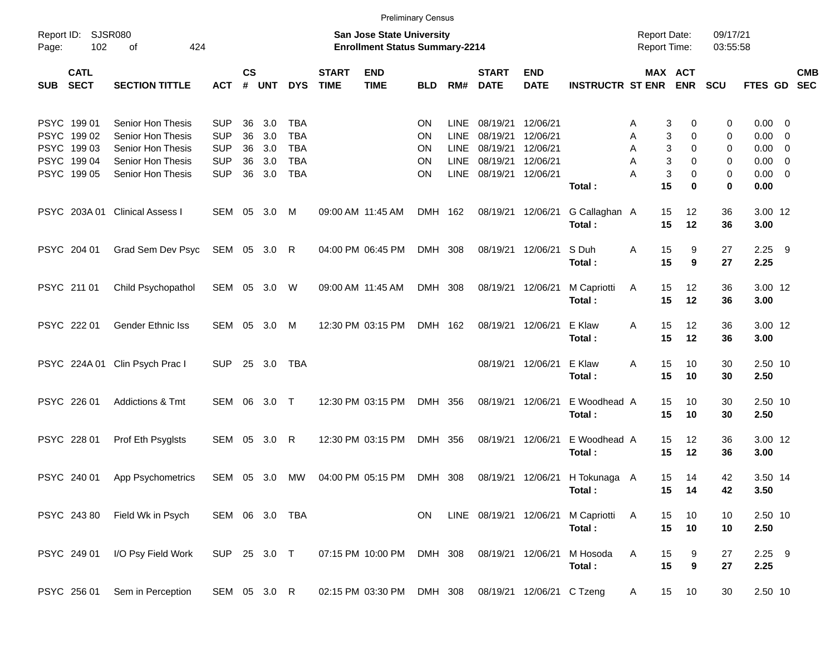|            |                                                                         |                                                                                                       |                                                                    |                            |                                 |                                                                    |                             | <b>Preliminary Census</b>                                                 |                            |                                                    |                                                          |                                                          |                         |                                     |                                                           |                            |                                                                                 |            |
|------------|-------------------------------------------------------------------------|-------------------------------------------------------------------------------------------------------|--------------------------------------------------------------------|----------------------------|---------------------------------|--------------------------------------------------------------------|-----------------------------|---------------------------------------------------------------------------|----------------------------|----------------------------------------------------|----------------------------------------------------------|----------------------------------------------------------|-------------------------|-------------------------------------|-----------------------------------------------------------|----------------------------|---------------------------------------------------------------------------------|------------|
| Page:      | Report ID: SJSR080<br>102                                               | 424<br>οf                                                                                             |                                                                    |                            |                                 |                                                                    |                             | <b>San Jose State University</b><br><b>Enrollment Status Summary-2214</b> |                            |                                                    |                                                          |                                                          |                         | <b>Report Date:</b><br>Report Time: |                                                           | 09/17/21<br>03:55:58       |                                                                                 |            |
| <b>SUB</b> | <b>CATL</b><br><b>SECT</b>                                              | <b>SECTION TITTLE</b>                                                                                 | <b>ACT</b>                                                         | <b>CS</b><br>$\#$          | <b>UNT</b>                      | <b>DYS</b>                                                         | <b>START</b><br><b>TIME</b> | <b>END</b><br><b>TIME</b>                                                 | <b>BLD</b>                 | RM#                                                | <b>START</b><br><b>DATE</b>                              | <b>END</b><br><b>DATE</b>                                | <b>INSTRUCTR ST ENR</b> |                                     | MAX ACT<br><b>ENR</b>                                     | <b>SCU</b>                 | FTES GD SEC                                                                     | <b>CMB</b> |
|            | PSYC 199 01<br>PSYC 199 02<br>PSYC 199 03<br>PSYC 199 04<br>PSYC 199 05 | Senior Hon Thesis<br>Senior Hon Thesis<br>Senior Hon Thesis<br>Senior Hon Thesis<br>Senior Hon Thesis | <b>SUP</b><br><b>SUP</b><br><b>SUP</b><br><b>SUP</b><br><b>SUP</b> | 36<br>36<br>36<br>36<br>36 | 3.0<br>3.0<br>3.0<br>3.0<br>3.0 | <b>TBA</b><br><b>TBA</b><br><b>TBA</b><br><b>TBA</b><br><b>TBA</b> |                             |                                                                           | ΟN<br>ON<br>ΟN<br>ΟN<br>ΟN | <b>LINE</b><br>LINE<br>LINE<br>LINE<br><b>LINE</b> | 08/19/21<br>08/19/21<br>08/19/21<br>08/19/21<br>08/19/21 | 12/06/21<br>12/06/21<br>12/06/21<br>12/06/21<br>12/06/21 | Total:                  | A<br>Α<br>A<br>A<br>Α               | 3<br>0<br>3<br>0<br>3<br>0<br>3<br>0<br>3<br>0<br>15<br>0 | 0<br>0<br>0<br>0<br>0<br>0 | $0.00 \t 0$<br>$0.00 \t 0$<br>$0.00 \t 0$<br>$0.00 \t 0$<br>$0.00 \t 0$<br>0.00 |            |
|            |                                                                         | PSYC 203A 01 Clinical Assess I                                                                        | SEM 05                                                             |                            | 3.0                             | M                                                                  |                             | 09:00 AM 11:45 AM                                                         | DMH 162                    |                                                    |                                                          | 08/19/21 12/06/21                                        | G Callaghan A<br>Total: |                                     | 12<br>15<br>15<br>12                                      | 36<br>36                   | 3.00 12<br>3.00                                                                 |            |
|            | PSYC 204 01                                                             | Grad Sem Dev Psyc                                                                                     | SEM 05 3.0 R                                                       |                            |                                 |                                                                    |                             | 04:00 PM 06:45 PM                                                         | DMH 308                    |                                                    |                                                          | 08/19/21 12/06/21                                        | S Duh<br>Total:         | Α                                   | 15<br>9<br>15<br>9                                        | 27<br>27                   | $2.25$ 9<br>2.25                                                                |            |
|            | PSYC 211 01                                                             | Child Psychopathol                                                                                    | SEM 05                                                             |                            | 3.0                             | W                                                                  |                             | 09:00 AM 11:45 AM                                                         | DMH 308                    |                                                    |                                                          | 08/19/21 12/06/21                                        | M Capriotti<br>Total:   | Α                                   | 15<br>12<br>15<br>12                                      | 36<br>36                   | 3.00 12<br>3.00                                                                 |            |
|            | PSYC 222 01                                                             | <b>Gender Ethnic Iss</b>                                                                              | SEM 05                                                             |                            | 3.0                             | M                                                                  |                             | 12:30 PM 03:15 PM                                                         | DMH 162                    |                                                    |                                                          | 08/19/21 12/06/21                                        | E Klaw<br>Total:        | A                                   | 15<br>12<br>15<br>12                                      | 36<br>36                   | 3.00 12<br>3.00                                                                 |            |
|            |                                                                         | PSYC 224A 01 Clin Psych Prac I                                                                        | <b>SUP</b>                                                         |                            | 25 3.0                          | TBA                                                                |                             |                                                                           |                            |                                                    |                                                          | 08/19/21 12/06/21                                        | E Klaw<br>Total:        | A                                   | 15<br>10<br>15<br>10                                      | 30<br>30                   | 2.50 10<br>2.50                                                                 |            |
|            | PSYC 226 01                                                             | Addictions & Tmt                                                                                      | SEM 06                                                             |                            | 3.0 T                           |                                                                    |                             | 12:30 PM 03:15 PM                                                         | DMH 356                    |                                                    |                                                          | 08/19/21 12/06/21                                        | E Woodhead A<br>Total:  |                                     | 15<br>10<br>15<br>10                                      | 30<br>30                   | 2.50 10<br>2.50                                                                 |            |
|            | PSYC 228 01                                                             | Prof Eth Psyglsts                                                                                     | SEM 05                                                             |                            | 3.0                             | R                                                                  |                             | 12:30 PM 03:15 PM                                                         | DMH 356                    |                                                    |                                                          | 08/19/21 12/06/21                                        | E Woodhead A<br>Total:  |                                     | 15<br>$12 \,$<br>15<br>12                                 | 36<br>36                   | 3.00 12<br>3.00                                                                 |            |
|            | PSYC 240 01                                                             | App Psychometrics                                                                                     | SEM 05 3.0                                                         |                            |                                 | MW                                                                 |                             | 04:00 PM 05:15 PM                                                         | DMH 308                    |                                                    |                                                          | 08/19/21 12/06/21                                        | H Tokunaga A<br>Total:  |                                     | 15<br>14<br>15<br>14                                      | 42<br>42                   | 3.50 14<br>3.50                                                                 |            |
|            | PSYC 243 80                                                             | Field Wk in Psych                                                                                     |                                                                    |                            |                                 | SEM 06 3.0 TBA                                                     |                             |                                                                           | ON                         |                                                    | LINE 08/19/21 12/06/21                                   |                                                          | M Capriotti<br>Total:   | $\overline{A}$                      | 10<br>15<br>15<br>10                                      | 10<br>10                   | 2.50 10<br>2.50                                                                 |            |
|            | PSYC 249 01                                                             | I/O Psy Field Work                                                                                    | SUP 25 3.0 T                                                       |                            |                                 |                                                                    |                             | 07:15 PM 10:00 PM                                                         | DMH 308                    |                                                    | 08/19/21 12/06/21                                        |                                                          | M Hosoda<br>Total:      | Α                                   | 15<br>9<br>15<br>9                                        | 27<br>27                   | $2.25$ 9<br>2.25                                                                |            |
|            | PSYC 256 01                                                             | Sem in Perception                                                                                     | SEM 05 3.0 R                                                       |                            |                                 |                                                                    |                             | 02:15 PM 03:30 PM DMH 308 08/19/21 12/06/21 C Tzeng                       |                            |                                                    |                                                          |                                                          |                         | $\mathsf{A}$                        | 15<br>10                                                  | 30                         | 2.50 10                                                                         |            |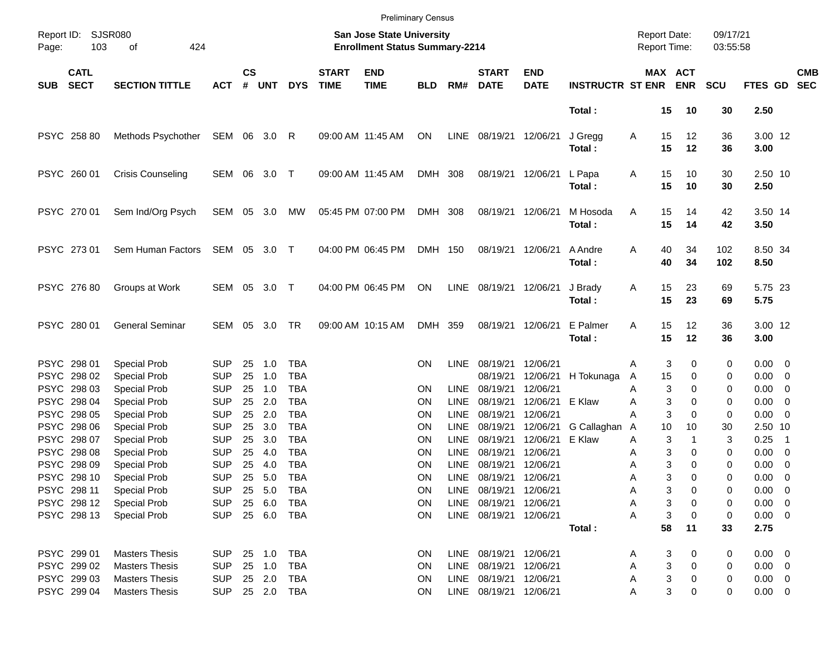|            |                                           |                                                            |                                        |                    |                      |                                        |                             | <b>Preliminary Census</b>                                          |                 |                            |                                                |                           |                         |                                            |                                   |                      |                               |                                                      |
|------------|-------------------------------------------|------------------------------------------------------------|----------------------------------------|--------------------|----------------------|----------------------------------------|-----------------------------|--------------------------------------------------------------------|-----------------|----------------------------|------------------------------------------------|---------------------------|-------------------------|--------------------------------------------|-----------------------------------|----------------------|-------------------------------|------------------------------------------------------|
| Page:      | Report ID: SJSR080<br>103                 | 424<br>оf                                                  |                                        |                    |                      |                                        |                             | San Jose State University<br><b>Enrollment Status Summary-2214</b> |                 |                            |                                                |                           |                         | <b>Report Date:</b><br><b>Report Time:</b> |                                   | 09/17/21<br>03:55:58 |                               |                                                      |
| <b>SUB</b> | <b>CATL</b><br><b>SECT</b>                | <b>SECTION TITTLE</b>                                      | <b>ACT</b>                             | $\mathsf{cs}$<br># | <b>UNT</b>           | <b>DYS</b>                             | <b>START</b><br><b>TIME</b> | <b>END</b><br><b>TIME</b>                                          | <b>BLD</b>      | RM#                        | <b>START</b><br><b>DATE</b>                    | <b>END</b><br><b>DATE</b> | <b>INSTRUCTR ST ENR</b> |                                            | MAX ACT<br><b>ENR</b>             | <b>SCU</b>           | FTES GD                       | <b>CMB</b><br><b>SEC</b>                             |
|            |                                           |                                                            |                                        |                    |                      |                                        |                             |                                                                    |                 |                            |                                                |                           | Total:                  | 15                                         | 10                                | 30                   | 2.50                          |                                                      |
|            | PSYC 258 80                               | Methods Psychother                                         | SEM 06 3.0                             |                    |                      | R                                      |                             | 09:00 AM 11:45 AM                                                  | ON              | LINE                       | 08/19/21                                       | 12/06/21                  | J Gregg<br>Total:       | 15<br>Α<br>15                              | 12<br>12                          | 36<br>36             | 3.00 12<br>3.00               |                                                      |
|            | PSYC 260 01                               | <b>Crisis Counseling</b>                                   | SEM 06                                 |                    | 3.0 T                |                                        |                             | 09:00 AM 11:45 AM                                                  | DMH 308         |                            | 08/19/21                                       | 12/06/21                  | L Papa<br>Total:        | 15<br>Α<br>15                              | 10<br>10                          | 30<br>30             | 2.50 10<br>2.50               |                                                      |
|            | PSYC 270 01                               | Sem Ind/Org Psych                                          | SEM 05 3.0                             |                    |                      | МW                                     |                             | 05:45 PM 07:00 PM                                                  | DMH 308         |                            | 08/19/21                                       | 12/06/21                  | M Hosoda<br>Total:      | 15<br>Α<br>15                              | 14<br>14                          | 42<br>42             | 3.50 14<br>3.50               |                                                      |
|            | PSYC 273 01                               | Sem Human Factors                                          | SEM 05 3.0 T                           |                    |                      |                                        |                             | 04:00 PM 06:45 PM                                                  | DMH 150         |                            | 08/19/21                                       | 12/06/21                  | A Andre<br>Total:       | 40<br>Α<br>40                              | 34<br>34                          | 102<br>102           | 8.50 34<br>8.50               |                                                      |
|            | PSYC 276 80                               | Groups at Work                                             | SEM 05                                 |                    | 3.0 T                |                                        |                             | 04:00 PM 06:45 PM                                                  | ON              | LINE                       | 08/19/21                                       | 12/06/21                  | J Brady<br>Total:       | 15<br>Α<br>15                              | 23<br>23                          | 69<br>69             | 5.75 23<br>5.75               |                                                      |
|            | PSYC 280 01                               | <b>General Seminar</b>                                     | SEM                                    | 05                 | 3.0                  | TR                                     |                             | 09:00 AM 10:15 AM                                                  | DMH             | 359                        | 08/19/21                                       | 12/06/21                  | E Palmer<br>Total:      | 15<br>Α<br>15                              | 12<br>12                          | 36<br>36             | 3.00 12<br>3.00               |                                                      |
|            | PSYC 298 01<br>PSYC 298 02                | <b>Special Prob</b><br><b>Special Prob</b>                 | <b>SUP</b><br><b>SUP</b>               | 25<br>25           | 1.0<br>1.0           | <b>TBA</b><br><b>TBA</b>               |                             |                                                                    | ON              | <b>LINE</b>                | 08/19/21<br>08/19/21                           | 12/06/21<br>12/06/21      | H Tokunaga              | Α<br>15<br>A                               | 3<br>0<br>0                       | 0<br>0               | $0.00 \t 0$<br>$0.00 \t 0$    |                                                      |
|            | PSYC 298 03<br>PSYC 298 04                | <b>Special Prob</b><br><b>Special Prob</b>                 | <b>SUP</b><br><b>SUP</b>               | 25<br>25           | 1.0<br>2.0           | <b>TBA</b><br><b>TBA</b>               |                             |                                                                    | ΟN<br>ΟN        | <b>LINE</b><br><b>LINE</b> | 08/19/21<br>08/19/21                           | 12/06/21<br>12/06/21      | E Klaw                  | Α<br>Α                                     | 3<br>$\Omega$<br>3<br>0           | 0<br>0               | $0.00 \quad 0$<br>$0.00 \t 0$ |                                                      |
|            | PSYC 298 05<br>PSYC 298 06                | <b>Special Prob</b><br><b>Special Prob</b>                 | <b>SUP</b><br><b>SUP</b>               | 25<br>25           | 2.0<br>3.0           | <b>TBA</b><br><b>TBA</b>               |                             |                                                                    | ΟN<br>ΟN        | <b>LINE</b><br><b>LINE</b> | 08/19/21<br>08/19/21                           | 12/06/21<br>12/06/21      | G Callaghan             | Α<br>10<br>A                               | 3<br>0<br>10                      | 0<br>30              | $0.00 \t 0$<br>2.50 10        |                                                      |
|            | PSYC 298 07<br>PSYC 298 08                | <b>Special Prob</b><br><b>Special Prob</b>                 | <b>SUP</b><br><b>SUP</b>               | 25<br>25           | 3.0<br>4.0           | <b>TBA</b><br><b>TBA</b>               |                             |                                                                    | ΟN<br>ΟN        | <b>LINE</b><br><b>LINE</b> | 08/19/21<br>08/19/21                           | 12/06/21<br>12/06/21      | E Klaw                  | Α<br>Α                                     | 3<br>1<br>3<br>0                  | 3<br>0               | 0.25<br>$0.00 \t 0$           | $\overline{\phantom{1}}$                             |
|            | PSYC 298 09<br>PSYC 298 10<br>PSYC 298 11 | <b>Special Prob</b><br><b>Special Prob</b><br>Special Prob | <b>SUP</b><br><b>SUP</b><br><b>SUP</b> | 25<br>25           | 4.0<br>5.0<br>25 5.0 | <b>TBA</b><br><b>TBA</b><br><b>TBA</b> |                             |                                                                    | ΟN<br>ON<br>ΟN  | <b>LINE</b><br>LINE        | 08/19/21<br>08/19/21<br>LINE 08/19/21 12/06/21 | 12/06/21<br>12/06/21      |                         | Α<br>Α<br>Α                                | 3<br>0<br>3<br>$\Omega$<br>3<br>0 | 0<br>0<br>0          | 0.00<br>0.00<br>$0.00 \t 0$   | $\overline{\phantom{0}}$<br>$\overline{\phantom{0}}$ |
|            | PSYC 298 12<br>PSYC 298 13                | Special Prob<br><b>Special Prob</b>                        | <b>SUP</b><br><b>SUP</b>               |                    | 25 6.0               | TBA<br>25 6.0 TBA                      |                             |                                                                    | ON<br><b>ON</b> |                            | LINE 08/19/21<br>LINE 08/19/21                 | 12/06/21<br>12/06/21      |                         | А<br>Α                                     | 3<br>0<br>3<br>0                  | 0<br>0               | $0.00 \t 0$<br>$0.00 \t 0$    |                                                      |
|            |                                           |                                                            |                                        |                    |                      |                                        |                             |                                                                    |                 |                            |                                                |                           | Total:                  | 58                                         | 11                                | 33                   | 2.75                          |                                                      |
|            | PSYC 299 01<br>PSYC 299 02                | <b>Masters Thesis</b><br><b>Masters Thesis</b>             | <b>SUP</b><br><b>SUP</b>               |                    | 25 1.0<br>25 1.0     | TBA<br>TBA                             |                             |                                                                    | <b>ON</b><br>ON |                            | LINE 08/19/21 12/06/21<br>LINE 08/19/21        | 12/06/21                  |                         | A<br>А                                     | 3<br>0<br>3<br>0                  | 0<br>0               | $0.00 \t 0$<br>$0.00 \t 0$    |                                                      |
|            | PSYC 299 03<br>PSYC 299 04                | <b>Masters Thesis</b><br><b>Masters Thesis</b>             | <b>SUP</b><br><b>SUP</b>               |                    | 25 2.0               | TBA<br>25  2.0  TBA                    |                             |                                                                    | ON<br><b>ON</b> |                            | LINE 08/19/21<br>LINE 08/19/21 12/06/21        | 12/06/21                  |                         | А<br>Α                                     | 3<br>0<br>3<br>0                  | 0<br>0               | $0.00 \t 0$<br>$0.00 \t 0$    |                                                      |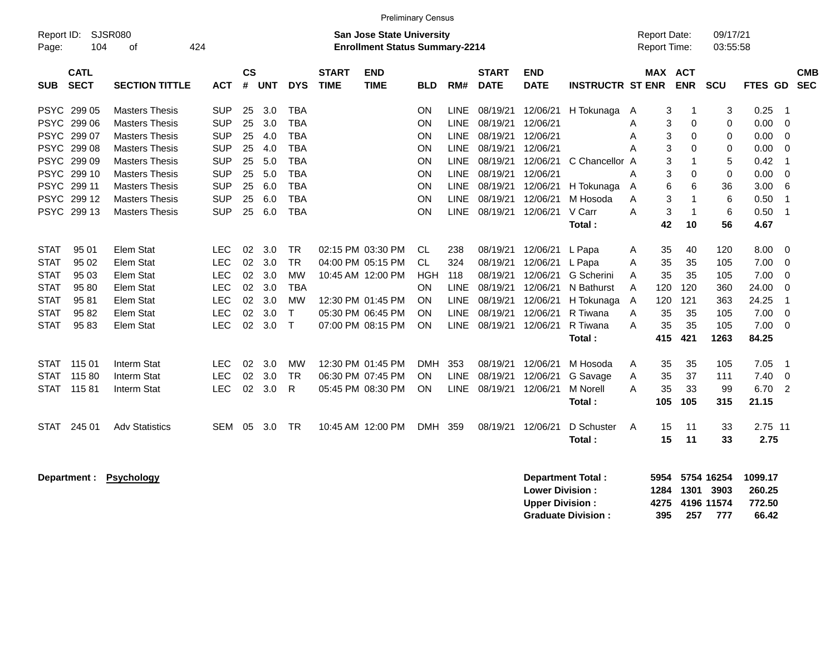|                                                                                                       |                                                                                   |                                                                                                                                                                                                      |                                                                                                              |                                              |                                                      |                                                                                                       |                             |                                                                                                                            | <b>Preliminary Census</b>                              |                                                                                                               |                                                                                              |                                                                                              |                                                                                               |                                                                                    |                                                                                                                                  |                                                       |                                                                 |                                                                                                    |
|-------------------------------------------------------------------------------------------------------|-----------------------------------------------------------------------------------|------------------------------------------------------------------------------------------------------------------------------------------------------------------------------------------------------|--------------------------------------------------------------------------------------------------------------|----------------------------------------------|------------------------------------------------------|-------------------------------------------------------------------------------------------------------|-----------------------------|----------------------------------------------------------------------------------------------------------------------------|--------------------------------------------------------|---------------------------------------------------------------------------------------------------------------|----------------------------------------------------------------------------------------------|----------------------------------------------------------------------------------------------|-----------------------------------------------------------------------------------------------|------------------------------------------------------------------------------------|----------------------------------------------------------------------------------------------------------------------------------|-------------------------------------------------------|-----------------------------------------------------------------|----------------------------------------------------------------------------------------------------|
| Report ID:<br>Page:                                                                                   | 104                                                                               | SJSR080<br>424<br>οf                                                                                                                                                                                 |                                                                                                              |                                              |                                                      |                                                                                                       |                             | <b>San Jose State University</b><br><b>Enrollment Status Summary-2214</b>                                                  |                                                        |                                                                                                               |                                                                                              |                                                                                              |                                                                                               | <b>Report Date:</b><br>Report Time:                                                |                                                                                                                                  | 09/17/21<br>03:55:58                                  |                                                                 |                                                                                                    |
| <b>SUB</b>                                                                                            | <b>CATL</b><br><b>SECT</b>                                                        | <b>SECTION TITTLE</b>                                                                                                                                                                                | ACT                                                                                                          | <b>CS</b><br>#                               | <b>UNT</b>                                           | <b>DYS</b>                                                                                            | <b>START</b><br><b>TIME</b> | <b>END</b><br><b>TIME</b>                                                                                                  | <b>BLD</b>                                             | RM#                                                                                                           | <b>START</b><br><b>DATE</b>                                                                  | <b>END</b><br><b>DATE</b>                                                                    | <b>INSTRUCTR ST ENR</b>                                                                       |                                                                                    | MAX ACT<br><b>ENR</b>                                                                                                            | <b>SCU</b>                                            | <b>FTES GD</b>                                                  | <b>CMB</b><br><b>SEC</b>                                                                           |
| <b>PSYC</b><br><b>PSYC</b><br><b>PSYC</b><br><b>PSYC</b><br><b>PSYC</b><br><b>PSYC</b><br><b>PSYC</b> | 299 05<br>299 06<br>PSYC 299 07<br>299 08<br>299 09<br>299 10<br>299 11<br>299 12 | <b>Masters Thesis</b><br><b>Masters Thesis</b><br><b>Masters Thesis</b><br><b>Masters Thesis</b><br><b>Masters Thesis</b><br><b>Masters Thesis</b><br><b>Masters Thesis</b><br><b>Masters Thesis</b> | <b>SUP</b><br><b>SUP</b><br><b>SUP</b><br><b>SUP</b><br><b>SUP</b><br><b>SUP</b><br><b>SUP</b><br><b>SUP</b> | 25<br>25<br>25<br>25<br>25<br>25<br>25<br>25 | 3.0<br>3.0<br>4.0<br>4.0<br>5.0<br>5.0<br>6.0<br>6.0 | <b>TBA</b><br>TBA<br><b>TBA</b><br><b>TBA</b><br><b>TBA</b><br><b>TBA</b><br><b>TBA</b><br><b>TBA</b> |                             |                                                                                                                            | ON<br>ON<br>ΟN<br>ON<br>ON<br>ON<br>ON<br>ΟN           | <b>LINE</b><br><b>LINE</b><br>LINE<br><b>LINE</b><br><b>LINE</b><br><b>LINE</b><br><b>LINE</b><br><b>LINE</b> | 08/19/21<br>08/19/21<br>08/19/21<br>08/19/21<br>08/19/21<br>08/19/21<br>08/19/21<br>08/19/21 | 12/06/21<br>12/06/21<br>12/06/21<br>12/06/21<br>12/06/21<br>12/06/21<br>12/06/21<br>12/06/21 | H Tokunaga<br>C Chancellor A<br>H Tokunaga<br>M Hosoda                                        | A<br>Α<br>Α<br>А<br>A<br>A<br>A                                                    | 3<br>$\mathbf 1$<br>$\mathbf 0$<br>3<br>0<br>3<br>3<br>0<br>3<br>$\mathbf{1}$<br>3<br>$\mathbf 0$<br>6<br>6<br>3<br>$\mathbf{1}$ | 3<br>0<br>0<br>0<br>5<br>$\mathbf 0$<br>36<br>6       | 0.25<br>0.00<br>0.00<br>0.00<br>0.42<br>0.00<br>3.00<br>0.50    | $\overline{1}$<br>$\mathbf 0$<br>0<br>0<br>$\overline{1}$<br>$\overline{0}$<br>6<br>$\overline{1}$ |
|                                                                                                       | PSYC 299 13                                                                       | <b>Masters Thesis</b>                                                                                                                                                                                | <b>SUP</b>                                                                                                   | 25                                           | 6.0                                                  | <b>TBA</b>                                                                                            |                             |                                                                                                                            | ON                                                     | <b>LINE</b>                                                                                                   | 08/19/21                                                                                     | 12/06/21                                                                                     | V Carr<br>Total :                                                                             | A<br>42                                                                            | 3<br>$\mathbf{1}$<br>10                                                                                                          | 6<br>56                                               | 0.50<br>4.67                                                    | $\overline{1}$                                                                                     |
| <b>STAT</b><br><b>STAT</b><br><b>STAT</b><br><b>STAT</b><br><b>STAT</b><br><b>STAT</b><br><b>STAT</b> | 95 01<br>95 02<br>95 03<br>95 80<br>9581<br>95 82<br>9583                         | Elem Stat<br>Elem Stat<br><b>Elem Stat</b><br>Elem Stat<br>Elem Stat<br><b>Elem Stat</b><br>Elem Stat                                                                                                | <b>LEC</b><br><b>LEC</b><br><b>LEC</b><br><b>LEC</b><br><b>LEC</b><br><b>LEC</b><br><b>LEC</b>               | 02<br>02<br>02<br>02<br>02<br>02<br>02       | 3.0<br>3.0<br>3.0<br>3.0<br>3.0<br>3.0<br>3.0        | TR<br><b>TR</b><br>MW<br><b>TBA</b><br>МW<br>$\mathsf{T}$<br>$\mathsf{T}$                             |                             | 02:15 PM 03:30 PM<br>04:00 PM 05:15 PM<br>10:45 AM 12:00 PM<br>12:30 PM 01:45 PM<br>05:30 PM 06:45 PM<br>07:00 PM 08:15 PM | CL.<br>CL<br>HGH<br><b>ON</b><br>ON<br><b>ON</b><br>ON | 238<br>324<br>118<br><b>LINE</b><br><b>LINE</b><br>LINE.<br>LINE                                              | 08/19/21<br>08/19/21<br>08/19/21<br>08/19/21<br>08/19/21<br>08/19/21<br>08/19/21             | 12/06/21<br>12/06/21<br>12/06/21<br>12/06/21<br>12/06/21<br>12/06/21<br>12/06/21             | L Papa<br>L Papa<br>G Scherini<br>N Bathurst<br>H Tokunaga<br>R Tiwana<br>R Tiwana<br>Total : | 35<br>A<br>35<br>Α<br>35<br>A<br>120<br>A<br>120<br>A<br>35<br>A<br>35<br>A<br>415 | 40<br>35<br>35<br>120<br>121<br>35<br>35<br>421                                                                                  | 120<br>105<br>105<br>360<br>363<br>105<br>105<br>1263 | 8.00<br>7.00<br>7.00<br>24.00<br>24.25<br>7.00<br>7.00<br>84.25 | 0<br>$\overline{0}$<br>0<br>$\mathbf 0$<br>$\overline{1}$<br>$\overline{0}$<br>$\overline{0}$      |
| STAT<br><b>STAT</b><br><b>STAT</b><br>STAT                                                            | 115 01<br>11580<br>11581<br>245 01                                                | Interm Stat<br>Interm Stat<br>Interm Stat<br><b>Adv Statistics</b>                                                                                                                                   | LEC<br><b>LEC</b><br><b>LEC</b><br>SEM                                                                       | 02<br>02<br>02<br>05                         | 3.0<br>3.0<br>3.0<br>3.0                             | МW<br><b>TR</b><br>$\mathsf{R}$<br><b>TR</b>                                                          |                             | 12:30 PM 01:45 PM<br>06:30 PM 07:45 PM<br>05:45 PM 08:30 PM<br>10:45 AM 12:00 PM                                           | <b>DMH</b><br>ON<br>ON<br>DMH 359                      | 353<br><b>LINE</b><br>LINE                                                                                    | 08/19/21<br>08/19/21<br>08/19/21<br>08/19/21                                                 | 12/06/21<br>12/06/21<br>12/06/21<br>12/06/21                                                 | M Hosoda<br>G Savage<br><b>M</b> Norell<br>Total :<br>D Schuster                              | 35<br>A<br>Α<br>35<br>35<br>A<br>105<br>A<br>15                                    | 35<br>37<br>33<br>105<br>11                                                                                                      | 105<br>111<br>99<br>315<br>33                         | 7.05<br>7.40<br>6.70<br>21.15<br>2.75 11                        | $\overline{1}$<br>$\overline{0}$<br>$\overline{2}$                                                 |
|                                                                                                       | Department :                                                                      | <b>Psychology</b>                                                                                                                                                                                    |                                                                                                              |                                              |                                                      |                                                                                                       |                             |                                                                                                                            |                                                        |                                                                                                               |                                                                                              | <b>Lower Division:</b><br><b>Upper Division:</b>                                             | Total:<br><b>Department Total:</b><br><b>Graduate Division:</b>                               | 15<br>5954<br>1284<br>4275<br>395                                                  | 11<br>1301<br>257                                                                                                                | 33<br>5754 16254<br>3903<br>4196 11574<br>777         | 2.75<br>1099.17<br>260.25<br>772.50<br>66.42                    |                                                                                                    |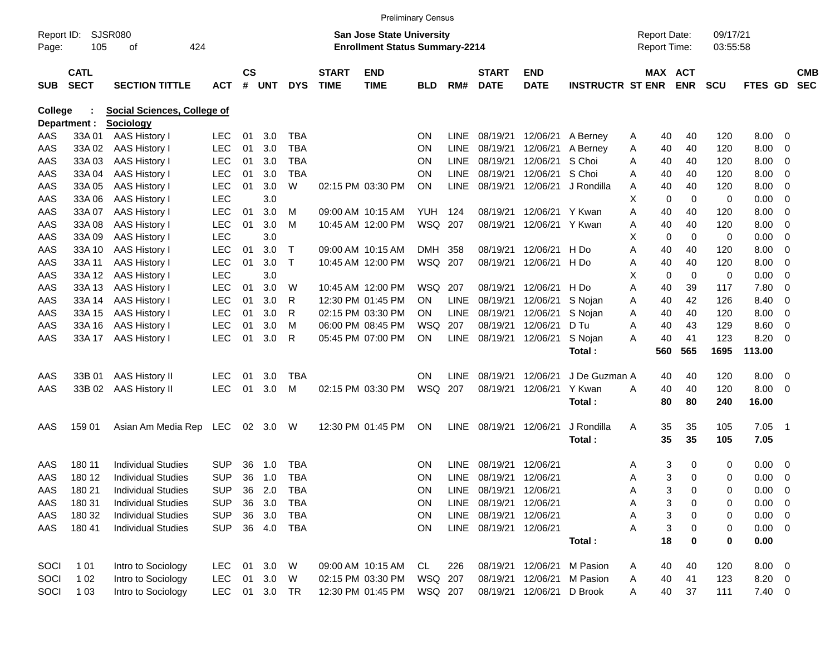|                     |                            |                                                        |            |               |            |                          |                             | <b>Preliminary Census</b>                                                 |                        |             |                                |                           |                         |        |                                     |             |                      |                |                                 |                          |
|---------------------|----------------------------|--------------------------------------------------------|------------|---------------|------------|--------------------------|-----------------------------|---------------------------------------------------------------------------|------------------------|-------------|--------------------------------|---------------------------|-------------------------|--------|-------------------------------------|-------------|----------------------|----------------|---------------------------------|--------------------------|
| Report ID:<br>Page: | 105                        | <b>SJSR080</b><br>424<br>οf                            |            |               |            |                          |                             | <b>San Jose State University</b><br><b>Enrollment Status Summary-2214</b> |                        |             |                                |                           |                         |        | <b>Report Date:</b><br>Report Time: |             | 09/17/21<br>03:55:58 |                |                                 |                          |
| <b>SUB</b>          | <b>CATL</b><br><b>SECT</b> | <b>SECTION TITTLE</b>                                  | <b>ACT</b> | $\mathsf{cs}$ | # UNT      | <b>DYS</b>               | <b>START</b><br><b>TIME</b> | <b>END</b><br><b>TIME</b>                                                 | <b>BLD</b>             | RM#         | <b>START</b><br><b>DATE</b>    | <b>END</b><br><b>DATE</b> | <b>INSTRUCTR ST ENR</b> |        | MAX ACT                             | <b>ENR</b>  | <b>SCU</b>           | <b>FTES GD</b> |                                 | <b>CMB</b><br><b>SEC</b> |
| <b>College</b>      |                            | <b>Social Sciences, College of</b>                     |            |               |            |                          |                             |                                                                           |                        |             |                                |                           |                         |        |                                     |             |                      |                |                                 |                          |
|                     | Department :               | <b>Sociology</b>                                       |            |               |            |                          |                             |                                                                           |                        |             |                                |                           |                         |        |                                     |             |                      |                |                                 |                          |
| AAS                 | 33A 01                     | AAS History I                                          | <b>LEC</b> | 01            | 3.0        | <b>TBA</b>               |                             |                                                                           | <b>ON</b>              | <b>LINE</b> | 08/19/21                       | 12/06/21                  | A Bernev                | A      | 40                                  | 40          | 120                  | 8.00           | - 0                             |                          |
| AAS                 | 33A 02                     | AAS History I                                          | <b>LEC</b> | 01            | 3.0        | <b>TBA</b>               |                             |                                                                           | <b>ON</b>              | <b>LINE</b> | 08/19/21                       | 12/06/21                  | A Berney                | Α      | 40                                  | 40          | 120                  | 8.00           | 0                               |                          |
| AAS                 | 33A03                      | AAS History I                                          | <b>LEC</b> | 01            | 3.0        | <b>TBA</b>               |                             |                                                                           | <b>ON</b>              | LINE        | 08/19/21                       | 12/06/21                  | S Choi                  | A      | 40                                  | 40          | 120                  | 8.00           | - 0                             |                          |
| AAS                 | 33A 04                     | AAS History I                                          | <b>LEC</b> | 01            | 3.0        | <b>TBA</b>               |                             |                                                                           | <b>ON</b>              | <b>LINE</b> | 08/19/21                       | 12/06/21                  | S Choi                  | A      | 40                                  | 40          | 120                  | 8.00           | 0                               |                          |
| AAS                 | 33A 05                     | AAS History I                                          | <b>LEC</b> | 01            | 3.0        | W                        |                             | 02:15 PM 03:30 PM                                                         | <b>ON</b>              | <b>LINE</b> | 08/19/21                       | 12/06/21                  | J Rondilla              | Α      | 40                                  | 40          | 120                  | 8.00           | 0                               |                          |
| AAS                 | 33A 06                     | AAS History I                                          | <b>LEC</b> |               | 3.0        |                          |                             |                                                                           |                        |             |                                |                           |                         | х      | 0                                   | $\mathbf 0$ | 0                    | 0.00           | 0                               |                          |
| AAS                 | 33A 07                     | AAS History I                                          | <b>LEC</b> | 01            | 3.0        | M                        |                             | 09:00 AM 10:15 AM                                                         | YUH                    | 124         | 08/19/21                       | 12/06/21 Y Kwan           |                         | Α      | 40                                  | 40          | 120                  | 8.00           | 0                               |                          |
| AAS                 | 33A 08                     | AAS History I                                          | <b>LEC</b> | 01            | 3.0        | м                        |                             | 10:45 AM 12:00 PM                                                         | <b>WSQ</b>             | 207         | 08/19/21                       | 12/06/21 Y Kwan           |                         | Α      | 40                                  | 40          | 120                  | 8.00           | 0                               |                          |
| AAS                 | 33A 09                     | AAS History I                                          | <b>LEC</b> |               | 3.0        |                          |                             |                                                                           |                        |             |                                |                           |                         | х      | 0                                   | $\mathbf 0$ | 0                    | 0.00           | 0                               |                          |
| AAS                 | 33A 10                     | AAS History I                                          | <b>LEC</b> | 01            | 3.0        | $\mathsf{T}$             |                             | 09:00 AM 10:15 AM                                                         | <b>DMH</b>             | 358         | 08/19/21                       | 12/06/21                  | H Do                    | Α      | 40                                  | 40          | 120                  | 8.00           | 0                               |                          |
| AAS                 | 33A 11                     | <b>AAS History I</b>                                   | <b>LEC</b> | 01            | 3.0        | $\mathsf{T}$             |                             | 10:45 AM 12:00 PM                                                         | WSQ                    | 207         | 08/19/21                       | 12/06/21 H Do             |                         | Α      | 40                                  | 40          | 120                  | 8.00           | 0                               |                          |
| AAS                 | 33A 12                     | AAS History I                                          | <b>LEC</b> |               | 3.0        |                          |                             |                                                                           |                        |             |                                |                           |                         | х      | 0                                   | $\mathbf 0$ | 0                    | 0.00           | 0                               |                          |
| AAS                 | 33A 13                     | AAS History I                                          | <b>LEC</b> | 01            | 3.0        | W                        |                             | 10:45 AM 12:00 PM                                                         | WSQ                    | 207         | 08/19/21                       | 12/06/21                  | H Do                    | Α      | 40                                  | 39          | 117                  | 7.80           | 0                               |                          |
| AAS                 | 33A 14                     | AAS History I                                          | <b>LEC</b> | 01            | 3.0        | R                        |                             | 12:30 PM 01:45 PM                                                         | <b>ON</b>              | <b>LINE</b> | 08/19/21                       | 12/06/21                  | S Nojan                 | Α      | 40                                  | 42          | 126                  | 8.40           | 0                               |                          |
| AAS                 | 33A 15                     | AAS History I                                          | <b>LEC</b> | 01            | 3.0        | R                        |                             | 02:15 PM 03:30 PM                                                         | <b>ON</b>              | <b>LINE</b> | 08/19/21                       | 12/06/21                  | S Nojan                 | Α      | 40                                  | 40          | 120                  | 8.00           | 0                               |                          |
| AAS                 | 33A 16                     | AAS History I                                          | <b>LEC</b> | 01            | 3.0        | м                        |                             | 06:00 PM 08:45 PM                                                         | <b>WSQ</b>             | 207         | 08/19/21                       | 12/06/21                  | D Tu                    | Α      | 40                                  | 43          | 129                  | 8.60           | - 0                             |                          |
| AAS                 | 33A 17                     | <b>AAS History I</b>                                   | <b>LEC</b> | 01            | 3.0        | R                        |                             | 05:45 PM 07:00 PM                                                         | ON                     |             | LINE 08/19/21                  | 12/06/21                  | S Nojan                 | A      | 40                                  | 41          | 123                  | 8.20           | - 0                             |                          |
|                     |                            |                                                        |            |               |            |                          |                             |                                                                           |                        |             |                                |                           | Total:                  |        | 560                                 | 565         | 1695                 | 113.00         |                                 |                          |
| AAS                 | 33B 01                     | <b>AAS History II</b>                                  | <b>LEC</b> | 01            | 3.0        | <b>TBA</b>               |                             |                                                                           | <b>ON</b>              | LINE        | 08/19/21                       | 12/06/21                  | J De Guzman A           |        | 40                                  | 40          | 120                  | 8.00           | $\overline{\phantom{0}}$        |                          |
| AAS                 | 33B 02                     | <b>AAS History II</b>                                  | <b>LEC</b> | 01            | 3.0        | м                        |                             | 02:15 PM 03:30 PM                                                         | <b>WSQ</b>             | 207         | 08/19/21                       | 12/06/21                  | Y Kwan                  | A      | 40                                  | 40          | 120                  | 8.00           | - 0                             |                          |
|                     |                            |                                                        |            |               |            |                          |                             |                                                                           |                        |             |                                |                           | Total:                  |        | 80                                  | 80          | 240                  | 16.00          |                                 |                          |
| AAS                 | 159 01                     | Asian Am Media Rep LEC                                 |            |               | 02 3.0     | W                        |                             | 12:30 PM 01:45 PM                                                         | ON                     | <b>LINE</b> | 08/19/21                       | 12/06/21                  | J Rondilla              | A      | 35                                  | 35          | 105                  | 7.05           | $\overline{\phantom{0}}$ 1      |                          |
|                     |                            |                                                        |            |               |            |                          |                             |                                                                           |                        |             |                                |                           | Total:                  |        | 35                                  | 35          | 105                  | 7.05           |                                 |                          |
| AAS                 | 180 11                     | <b>Individual Studies</b>                              | SUP        | 36            | 1.0        | TBA                      |                             |                                                                           |                        | LINE        | 08/19/21                       | 12/06/21                  |                         |        |                                     |             |                      | 0.00           | $\overline{\phantom{0}}$        |                          |
| AAS                 | 180 12                     | <b>Individual Studies</b>                              | <b>SUP</b> | 36            | 1.0        | <b>TBA</b>               |                             |                                                                           | <b>ON</b><br><b>ON</b> | <b>LINE</b> | 08/19/21 12/06/21              |                           |                         | Α<br>A | 3<br>3                              | 0<br>0      | 0<br>0               | 0.00           | - 0                             |                          |
|                     |                            |                                                        |            |               |            |                          |                             |                                                                           |                        |             |                                |                           |                         |        |                                     |             |                      |                |                                 |                          |
| AAS                 | 180 21<br>180 31           | <b>Individual Studies</b>                              | <b>SUP</b> | 36<br>36      | 2.0<br>3.0 | <b>TBA</b>               |                             |                                                                           | ON<br>ON               |             | LINE 08/19/21 12/06/21         |                           |                         | A      | 3                                   | 0           | 0                    | 0.00<br>0.00   | - 0                             |                          |
| AAS                 | 180 32                     | <b>Individual Studies</b>                              | <b>SUP</b> | 36            | 3.0        | <b>TBA</b><br><b>TBA</b> |                             |                                                                           | ON                     |             | LINE 08/19/21<br>LINE 08/19/21 | 12/06/21<br>12/06/21      |                         | Α      | 3<br>3                              | 0           | 0                    | 0.00           | - 0<br>$\overline{\phantom{0}}$ |                          |
| AAS                 | 180 41                     | <b>Individual Studies</b><br><b>Individual Studies</b> | <b>SUP</b> |               | 36 4.0     |                          |                             |                                                                           | ON                     |             | LINE 08/19/21 12/06/21         |                           |                         | Α      |                                     | 0           | 0                    | $0.00 \t 0$    |                                 |                          |
| AAS                 |                            |                                                        | <b>SUP</b> |               |            | TBA                      |                             |                                                                           |                        |             |                                |                           |                         | Α      | 3<br>18                             | 0<br>0      | 0<br>0               | 0.00           |                                 |                          |
|                     |                            |                                                        |            |               |            |                          |                             |                                                                           |                        |             |                                |                           | Total:                  |        |                                     |             |                      |                |                                 |                          |
| SOCI                | 1 0 1                      | Intro to Sociology                                     | <b>LEC</b> | 01            | 3.0        | W                        |                             | 09:00 AM 10:15 AM                                                         | CL                     | 226         |                                | 08/19/21 12/06/21         | M Pasion                | A      | 40                                  | 40          | 120                  | 8.00 0         |                                 |                          |
| SOCI                | 1 0 2                      | Intro to Sociology                                     | <b>LEC</b> | 01            | 3.0        | W                        |                             | 02:15 PM 03:30 PM                                                         | WSQ 207                |             | 08/19/21                       | 12/06/21                  | M Pasion                | A      | 40                                  | 41          | 123                  | 8.20 0         |                                 |                          |
| SOCI                | 1 0 3                      | Intro to Sociology                                     | LEC        |               | 01 3.0     | TR                       |                             | 12:30 PM 01:45 PM                                                         | WSQ 207                |             |                                | 08/19/21 12/06/21 D Brook |                         | A      | 40                                  | 37          | 111                  | $7.40 \ 0$     |                                 |                          |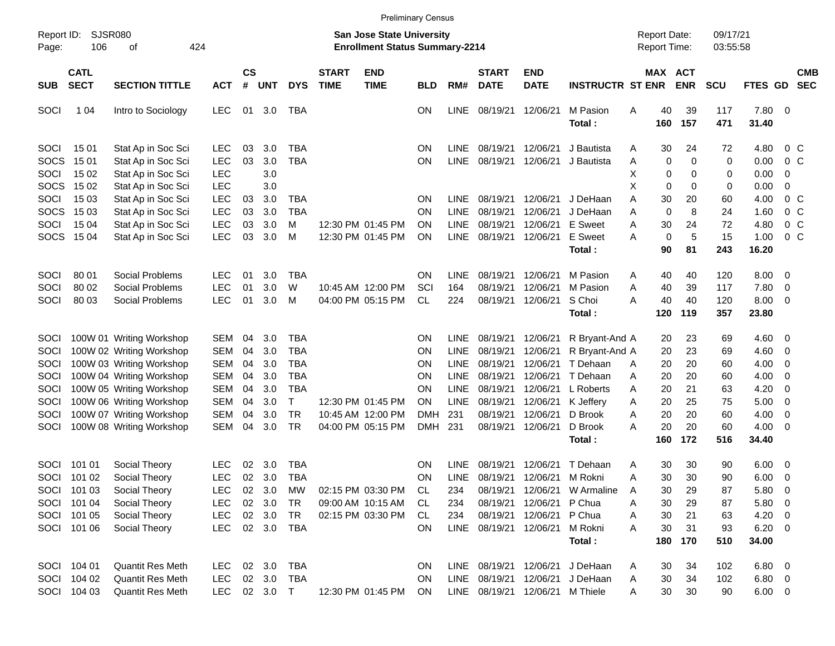|                             |                                           |                                                                                  |                                        |                |                              |                                        |                             |                                                                           | <b>Preliminary Census</b> |                                     |                                  |                                                                       |                                              |                                            |                                  |                      |                                     |                                                     |                          |
|-----------------------------|-------------------------------------------|----------------------------------------------------------------------------------|----------------------------------------|----------------|------------------------------|----------------------------------------|-----------------------------|---------------------------------------------------------------------------|---------------------------|-------------------------------------|----------------------------------|-----------------------------------------------------------------------|----------------------------------------------|--------------------------------------------|----------------------------------|----------------------|-------------------------------------|-----------------------------------------------------|--------------------------|
| Report ID:<br>Page:         | 106                                       | <b>SJSR080</b><br>424<br>οf                                                      |                                        |                |                              |                                        |                             | <b>San Jose State University</b><br><b>Enrollment Status Summary-2214</b> |                           |                                     |                                  |                                                                       |                                              | <b>Report Date:</b><br><b>Report Time:</b> |                                  | 09/17/21<br>03:55:58 |                                     |                                                     |                          |
| <b>SUB</b>                  | <b>CATL</b><br><b>SECT</b>                | <b>SECTION TITTLE</b>                                                            | <b>ACT</b>                             | <b>CS</b><br># | <b>UNT</b>                   | <b>DYS</b>                             | <b>START</b><br><b>TIME</b> | <b>END</b><br><b>TIME</b>                                                 | <b>BLD</b>                | RM#                                 | <b>START</b><br><b>DATE</b>      | <b>END</b><br><b>DATE</b>                                             | <b>INSTRUCTR ST ENR</b>                      |                                            | <b>MAX ACT</b><br><b>ENR</b>     | <b>SCU</b>           | FTES GD                             |                                                     | <b>CMB</b><br><b>SEC</b> |
| SOCI                        | 1 0 4                                     | Intro to Sociology                                                               | <b>LEC</b>                             |                | 01 3.0                       | TBA                                    |                             |                                                                           | OΝ                        | LINE                                | 08/19/21                         | 12/06/21                                                              | M Pasion<br>Total:                           | 40<br>Α<br>160                             | 39<br>157                        | 117<br>471           | 7.80 0<br>31.40                     |                                                     |                          |
| SOCI<br><b>SOCS</b>         | 15 01<br>15 01                            | Stat Ap in Soc Sci<br>Stat Ap in Soc Sci                                         | <b>LEC</b><br><b>LEC</b>               | 03<br>03       | 3.0<br>3.0                   | <b>TBA</b><br><b>TBA</b>               |                             |                                                                           | ΟN<br>ΟN                  | LINE.<br><b>LINE</b>                | 08/19/21<br>08/19/21             | 12/06/21<br>12/06/21                                                  | J Bautista<br>J Bautista                     | 30<br>Α<br>Α                               | 24<br>0<br>0                     | 72<br>$\mathbf 0$    | 4.80<br>0.00                        | 0 <sup>o</sup><br>$0\,C$                            |                          |
| SOCI<br><b>SOCS</b>         | 15 02<br>15 02                            | Stat Ap in Soc Sci<br>Stat Ap in Soc Sci                                         | <b>LEC</b><br><b>LEC</b>               |                | 3.0<br>3.0                   |                                        |                             |                                                                           |                           |                                     |                                  |                                                                       |                                              | Χ<br>X                                     | 0<br>0<br>0<br>0                 | 0<br>0               | 0.00<br>0.00                        | 0<br>$\mathbf 0$                                    |                          |
| SOCI<br><b>SOCS</b>         | 15 03<br>15 03                            | Stat Ap in Soc Sci<br>Stat Ap in Soc Sci                                         | <b>LEC</b><br><b>LEC</b>               | 03<br>03       | 3.0<br>3.0                   | <b>TBA</b><br><b>TBA</b>               |                             |                                                                           | ΟN<br>ΟN                  | <b>LINE</b><br><b>LINE</b>          | 08/19/21<br>08/19/21             | 12/06/21<br>12/06/21                                                  | J DeHaan<br>J DeHaan                         | A<br>30<br>Α                               | 20<br>$\mathbf 0$<br>8           | 60<br>24             | 4.00<br>1.60                        | 0 <sup>o</sup><br>0 <sup>o</sup>                    |                          |
| SOCI<br>SOCS                | 15 04<br>15 04                            | Stat Ap in Soc Sci<br>Stat Ap in Soc Sci                                         | <b>LEC</b><br><b>LEC</b>               | 03<br>03       | 3.0<br>3.0                   | м<br>M                                 |                             | 12:30 PM 01:45 PM<br>12:30 PM 01:45 PM                                    | ΟN<br>ΟN                  | LINE.<br><b>LINE</b>                | 08/19/21<br>08/19/21             | 12/06/21<br>12/06/21                                                  | <b>E</b> Sweet<br>E Sweet<br>Total:          | 30<br>Α<br>Α<br>90                         | 24<br>0<br>5<br>81               | 72<br>15<br>243      | 4.80<br>1.00<br>16.20               | 0 <sup>o</sup><br>0 <sup>o</sup>                    |                          |
| SOCI                        | 80 01                                     | Social Problems                                                                  | <b>LEC</b>                             | 01             | 3.0                          | <b>TBA</b>                             |                             |                                                                           | ON                        | LINE                                | 08/19/21                         | 12/06/21                                                              | M Pasion                                     | 40<br>Α                                    | 40                               | 120                  | $8.00 \t 0$                         |                                                     |                          |
| SOCI<br>SOCI                | 80 02<br>80 03                            | Social Problems<br>Social Problems                                               | <b>LEC</b><br><b>LEC</b>               | 01<br>01       | 3.0<br>3.0                   | W<br>M                                 |                             | 10:45 AM 12:00 PM<br>04:00 PM 05:15 PM                                    | SCI<br><b>CL</b>          | 164<br>224                          | 08/19/21<br>08/19/21             | 12/06/21<br>12/06/21                                                  | M Pasion<br>S Choi                           | 40<br>Α<br>40<br>Α                         | 39<br>40                         | 117<br>120           | 7.80<br>8.00                        | $\overline{\mathbf{0}}$<br>$\overline{\phantom{0}}$ |                          |
|                             |                                           |                                                                                  |                                        |                |                              |                                        |                             |                                                                           |                           |                                     |                                  |                                                                       | Total:                                       | 120                                        | 119                              | 357                  | 23.80                               |                                                     |                          |
| <b>SOCI</b><br>SOCI<br>SOCI |                                           | 100W 01 Writing Workshop<br>100W 02 Writing Workshop<br>100W 03 Writing Workshop | SEM<br>SEM<br><b>SEM</b>               | 04<br>04<br>04 | 3.0<br>3.0<br>3.0            | <b>TBA</b><br><b>TBA</b><br><b>TBA</b> |                             |                                                                           | ΟN<br>ΟN<br>ΟN            | <b>LINE</b><br><b>LINE</b><br>LINE. | 08/19/21<br>08/19/21<br>08/19/21 | 12/06/21<br>12/06/21<br>12/06/21                                      | R Bryant-And A<br>R Bryant-And A<br>T Dehaan | 20<br>20<br>20<br>A                        | 23<br>23<br>20                   | 69<br>69<br>60       | $4.60 \ 0$<br>4.60<br>4.00          | $\overline{\mathbf{0}}$<br>$\overline{\mathbf{0}}$  |                          |
| SOCI<br>SOCI                |                                           | 100W 04 Writing Workshop<br>100W 05 Writing Workshop                             | <b>SEM</b><br><b>SEM</b>               | 04<br>04       | 3.0<br>3.0                   | <b>TBA</b><br><b>TBA</b>               |                             |                                                                           | ΟN<br>ΟN                  | <b>LINE</b><br><b>LINE</b>          | 08/19/21<br>08/19/21             | 12/06/21<br>12/06/21                                                  | T Dehaan<br>L Roberts                        | 20<br>Α<br>20<br>A                         | 20<br>21                         | 60<br>63             | 4.00<br>4.20                        | $\overline{\mathbf{0}}$<br>0                        |                          |
| SOCI<br>SOCI                |                                           | 100W 06 Writing Workshop<br>100W 07 Writing Workshop                             | <b>SEM</b><br><b>SEM</b>               | 04<br>04       | 3.0<br>3.0                   | $\mathsf{T}$<br><b>TR</b>              |                             | 12:30 PM 01:45 PM<br>10:45 AM 12:00 PM                                    | ΟN<br><b>DMH</b>          | <b>LINE</b><br>231                  | 08/19/21<br>08/19/21             | 12/06/21<br>12/06/21                                                  | K Jeffery<br>D Brook                         | 20<br>Α<br>20<br>Α                         | 25<br>20                         | 75<br>60             | 5.00<br>4.00                        | $\overline{\mathbf{0}}$<br>$\overline{\mathbf{0}}$  |                          |
| SOCI                        |                                           | 100W 08 Writing Workshop                                                         | <b>SEM</b>                             | 04             | 3.0                          | <b>TR</b>                              |                             | 04:00 PM 05:15 PM                                                         | <b>DMH</b>                | 231                                 | 08/19/21                         | 12/06/21                                                              | D Brook<br>Total:                            | 20<br>Α<br>160                             | 20<br>172                        | 60<br>516            | 4.00<br>34.40                       | - 0                                                 |                          |
| SOCI<br>SOCI                | 101 01<br>101 02                          | Social Theory<br>Social Theory                                                   | <b>LEC</b><br><b>LEC</b>               | 02<br>02       | 3.0<br>3.0                   | <b>TBA</b><br>TBA                      |                             |                                                                           | ΟN<br>ΟN                  | LINE<br><b>LINE</b>                 | 08/19/21<br>08/19/21             | 12/06/21<br>12/06/21                                                  | T Dehaan<br>M Rokni                          | 30<br>Α<br>30<br>Α                         | 30<br>30                         | 90<br>90             | $6.00 \quad 0$<br>6.00              | $\overline{\mathbf{0}}$                             |                          |
|                             | SOCI 101 03<br>SOCI 101 04                | Social Theory<br>Social Theory                                                   | LEC<br>LEC                             |                | 02 3.0<br>02 3.0             | MW<br>TR                               |                             | 02:15 PM 03:30 PM<br>09:00 AM 10:15 AM                                    | CL<br>CL.                 | 234<br>234                          | 08/19/21                         | 12/06/21 P Chua                                                       | 08/19/21 12/06/21 W Armaline                 | A<br>Α                                     | 30<br>29<br>30<br>29             | 87<br>87             | $5.80\ 0$<br>5.80 0                 |                                                     |                          |
|                             | SOCI 101 05<br>SOCI 101 06                | Social Theory<br>Social Theory                                                   | LEC<br><b>LEC</b>                      |                | 02 3.0                       | TR<br>02 3.0 TBA                       |                             | 02:15 PM 03:30 PM                                                         | CL<br><b>ON</b>           | 234                                 | 08/19/21<br>LINE 08/19/21        | 12/06/21 P Chua<br>12/06/21                                           | M Rokni                                      | 30<br>Α<br>30<br>Α                         | 21<br>31                         | 63<br>93             | $4.20 \ 0$<br>$6.20 \t 0$           |                                                     |                          |
|                             |                                           |                                                                                  |                                        |                |                              |                                        |                             |                                                                           |                           |                                     |                                  |                                                                       | Total:                                       | 180                                        | 170                              | 510                  | 34.00                               |                                                     |                          |
|                             | SOCI 104 01<br>SOCI 104 02<br>SOCI 104 03 | Quantit Res Meth<br><b>Quantit Res Meth</b><br>Quantit Res Meth                  | <b>LEC</b><br><b>LEC</b><br><b>LEC</b> |                | 02 3.0<br>02 3.0<br>02 3.0 T | <b>TBA</b><br><b>TBA</b>               |                             | 12:30 PM 01:45 PM                                                         | <b>ON</b><br>ON<br>ON     |                                     | LINE 08/19/21                    | LINE 08/19/21 12/06/21<br>12/06/21<br>LINE 08/19/21 12/06/21 M Thiele | J DeHaan<br>J DeHaan                         | Α<br>A<br>A                                | 30<br>34<br>30<br>34<br>30<br>30 | 102<br>102<br>90     | $6.80$ 0<br>$6.80$ 0<br>$6.00 \t 0$ |                                                     |                          |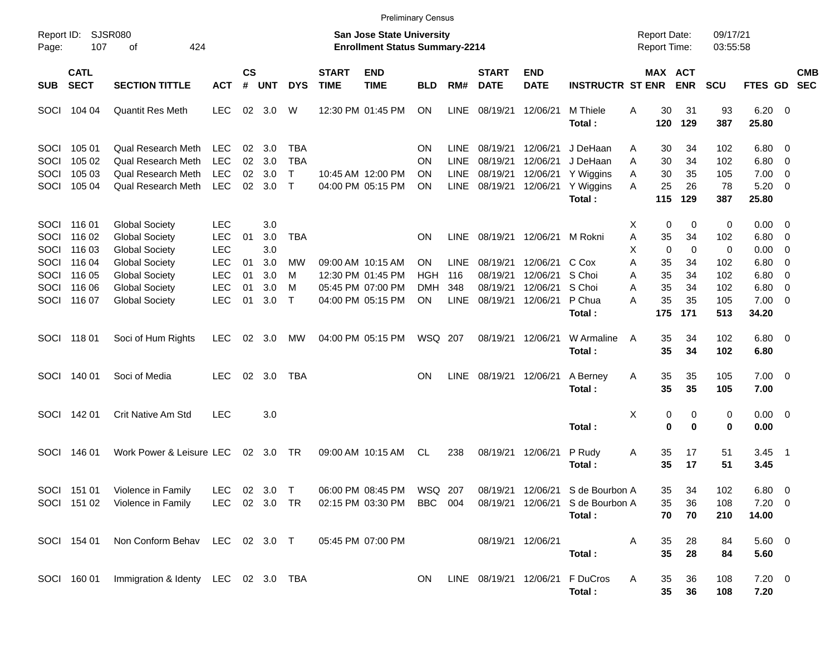|                                     |                                      |                                                                                             |                                                      |                      |                          |                                        |                             |                                                                           | <b>Preliminary Census</b> |                                                          |                                              |                                              |                                                                      |                                          |                      |                         |                                       |                                                                                |                          |
|-------------------------------------|--------------------------------------|---------------------------------------------------------------------------------------------|------------------------------------------------------|----------------------|--------------------------|----------------------------------------|-----------------------------|---------------------------------------------------------------------------|---------------------------|----------------------------------------------------------|----------------------------------------------|----------------------------------------------|----------------------------------------------------------------------|------------------------------------------|----------------------|-------------------------|---------------------------------------|--------------------------------------------------------------------------------|--------------------------|
| Report ID:<br>Page:                 | 107                                  | <b>SJSR080</b><br>424<br>οf                                                                 |                                                      |                      |                          |                                        |                             | <b>San Jose State University</b><br><b>Enrollment Status Summary-2214</b> |                           |                                                          |                                              |                                              |                                                                      | <b>Report Date:</b><br>Report Time:      |                      | 09/17/21<br>03:55:58    |                                       |                                                                                |                          |
| <b>SUB</b>                          | <b>CATL</b><br><b>SECT</b>           | <b>SECTION TITTLE</b>                                                                       | <b>ACT</b>                                           | $\mathsf{cs}$<br>#   | <b>UNT</b>               | <b>DYS</b>                             | <b>START</b><br><b>TIME</b> | <b>END</b><br><b>TIME</b>                                                 | <b>BLD</b>                | RM#                                                      | <b>START</b><br><b>DATE</b>                  | <b>END</b><br><b>DATE</b>                    | <b>INSTRUCTR ST ENR</b>                                              | MAX ACT                                  | <b>ENR</b>           | <b>SCU</b>              | <b>FTES GD</b>                        |                                                                                | <b>CMB</b><br><b>SEC</b> |
| SOCI                                | 104 04                               | <b>Quantit Res Meth</b>                                                                     | <b>LEC</b>                                           | 02                   | 3.0                      | W                                      |                             | 12:30 PM 01:45 PM                                                         | ON                        | <b>LINE</b>                                              | 08/19/21                                     | 12/06/21                                     | M Thiele<br>Total:                                                   | 30<br>A<br>120                           | 31<br>129            | 93<br>387               | $6.20 \quad 0$<br>25.80               |                                                                                |                          |
| <b>SOCI</b><br>SOCI<br>SOCI<br>SOCI | 105 01<br>105 02<br>105 03<br>105 04 | Qual Research Meth<br>Qual Research Meth<br><b>Qual Research Meth</b><br>Qual Research Meth | <b>LEC</b><br><b>LEC</b><br><b>LEC</b><br><b>LEC</b> | 02<br>02<br>02<br>02 | 3.0<br>3.0<br>3.0<br>3.0 | TBA<br><b>TBA</b><br>т<br>$\mathsf{T}$ |                             | 10:45 AM 12:00 PM<br>04:00 PM 05:15 PM                                    | ON<br>ON<br>ON<br>ΟN      | <b>LINE</b><br><b>LINE</b><br><b>LINE</b><br><b>LINE</b> | 08/19/21<br>08/19/21<br>08/19/21<br>08/19/21 | 12/06/21<br>12/06/21<br>12/06/21<br>12/06/21 | J DeHaan<br>J DeHaan<br>Y Wiggins<br>Y Wiggins                       | 30<br>Α<br>30<br>A<br>30<br>A<br>25<br>A | 34<br>34<br>35<br>26 | 102<br>102<br>105<br>78 | $6.80\quad 0$<br>6.80<br>7.00<br>5.20 | $\overline{\mathbf{0}}$<br>$\overline{\mathbf{0}}$<br>$\overline{\phantom{0}}$ |                          |
|                                     |                                      |                                                                                             |                                                      |                      |                          |                                        |                             |                                                                           |                           |                                                          |                                              |                                              | Total:                                                               | 115                                      | 129                  | 387                     | 25.80                                 |                                                                                |                          |
| <b>SOCI</b><br>SOCI<br>SOCI         | 116 01<br>116 02<br>116 03           | <b>Global Society</b><br><b>Global Society</b><br><b>Global Society</b>                     | <b>LEC</b><br><b>LEC</b><br><b>LEC</b>               | 01                   | 3.0<br>3.0<br>3.0        | <b>TBA</b>                             |                             |                                                                           | ΟN                        | <b>LINE</b>                                              |                                              | 08/19/21 12/06/21 M Rokni                    |                                                                      | 0<br>х<br>35<br>Α<br>$\mathbf 0$<br>х    | 0<br>34<br>0         | 0<br>102<br>0           | $0.00 \t 0$<br>6.80<br>0.00           | $\overline{\phantom{0}}$<br>0                                                  |                          |
| SOCI<br>SOCI<br>SOCI                | 116 04<br>116 05<br>116 06           | <b>Global Society</b><br><b>Global Society</b><br><b>Global Society</b>                     | <b>LEC</b><br><b>LEC</b><br><b>LEC</b>               | 01<br>01<br>01       | 3.0<br>3.0<br>3.0        | MW<br>м<br>м                           |                             | 09:00 AM 10:15 AM<br>12:30 PM 01:45 PM<br>05:45 PM 07:00 PM               | ON<br><b>HGH</b><br>DMH   | <b>LINE</b><br>116<br>348                                | 08/19/21<br>08/19/21<br>08/19/21             | 12/06/21<br>12/06/21<br>12/06/21             | C Cox<br>S Choi<br>S Choi                                            | Α<br>35<br>35<br>A<br>35<br>Α            | 34<br>34<br>34       | 102<br>102<br>102       | 6.80<br>6.80<br>6.80                  | 0<br>$\overline{0}$<br>0                                                       |                          |
| SOCI                                | 116 07                               | <b>Global Society</b>                                                                       | <b>LEC</b>                                           | 01                   | 3.0                      | $\top$                                 |                             | 04:00 PM 05:15 PM                                                         | ΟN                        | <b>LINE</b>                                              | 08/19/21                                     | 12/06/21                                     | P Chua<br>Total:                                                     | 35<br>А<br>175                           | 35<br>171            | 105<br>513              | $7.00 \t 0$<br>34.20                  |                                                                                |                          |
|                                     | SOCI 118 01                          | Soci of Hum Rights                                                                          | <b>LEC</b>                                           | 02                   | 3.0                      | МW                                     |                             | 04:00 PM 05:15 PM                                                         | WSQ 207                   |                                                          | 08/19/21                                     | 12/06/21                                     | W Armaline<br>Total:                                                 | 35<br>A<br>35                            | 34<br>34             | 102<br>102              | $6.80$ 0<br>6.80                      |                                                                                |                          |
| SOCI                                | 140 01                               | Soci of Media                                                                               | <b>LEC</b>                                           | 02                   | 3.0                      | TBA                                    |                             |                                                                           | ΟN                        | <b>LINE</b>                                              | 08/19/21 12/06/21                            |                                              | A Berney<br>Total:                                                   | 35<br>Α<br>35                            | 35<br>35             | 105<br>105              | $7.00 \t 0$<br>7.00                   |                                                                                |                          |
| SOCI                                | 142 01                               | Crit Native Am Std                                                                          | <b>LEC</b>                                           |                      | 3.0                      |                                        |                             |                                                                           |                           |                                                          |                                              |                                              | Total:                                                               | х<br>0<br>0                              | 0<br>0               | 0<br>0                  | $0.00 \t 0$<br>0.00                   |                                                                                |                          |
| SOCI                                | 146 01                               | Work Power & Leisure LEC                                                                    |                                                      |                      | $02 \quad 3.0$           | TR                                     |                             | 09:00 AM 10:15 AM                                                         | CL                        | 238                                                      | 08/19/21                                     | 12/06/21                                     | P Rudy<br>Total:                                                     | 35<br>A<br>35                            | 17<br>17             | 51<br>51                | $3.45$ 1<br>3.45                      |                                                                                |                          |
|                                     | SOCI 151 01<br>SOCI 151 02           | Violence in Family<br>Violence in Family                                                    | LEC 02 3.0 T<br>LEC 02 3.0 TR                        |                      |                          |                                        |                             | 06:00 PM 08:45 PM WSQ 207<br>02:15 PM 03:30 PM                            | BBC 004                   |                                                          |                                              |                                              | 08/19/21 12/06/21 S de Bourbon A<br>08/19/21 12/06/21 S de Bourbon A | 35<br>35                                 | 34<br>36             | 102<br>108              | $6.80\ 0$<br>$7.20 \ 0$               |                                                                                |                          |
|                                     |                                      |                                                                                             |                                                      |                      |                          |                                        |                             |                                                                           |                           |                                                          |                                              |                                              | Total:                                                               | 70                                       | 70                   | 210                     | 14.00                                 |                                                                                |                          |
|                                     | SOCI 154 01                          | Non Conform Behav LEC 02 3.0 T                                                              |                                                      |                      |                          |                                        |                             | 05:45 PM 07:00 PM                                                         |                           |                                                          |                                              | 08/19/21 12/06/21                            | Total:                                                               | 35<br>Α<br>35                            | 28<br>28             | 84<br>84                | $5.60$ 0<br>5.60                      |                                                                                |                          |
|                                     | SOCI 160 01                          | Immigration & Identy LEC 02 3.0 TBA                                                         |                                                      |                      |                          |                                        |                             |                                                                           | ON.                       |                                                          |                                              |                                              | LINE 08/19/21 12/06/21 F DuCros<br>Total:                            | 35<br>A<br>35                            | 36<br>36             | 108<br>108              | $7.20 \t 0$<br>7.20                   |                                                                                |                          |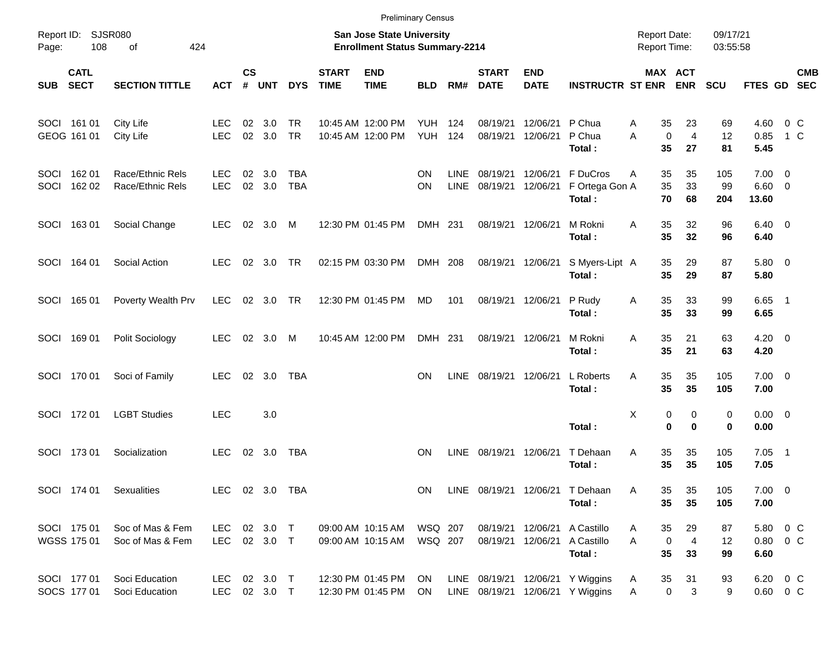|       |                            |                                      |                              |                    |                |                        |                             | <b>Preliminary Census</b>                                          |                                  |                            |                             |                           |                                                                      |                                            |                              |                      |                                   |                  |  |
|-------|----------------------------|--------------------------------------|------------------------------|--------------------|----------------|------------------------|-----------------------------|--------------------------------------------------------------------|----------------------------------|----------------------------|-----------------------------|---------------------------|----------------------------------------------------------------------|--------------------------------------------|------------------------------|----------------------|-----------------------------------|------------------|--|
| Page: | Report ID: SJSR080<br>108  | 424<br>of                            |                              |                    |                |                        |                             | San Jose State University<br><b>Enrollment Status Summary-2214</b> |                                  |                            |                             |                           |                                                                      | <b>Report Date:</b><br><b>Report Time:</b> |                              | 09/17/21<br>03:55:58 |                                   |                  |  |
| SUB   | <b>CATL</b><br><b>SECT</b> | <b>SECTION TITTLE</b>                | <b>ACT</b>                   | $\mathsf{cs}$<br># | <b>UNT</b>     | <b>DYS</b>             | <b>START</b><br><b>TIME</b> | <b>END</b><br><b>TIME</b>                                          | <b>BLD</b>                       | RM#                        | <b>START</b><br><b>DATE</b> | <b>END</b><br><b>DATE</b> | <b>INSTRUCTR ST ENR</b>                                              |                                            | <b>MAX ACT</b><br><b>ENR</b> | <b>SCU</b>           | FTES GD SEC                       | <b>CMB</b>       |  |
|       | SOCI 161 01<br>GEOG 161 01 | City Life<br>City Life               | <b>LEC</b><br><b>LEC</b>     | 02<br>02           | 3.0<br>3.0     | <b>TR</b><br><b>TR</b> |                             | 10:45 AM 12:00 PM<br>10:45 AM 12:00 PM                             | <b>YUH 124</b><br><b>YUH 124</b> |                            | 08/19/21<br>08/19/21        | 12/06/21<br>12/06/21      | P Chua<br>P Chua<br>Total:                                           | Α<br>35<br>$\mathbf 0$<br>A<br>35          | 23<br>$\overline{4}$<br>27   | 69<br>12<br>81       | 4.60<br>0.85<br>5.45              | $0\,C$<br>$1\,C$ |  |
| SOCI  | SOCI 162 01<br>162 02      | Race/Ethnic Rels<br>Race/Ethnic Rels | <b>LEC</b><br><b>LEC</b>     | 02<br>02           | 3.0<br>3.0     | TBA<br><b>TBA</b>      |                             |                                                                    | ON<br><b>ON</b>                  | <b>LINE</b><br><b>LINE</b> | 08/19/21<br>08/19/21        | 12/06/21<br>12/06/21      | F DuCros<br>F Ortega Gon A<br>Total:                                 | 35<br>A<br>35<br>70                        | 35<br>33<br>68               | 105<br>99<br>204     | $7.00 \t 0$<br>$6.60$ 0<br>13.60  |                  |  |
|       | SOCI 163 01                | Social Change                        | <b>LEC</b>                   |                    | 02 3.0 M       |                        |                             | 12:30 PM 01:45 PM                                                  | DMH 231                          |                            | 08/19/21                    | 12/06/21                  | M Rokni<br>Total:                                                    | 35<br>A<br>35                              | 32<br>32                     | 96<br>96             | $6.40 \quad 0$<br>6.40            |                  |  |
|       | SOCI 164 01                | Social Action                        | LEC.                         |                    | 02 3.0 TR      |                        |                             | 02:15 PM 03:30 PM                                                  | DMH 208                          |                            |                             | 08/19/21 12/06/21         | S Myers-Lipt A<br>Total:                                             | 35<br>35                                   | 29<br>29                     | 87<br>87             | 5.80 0<br>5.80                    |                  |  |
|       | SOCI 165 01                | Poverty Wealth Prv                   | <b>LEC</b>                   |                    | 02 3.0 TR      |                        |                             | 12:30 PM 01:45 PM                                                  | MD                               | 101                        |                             | 08/19/21 12/06/21         | P Rudy<br>Total:                                                     | 35<br>Α<br>35                              | 33<br>33                     | 99<br>99             | $6.65$ 1<br>6.65                  |                  |  |
|       | SOCI 169 01                | Polit Sociology                      | <b>LEC</b>                   |                    | 02 3.0         | M                      |                             | 10:45 AM 12:00 PM                                                  | DMH 231                          |                            | 08/19/21                    | 12/06/21                  | M Rokni<br>Total:                                                    | 35<br>A<br>35                              | 21<br>21                     | 63<br>63             | $4.20 \ 0$<br>4.20                |                  |  |
|       | SOCI 170 01                | Soci of Family                       | <b>LEC</b>                   |                    | 02 3.0         | TBA                    |                             |                                                                    | <b>ON</b>                        | <b>LINE</b>                | 08/19/21                    | 12/06/21                  | L Roberts<br>Total:                                                  | 35<br>A<br>35                              | 35<br>35                     | 105<br>105           | $7.00 \t 0$<br>7.00               |                  |  |
|       | SOCI 172 01                | <b>LGBT Studies</b>                  | <b>LEC</b>                   |                    | 3.0            |                        |                             |                                                                    |                                  |                            |                             |                           | Total:                                                               | Χ<br>0                                     | 0<br>0<br>$\bf{0}$           | 0<br>0               | $0.00 \t 0$<br>0.00               |                  |  |
|       | SOCI 173 01                | Socialization                        | <b>LEC</b>                   |                    | 02 3.0         | TBA                    |                             |                                                                    | <b>ON</b>                        | <b>LINE</b>                | 08/19/21                    | 12/06/21                  | T Dehaan<br>Total:                                                   | Α<br>35<br>35                              | 35<br>35                     | 105<br>105           | $7.05$ 1<br>7.05                  |                  |  |
|       | SOCI 174 01                | Sexualities                          |                              |                    | LEC 02 3.0 TBA |                        |                             |                                                                    | ON                               |                            | LINE 08/19/21 12/06/21      |                           | T Dehaan<br>Total:                                                   | Α<br>35<br>35                              | 35<br>35                     | 105<br>105           | $7.00 \t 0$<br>7.00               |                  |  |
|       | SOCI 175 01<br>WGSS 175 01 | Soc of Mas & Fem<br>Soc of Mas & Fem | LEC<br>LEC 02 3.0 T          |                    | 02 3.0 T       |                        |                             | 09:00 AM 10:15 AM<br>09:00 AM 10:15 AM                             | WSQ 207<br>WSQ 207               |                            |                             | 08/19/21 12/06/21         | 08/19/21 12/06/21 A Castillo<br>A Castillo<br>Total:                 | 35<br>A<br>0<br>A<br>35                    | 29<br>4<br>33                | 87<br>12<br>99       | 5.80 0 C<br>$0.80 \t 0 C$<br>6.60 |                  |  |
|       | SOCI 177 01<br>SOCS 177 01 | Soci Education<br>Soci Education     | LEC 02 3.0 T<br>LEC 02 3.0 T |                    |                |                        |                             | 12:30 PM 01:45 PM<br>12:30 PM 01:45 PM                             | ON<br>ON                         |                            |                             |                           | LINE 08/19/21 12/06/21 Y Wiggins<br>LINE 08/19/21 12/06/21 Y Wiggins | 35<br>A<br>$\mathbf 0$<br>A                | 31<br>3                      | 93<br>9              | 6.20 0 C<br>$0.60 \t 0 C$         |                  |  |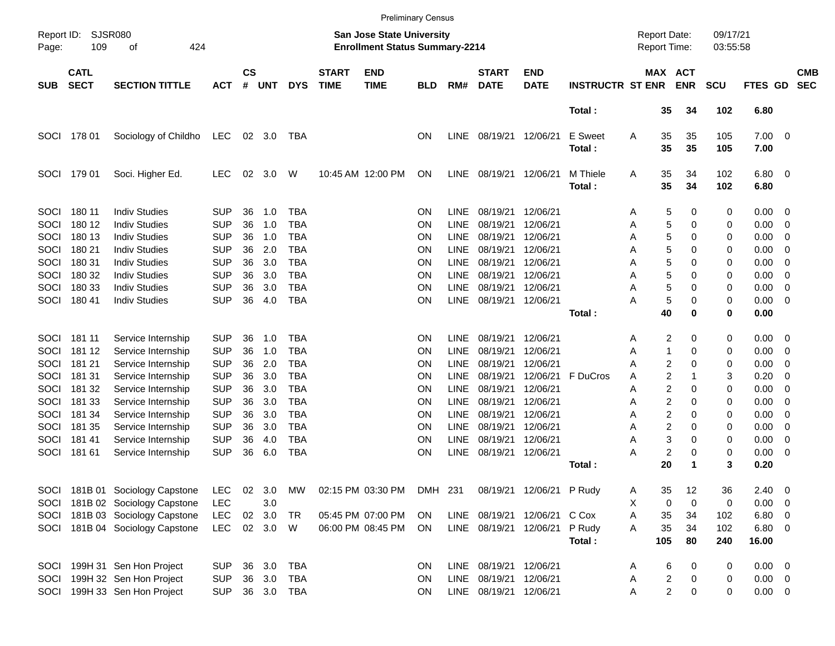|             |                                           |                                 |            |                    |            |            |                             |                                                                    | <b>Preliminary Census</b> |             |                                  |                           |                          |                                     |                         |                       |                      |                     |                          |                          |
|-------------|-------------------------------------------|---------------------------------|------------|--------------------|------------|------------|-----------------------------|--------------------------------------------------------------------|---------------------------|-------------|----------------------------------|---------------------------|--------------------------|-------------------------------------|-------------------------|-----------------------|----------------------|---------------------|--------------------------|--------------------------|
| Page:       | SJSR080<br>Report ID:<br>109<br>οf<br>424 |                                 |            |                    |            |            |                             | San Jose State University<br><b>Enrollment Status Summary-2214</b> |                           |             |                                  |                           |                          | <b>Report Date:</b><br>Report Time: |                         |                       | 09/17/21<br>03:55:58 |                     |                          |                          |
| <b>SUB</b>  | <b>CATL</b><br><b>SECT</b>                | <b>SECTION TITTLE</b>           | <b>ACT</b> | $\mathsf{cs}$<br># | <b>UNT</b> | <b>DYS</b> | <b>START</b><br><b>TIME</b> | <b>END</b><br><b>TIME</b>                                          | <b>BLD</b>                | RM#         | <b>START</b><br><b>DATE</b>      | <b>END</b><br><b>DATE</b> | <b>INSTRUCTR ST ENR</b>  |                                     |                         | MAX ACT<br><b>ENR</b> | <b>SCU</b>           | FTES GD             |                          | <b>CMB</b><br><b>SEC</b> |
|             |                                           |                                 |            |                    |            |            |                             |                                                                    |                           |             |                                  |                           | Total:                   |                                     | 35                      | 34                    | 102                  | 6.80                |                          |                          |
| <b>SOCI</b> | 178 01                                    | Sociology of Childho            | LEC        |                    | 02 3.0     | TBA        |                             |                                                                    | <b>ON</b>                 | <b>LINE</b> | 08/19/21 12/06/21                |                           | <b>E</b> Sweet<br>Total: | Α                                   | 35<br>35                | 35<br>35              | 105<br>105           | $7.00 \t 0$<br>7.00 |                          |                          |
| SOCI        | 179 01                                    | Soci. Higher Ed.                | LEC        | 02                 | 3.0        | W          |                             | 10:45 AM 12:00 PM                                                  | ON                        | LINE        | 08/19/21                         | 12/06/21                  | M Thiele<br>Total:       | Α                                   | 35<br>35                | 34<br>34              | 102<br>102           | $6.80$ 0<br>6.80    |                          |                          |
| SOCI        | 180 11                                    | <b>Indiv Studies</b>            | <b>SUP</b> | 36                 | 1.0        | <b>TBA</b> |                             |                                                                    | ON                        | <b>LINE</b> | 08/19/21                         | 12/06/21                  |                          | Α                                   | 5                       | 0                     | 0                    | 0.00                | $\overline{\phantom{0}}$ |                          |
| SOCI        | 180 12                                    | <b>Indiv Studies</b>            | <b>SUP</b> | 36                 | 1.0        | <b>TBA</b> |                             |                                                                    | <b>ON</b>                 | LINE        | 08/19/21                         | 12/06/21                  |                          | A                                   | 5                       | 0                     | 0                    | 0.00                | 0                        |                          |
| SOCI        | 180 13                                    | <b>Indiv Studies</b>            | <b>SUP</b> | 36                 | 1.0        | <b>TBA</b> |                             |                                                                    | <b>ON</b>                 | <b>LINE</b> | 08/19/21                         | 12/06/21                  |                          | A                                   | 5                       | 0                     | 0                    | 0.00                | 0                        |                          |
| SOCI        | 180 21                                    | <b>Indiv Studies</b>            | <b>SUP</b> | 36                 | 2.0        | <b>TBA</b> |                             |                                                                    | <b>ON</b>                 | LINE        | 08/19/21                         | 12/06/21                  |                          | A                                   | 5                       | 0                     | 0                    | 0.00                | 0                        |                          |
| SOCI        | 180 31                                    | <b>Indiv Studies</b>            | <b>SUP</b> | 36                 | 3.0        | <b>TBA</b> |                             |                                                                    | <b>ON</b>                 | <b>LINE</b> | 08/19/21                         | 12/06/21                  |                          | A                                   | 5                       | 0                     | 0                    | 0.00                | 0                        |                          |
| SOCI        | 180 32                                    | <b>Indiv Studies</b>            | <b>SUP</b> | 36                 | 3.0        | <b>TBA</b> |                             |                                                                    | <b>ON</b>                 | <b>LINE</b> | 08/19/21                         | 12/06/21                  |                          | Α                                   | 5                       | 0                     | 0                    | 0.00                | 0                        |                          |
| SOCI        | 180 33                                    | <b>Indiv Studies</b>            | <b>SUP</b> | 36                 | 3.0        | <b>TBA</b> |                             |                                                                    | <b>ON</b>                 | LINE        | 08/19/21                         | 12/06/21                  |                          | Α                                   | 5                       | 0                     | 0                    | 0.00                | 0                        |                          |
| SOCI        | 180 41                                    | <b>Indiv Studies</b>            | <b>SUP</b> | 36                 | 4.0        | <b>TBA</b> |                             |                                                                    | ΟN                        | <b>LINE</b> | 08/19/21 12/06/21                |                           |                          | А                                   | 5                       | 0                     | 0                    | 0.00                | 0                        |                          |
|             |                                           |                                 |            |                    |            |            |                             |                                                                    |                           |             |                                  |                           | Total:                   |                                     | 40                      | 0                     | 0                    | 0.00                |                          |                          |
| SOCI        | 181 11                                    | Service Internship              | <b>SUP</b> | 36                 | 1.0        | TBA        |                             |                                                                    | <b>ON</b>                 | <b>LINE</b> | 08/19/21                         | 12/06/21                  |                          | Α                                   | 2                       | 0                     | 0                    | 0.00                | - 0                      |                          |
| SOCI        | 181 12                                    | Service Internship              | <b>SUP</b> | 36                 | 1.0        | <b>TBA</b> |                             |                                                                    | <b>ON</b>                 | <b>LINE</b> | 08/19/21                         | 12/06/21                  |                          | Α                                   | 1                       | 0                     | 0                    | 0.00                | 0                        |                          |
| SOCI        | 181 21                                    | Service Internship              | <b>SUP</b> | 36                 | 2.0        | <b>TBA</b> |                             |                                                                    | <b>ON</b>                 | <b>LINE</b> | 08/19/21                         | 12/06/21                  |                          | А                                   | 2                       | 0                     | 0                    | 0.00                | 0                        |                          |
| SOCI        | 181 31                                    | Service Internship              | <b>SUP</b> | 36                 | 3.0        | <b>TBA</b> |                             |                                                                    | ON                        | <b>LINE</b> | 08/19/21                         | 12/06/21                  | F DuCros                 | Α                                   | 2                       |                       | 3                    | 0.20                | 0                        |                          |
| SOCI        | 181 32                                    | Service Internship              | <b>SUP</b> | 36                 | 3.0        | <b>TBA</b> |                             |                                                                    | <b>ON</b>                 | LINE        | 08/19/21                         | 12/06/21                  |                          | А                                   | 2                       | 0                     | 0                    | 0.00                | 0                        |                          |
| SOCI        | 181 33                                    | Service Internship              | <b>SUP</b> | 36                 | 3.0        | <b>TBA</b> |                             |                                                                    | <b>ON</b>                 | <b>LINE</b> | 08/19/21                         | 12/06/21                  |                          | A                                   | 2                       | 0                     | 0                    | 0.00                | 0                        |                          |
| SOCI        | 181 34                                    | Service Internship              | <b>SUP</b> | 36                 | 3.0        | <b>TBA</b> |                             |                                                                    | <b>ON</b>                 | <b>LINE</b> | 08/19/21                         | 12/06/21                  |                          | А                                   | 2                       | 0                     | 0                    | 0.00                | 0                        |                          |
| SOCI        | 181 35                                    | Service Internship              | <b>SUP</b> | 36                 | 3.0        | <b>TBA</b> |                             |                                                                    | <b>ON</b>                 | LINE        | 08/19/21                         | 12/06/21                  |                          | Α                                   | 2                       | 0                     | 0                    | 0.00                | 0                        |                          |
| SOCI        | 18141                                     | Service Internship              | <b>SUP</b> | 36                 | 4.0        | <b>TBA</b> |                             |                                                                    | <b>ON</b>                 | <b>LINE</b> | 08/19/21                         | 12/06/21                  |                          | A                                   | 3                       | 0                     | 0                    | 0.00                | 0                        |                          |
| SOCI        | 181 61                                    | Service Internship              | <b>SUP</b> | 36                 | 6.0        | <b>TBA</b> |                             |                                                                    | ΟN                        | <b>LINE</b> | 08/19/21                         | 12/06/21                  |                          | А                                   | $\overline{\mathbf{c}}$ | 0                     | 0                    | 0.00                | - 0                      |                          |
|             |                                           |                                 |            |                    |            |            |                             |                                                                    |                           |             |                                  |                           | Total:                   |                                     | 20                      |                       | 3                    | 0.20                |                          |                          |
|             |                                           | SOCI 181B 01 Sociology Capstone | <b>LEC</b> |                    | 02 3.0     | МW         |                             | 02:15 PM 03:30 PM                                                  |                           |             | DMH 231 08/19/21 12/06/21 P Rudy |                           |                          | A                                   | 35                      | 12                    | 36                   | $2.40 \quad 0$      |                          |                          |
|             |                                           | SOCI 181B 02 Sociology Capstone | <b>LEC</b> |                    | 3.0        |            |                             |                                                                    |                           |             |                                  |                           |                          | х                                   | 0                       | 0                     | 0                    | $0.00 \t 0$         |                          |                          |
|             |                                           | SOCI 181B 03 Sociology Capstone | <b>LEC</b> |                    | 02 3.0     | TR         |                             | 05:45 PM 07:00 PM                                                  | ON                        |             | LINE 08/19/21 12/06/21 C Cox     |                           |                          | Α                                   | 35                      | 34                    | 102                  | 6.80 0              |                          |                          |
|             |                                           | SOCI 181B 04 Sociology Capstone | <b>LEC</b> |                    | 02 3.0     | W          |                             | 06:00 PM 08:45 PM                                                  | ON                        |             | LINE 08/19/21 12/06/21           |                           | P Rudy                   | A                                   | 35                      | 34                    | 102                  | 6.80 0              |                          |                          |
|             |                                           |                                 |            |                    |            |            |                             |                                                                    |                           |             |                                  |                           | Total:                   |                                     | 105                     | 80                    | 240                  | 16.00               |                          |                          |
|             |                                           | SOCI 199H 31 Sen Hon Project    | <b>SUP</b> |                    | 36 3.0     | <b>TBA</b> |                             |                                                                    | <b>ON</b>                 |             | LINE 08/19/21 12/06/21           |                           |                          | Α                                   | 6                       | 0                     | 0                    | $0.00 \t 0$         |                          |                          |
|             |                                           | SOCI 199H 32 Sen Hon Project    | <b>SUP</b> |                    | 36 3.0     | TBA        |                             |                                                                    | ON                        |             | LINE 08/19/21 12/06/21           |                           |                          | Α                                   | $\overline{c}$          | 0                     | 0                    | $0.00 \t 0$         |                          |                          |
|             |                                           | SOCI 199H 33 Sen Hon Project    | <b>SUP</b> |                    |            | 36 3.0 TBA |                             |                                                                    | <b>ON</b>                 |             | LINE 08/19/21 12/06/21           |                           |                          | Α                                   | $\overline{2}$          | 0                     | 0                    | $0.00 \t 0$         |                          |                          |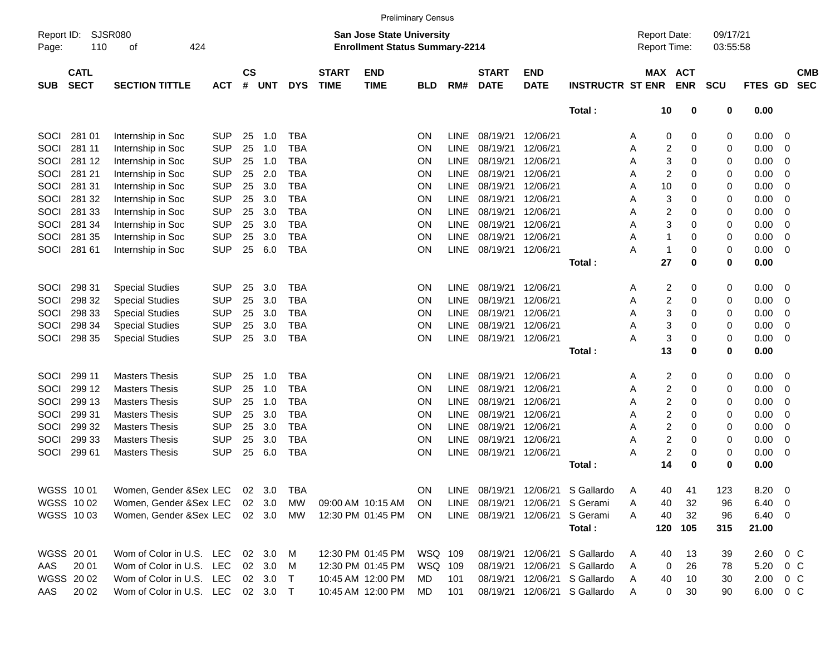|       |                                                          |                                   |            |                |            |            |                             |                                                                           | <b>Preliminary Census</b> |             |                             |                                        |                                     |                                     |            |                      |                  |                          |
|-------|----------------------------------------------------------|-----------------------------------|------------|----------------|------------|------------|-----------------------------|---------------------------------------------------------------------------|---------------------------|-------------|-----------------------------|----------------------------------------|-------------------------------------|-------------------------------------|------------|----------------------|------------------|--------------------------|
| Page: | SJSR080<br>Report ID:<br>110<br>424<br>οf<br><b>CATL</b> |                                   |            |                |            |            |                             | <b>San Jose State University</b><br><b>Enrollment Status Summary-2214</b> |                           |             |                             |                                        |                                     | <b>Report Date:</b><br>Report Time: |            | 09/17/21<br>03:55:58 |                  |                          |
| SUB   | <b>SECT</b>                                              | <b>SECTION TITTLE</b>             | <b>ACT</b> | <b>CS</b><br># | <b>UNT</b> | <b>DYS</b> | <b>START</b><br><b>TIME</b> | <b>END</b><br><b>TIME</b>                                                 | <b>BLD</b>                | RM#         | <b>START</b><br><b>DATE</b> | <b>END</b><br><b>DATE</b>              | <b>INSTRUCTR ST ENR</b>             | MAX ACT                             | <b>ENR</b> | <b>SCU</b>           | <b>FTES GD</b>   | <b>CMB</b><br><b>SEC</b> |
|       |                                                          |                                   |            |                |            |            |                             |                                                                           |                           |             |                             |                                        | Total:                              | 10                                  | 0          | 0                    | 0.00             |                          |
| SOCI  | 281 01                                                   | Internship in Soc                 | <b>SUP</b> | 25             | 1.0        | <b>TBA</b> |                             |                                                                           | ΟN                        | <b>LINE</b> | 08/19/21                    | 12/06/21                               |                                     | 0<br>A                              | 0          | 0                    | 0.00             | 0                        |
| SOCI  | 281 11                                                   | Internship in Soc                 | <b>SUP</b> | 25             | 1.0        | <b>TBA</b> |                             |                                                                           | ΟN                        | <b>LINE</b> | 08/19/21                    | 12/06/21                               |                                     | 2<br>Α                              | 0          | 0                    | 0.00             | 0                        |
| SOCI  | 281 12                                                   | Internship in Soc                 | <b>SUP</b> | 25             | 1.0        | <b>TBA</b> |                             |                                                                           | ON                        | <b>LINE</b> | 08/19/21                    | 12/06/21                               |                                     | 3<br>Α                              | 0          | 0                    | 0.00             | 0                        |
| SOCI  | 281 21                                                   | Internship in Soc                 | <b>SUP</b> | 25             | 2.0        | <b>TBA</b> |                             |                                                                           | ON                        | <b>LINE</b> | 08/19/21                    | 12/06/21                               |                                     | $\overline{c}$<br>Α                 | 0          | 0                    | 0.00             | 0                        |
| SOCI  | 281 31                                                   | Internship in Soc                 | <b>SUP</b> | 25             | 3.0        | <b>TBA</b> |                             |                                                                           | ON                        | <b>LINE</b> | 08/19/21                    | 12/06/21                               |                                     | 10<br>Α                             | 0          | 0                    | 0.00             | 0                        |
| SOCI  | 281 32                                                   | Internship in Soc                 | <b>SUP</b> | 25             | 3.0        | <b>TBA</b> |                             |                                                                           | ON                        | <b>LINE</b> | 08/19/21                    | 12/06/21                               |                                     | 3<br>Α                              | 0          | 0                    | 0.00             | 0                        |
| SOCI  | 281 33                                                   | Internship in Soc                 | <b>SUP</b> | 25             | 3.0        | <b>TBA</b> |                             |                                                                           | ON                        | <b>LINE</b> | 08/19/21                    | 12/06/21                               |                                     | $\overline{c}$<br>Α                 | 0          | 0                    | 0.00             | 0                        |
| SOCI  | 281 34                                                   | Internship in Soc                 | <b>SUP</b> | 25             | 3.0        | <b>TBA</b> |                             |                                                                           | ON                        | <b>LINE</b> | 08/19/21                    | 12/06/21                               |                                     | 3<br>Α                              | 0          | 0                    | 0.00             | 0                        |
| SOCI  | 281 35                                                   | Internship in Soc                 | <b>SUP</b> | 25             | 3.0        | <b>TBA</b> |                             |                                                                           | ON                        | <b>LINE</b> | 08/19/21                    | 12/06/21                               |                                     | 1<br>Α                              | 0          | 0                    | 0.00             | 0                        |
| SOCI  | 281 61                                                   | Internship in Soc                 | <b>SUP</b> | 25             | 6.0        | <b>TBA</b> |                             |                                                                           | ON                        | <b>LINE</b> | 08/19/21                    | 12/06/21                               |                                     | А<br>1                              | 0          | 0                    | 0.00             | 0                        |
|       |                                                          |                                   |            |                |            |            |                             |                                                                           |                           |             |                             |                                        | Total:                              | 27                                  | 0          | 0                    | 0.00             |                          |
| SOCI  | 298 31                                                   | <b>Special Studies</b>            | <b>SUP</b> | 25             | 3.0        | <b>TBA</b> |                             |                                                                           | ON                        | <b>LINE</b> | 08/19/21                    | 12/06/21                               |                                     | $\overline{c}$<br>A                 | 0          | 0                    | 0.00             | 0                        |
| SOCI  | 298 32                                                   | <b>Special Studies</b>            | <b>SUP</b> | 25             | 3.0        | <b>TBA</b> |                             |                                                                           | ON                        | <b>LINE</b> | 08/19/21                    | 12/06/21                               |                                     | 2<br>Α                              | 0          | 0                    | 0.00             | 0                        |
| SOCI  | 298 33                                                   | <b>Special Studies</b>            | <b>SUP</b> | 25             | 3.0        | <b>TBA</b> |                             |                                                                           | ON                        | <b>LINE</b> | 08/19/21                    | 12/06/21                               |                                     | 3<br>Α                              | 0          | 0                    | 0.00             | 0                        |
| SOCI  | 298 34                                                   | <b>Special Studies</b>            | <b>SUP</b> | 25             | 3.0        | <b>TBA</b> |                             |                                                                           | ON                        | <b>LINE</b> | 08/19/21                    | 12/06/21                               |                                     | 3<br>A                              | 0          | 0                    | 0.00             | 0                        |
| SOCI  | 298 35                                                   | <b>Special Studies</b>            | <b>SUP</b> | 25             | 3.0        | <b>TBA</b> |                             |                                                                           | ΟN                        | <b>LINE</b> | 08/19/21 12/06/21           |                                        |                                     | 3<br>А                              | 0          | 0                    | 0.00             | 0                        |
|       |                                                          |                                   |            |                |            |            |                             |                                                                           |                           |             |                             |                                        | Total:                              | 13                                  | 0          | 0                    | 0.00             |                          |
|       |                                                          |                                   |            |                |            |            |                             |                                                                           |                           |             |                             |                                        |                                     |                                     |            |                      |                  |                          |
| SOCI  | 299 11                                                   | <b>Masters Thesis</b>             | <b>SUP</b> | 25             | 1.0        | <b>TBA</b> |                             |                                                                           | ON                        | <b>LINE</b> | 08/19/21                    | 12/06/21                               |                                     | 2<br>A                              | 0          | 0                    | 0.00             | 0                        |
| SOCI  | 299 12                                                   | <b>Masters Thesis</b>             | <b>SUP</b> | 25             | 1.0        | <b>TBA</b> |                             |                                                                           | ON                        | <b>LINE</b> | 08/19/21                    | 12/06/21                               |                                     | 2<br>Α                              | 0          | 0                    | 0.00             | 0                        |
| SOCI  | 299 13                                                   | <b>Masters Thesis</b>             | <b>SUP</b> | 25             | 1.0        | <b>TBA</b> |                             |                                                                           | 0N                        | <b>LINE</b> | 08/19/21                    | 12/06/21                               |                                     | 2<br>Α                              | 0          | 0                    | 0.00             | 0                        |
| SOCI  | 299 31                                                   | <b>Masters Thesis</b>             | <b>SUP</b> | 25             | 3.0        | <b>TBA</b> |                             |                                                                           | ON                        | <b>LINE</b> | 08/19/21                    | 12/06/21                               |                                     | 2<br>Α                              | 0          | 0                    | 0.00             | 0                        |
| SOCI  | 299 32                                                   | <b>Masters Thesis</b>             | <b>SUP</b> | 25             | 3.0        | <b>TBA</b> |                             |                                                                           | ON                        | <b>LINE</b> | 08/19/21                    | 12/06/21                               |                                     | $\overline{c}$<br>Α                 | 0          | 0                    | 0.00             | 0                        |
| SOCI  | 299 33                                                   | <b>Masters Thesis</b>             | <b>SUP</b> | 25             | 3.0        | <b>TBA</b> |                             |                                                                           | ON                        | LINE        | 08/19/21                    | 12/06/21                               |                                     | 2<br>Α                              | 0          | 0                    | 0.00             | 0                        |
| SOCI  | 299 61                                                   | <b>Masters Thesis</b>             | <b>SUP</b> | 25             | 6.0        | <b>TBA</b> |                             |                                                                           | ON                        | <b>LINE</b> | 08/19/21                    | 12/06/21                               |                                     | 2<br>Α                              | 0          | 0                    | 0.00             | 0                        |
|       |                                                          |                                   |            |                |            |            |                             |                                                                           |                           |             |                             |                                        | Total:                              | 14                                  | 0          | 0                    | 0.00             |                          |
|       |                                                          | WGSS 10 01 Women, Gender &Sex LEC |            |                | 02 3.0     | <b>TBA</b> |                             |                                                                           | ON                        |             |                             |                                        | LINE 08/19/21 12/06/21 S Gallardo A | 40                                  | 41         | 123                  | 8.20             | $\overline{\phantom{0}}$ |
|       | WGSS 1002                                                | Women, Gender & Sex LEC           |            |                | 02 3.0     | MW         |                             | 09:00 AM 10:15 AM                                                         | <b>ON</b>                 |             | LINE 08/19/21 12/06/21      |                                        | S Gerami                            | 40<br>Α                             | 32         | 96                   | $6.40 \quad 0$   |                          |
|       | WGSS 1003                                                | Women, Gender & Sex LEC 02 3.0 MW |            |                |            |            |                             | 12:30 PM 01:45 PM                                                         | ON                        |             | LINE 08/19/21 12/06/21      |                                        | S Gerami                            | Α<br>40                             | 32         | 96                   | $6.40\ 0$        |                          |
|       |                                                          |                                   |            |                |            |            |                             |                                                                           |                           |             |                             |                                        | Total:                              | 120                                 | 105        | 315                  | 21.00            |                          |
|       | WGSS 20 01                                               | Wom of Color in U.S. LEC 02 3.0 M |            |                |            |            |                             |                                                                           |                           |             |                             | 08/19/21 12/06/21                      |                                     |                                     |            |                      | $2.60 \t 0 \t C$ |                          |
|       | 20 01                                                    | Wom of Color in U.S. LEC          |            |                | 02 3.0     |            |                             | 12:30 PM 01:45 PM<br>12:30 PM 01:45 PM                                    | WSQ 109<br>WSQ 109        |             |                             |                                        | S Gallardo<br>S Gallardo            | 40<br>A                             | 13         | 39                   | 5.20 0 C         |                          |
| AAS   | WGSS 2002                                                | Wom of Color in U.S. LEC 02 3.0 T |            |                |            | M          |                             | 10:45 AM 12:00 PM                                                         | MD                        | 101         |                             | 08/19/21 12/06/21<br>08/19/21 12/06/21 | S Gallardo                          | 0<br>A<br>40                        | 26<br>10   | 78                   | 2.00 0 C         |                          |
|       | AAS 2002                                                 | Wom of Color in U.S. LEC 02 3.0 T |            |                |            |            |                             | 10:45 AM 12:00 PM                                                         | MD                        | 101         |                             |                                        | 08/19/21 12/06/21 S Gallardo        | A<br>0<br>A                         | 30         | 30<br>90             |                  | 6.00 0 C                 |
|       |                                                          |                                   |            |                |            |            |                             |                                                                           |                           |             |                             |                                        |                                     |                                     |            |                      |                  |                          |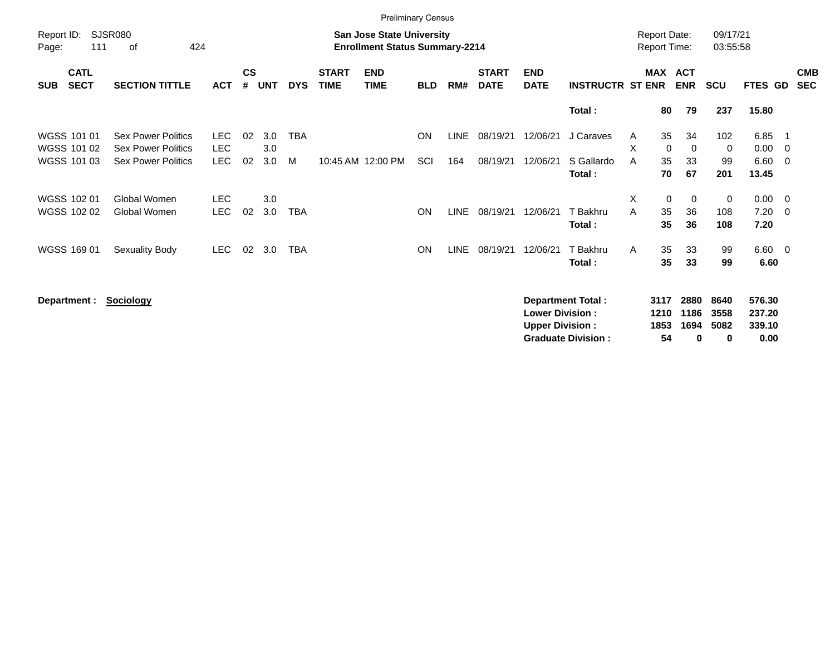|                     |                            |                                                        |                    |                    |            |            |                             | <b>Preliminary Census</b>                                                 |            |             |                             |                                                  |                          |        |                                            |                      |                      |                            |                                |                          |
|---------------------|----------------------------|--------------------------------------------------------|--------------------|--------------------|------------|------------|-----------------------------|---------------------------------------------------------------------------|------------|-------------|-----------------------------|--------------------------------------------------|--------------------------|--------|--------------------------------------------|----------------------|----------------------|----------------------------|--------------------------------|--------------------------|
| Report ID:<br>Page: | 111                        | SJSR080<br>424<br>0f                                   |                    |                    |            |            |                             | <b>San Jose State University</b><br><b>Enrollment Status Summary-2214</b> |            |             |                             |                                                  |                          |        | <b>Report Date:</b><br><b>Report Time:</b> |                      | 09/17/21<br>03:55:58 |                            |                                |                          |
| <b>SUB</b>          | <b>CATL</b><br><b>SECT</b> | <b>SECTION TITTLE</b>                                  | <b>ACT</b>         | $\mathsf{cs}$<br># | <b>UNT</b> | <b>DYS</b> | <b>START</b><br><b>TIME</b> | <b>END</b><br><b>TIME</b>                                                 | <b>BLD</b> | RM#         | <b>START</b><br><b>DATE</b> | <b>END</b><br><b>DATE</b>                        | <b>INSTRUCTR ST ENR</b>  |        | MAX ACT                                    | <b>ENR</b>           | <b>SCU</b>           | <b>FTES GD</b>             |                                | <b>CMB</b><br><b>SEC</b> |
|                     |                            |                                                        |                    |                    |            |            |                             |                                                                           |            |             |                             |                                                  | Total:                   |        | 80                                         | 79                   | 237                  | 15.80                      |                                |                          |
|                     | WGSS 101 01<br>WGSS 101 02 | <b>Sex Power Politics</b><br><b>Sex Power Politics</b> | LEC.<br><b>LEC</b> | 02                 | 3.0<br>3.0 | <b>TBA</b> |                             |                                                                           | <b>ON</b>  | <b>LINE</b> | 08/19/21                    | 12/06/21                                         | J Caraves                | A<br>X | 35<br>0                                    | 34<br>0              | 102<br>0             | 6.85<br>0.00               | - 1<br>$\overline{\mathbf{0}}$ |                          |
|                     | WGSS 101 03                | <b>Sex Power Politics</b>                              | LEC                | 02                 | 3.0        | M          |                             | 10:45 AM 12:00 PM                                                         | SCI        | 164         | 08/19/21                    | 12/06/21                                         | S Gallardo<br>Total:     | A      | 35<br>70                                   | 33<br>67             | 99<br>201            | 6.60<br>13.45              | $\overline{\mathbf{0}}$        |                          |
|                     | WGSS 102 01                | Global Women                                           | <b>LEC</b>         |                    | 3.0        |            |                             |                                                                           |            |             |                             |                                                  |                          | X      | 0                                          | $\mathbf 0$          | 0                    | 0.00                       | $\overline{\phantom{0}}$       |                          |
|                     | WGSS 102 02                | Global Women                                           | <b>LEC</b>         | 02                 | 3.0        | <b>TBA</b> |                             |                                                                           | <b>ON</b>  | <b>LINE</b> | 08/19/21                    | 12/06/21                                         | T Bakhru<br>Total:       | A      | 35<br>35                                   | 36<br>36             | 108<br>108           | 7.20<br>7.20               | $\overline{0}$                 |                          |
|                     | WGSS 169 01                | Sexuality Body                                         | <b>LEC</b>         | 02                 | 3.0        | <b>TBA</b> |                             |                                                                           | <b>ON</b>  | <b>LINE</b> | 08/19/21                    | 12/06/21                                         | T Bakhru<br>Total:       | Α      | 35<br>35                                   | 33<br>33             | 99<br>99             | 6.60<br>6.60               | $\overline{\mathbf{0}}$        |                          |
|                     | Department :               | <b>Sociology</b>                                       |                    |                    |            |            |                             |                                                                           |            |             |                             | <b>Lower Division:</b><br><b>Upper Division:</b> | <b>Department Total:</b> |        | 3117<br>1210<br>1853                       | 2880<br>1186<br>1694 | 8640<br>3558<br>5082 | 576.30<br>237.20<br>339.10 |                                |                          |

**Upper Division : 1853 1694 5082 339.10**

**Graduate Division : 54 0 0 0.00**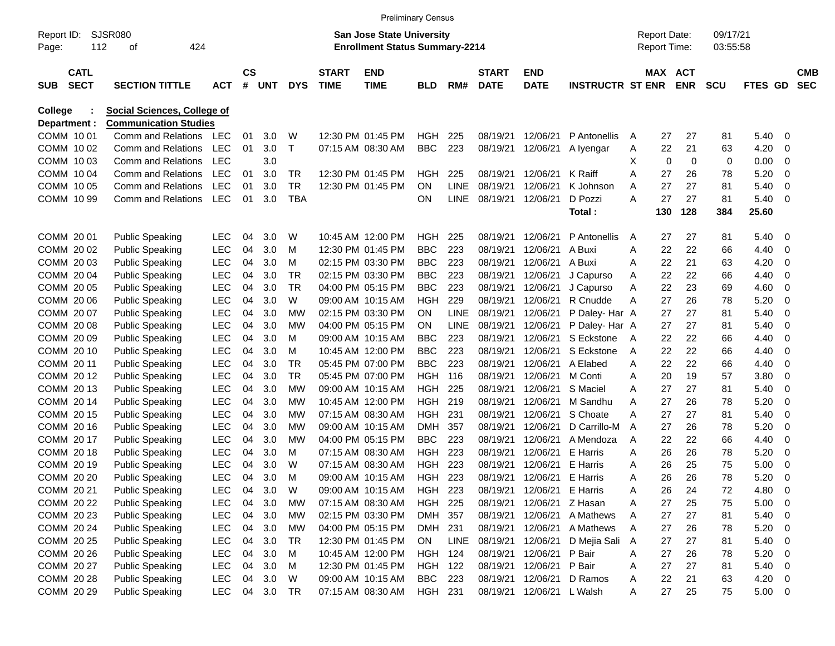|              |                            |                                    |            |                |            |            |                             | <b>Preliminary Census</b>             |                |             |                             |                           |                         |   |                     |            |            |             |                          |                          |
|--------------|----------------------------|------------------------------------|------------|----------------|------------|------------|-----------------------------|---------------------------------------|----------------|-------------|-----------------------------|---------------------------|-------------------------|---|---------------------|------------|------------|-------------|--------------------------|--------------------------|
| Report ID:   |                            | <b>SJSR080</b>                     |            |                |            |            |                             | <b>San Jose State University</b>      |                |             |                             |                           |                         |   | <b>Report Date:</b> |            | 09/17/21   |             |                          |                          |
| Page:        | 112                        | 424<br>οf                          |            |                |            |            |                             | <b>Enrollment Status Summary-2214</b> |                |             |                             |                           |                         |   | <b>Report Time:</b> |            | 03:55:58   |             |                          |                          |
| <b>SUB</b>   | <b>CATL</b><br><b>SECT</b> | <b>SECTION TITTLE</b>              | <b>ACT</b> | <b>CS</b><br># | <b>UNT</b> | <b>DYS</b> | <b>START</b><br><b>TIME</b> | <b>END</b><br><b>TIME</b>             | <b>BLD</b>     | RM#         | <b>START</b><br><b>DATE</b> | <b>END</b><br><b>DATE</b> | <b>INSTRUCTR ST ENR</b> |   | <b>MAX ACT</b>      | <b>ENR</b> | <b>SCU</b> | <b>FTES</b> | GD.                      | <b>CMB</b><br><b>SEC</b> |
| College      |                            | <b>Social Sciences, College of</b> |            |                |            |            |                             |                                       |                |             |                             |                           |                         |   |                     |            |            |             |                          |                          |
| Department : |                            | <b>Communication Studies</b>       |            |                |            |            |                             |                                       |                |             |                             |                           |                         |   |                     |            |            |             |                          |                          |
| COMM 1001    |                            | Comm and Relations                 | <b>LEC</b> | 01             | 3.0        | W          |                             | 12:30 PM 01:45 PM                     | HGH            | 225         | 08/19/21                    | 12/06/21                  | P Antonellis            | A | 27                  | 27         | 81         | 5.40        | 0                        |                          |
| COMM 10 02   |                            | Comm and Relations                 | <b>LEC</b> | 01             | 3.0        | Τ          |                             | 07:15 AM 08:30 AM                     | <b>BBC</b>     | 223         | 08/19/21                    | 12/06/21                  | A lyengar               | Α | 22                  | 21         | 63         | 4.20        | 0                        |                          |
| COMM 1003    |                            | Comm and Relations                 | <b>LEC</b> |                | 3.0        |            |                             |                                       |                |             |                             |                           |                         | Χ | 0                   | 0          | 0          | 0.00        | 0                        |                          |
| COMM 1004    |                            | Comm and Relations                 | <b>LEC</b> | 01             | 3.0        | TR         |                             | 12:30 PM 01:45 PM                     | HGH            | 225         | 08/19/21                    | 12/06/21                  | K Raiff                 | Α | 27                  | 26         | 78         | 5.20        | 0                        |                          |
| COMM 10 05   |                            | Comm and Relations                 | <b>LEC</b> | 01             | 3.0        | TR         |                             | 12:30 PM 01:45 PM                     | ΟN             | LINE        | 08/19/21                    | 12/06/21                  | K Johnson               | Α | 27                  | 27         | 81         | 5.40        | 0                        |                          |
| COMM 10 99   |                            | Comm and Relations                 | <b>LEC</b> | 01             | 3.0        | <b>TBA</b> |                             |                                       | ON             | <b>LINE</b> | 08/19/21                    | 12/06/21                  | D Pozzi                 | Α | 27                  | 27         | 81         | 5.40        | 0                        |                          |
|              |                            |                                    |            |                |            |            |                             |                                       |                |             |                             |                           | Total:                  |   | 130                 | 128        | 384        | 25.60       |                          |                          |
| COMM 20 01   |                            | <b>Public Speaking</b>             | <b>LEC</b> | 04             | 3.0        | W          |                             | 10:45 AM 12:00 PM                     | HGH            | 225         | 08/19/21                    | 12/06/21                  | P Antonellis            | A | 27                  | 27         | 81         | 5.40        | 0                        |                          |
| COMM 2002    |                            | <b>Public Speaking</b>             | <b>LEC</b> | 04             | 3.0        | M          |                             | 12:30 PM 01:45 PM                     | <b>BBC</b>     | 223         | 08/19/21                    | 12/06/21                  | A Buxi                  | Α | 22                  | 22         | 66         | 4.40        | 0                        |                          |
| COMM 2003    |                            | <b>Public Speaking</b>             | <b>LEC</b> | 04             | 3.0        | м          |                             | 02:15 PM 03:30 PM                     | <b>BBC</b>     | 223         | 08/19/21                    | 12/06/21                  | A Buxi                  | Α | 22                  | 21         | 63         | 4.20        | 0                        |                          |
| COMM 2004    |                            | <b>Public Speaking</b>             | <b>LEC</b> | 04             | 3.0        | TR         |                             | 02:15 PM 03:30 PM                     | <b>BBC</b>     | 223         | 08/19/21                    | 12/06/21                  | J Capurso               | Α | 22                  | 22         | 66         | 4.40        | 0                        |                          |
| COMM 20 05   |                            | <b>Public Speaking</b>             | <b>LEC</b> | 04             | 3.0        | <b>TR</b>  |                             | 04:00 PM 05:15 PM                     | <b>BBC</b>     | 223         | 08/19/21                    | 12/06/21                  | J Capurso               | Α | 22                  | 23         | 69         | 4.60        | 0                        |                          |
| COMM 20 06   |                            | <b>Public Speaking</b>             | <b>LEC</b> | 04             | 3.0        | W          |                             | 09:00 AM 10:15 AM                     | HGH            | 229         | 08/19/21                    | 12/06/21                  | R Cnudde                | Α | 27                  | 26         | 78         | 5.20        | 0                        |                          |
| COMM 20 07   |                            | <b>Public Speaking</b>             | <b>LEC</b> | 04             | 3.0        | МW         |                             | 02:15 PM 03:30 PM                     | <b>ON</b>      | LINE        | 08/19/21                    | 12/06/21                  | P Daley- Har A          |   | 27                  | 27         | 81         | 5.40        | 0                        |                          |
| COMM 2008    |                            | <b>Public Speaking</b>             | <b>LEC</b> | 04             | 3.0        | МW         |                             | 04:00 PM 05:15 PM                     | ON             | LINE        | 08/19/21                    | 12/06/21                  | P Daley- Har A          |   | 27                  | 27         | 81         | 5.40        | 0                        |                          |
| COMM 20 09   |                            | <b>Public Speaking</b>             | <b>LEC</b> | 04             | 3.0        | м          |                             | 09:00 AM 10:15 AM                     | <b>BBC</b>     | 223         | 08/19/21                    | 12/06/21                  | S Eckstone              | A | 22                  | 22         | 66         | 4.40        | 0                        |                          |
| COMM 20 10   |                            | <b>Public Speaking</b>             | <b>LEC</b> | 04             | 3.0        | м          |                             | 10:45 AM 12:00 PM                     | <b>BBC</b>     | 223         | 08/19/21                    | 12/06/21                  | S Eckstone              | A | 22                  | 22         | 66         | 4.40        | 0                        |                          |
| COMM 20 11   |                            | <b>Public Speaking</b>             | <b>LEC</b> | 04             | 3.0        | TR         |                             | 05:45 PM 07:00 PM                     | <b>BBC</b>     | 223         | 08/19/21                    | 12/06/21                  | A Elabed                | Α | 22                  | 22         | 66         | 4.40        | 0                        |                          |
| COMM 2012    |                            | <b>Public Speaking</b>             | <b>LEC</b> | 04             | 3.0        | <b>TR</b>  |                             | 05:45 PM 07:00 PM                     | HGH            | 116         | 08/19/21                    | 12/06/21                  | M Conti                 | Α | 20                  | 19         | 57         | 3.80        | 0                        |                          |
| COMM 2013    |                            | <b>Public Speaking</b>             | <b>LEC</b> | 04             | 3.0        | МW         |                             | 09:00 AM 10:15 AM                     | HGH            | 225         | 08/19/21                    | 12/06/21                  | S Maciel                | Α | 27                  | 27         | 81         | 5.40        | 0                        |                          |
| COMM 2014    |                            | <b>Public Speaking</b>             | <b>LEC</b> | 04             | 3.0        | МW         |                             | 10:45 AM 12:00 PM                     | HGH            | 219         | 08/19/21                    | 12/06/21                  | M Sandhu                | Α | 27                  | 26         | 78         | 5.20        | 0                        |                          |
| COMM 2015    |                            | <b>Public Speaking</b>             | <b>LEC</b> | 04             | 3.0        | MW         |                             | 07:15 AM 08:30 AM                     | HGH            | 231         | 08/19/21                    | 12/06/21                  | S Choate                | Α | 27                  | 27         | 81         | 5.40        | 0                        |                          |
| COMM 2016    |                            | <b>Public Speaking</b>             | <b>LEC</b> | 04             | 3.0        | МW         |                             | 09:00 AM 10:15 AM                     | <b>DMH</b>     | 357         | 08/19/21                    | 12/06/21                  | D Carrillo-M            | Α | 27                  | 26         | 78         | 5.20        | 0                        |                          |
| COMM 20 17   |                            | <b>Public Speaking</b>             | <b>LEC</b> | 04             | 3.0        | МW         |                             | 04:00 PM 05:15 PM                     | <b>BBC</b>     | 223         | 08/19/21                    | 12/06/21                  | A Mendoza               | Α | 22                  | 22         | 66         | 4.40        | 0                        |                          |
| COMM 2018    |                            | <b>Public Speaking</b>             | LEC        | 04             | 3.0        | м          |                             | 07:15 AM 08:30 AM                     | HGH            | 223         | 08/19/21                    | 12/06/21                  | E Harris                | Α | 26                  | 26         | 78         | 5.20        | 0                        |                          |
| COMM 2019    |                            | <b>Public Speaking</b>             | <b>LEC</b> | 04             | 3.0        | W          |                             | 07:15 AM 08:30 AM                     | HGH            | 223         | 08/19/21                    | 12/06/21                  | E Harris                | Α | 26                  | 25         | 75         | 5.00        | 0                        |                          |
| COMM 20 20   |                            | <b>Public Speaking</b>             | <b>LEC</b> | 04             | 3.0        | м          |                             | 09:00 AM 10:15 AM                     | HGH            | 223         | 08/19/21                    | 12/06/21                  | E Harris                | Α | 26                  | 26         | 78         | 5.20        | 0                        |                          |
| COMM 20 21   |                            | <b>Public Speaking</b>             | <b>LEC</b> | 04             | 3.0        | W          |                             | 09:00 AM 10:15 AM                     | HGH 223        |             | 08/19/21                    | 12/06/21                  | E Harris                | A | 26                  | 24         | 72         | 4.80        | 0                        |                          |
| COMM 20 22   |                            | <b>Public Speaking</b>             | <b>LEC</b> | 04             | 3.0        | МW         |                             | 07:15 AM 08:30 AM                     | <b>HGH 225</b> |             | 08/19/21                    | 12/06/21                  | Z Hasan                 | Α | 27                  | 25         | 75         | 5.00        | 0                        |                          |
| COMM 20 23   |                            | <b>Public Speaking</b>             | <b>LEC</b> | 04             | 3.0        | <b>MW</b>  |                             | 02:15 PM 03:30 PM                     | DMH 357        |             | 08/19/21                    | 12/06/21                  | A Mathews               | Α | 27                  | 27         | 81         | 5.40        | 0                        |                          |
| COMM 20 24   |                            | <b>Public Speaking</b>             | <b>LEC</b> | 04             | 3.0        | МW         |                             | 04:00 PM 05:15 PM                     | DMH 231        |             | 08/19/21                    | 12/06/21                  | A Mathews               | Α | 27                  | 26         | 78         | 5.20        | 0                        |                          |
| COMM 20 25   |                            | <b>Public Speaking</b>             | <b>LEC</b> | 04             | 3.0        | <b>TR</b>  |                             | 12:30 PM 01:45 PM                     | ON             | LINE        | 08/19/21                    | 12/06/21                  | D Mejia Sali            | A | 27                  | 27         | 81         | 5.40        | 0                        |                          |
| COMM 20 26   |                            | <b>Public Speaking</b>             | <b>LEC</b> | 04             | 3.0        | M          |                             | 10:45 AM 12:00 PM                     | <b>HGH 124</b> |             | 08/19/21                    | 12/06/21                  | P Bair                  | Α | 27                  | 26         | 78         | 5.20        | 0                        |                          |
| COMM 20 27   |                            | <b>Public Speaking</b>             | <b>LEC</b> | 04             | 3.0        | M          |                             | 12:30 PM 01:45 PM                     | HGH 122        |             | 08/19/21                    | 12/06/21                  | P Bair                  | Α | 27                  | 27         | 81         | 5.40        | 0                        |                          |
| COMM 20 28   |                            | <b>Public Speaking</b>             | <b>LEC</b> | 04             | 3.0        | W          |                             | 09:00 AM 10:15 AM                     | <b>BBC</b>     | 223         | 08/19/21                    | 12/06/21                  | D Ramos                 | Α | 22                  | 21         | 63         | 4.20        | 0                        |                          |
| COMM 20 29   |                            | <b>Public Speaking</b>             | <b>LEC</b> |                | 04 3.0     | TR         |                             | 07:15 AM 08:30 AM                     | HGH 231        |             | 08/19/21                    | 12/06/21 L Walsh          |                         | A | 27                  | 25         | 75         | 5.00        | $\overline{\phantom{0}}$ |                          |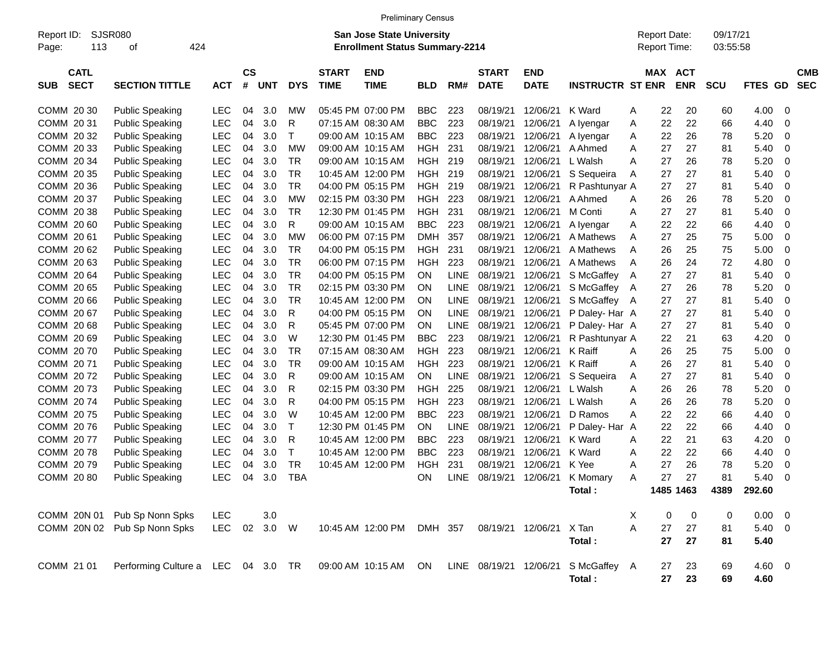|                            |                                    |            |           |            |              |              | <b>Preliminary Census</b>                                                 |            |             |                   |             |                                     |   |                                     |             |                      |             |                |            |
|----------------------------|------------------------------------|------------|-----------|------------|--------------|--------------|---------------------------------------------------------------------------|------------|-------------|-------------------|-------------|-------------------------------------|---|-------------------------------------|-------------|----------------------|-------------|----------------|------------|
| Report ID:<br>113<br>Page: | <b>SJSR080</b><br>424<br>οf        |            |           |            |              |              | <b>San Jose State University</b><br><b>Enrollment Status Summary-2214</b> |            |             |                   |             |                                     |   | <b>Report Date:</b><br>Report Time: |             | 09/17/21<br>03:55:58 |             |                |            |
| <b>CATL</b>                |                                    |            | <b>CS</b> |            |              | <b>START</b> | <b>END</b>                                                                |            |             | <b>START</b>      | <b>END</b>  |                                     |   |                                     | MAX ACT     |                      |             |                | <b>CMB</b> |
| <b>SECT</b><br><b>SUB</b>  | <b>SECTION TITTLE</b>              | <b>ACT</b> | #         | <b>UNT</b> | <b>DYS</b>   | <b>TIME</b>  | <b>TIME</b>                                                               | <b>BLD</b> | RM#         | <b>DATE</b>       | <b>DATE</b> | <b>INSTRUCTR ST ENR</b>             |   |                                     | <b>ENR</b>  | SCU                  | FTES GD     |                | <b>SEC</b> |
| COMM 20 30                 | <b>Public Speaking</b>             | <b>LEC</b> | 04        | 3.0        | МW           |              | 05:45 PM 07:00 PM                                                         | <b>BBC</b> | 223         | 08/19/21          | 12/06/21    | K Ward                              | A | 22                                  | 20          | 60                   | 4.00        | - 0            |            |
| COMM 20 31                 | <b>Public Speaking</b>             | <b>LEC</b> | 04        | 3.0        | R            |              | 07:15 AM 08:30 AM                                                         | <b>BBC</b> | 223         | 08/19/21          | 12/06/21    | A lyengar                           | A | 22                                  | 22          | 66                   | 4.40        | $\mathbf 0$    |            |
| COMM 20 32                 | <b>Public Speaking</b>             | <b>LEC</b> | 04        | 3.0        | $\mathsf{T}$ |              | 09:00 AM 10:15 AM                                                         | <b>BBC</b> | 223         | 08/19/21          | 12/06/21    | A Iyengar                           | A | 22                                  | 26          | 78                   | 5.20        | $\mathbf 0$    |            |
| COMM 20 33                 | <b>Public Speaking</b>             | <b>LEC</b> | 04        | 3.0        | <b>MW</b>    |              | 09:00 AM 10:15 AM                                                         | <b>HGH</b> | 231         | 08/19/21          | 12/06/21    | A Ahmed                             | A | 27                                  | 27          | 81                   | 5.40        | $\mathbf 0$    |            |
| COMM 20 34                 | <b>Public Speaking</b>             | <b>LEC</b> | 04        | 3.0        | <b>TR</b>    |              | 09:00 AM 10:15 AM                                                         | <b>HGH</b> | 219         | 08/19/21          | 12/06/21    | L Walsh                             | Α | 27                                  | 26          | 78                   | 5.20        | $\mathbf 0$    |            |
| COMM 20 35                 | <b>Public Speaking</b>             | <b>LEC</b> | 04        | 3.0        | <b>TR</b>    |              | 10:45 AM 12:00 PM                                                         | <b>HGH</b> | 219         | 08/19/21          | 12/06/21    | S Sequeira                          | A | 27                                  | 27          | 81                   | 5.40        | $\overline{0}$ |            |
| COMM 20 36                 | <b>Public Speaking</b>             | <b>LEC</b> | 04        | 3.0        | <b>TR</b>    |              | 04:00 PM 05:15 PM                                                         | <b>HGH</b> | 219         | 08/19/21          | 12/06/21    | R Pashtunyar A                      |   | 27                                  | 27          | 81                   | 5.40        | $\mathbf 0$    |            |
| COMM 20 37                 | <b>Public Speaking</b>             | <b>LEC</b> | 04        | 3.0        | <b>MW</b>    |              | 02:15 PM 03:30 PM                                                         | <b>HGH</b> | 223         | 08/19/21          | 12/06/21    | A Ahmed                             | Α | 26                                  | 26          | 78                   | 5.20        | $\mathbf 0$    |            |
| COMM 20 38                 | <b>Public Speaking</b>             | <b>LEC</b> | 04        | 3.0        | <b>TR</b>    |              | 12:30 PM 01:45 PM                                                         | <b>HGH</b> | 231         | 08/19/21          | 12/06/21    | M Conti                             | A | 27                                  | 27          | 81                   | 5.40        | $\mathbf 0$    |            |
| COMM 20 60                 | <b>Public Speaking</b>             | <b>LEC</b> | 04        | 3.0        | R            |              | 09:00 AM 10:15 AM                                                         | <b>BBC</b> | 223         | 08/19/21          | 12/06/21    | A Iyengar                           | Α | 22                                  | 22          | 66                   | 4.40        | $\mathbf 0$    |            |
| COMM 20 61                 | <b>Public Speaking</b>             | <b>LEC</b> | 04        | 3.0        | <b>MW</b>    |              | 06:00 PM 07:15 PM                                                         | <b>DMH</b> | 357         | 08/19/21          | 12/06/21    | A Mathews                           | A | 27                                  | 25          | 75                   | 5.00        | $\mathbf 0$    |            |
| COMM 20 62                 | <b>Public Speaking</b>             | <b>LEC</b> | 04        | 3.0        | <b>TR</b>    |              | 04:00 PM 05:15 PM                                                         | <b>HGH</b> | 231         | 08/19/21          | 12/06/21    | A Mathews                           | A | 26                                  | 25          | 75                   | 5.00        | $\mathbf 0$    |            |
| COMM 20 63                 | <b>Public Speaking</b>             | <b>LEC</b> | 04        | 3.0        | <b>TR</b>    |              | 06:00 PM 07:15 PM                                                         | <b>HGH</b> | 223         | 08/19/21          | 12/06/21    | A Mathews                           | A | 26                                  | 24          | 72                   | 4.80        | $\mathbf 0$    |            |
| COMM 20 64                 | <b>Public Speaking</b>             | <b>LEC</b> | 04        | 3.0        | <b>TR</b>    |              | 04:00 PM 05:15 PM                                                         | ON         | LINE        | 08/19/21          | 12/06/21    | S McGaffey                          | Α | 27                                  | 27          | 81                   | 5.40        | $\mathbf 0$    |            |
| COMM 20 65                 | <b>Public Speaking</b>             | <b>LEC</b> | 04        | 3.0        | <b>TR</b>    |              | 02:15 PM 03:30 PM                                                         | ΟN         | <b>LINE</b> | 08/19/21          | 12/06/21    | S McGaffey                          | A | 27                                  | 26          | 78                   | 5.20        | $\mathbf 0$    |            |
| COMM 20 66                 | <b>Public Speaking</b>             | <b>LEC</b> | 04        | 3.0        | <b>TR</b>    |              | 10:45 AM 12:00 PM                                                         | ΟN         | <b>LINE</b> | 08/19/21          | 12/06/21    | S McGaffey A                        |   | 27                                  | 27          | 81                   | 5.40        | $\mathbf 0$    |            |
| COMM 20 67                 | <b>Public Speaking</b>             | <b>LEC</b> | 04        | 3.0        | R            |              | 04:00 PM 05:15 PM                                                         | ΟN         | <b>LINE</b> | 08/19/21          | 12/06/21    | P Daley-Har A                       |   | 27                                  | 27          | 81                   | 5.40        | $\mathbf 0$    |            |
| COMM 20 68                 | <b>Public Speaking</b>             | <b>LEC</b> | 04        | 3.0        | R            |              | 05:45 PM 07:00 PM                                                         | ΟN         | LINE        | 08/19/21          | 12/06/21    | P Daley- Har A                      |   | 27                                  | 27          | 81                   | 5.40        | $\mathbf 0$    |            |
| COMM 20 69                 | <b>Public Speaking</b>             | <b>LEC</b> | 04        | 3.0        | W            |              | 12:30 PM 01:45 PM                                                         | <b>BBC</b> | 223         | 08/19/21          | 12/06/21    | R Pashtunyar A                      |   | 22                                  | 21          | 63                   | 4.20        | $\mathbf 0$    |            |
| COMM 2070                  | <b>Public Speaking</b>             | <b>LEC</b> | 04        | 3.0        | <b>TR</b>    |              | 07:15 AM 08:30 AM                                                         | <b>HGH</b> | 223         | 08/19/21          | 12/06/21    | K Raiff                             | Α | 26                                  | 25          | 75                   | 5.00        | $\mathbf 0$    |            |
| COMM 2071                  | <b>Public Speaking</b>             | <b>LEC</b> | 04        | 3.0        | <b>TR</b>    |              | 09:00 AM 10:15 AM                                                         | <b>HGH</b> | 223         | 08/19/21          | 12/06/21    | K Raiff                             | Α | 26                                  | 27          | 81                   | 5.40        | $\mathbf 0$    |            |
| COMM 2072                  | <b>Public Speaking</b>             | <b>LEC</b> | 04        | 3.0        | R            |              | 09:00 AM 10:15 AM                                                         | ON         | <b>LINE</b> | 08/19/21          | 12/06/21    | S Sequeira                          | Α | 27                                  | 27          | 81                   | 5.40        | $\mathbf 0$    |            |
| COMM 2073                  | <b>Public Speaking</b>             | <b>LEC</b> | 04        | 3.0        | R            |              | 02:15 PM 03:30 PM                                                         | <b>HGH</b> | 225         | 08/19/21          | 12/06/21    | L Walsh                             | Α | 26                                  | 26          | 78                   | 5.20        | $\mathbf 0$    |            |
| COMM 2074                  | <b>Public Speaking</b>             | <b>LEC</b> | 04        | 3.0        | R            |              | 04:00 PM 05:15 PM                                                         | <b>HGH</b> | 223         | 08/19/21          | 12/06/21    | L Walsh                             | Α | 26                                  | 26          | 78                   | 5.20        | $\mathbf 0$    |            |
| COMM 2075                  | <b>Public Speaking</b>             | <b>LEC</b> | 04        | 3.0        | W            |              | 10:45 AM 12:00 PM                                                         | <b>BBC</b> | 223         | 08/19/21          | 12/06/21    | D Ramos                             | Α | 22                                  | 22          | 66                   | 4.40        | $\mathbf 0$    |            |
| COMM 2076                  | <b>Public Speaking</b>             | <b>LEC</b> | 04        | 3.0        | $\mathsf{T}$ |              | 12:30 PM 01:45 PM                                                         | ON         | <b>LINE</b> | 08/19/21          | 12/06/21    | P Daley- Har A                      |   | 22                                  | 22          | 66                   | 4.40        | $\mathbf 0$    |            |
| COMM 2077                  | <b>Public Speaking</b>             | <b>LEC</b> | 04        | 3.0        | R            |              | 10:45 AM 12:00 PM                                                         | <b>BBC</b> | 223         | 08/19/21          | 12/06/21    | K Ward                              | Α | 22                                  | 21          | 63                   | 4.20        | $\mathbf 0$    |            |
| COMM 2078                  | <b>Public Speaking</b>             | <b>LEC</b> | 04        | 3.0        | $\mathsf{T}$ |              | 10:45 AM 12:00 PM                                                         | <b>BBC</b> | 223         | 08/19/21          | 12/06/21    | K Ward                              | Α | 22                                  | 22          | 66                   | 4.40        | $\mathbf 0$    |            |
| COMM 2079                  | <b>Public Speaking</b>             | <b>LEC</b> | 04        | 3.0        | <b>TR</b>    |              | 10:45 AM 12:00 PM                                                         | <b>HGH</b> | 231         | 08/19/21          | 12/06/21    | K Yee                               | Α | 27                                  | 26          | 78                   | 5.20        | $\mathbf 0$    |            |
| COMM 20 80                 | <b>Public Speaking</b>             | <b>LEC</b> | 04        | 3.0        | <b>TBA</b>   |              |                                                                           | ON         | <b>LINE</b> | 08/19/21          | 12/06/21    | K Momary                            | A | 27                                  | 27          | 81                   | 5.40        | $\mathbf 0$    |            |
|                            |                                    |            |           |            |              |              |                                                                           |            |             |                   |             | Total:                              |   |                                     | 1485 1463   | 4389                 | 292.60      |                |            |
|                            | COMM 20N 01 Pub Sp Nonn Spks       | LEC        |           | 3.0        |              |              |                                                                           |            |             |                   |             |                                     | Χ | 0                                   | $\mathbf 0$ | 0                    | $0.00 \t 0$ |                |            |
|                            | COMM 20N 02 Pub Sp Nonn Spks       | <b>LEC</b> |           | 02 3.0 W   |              |              | 10:45 AM 12:00 PM DMH 357                                                 |            |             | 08/19/21 12/06/21 |             | X Tan                               | A | 27                                  | 27          | 81                   | $5.40 \ 0$  |                |            |
|                            |                                    |            |           |            |              |              |                                                                           |            |             |                   |             | Total:                              |   | 27                                  | 27          | 81                   | 5.40        |                |            |
| COMM 21 01                 | Performing Culture a LEC 04 3.0 TR |            |           |            |              |              | 09:00 AM 10:15 AM ON                                                      |            |             |                   |             | LINE 08/19/21 12/06/21 S McGaffey A |   | 27                                  | 23          | 69                   | $4.60$ 0    |                |            |
|                            |                                    |            |           |            |              |              |                                                                           |            |             |                   |             | Total:                              |   | 27                                  | 23          | 69                   | 4.60        |                |            |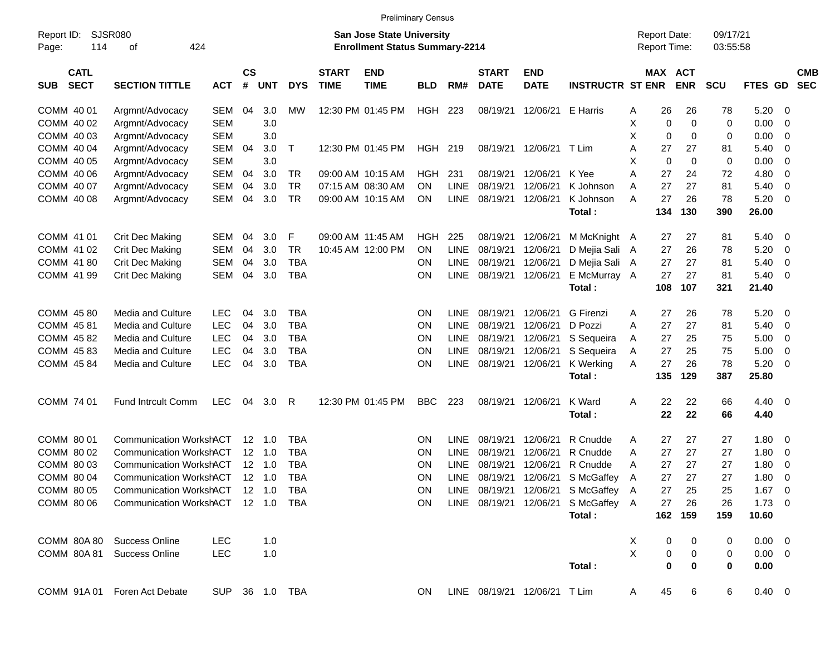| <b>Preliminary Census</b> |  |
|---------------------------|--|
|---------------------------|--|

| Page:      | <b>SJSR080</b><br>Report ID:<br>424<br>114<br>οf |                                    |                |                    |                |            |                             | <b>San Jose State University</b><br><b>Enrollment Status Summary-2214</b> |            |             |                              |                           |                                     |   | <b>Report Date:</b><br>Report Time: |             | 09/17/21<br>03:55:58 |                |                          |                          |
|------------|--------------------------------------------------|------------------------------------|----------------|--------------------|----------------|------------|-----------------------------|---------------------------------------------------------------------------|------------|-------------|------------------------------|---------------------------|-------------------------------------|---|-------------------------------------|-------------|----------------------|----------------|--------------------------|--------------------------|
| <b>SUB</b> | <b>CATL</b><br><b>SECT</b>                       | <b>SECTION TITTLE</b>              | <b>ACT</b>     | $\mathsf{cs}$<br># | <b>UNT</b>     | <b>DYS</b> | <b>START</b><br><b>TIME</b> | <b>END</b><br><b>TIME</b>                                                 | <b>BLD</b> | RM#         | <b>START</b><br><b>DATE</b>  | <b>END</b><br><b>DATE</b> | <b>INSTRUCTR ST ENR</b>             |   | MAX ACT                             | <b>ENR</b>  | <b>SCU</b>           | FTES GD        |                          | <b>CMB</b><br><b>SEC</b> |
|            | COMM 40 01                                       | Argmnt/Advocacy                    | <b>SEM</b>     | 04                 | 3.0            | МW         |                             | 12:30 PM 01:45 PM                                                         | HGH        | 223         |                              | 08/19/21 12/06/21         | E Harris                            | Α | 26                                  | 26          | 78                   | 5.20           | - 0                      |                          |
|            | COMM 40 02                                       | Argmnt/Advocacy                    | <b>SEM</b>     |                    | 3.0            |            |                             |                                                                           |            |             |                              |                           |                                     | Χ | 0                                   | $\mathbf 0$ | 0                    | 0.00           | $\overline{\mathbf{0}}$  |                          |
|            | COMM 40 03                                       | Argmnt/Advocacy                    | <b>SEM</b>     |                    | 3.0            |            |                             |                                                                           |            |             |                              |                           |                                     | X | $\mathbf 0$                         | 0           | 0                    | 0.00           | $\overline{\mathbf{0}}$  |                          |
|            | COMM 40 04                                       | Argmnt/Advocacy                    | <b>SEM</b>     | 04                 | 3.0            | T          |                             | 12:30 PM 01:45 PM                                                         | HGH 219    |             |                              | 08/19/21 12/06/21         | T Lim                               | A | 27                                  | 27          | 81                   | 5.40           | $\overline{\mathbf{0}}$  |                          |
|            | COMM 40 05                                       | Argmnt/Advocacy                    | <b>SEM</b>     |                    | 3.0            |            |                             |                                                                           |            |             |                              |                           |                                     | X | 0                                   | 0           | 0                    | 0.00           | $\overline{\mathbf{0}}$  |                          |
|            | COMM 40 06                                       | Argmnt/Advocacy                    | <b>SEM</b>     | 04                 | 3.0            | TR         |                             | 09:00 AM 10:15 AM                                                         | HGH        | 231         | 08/19/21                     | 12/06/21                  | K Yee                               | A | 27                                  | 24          | 72                   | 4.80           | $\overline{\mathbf{0}}$  |                          |
|            | COMM 40 07                                       | Argmnt/Advocacy                    | <b>SEM</b>     | 04                 | 3.0            | <b>TR</b>  |                             | 07:15 AM 08:30 AM                                                         | <b>ON</b>  | <b>LINE</b> | 08/19/21                     | 12/06/21                  | K Johnson                           | A | 27                                  | 27          | 81                   | 5.40           | $\overline{\phantom{0}}$ |                          |
|            | COMM 40 08                                       | Argmnt/Advocacy                    | <b>SEM</b>     | 04                 | 3.0            | <b>TR</b>  |                             | 09:00 AM 10:15 AM                                                         | <b>ON</b>  | LINE        | 08/19/21 12/06/21            |                           | K Johnson                           | A | 27                                  | 26          | 78                   | 5.20           | $\overline{\phantom{0}}$ |                          |
|            |                                                  |                                    |                |                    |                |            |                             |                                                                           |            |             |                              |                           | Total:                              |   | 134                                 | 130         | 390                  | 26.00          |                          |                          |
|            | COMM 41 01                                       | <b>Crit Dec Making</b>             | <b>SEM</b>     | 04                 | 3.0            | F          | 09:00 AM 11:45 AM           |                                                                           | <b>HGH</b> | 225         | 08/19/21                     | 12/06/21                  | M McKnight A                        |   | 27                                  | 27          | 81                   | 5.40           | $\overline{\phantom{0}}$ |                          |
|            | COMM 41 02                                       | <b>Crit Dec Making</b>             | <b>SEM</b>     | 04                 | 3.0            | <b>TR</b>  |                             | 10:45 AM 12:00 PM                                                         | <b>ON</b>  | <b>LINE</b> | 08/19/21                     | 12/06/21                  | D Mejia Sali A                      |   | 27                                  | 26          | 78                   | 5.20           | $\overline{\mathbf{0}}$  |                          |
|            | COMM 41 80                                       | Crit Dec Making                    | <b>SEM</b>     | 04                 | 3.0            | <b>TBA</b> |                             |                                                                           | <b>ON</b>  | LINE        | 08/19/21 12/06/21            |                           | D Mejia Sali A                      |   | 27                                  | 27          | 81                   | 5.40           | $\overline{\mathbf{0}}$  |                          |
|            | COMM 41 99                                       | Crit Dec Making                    | <b>SEM</b>     | 04                 | 3.0            | <b>TBA</b> |                             |                                                                           | <b>ON</b>  | LINE        | 08/19/21 12/06/21            |                           | E McMurray A                        |   | 27                                  | 27          | 81                   | 5.40           | $\overline{\phantom{0}}$ |                          |
|            |                                                  |                                    |                |                    |                |            |                             |                                                                           |            |             |                              |                           | Total:                              |   | 108                                 | 107         | 321                  | 21.40          |                          |                          |
|            | COMM 45 80                                       | Media and Culture                  | <b>LEC</b>     | 04                 | 3.0            | <b>TBA</b> |                             |                                                                           | <b>ON</b>  | <b>LINE</b> | 08/19/21                     | 12/06/21                  | G Firenzi                           | A | 27                                  | 26          | 78                   | 5.20           | $\overline{\mathbf{0}}$  |                          |
|            | COMM 45 81                                       | Media and Culture                  | <b>LEC</b>     | 04                 | 3.0            | <b>TBA</b> |                             |                                                                           | <b>ON</b>  | <b>LINE</b> | 08/19/21                     | 12/06/21                  | D Pozzi                             | A | 27                                  | 27          | 81                   | 5.40           | $\overline{\mathbf{0}}$  |                          |
|            | COMM 4582                                        | Media and Culture                  | <b>LEC</b>     | 04                 | 3.0            | <b>TBA</b> |                             |                                                                           | ON         | LINE        | 08/19/21                     | 12/06/21                  | S Sequeira                          | A | 27                                  | 25          | 75                   | 5.00           | $\overline{\mathbf{0}}$  |                          |
|            | COMM 45 83                                       | Media and Culture                  | <b>LEC</b>     | 04                 | 3.0            | <b>TBA</b> |                             |                                                                           | ON         | LINE        | 08/19/21 12/06/21            |                           | S Sequeira                          | Α | 27                                  | 25          | 75                   | 5.00           | $\overline{0}$           |                          |
|            | COMM 45 84                                       | Media and Culture                  | <b>LEC</b>     | 04                 | 3.0            | <b>TBA</b> |                             |                                                                           | ON         | <b>LINE</b> | 08/19/21 12/06/21            |                           | K Werking                           | A | 27                                  | 26          | 78                   | 5.20           | $\overline{\mathbf{0}}$  |                          |
|            |                                                  |                                    |                |                    |                |            |                             |                                                                           |            |             |                              |                           | Total:                              |   | 135                                 | 129         | 387                  | 25.80          |                          |                          |
|            | COMM 74 01                                       | <b>Fund Intrcult Comm</b>          | <b>LEC</b>     | 04                 | 3.0            | R          |                             | 12:30 PM 01:45 PM                                                         | <b>BBC</b> | 223         | 08/19/21 12/06/21            |                           | K Ward                              | A | 22                                  | 22          | 66                   | $4.40 \quad 0$ |                          |                          |
|            |                                                  |                                    |                |                    |                |            |                             |                                                                           |            |             |                              |                           | Total:                              |   | 22                                  | 22          | 66                   | 4.40           |                          |                          |
|            | COMM 80 01                                       | <b>Communication WorkshACT</b>     |                |                    | $12 \quad 1.0$ | <b>TBA</b> |                             |                                                                           | <b>ON</b>  | <b>LINE</b> | 08/19/21                     | 12/06/21                  | R Cnudde                            | A | 27                                  | 27          | 27                   | 1.80           | $\overline{\mathbf{0}}$  |                          |
|            | COMM 80 02                                       | <b>Communication WorkshACT</b>     |                |                    | $12 \quad 1.0$ | <b>TBA</b> |                             |                                                                           | ON         | <b>LINE</b> | 08/19/21                     | 12/06/21                  | R Cnudde                            | A | 27                                  | 27          | 27                   | 1.80           | $\overline{\mathbf{0}}$  |                          |
|            | COMM 80 03                                       | <b>Communication WorkshACT</b>     |                |                    | $12 \quad 1.0$ | <b>TBA</b> |                             |                                                                           | ON         | LINE        | 08/19/21                     | 12/06/21                  | R Cnudde                            | A | 27                                  | 27          | 27                   | 1.80           | $\overline{\mathbf{0}}$  |                          |
|            | COMM 80 04                                       | <b>Communication WorkshACT</b>     |                |                    | $12 \quad 1.0$ | <b>TBA</b> |                             |                                                                           | ON         | <b>LINE</b> | 08/19/21                     | 12/06/21                  | S McGaffey                          | A | 27                                  | 27          | 27                   | 1.80           | $\mathbf 0$              |                          |
|            | COMM 80 05                                       | <b>Communication WorkshACT</b>     |                |                    | $12 \quad 1.0$ | <b>TBA</b> |                             |                                                                           | ON         | LINE        |                              | 08/19/21 12/06/21         | S McGaffey                          | A | 27                                  | 25          | 25                   | 1.67           | $\overline{0}$           |                          |
|            | COMM 80 06                                       | Communication WorkshACT 12 1.0 TBA |                |                    |                |            |                             |                                                                           | <b>ON</b>  |             |                              |                           | LINE 08/19/21 12/06/21 S McGaffey A |   |                                     | 27 26       | 26                   | $1.73 \t 0$    |                          |                          |
|            |                                                  |                                    |                |                    |                |            |                             |                                                                           |            |             |                              |                           | Total:                              |   |                                     | 162 159     | 159                  | 10.60          |                          |                          |
|            |                                                  | COMM 80A 80 Success Online         | <b>LEC</b>     |                    | 1.0            |            |                             |                                                                           |            |             |                              |                           |                                     | X | 0                                   | 0           | 0                    | $0.00 \t 0$    |                          |                          |
|            |                                                  | COMM 80A 81 Success Online         | <b>LEC</b>     |                    | 1.0            |            |                             |                                                                           |            |             |                              |                           |                                     | X | 0                                   | 0           | 0                    | $0.00 \t 0$    |                          |                          |
|            |                                                  |                                    |                |                    |                |            |                             |                                                                           |            |             |                              |                           | Total:                              |   | $\bf{0}$                            | $\bf{0}$    | $\mathbf 0$          | 0.00           |                          |                          |
|            |                                                  | COMM 91A 01 Foren Act Debate       | SUP 36 1.0 TBA |                    |                |            |                             |                                                                           | ON         |             | LINE 08/19/21 12/06/21 T Lim |                           |                                     | A | 45                                  | 6           | 6                    | $0.40 \ 0$     |                          |                          |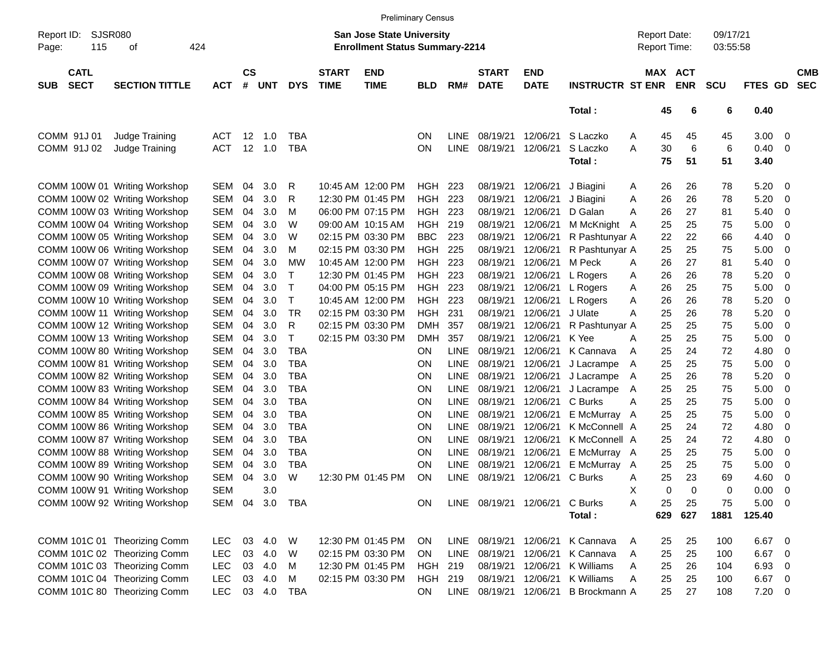|                     |                            |                                                                |                   |          |                             |            |                             |                                                                           | <b>Preliminary Census</b> |             |                             |                           |                         |                                     |                       |                      |                |                          |
|---------------------|----------------------------|----------------------------------------------------------------|-------------------|----------|-----------------------------|------------|-----------------------------|---------------------------------------------------------------------------|---------------------------|-------------|-----------------------------|---------------------------|-------------------------|-------------------------------------|-----------------------|----------------------|----------------|--------------------------|
| Report ID:<br>Page: | SJSR080<br>115             | οf                                                             | 424               |          |                             |            |                             | <b>San Jose State University</b><br><b>Enrollment Status Summary-2214</b> |                           |             |                             |                           |                         | <b>Report Date:</b><br>Report Time: |                       | 09/17/21<br>03:55:58 |                |                          |
| <b>SUB</b>          | <b>CATL</b><br><b>SECT</b> | <b>SECTION TITTLE</b>                                          | <b>ACT</b>        | #        | $\mathsf{cs}$<br><b>UNT</b> | <b>DYS</b> | <b>START</b><br><b>TIME</b> | <b>END</b><br><b>TIME</b>                                                 | <b>BLD</b>                | RM#         | <b>START</b><br><b>DATE</b> | <b>END</b><br><b>DATE</b> | <b>INSTRUCTR ST ENR</b> |                                     | MAX ACT<br><b>ENR</b> | <b>SCU</b>           | <b>FTES GD</b> | <b>CMB</b><br><b>SEC</b> |
|                     |                            |                                                                |                   |          |                             |            |                             |                                                                           |                           |             |                             |                           | Total:                  | 45                                  | 6                     | 6                    | 0.40           |                          |
|                     | COMM 91J 01                | Judge Training                                                 | <b>ACT</b>        |          | 12<br>1.0                   | TBA        |                             |                                                                           | ON                        | <b>LINE</b> | 08/19/21                    | 12/06/21                  | S Laczko                | 45<br>A                             | 45                    | 45                   | 3.00           | $\overline{\phantom{0}}$ |
|                     | COMM 91J 02                | Judge Training                                                 | <b>ACT</b>        |          | 12 1.0                      | <b>TBA</b> |                             |                                                                           | ON                        | <b>LINE</b> | 08/19/21                    | 12/06/21                  | S Laczko                | 30<br>Α                             | 6                     | 6                    | 0.40           | - 0                      |
|                     |                            |                                                                |                   |          |                             |            |                             |                                                                           |                           |             |                             |                           | Total:                  | 75                                  | 51                    | 51                   | 3.40           |                          |
|                     |                            | COMM 100W 01 Writing Workshop                                  | <b>SEM</b>        | 04       | 3.0                         | R          |                             | 10:45 AM 12:00 PM                                                         | HGH                       | 223         | 08/19/21                    | 12/06/21                  | J Biagini               | 26<br>A                             | 26                    | 78                   | 5.20           | - 0                      |
|                     |                            | COMM 100W 02 Writing Workshop                                  | <b>SEM</b>        | 04       | 3.0                         | R          |                             | 12:30 PM 01:45 PM                                                         | HGH                       | 223         | 08/19/21                    | 12/06/21                  | J Biagini               | 26<br>Α                             | 26                    | 78                   | 5.20           | - 0                      |
|                     |                            | COMM 100W 03 Writing Workshop                                  | <b>SEM</b>        | 04       | 3.0                         | M          |                             | 06:00 PM 07:15 PM                                                         | HGH                       | 223         | 08/19/21                    | 12/06/21                  | D Galan                 | 26<br>A                             | 27                    | 81                   | 5.40           | - 0                      |
|                     |                            | COMM 100W 04 Writing Workshop                                  | <b>SEM</b>        | 04       | 3.0                         | W          |                             | 09:00 AM 10:15 AM                                                         | HGH                       | 219         | 08/19/21                    | 12/06/21                  | M McKnight              | 25<br>A                             | 25                    | 75                   | 5.00           | 0                        |
|                     |                            | COMM 100W 05 Writing Workshop                                  | <b>SEM</b>        | 04       | 3.0                         | W          |                             | 02:15 PM 03:30 PM                                                         | <b>BBC</b>                | 223         | 08/19/21                    | 12/06/21                  | R Pashtunyar A          | 22                                  | 22                    | 66                   | 4.40           | 0                        |
|                     |                            | COMM 100W 06 Writing Workshop                                  | SEM               | 04       | 3.0                         | M          |                             | 02:15 PM 03:30 PM                                                         | <b>HGH</b>                | 225         | 08/19/21                    | 12/06/21                  | R Pashtunyar A          | 25                                  | 25                    | 75                   | 5.00           | - 0                      |
|                     |                            | COMM 100W 07 Writing Workshop                                  | <b>SEM</b>        | 04       | 3.0                         | <b>MW</b>  |                             | 10:45 AM 12:00 PM                                                         | HGH                       | 223         | 08/19/21                    | 12/06/21                  | M Peck                  | 26<br>A                             | 27                    | 81                   | 5.40           | 0                        |
|                     |                            | COMM 100W 08 Writing Workshop                                  | <b>SEM</b>        | 04       | 3.0                         | т          |                             | 12:30 PM 01:45 PM<br>04:00 PM 05:15 PM                                    | HGH                       | 223         | 08/19/21<br>08/19/21        | 12/06/21                  | L Rogers                | 26<br>Α                             | 26                    | 78                   | 5.20           | 0                        |
|                     |                            | COMM 100W 09 Writing Workshop                                  | SEM<br><b>SEM</b> | 04<br>04 | 3.0<br>3.0                  | Т<br>Т     |                             | 10:45 AM 12:00 PM                                                         | <b>HGH</b><br><b>HGH</b>  | 223<br>223  | 08/19/21                    | 12/06/21<br>12/06/21      | L Rogers                | 26<br>Α<br>26                       | 25<br>26              | 75<br>78             | 5.00<br>5.20   | - 0                      |
|                     |                            | COMM 100W 10 Writing Workshop<br>COMM 100W 11 Writing Workshop | <b>SEM</b>        | 04       | 3.0                         | <b>TR</b>  |                             | 02:15 PM 03:30 PM                                                         | <b>HGH</b>                | 231         | 08/19/21                    | 12/06/21                  | L Rogers<br>J Ulate     | Α<br>25<br>A                        | 26                    | 78                   | 5.20           | 0<br>0                   |
|                     |                            | COMM 100W 12 Writing Workshop                                  | SEM               | 04       | 3.0                         | R          |                             | 02:15 PM 03:30 PM                                                         | <b>DMH</b>                | 357         | 08/19/21                    | 12/06/21                  | R Pashtunyar A          | 25                                  | 25                    | 75                   | 5.00           | - 0                      |
|                     |                            | COMM 100W 13 Writing Workshop                                  | <b>SEM</b>        | 04       | 3.0                         | т          |                             | 02:15 PM 03:30 PM                                                         | <b>DMH</b>                | 357         | 08/19/21                    | 12/06/21                  | K Yee                   | 25<br>A                             | 25                    | 75                   | 5.00           | - 0                      |
|                     |                            | COMM 100W 80 Writing Workshop                                  | <b>SEM</b>        | 04       | 3.0                         | <b>TBA</b> |                             |                                                                           | ON.                       | <b>LINE</b> | 08/19/21                    | 12/06/21                  | K Cannava               | 25<br>A                             | 24                    | 72                   | 4.80           | 0                        |
|                     |                            | COMM 100W 81 Writing Workshop                                  | <b>SEM</b>        | 04       | 3.0                         | <b>TBA</b> |                             |                                                                           | ON                        | <b>LINE</b> | 08/19/21                    | 12/06/21                  | J Lacrampe              | 25<br>A                             | 25                    | 75                   | 5.00           | - 0                      |
|                     |                            | COMM 100W 82 Writing Workshop                                  | SEM               | 04       | 3.0                         | <b>TBA</b> |                             |                                                                           | ON                        | <b>LINE</b> | 08/19/21                    | 12/06/21                  | J Lacrampe              | 25<br>A                             | 26                    | 78                   | 5.20           | 0                        |
|                     |                            | COMM 100W 83 Writing Workshop                                  | SEM               | 04       | 3.0                         | <b>TBA</b> |                             |                                                                           | ON                        | <b>LINE</b> | 08/19/21                    | 12/06/21                  | J Lacrampe              | 25<br>A                             | 25                    | 75                   | 5.00           | - 0                      |
|                     |                            | COMM 100W 84 Writing Workshop                                  | SEM               | 04       | 3.0                         | <b>TBA</b> |                             |                                                                           | ON                        | <b>LINE</b> | 08/19/21                    | 12/06/21                  | C Burks                 | 25<br>A                             | 25                    | 75                   | 5.00           | - 0                      |
|                     |                            | COMM 100W 85 Writing Workshop                                  | SEM               | 04       | 3.0                         | <b>TBA</b> |                             |                                                                           | ON                        | <b>LINE</b> | 08/19/21                    | 12/06/21                  | E McMurray A            | 25                                  | 25                    | 75                   | 5.00           | - 0                      |
|                     |                            | COMM 100W 86 Writing Workshop                                  | SEM               | 04       | 3.0                         | <b>TBA</b> |                             |                                                                           | ON                        | <b>LINE</b> | 08/19/21                    | 12/06/21                  | K McConnell A           | 25                                  | 24                    | 72                   | 4.80           | 0                        |
|                     |                            | COMM 100W 87 Writing Workshop                                  | SEM               | 04       | 3.0                         | <b>TBA</b> |                             |                                                                           | ON                        | <b>LINE</b> | 08/19/21                    | 12/06/21                  | K McConnell A           | 25                                  | 24                    | 72                   | 4.80           | 0                        |
|                     |                            | COMM 100W 88 Writing Workshop                                  | SEM               | 04       | 3.0                         | <b>TBA</b> |                             |                                                                           | ON                        | LINE        | 08/19/21                    | 12/06/21                  | E McMurray A            | 25                                  | 25                    | 75                   | 5.00           | - 0                      |
|                     |                            | COMM 100W 89 Writing Workshop                                  | <b>SEM</b>        | 04       | 3.0                         | <b>TBA</b> |                             |                                                                           | ON                        | <b>LINE</b> | 08/19/21                    | 12/06/21                  | E McMurray A            | 25                                  | 25                    | 75                   | 5.00           | - 0                      |
|                     |                            | COMM 100W 90 Writing Workshop                                  | <b>SEM</b>        | 04       | 3.0                         | W          |                             | 12:30 PM 01:45 PM                                                         | ON                        | LINE        | 08/19/21                    | 12/06/21                  | C Burks                 | 25<br>A                             | 23                    | 69                   | 4.60           | - 0                      |
|                     |                            | COMM 100W 91 Writing Workshop                                  | <b>SEM</b>        |          | 3.0                         |            |                             |                                                                           |                           |             |                             |                           |                         | х                                   | 0<br>0                | 0                    | 0.00           | $\overline{0}$           |
|                     |                            | COMM 100W 92 Writing Workshop                                  | SEM               | 04       | 3.0                         | TBA        |                             |                                                                           | <b>ON</b>                 |             | LINE 08/19/21 12/06/21      |                           | C Burks                 | Α<br>25                             | 25                    | 75                   | 5.00           | $\overline{\phantom{0}}$ |
|                     |                            |                                                                |                   |          |                             |            |                             |                                                                           |                           |             |                             |                           | Total:                  | 629                                 | 627                   | 1881                 | 125.40         |                          |
|                     |                            | COMM 101C 01 Theorizing Comm                                   | <b>LEC</b>        | 03       | 4.0                         | W          |                             | 12:30 PM 01:45 PM                                                         | <b>ON</b>                 | LINE        | 08/19/21 12/06/21           |                           | K Cannava               | 25<br>A                             | 25                    | 100                  | 6.67           | $\overline{\phantom{0}}$ |
|                     |                            | COMM 101C 02 Theorizing Comm                                   | <b>LEC</b>        | 03       | 4.0                         | W          |                             | 02:15 PM 03:30 PM                                                         | <b>ON</b>                 | <b>LINE</b> | 08/19/21                    | 12/06/21                  | K Cannava               | 25<br>A                             | 25                    | 100                  | 6.67           | $\overline{\mathbf{0}}$  |
|                     |                            | COMM 101C 03 Theorizing Comm                                   | <b>LEC</b>        | 03       | 4.0                         | M          |                             | 12:30 PM 01:45 PM                                                         | HGH                       | 219         | 08/19/21                    | 12/06/21                  | K Williams              | 25<br>Α                             | 26                    | 104                  | 6.93           | - 0                      |
|                     |                            | COMM 101C 04 Theorizing Comm                                   | <b>LEC</b>        | 03       | 4.0                         | M          |                             | 02:15 PM 03:30 PM                                                         | <b>HGH</b>                | 219         | 08/19/21                    | 12/06/21                  | K Williams              | Α<br>25                             | 25                    | 100                  | 6.67           | $\overline{\phantom{0}}$ |
|                     |                            | COMM 101C 80 Theorizing Comm                                   | <b>LEC</b>        |          | 03 4.0                      | TBA        |                             |                                                                           | ON                        |             | LINE 08/19/21               | 12/06/21                  | B Brockmann A           | 25                                  | 27                    | 108                  | $7.20 \t 0$    |                          |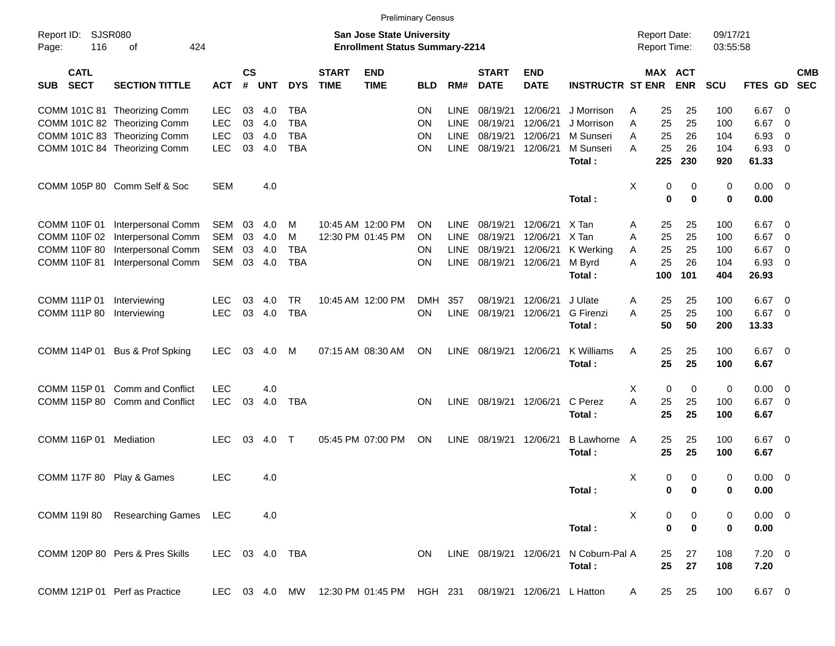|                                              |                                   |                |                    |            |            |                             | <b>Preliminary Census</b>                                                 |            |             |                             |                           |                         |   |                                     |                  |                      |                     |                          |            |
|----------------------------------------------|-----------------------------------|----------------|--------------------|------------|------------|-----------------------------|---------------------------------------------------------------------------|------------|-------------|-----------------------------|---------------------------|-------------------------|---|-------------------------------------|------------------|----------------------|---------------------|--------------------------|------------|
| <b>SJSR080</b><br>Report ID:<br>116<br>Page: | 424<br>of                         |                |                    |            |            |                             | <b>San Jose State University</b><br><b>Enrollment Status Summary-2214</b> |            |             |                             |                           |                         |   | <b>Report Date:</b><br>Report Time: |                  | 09/17/21<br>03:55:58 |                     |                          |            |
| <b>CATL</b><br><b>SECT</b><br><b>SUB</b>     | <b>SECTION TITTLE</b>             | <b>ACT</b>     | $\mathsf{cs}$<br># | <b>UNT</b> | <b>DYS</b> | <b>START</b><br><b>TIME</b> | <b>END</b><br><b>TIME</b>                                                 | <b>BLD</b> | RM#         | <b>START</b><br><b>DATE</b> | <b>END</b><br><b>DATE</b> | <b>INSTRUCTR ST ENR</b> |   | MAX ACT                             | <b>ENR</b>       | SCU                  | FTES GD SEC         |                          | <b>CMB</b> |
|                                              | COMM 101C 81 Theorizing Comm      | <b>LEC</b>     | 03                 | 4.0        | <b>TBA</b> |                             |                                                                           | <b>ON</b>  | <b>LINE</b> | 08/19/21                    | 12/06/21                  | J Morrison              | A | 25                                  | 25               | 100                  | 6.67                | - 0                      |            |
|                                              | COMM 101C 82 Theorizing Comm      | <b>LEC</b>     | 03                 | 4.0        | <b>TBA</b> |                             |                                                                           | <b>ON</b>  | <b>LINE</b> | 08/19/21                    | 12/06/21                  | J Morrison              | A | 25                                  | 25               | 100                  | 6.67                | - 0                      |            |
|                                              | COMM 101C 83 Theorizing Comm      | <b>LEC</b>     | 03                 | 4.0        | <b>TBA</b> |                             |                                                                           | <b>ON</b>  | <b>LINE</b> | 08/19/21                    | 12/06/21                  | M Sunseri               | A | 25                                  | 26               | 104                  | 6.93                | - 0                      |            |
|                                              | COMM 101C 84 Theorizing Comm      | <b>LEC</b>     | 03                 | 4.0        | <b>TBA</b> |                             |                                                                           | <b>ON</b>  | <b>LINE</b> | 08/19/21                    | 12/06/21                  | M Sunseri<br>Total:     | A | 25<br>225                           | 26<br>230        | 104<br>920           | 6.93<br>61.33       | - 0                      |            |
|                                              |                                   |                |                    |            |            |                             |                                                                           |            |             |                             |                           |                         |   |                                     |                  |                      |                     |                          |            |
|                                              | COMM 105P 80 Comm Self & Soc      | <b>SEM</b>     |                    | 4.0        |            |                             |                                                                           |            |             |                             |                           | Total:                  | X | 0<br>0                              | 0<br>$\mathbf 0$ | 0<br>0               | $0.00 \t 0$<br>0.00 |                          |            |
|                                              |                                   |                |                    |            |            |                             |                                                                           |            |             |                             |                           |                         |   |                                     |                  |                      |                     |                          |            |
| COMM 110F 01                                 | Interpersonal Comm                | <b>SEM</b>     | 03                 | 4.0        | м          |                             | 10:45 AM 12:00 PM                                                         | <b>ON</b>  | <b>LINE</b> | 08/19/21                    | 12/06/21                  | X Tan                   | A | 25                                  | 25               | 100                  | 6.67                | - 0                      |            |
| COMM 110F 02                                 | Interpersonal Comm                | <b>SEM</b>     | 03                 | 4.0        | м          |                             | 12:30 PM 01:45 PM                                                         | <b>ON</b>  | <b>LINE</b> | 08/19/21                    | 12/06/21                  | X Tan                   | A | 25                                  | 25               | 100                  | 6.67                | 0                        |            |
| <b>COMM 110F 80</b>                          | Interpersonal Comm                | <b>SEM</b>     | 03                 | 4.0        | <b>TBA</b> |                             |                                                                           | <b>ON</b>  | <b>LINE</b> | 08/19/21                    | 12/06/21                  | K Werking               | A | 25                                  | 25               | 100                  | 6.67                | 0                        |            |
| <b>COMM 110F 81</b>                          | Interpersonal Comm                | <b>SEM</b>     | 03                 | 4.0        | <b>TBA</b> |                             |                                                                           | <b>ON</b>  | LINE        | 08/19/21 12/06/21           |                           | M Byrd                  | A | 25                                  | 26               | 104                  | 6.93                | - 0                      |            |
|                                              |                                   |                |                    |            |            |                             |                                                                           |            |             |                             |                           | Total:                  |   | 100                                 | 101              | 404                  | 26.93               |                          |            |
| COMM 111P 01                                 | Interviewing                      | <b>LEC</b>     | 03                 | 4.0        | <b>TR</b>  |                             | 10:45 AM 12:00 PM                                                         | <b>DMH</b> | 357         | 08/19/21                    | 12/06/21                  | J Ulate                 | A | 25                                  | 25               | 100                  | 6.67                | $\overline{\mathbf{0}}$  |            |
| COMM 111P 80                                 | Interviewing                      | <b>LEC</b>     | 03                 | 4.0        | <b>TBA</b> |                             |                                                                           | <b>ON</b>  | <b>LINE</b> | 08/19/21                    | 12/06/21                  | <b>G</b> Firenzi        | A | 25                                  | 25               | 100                  | 6.67                | $\overline{\mathbf{0}}$  |            |
|                                              |                                   |                |                    |            |            |                             |                                                                           |            |             |                             |                           | Total:                  |   | 50                                  | 50               | 200                  | 13.33               |                          |            |
|                                              | COMM 114P 01 Bus & Prof Spking    | <b>LEC</b>     | 03                 | 4.0        | M          |                             | 07:15 AM 08:30 AM                                                         | ON         |             | LINE 08/19/21 12/06/21      |                           | K Williams              | A | 25                                  | 25               | 100                  | $6.67$ 0            |                          |            |
|                                              |                                   |                |                    |            |            |                             |                                                                           |            |             |                             |                           | Total:                  |   | 25                                  | 25               | 100                  | 6.67                |                          |            |
| COMM 115P 01                                 | <b>Comm and Conflict</b>          | <b>LEC</b>     |                    | 4.0        |            |                             |                                                                           |            |             |                             |                           |                         | Χ | 0                                   | $\mathbf 0$      | 0                    | 0.00                | $\overline{\phantom{0}}$ |            |
|                                              | COMM 115P 80 Comm and Conflict    | <b>LEC</b>     | 03                 | 4.0        | <b>TBA</b> |                             |                                                                           | <b>ON</b>  | LINE        | 08/19/21 12/06/21           |                           | C Perez                 | A | 25                                  | 25               | 100                  | 6.67                | $\overline{\mathbf{0}}$  |            |
|                                              |                                   |                |                    |            |            |                             |                                                                           |            |             |                             |                           | Total:                  |   | 25                                  | 25               | 100                  | 6.67                |                          |            |
| COMM 116P 01 Mediation                       |                                   | <b>LEC</b>     | 03                 | 4.0        | $\top$     |                             | 05:45 PM 07:00 PM                                                         | ON         | LINE        | 08/19/21 12/06/21           |                           | B Lawhorne A            |   | 25                                  | 25               | 100                  | $6.67$ 0            |                          |            |
|                                              |                                   |                |                    |            |            |                             |                                                                           |            |             |                             |                           | Total:                  |   | 25                                  | 25               | 100                  | 6.67                |                          |            |
| COMM 117F 80 Play & Games                    |                                   | <b>LEC</b>     |                    | 4.0        |            |                             |                                                                           |            |             |                             |                           |                         | Χ | 0                                   | 0                | 0                    | $0.00 \t 0$         |                          |            |
|                                              |                                   |                |                    |            |            |                             |                                                                           |            |             |                             |                           | Total :                 |   | 0                                   | $\bf{0}$         | 0                    | 0.00                |                          |            |
|                                              | COMM 119180 Researching Games LEC |                |                    | 4.0        |            |                             |                                                                           |            |             |                             |                           |                         | X | 0                                   | 0                | 0                    | $0.00 \t 0$         |                          |            |
|                                              |                                   |                |                    |            |            |                             |                                                                           |            |             |                             |                           | Total:                  |   | 0                                   | $\mathbf 0$      | 0                    | $0.00\,$            |                          |            |
|                                              | COMM 120P 80 Pers & Pres Skills   | LEC 03 4.0 TBA |                    |            |            |                             |                                                                           | ON         |             | LINE 08/19/21 12/06/21      |                           | N Coburn-Pal A          |   | 25                                  | 27               | 108                  | $7.20 \t 0$         |                          |            |
|                                              |                                   |                |                    |            |            |                             |                                                                           |            |             |                             |                           | Total:                  |   | 25                                  | 27               | 108                  | 7.20                |                          |            |
|                                              | COMM 121P 01 Perf as Practice     | LEC 03 4.0 MW  |                    |            |            |                             | 12:30 PM 01:45 PM HGH 231                                                 |            |             |                             | 08/19/21 12/06/21         | L Hatton                | A | 25                                  | 25               | 100                  | 6.67 0              |                          |            |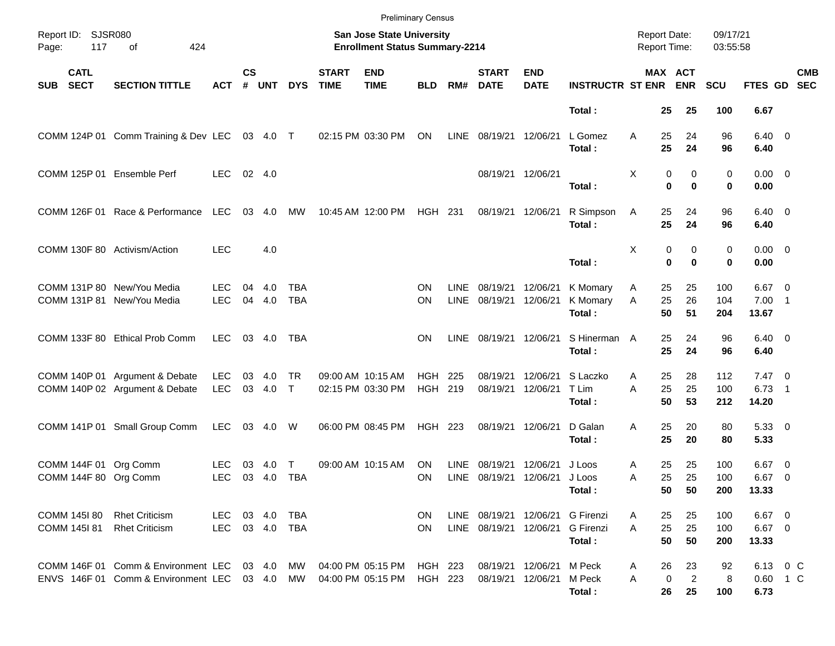|                                          |     |                                                                                   |                          |                    |               |                          |                             | <b>Preliminary Census</b>                                                 |                        |                     |                                                  |                           |                                         |                                     |                |                            |                      |                               |                          |            |
|------------------------------------------|-----|-----------------------------------------------------------------------------------|--------------------------|--------------------|---------------|--------------------------|-----------------------------|---------------------------------------------------------------------------|------------------------|---------------------|--------------------------------------------------|---------------------------|-----------------------------------------|-------------------------------------|----------------|----------------------------|----------------------|-------------------------------|--------------------------|------------|
| Report ID: SJSR080<br>Page:              | 117 | 424<br>of                                                                         |                          |                    |               |                          |                             | <b>San Jose State University</b><br><b>Enrollment Status Summary-2214</b> |                        |                     |                                                  |                           |                                         | <b>Report Date:</b><br>Report Time: |                |                            | 09/17/21<br>03:55:58 |                               |                          |            |
| <b>CATL</b><br><b>SECT</b><br><b>SUB</b> |     | <b>SECTION TITTLE</b>                                                             | <b>ACT</b>               | $\mathsf{cs}$<br># | <b>UNT</b>    | <b>DYS</b>               | <b>START</b><br><b>TIME</b> | <b>END</b><br><b>TIME</b>                                                 | <b>BLD</b>             | RM#                 | <b>START</b><br><b>DATE</b>                      | <b>END</b><br><b>DATE</b> | <b>INSTRUCTR ST ENR ENR</b>             | MAX ACT                             |                |                            | <b>SCU</b>           | FTES GD SEC                   |                          | <b>CMB</b> |
|                                          |     |                                                                                   |                          |                    |               |                          |                             |                                                                           |                        |                     |                                                  |                           | Total:                                  |                                     | 25             | 25                         | 100                  | 6.67                          |                          |            |
|                                          |     | COMM 124P 01 Comm Training & Dev LEC 03 4.0 T                                     |                          |                    |               |                          |                             | 02:15 PM 03:30 PM                                                         | ON                     |                     | LINE 08/19/21 12/06/21                           |                           | L Gomez<br>Total:                       | Α                                   | 25<br>25       | 24<br>24                   | 96<br>96             | $6.40 \quad 0$<br>6.40        |                          |            |
|                                          |     | COMM 125P 01 Ensemble Perf                                                        | LEC.                     | $02 \quad 4.0$     |               |                          |                             |                                                                           |                        |                     | 08/19/21 12/06/21                                |                           | Total:                                  | X                                   | 0<br>$\bf{0}$  | 0<br>$\bf{0}$              | 0<br>0               | $0.00 \t 0$<br>0.00           |                          |            |
|                                          |     | COMM 126F 01 Race & Performance LEC                                               |                          |                    | 03 4.0        | MW                       |                             | 10:45 AM 12:00 PM                                                         | HGH 231                |                     | 08/19/21 12/06/21                                |                           | R Simpson<br>Total:                     | A                                   | 25<br>25       | 24<br>24                   | 96<br>96             | $6.40 \quad 0$<br>6.40        |                          |            |
|                                          |     | COMM 130F 80 Activism/Action                                                      | <b>LEC</b>               |                    | 4.0           |                          |                             |                                                                           |                        |                     |                                                  |                           | Total:                                  | Χ                                   | 0<br>0         | 0<br>$\bf{0}$              | 0<br>0               | $0.00 \t 0$<br>0.00           |                          |            |
|                                          |     | COMM 131P 80 New/You Media<br>COMM 131P 81 New/You Media                          | <b>LEC</b><br><b>LEC</b> | 04<br>04           | 4.0<br>4.0    | <b>TBA</b><br><b>TBA</b> |                             |                                                                           | ON<br><b>ON</b>        | <b>LINE</b><br>LINE | 08/19/21 12/06/21<br>08/19/21 12/06/21           |                           | K Momary<br>K Momary<br>Total:          | A<br>A                              | 25<br>25<br>50 | 25<br>26<br>51             | 100<br>104<br>204    | $6.67$ 0<br>$7.00$ 1<br>13.67 |                          |            |
|                                          |     | COMM 133F 80 Ethical Prob Comm                                                    | <b>LEC</b>               |                    | 03 4.0        | TBA                      |                             |                                                                           | <b>ON</b>              | LINE                | 08/19/21 12/06/21                                |                           | S Hinerman A<br>Total:                  |                                     | 25<br>25       | 24<br>24                   | 96<br>96             | $6.40 \quad 0$<br>6.40        |                          |            |
|                                          |     | COMM 140P 01 Argument & Debate<br>COMM 140P 02 Argument & Debate                  | <b>LEC</b><br><b>LEC</b> | 03                 | 4.0<br>03 4.0 | <b>TR</b><br>$\top$      |                             | 09:00 AM 10:15 AM<br>02:15 PM 03:30 PM                                    | HGH<br>HGH 219         | 225                 | 08/19/21<br>08/19/21 12/06/21                    | 12/06/21                  | S Laczko<br>T Lim<br>Total:             | A<br>A                              | 25<br>25<br>50 | 28<br>25<br>53             | 112<br>100<br>212    | $7.47\ 0$<br>6.73<br>14.20    | $\overline{\phantom{1}}$ |            |
|                                          |     | COMM 141P 01 Small Group Comm                                                     | <b>LEC</b>               |                    | 03 4.0        | W                        |                             | 06:00 PM 08:45 PM                                                         | <b>HGH 223</b>         |                     | 08/19/21 12/06/21                                |                           | D Galan<br>Total:                       | A                                   | 25<br>25       | 20<br>20                   | 80<br>80             | 5.3300<br>5.33                |                          |            |
|                                          |     | COMM 144F 01 Org Comm<br>COMM 144F 80 Org Comm                                    | <b>LEC</b><br><b>LEC</b> | 03                 | 4.0<br>03 4.0 | T<br>TBA                 |                             | 09:00 AM 10:15 AM                                                         | <b>ON</b><br><b>ON</b> | LINE                | 08/19/21<br>LINE 08/19/21 12/06/21               | 12/06/21                  | J Loos<br>J Loos<br>Total:              | A<br>A                              | 25<br>25<br>50 | 25<br>25<br>50             | 100<br>100<br>200    | $6.67$ 0<br>6.67 0<br>13.33   |                          |            |
| COMM 145I 80<br>COMM 145181              |     | <b>Rhet Criticism</b><br><b>Rhet Criticism</b>                                    | LEC 03 4.0<br>LEC        | 03 4.0             |               | TBA<br>TBA               |                             |                                                                           | ON.<br><b>ON</b>       |                     | LINE 08/19/21 12/06/21<br>LINE 08/19/21 12/06/21 |                           | G Firenzi<br><b>G</b> Firenzi<br>Total: | A<br>A                              | 25<br>25<br>50 | 25<br>25<br>50             | 100<br>100<br>200    | $6.67$ 0<br>$6.67$ 0<br>13.33 |                          |            |
|                                          |     | COMM 146F 01 Comm & Environment LEC<br>ENVS 146F 01 Comm & Environment LEC 03 4.0 |                          |                    | 03 4.0        | MW<br>MW                 |                             | 04:00 PM 05:15 PM<br>04:00 PM 05:15 PM                                    | HGH 223<br>HGH 223     |                     | 08/19/21 12/06/21<br>08/19/21 12/06/21           |                           | M Peck<br>M Peck<br>Total:              | A<br>Α                              | 26<br>0<br>26  | 23<br>$\overline{2}$<br>25 | 92<br>8<br>100       | 6.13 0 C<br>0.60 1 C<br>6.73  |                          |            |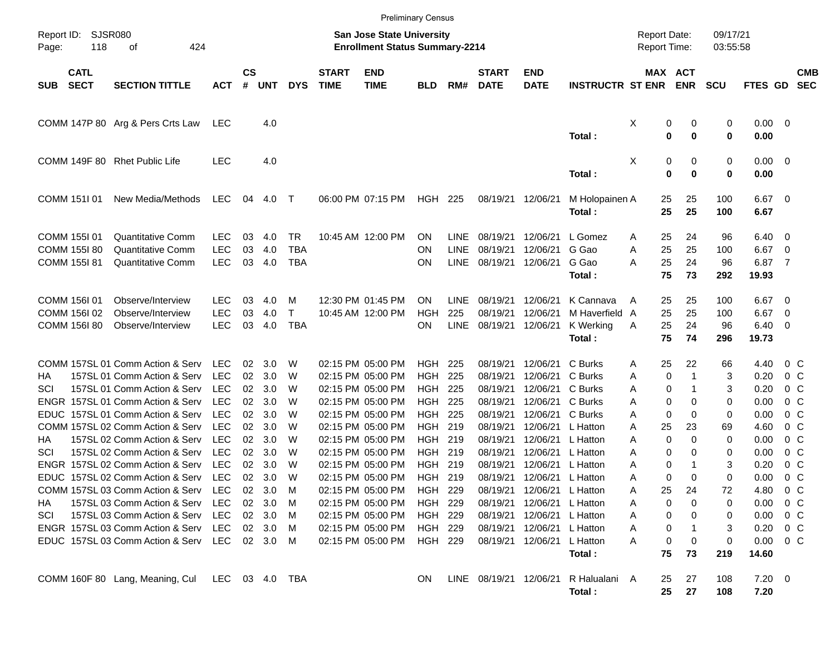|                                      |                                                     |                                                                                                                                                                                                                                                                                                                                                                                                                                                                                            |                                                                                                                                                        |                                                          |                                                                                                                            |                                                                    |                             | <b>Preliminary Census</b>                                                                                                                                                                                                                                                                          |                                                                                                                                              |                                        |                                                                                                                      |                                                                                                                                                                                                          |                                                                                                                                                                 |                                                                    |                                                                                                                                           |                                                                                 |                                                                                                              |                                                                                                                                                       |            |
|--------------------------------------|-----------------------------------------------------|--------------------------------------------------------------------------------------------------------------------------------------------------------------------------------------------------------------------------------------------------------------------------------------------------------------------------------------------------------------------------------------------------------------------------------------------------------------------------------------------|--------------------------------------------------------------------------------------------------------------------------------------------------------|----------------------------------------------------------|----------------------------------------------------------------------------------------------------------------------------|--------------------------------------------------------------------|-----------------------------|----------------------------------------------------------------------------------------------------------------------------------------------------------------------------------------------------------------------------------------------------------------------------------------------------|----------------------------------------------------------------------------------------------------------------------------------------------|----------------------------------------|----------------------------------------------------------------------------------------------------------------------|----------------------------------------------------------------------------------------------------------------------------------------------------------------------------------------------------------|-----------------------------------------------------------------------------------------------------------------------------------------------------------------|--------------------------------------------------------------------|-------------------------------------------------------------------------------------------------------------------------------------------|---------------------------------------------------------------------------------|--------------------------------------------------------------------------------------------------------------|-------------------------------------------------------------------------------------------------------------------------------------------------------|------------|
| Report ID:<br>Page:                  | 118                                                 | <b>SJSR080</b><br>424<br>оf                                                                                                                                                                                                                                                                                                                                                                                                                                                                |                                                                                                                                                        |                                                          |                                                                                                                            |                                                                    |                             | <b>San Jose State University</b><br><b>Enrollment Status Summary-2214</b>                                                                                                                                                                                                                          |                                                                                                                                              |                                        |                                                                                                                      |                                                                                                                                                                                                          |                                                                                                                                                                 | <b>Report Date:</b><br><b>Report Time:</b>                         |                                                                                                                                           | 09/17/21<br>03:55:58                                                            |                                                                                                              |                                                                                                                                                       |            |
| <b>SUB</b>                           | <b>CATL</b><br><b>SECT</b>                          | <b>SECTION TITTLE</b>                                                                                                                                                                                                                                                                                                                                                                                                                                                                      | <b>ACT</b>                                                                                                                                             | $\mathsf{cs}$<br>#                                       | <b>UNT</b>                                                                                                                 | <b>DYS</b>                                                         | <b>START</b><br><b>TIME</b> | <b>END</b><br><b>TIME</b>                                                                                                                                                                                                                                                                          | <b>BLD</b>                                                                                                                                   | RM#                                    | <b>START</b><br><b>DATE</b>                                                                                          | <b>END</b><br><b>DATE</b>                                                                                                                                                                                | <b>INSTRUCTR ST ENR</b>                                                                                                                                         |                                                                    | MAX ACT<br><b>ENR</b>                                                                                                                     | <b>SCU</b>                                                                      | FTES GD SEC                                                                                                  |                                                                                                                                                       | <b>CMB</b> |
|                                      |                                                     | COMM 147P 80 Arg & Pers Crts Law                                                                                                                                                                                                                                                                                                                                                                                                                                                           | LEC                                                                                                                                                    |                                                          | 4.0                                                                                                                        |                                                                    |                             |                                                                                                                                                                                                                                                                                                    |                                                                                                                                              |                                        |                                                                                                                      |                                                                                                                                                                                                          | Total:                                                                                                                                                          | X                                                                  | 0<br>0<br>0<br>0                                                                                                                          | 0<br>$\bf{0}$                                                                   | $0.00 \t 0$<br>0.00                                                                                          |                                                                                                                                                       |            |
|                                      |                                                     | COMM 149F 80 Rhet Public Life                                                                                                                                                                                                                                                                                                                                                                                                                                                              | <b>LEC</b>                                                                                                                                             |                                                          | 4.0                                                                                                                        |                                                                    |                             |                                                                                                                                                                                                                                                                                                    |                                                                                                                                              |                                        |                                                                                                                      |                                                                                                                                                                                                          | Total:                                                                                                                                                          | Χ                                                                  | 0<br>0<br>0<br>$\bf{0}$                                                                                                                   | 0<br>$\bf{0}$                                                                   | $0.00 \t 0$<br>0.00                                                                                          |                                                                                                                                                       |            |
|                                      | COMM 151101                                         | New Media/Methods                                                                                                                                                                                                                                                                                                                                                                                                                                                                          | LEC                                                                                                                                                    | 04                                                       | 4.0                                                                                                                        | $\top$                                                             |                             | 06:00 PM 07:15 PM                                                                                                                                                                                                                                                                                  | <b>HGH 225</b>                                                                                                                               |                                        | 08/19/21                                                                                                             | 12/06/21                                                                                                                                                                                                 | M Holopainen A<br>Total:                                                                                                                                        |                                                                    | 25<br>25<br>25<br>25                                                                                                                      | 100<br>100                                                                      | $6.67$ 0<br>6.67                                                                                             |                                                                                                                                                       |            |
|                                      | COMM 155I 01<br><b>COMM 155I 80</b><br>COMM 155I 81 | <b>Quantitative Comm</b><br>Quantitative Comm<br><b>Quantitative Comm</b>                                                                                                                                                                                                                                                                                                                                                                                                                  | <b>LEC</b><br><b>LEC</b><br><b>LEC</b>                                                                                                                 | 03<br>03<br>03                                           | 4.0<br>4.0<br>4.0                                                                                                          | TR<br><b>TBA</b><br><b>TBA</b>                                     |                             | 10:45 AM 12:00 PM                                                                                                                                                                                                                                                                                  | <b>ON</b><br><b>ON</b><br><b>ON</b>                                                                                                          | LINE<br><b>LINE</b><br><b>LINE</b>     | 08/19/21<br>08/19/21<br>08/19/21                                                                                     | 12/06/21<br>12/06/21<br>12/06/21                                                                                                                                                                         | L Gomez<br>G Gao<br>G Gao<br>Total:                                                                                                                             | A<br>A<br>A                                                        | 24<br>25<br>25<br>25<br>25<br>24<br>75<br>73                                                                                              | 96<br>100<br>96<br>292                                                          | 6.40<br>6.67<br>6.87<br>19.93                                                                                | $\overline{\phantom{0}}$<br>$\overline{0}$<br>$\overline{7}$                                                                                          |            |
|                                      | COMM 156I 01<br>COMM 156I 02<br>COMM 156I 80        | Observe/Interview<br>Observe/Interview<br>Observe/Interview                                                                                                                                                                                                                                                                                                                                                                                                                                | <b>LEC</b><br><b>LEC</b><br><b>LEC</b>                                                                                                                 | 03<br>03<br>03                                           | 4.0<br>4.0<br>4.0                                                                                                          | м<br>Τ<br><b>TBA</b>                                               |                             | 12:30 PM 01:45 PM<br>10:45 AM 12:00 PM                                                                                                                                                                                                                                                             | <b>ON</b><br>HGH<br>ON                                                                                                                       | <b>LINE</b><br>225<br>LINE             | 08/19/21<br>08/19/21<br>08/19/21                                                                                     | 12/06/21<br>12/06/21<br>12/06/21                                                                                                                                                                         | K Cannava<br>M Haverfield A<br>K Werking<br>Total:                                                                                                              | A<br>Α                                                             | 25<br>25<br>25<br>25<br>25<br>24<br>75<br>74                                                                                              | 100<br>100<br>96<br>296                                                         | 6.67<br>6.67<br>6.40<br>19.73                                                                                | $\overline{\mathbf{0}}$<br>$\overline{0}$<br>- 0                                                                                                      |            |
| ΗA<br>SCI<br>ΗA<br>SCI<br>HA.<br>SCI |                                                     | COMM 157SL 01 Comm Action & Serv<br>157SL 01 Comm Action & Serv<br>157SL 01 Comm Action & Serv<br>ENGR 157SL 01 Comm Action & Serv<br>EDUC 157SL 01 Comm Action & Serv<br>COMM 157SL 02 Comm Action & Serv<br>157SL 02 Comm Action & Serv<br>157SL 02 Comm Action & Serv<br>ENGR 157SL 02 Comm Action & Serv<br>EDUC 157SL 02 Comm Action & Serv<br>COMM 157SL 03 Comm Action & Serv<br>157SL 03 Comm Action & Serv<br>157SL 03 Comm Action & Serv<br>ENGR 157SL 03 Comm Action & Serv LEC | LEC<br><b>LEC</b><br><b>LEC</b><br><b>LEC</b><br><b>LEC</b><br><b>LEC</b><br><b>LEC</b><br><b>LEC</b><br>LEC<br><b>LEC</b><br>LEC<br><b>LEC</b><br>LEC | 02<br>02<br>02<br>02<br>02<br>02<br>02<br>02<br>02<br>02 | 3.0<br>3.0<br>3.0<br>3.0<br>3.0<br>3.0<br>3.0<br>3.0<br>3.0<br>3.0<br>02 3.0<br>$02 \quad 3.0$<br>02 3.0<br>$02 \quad 3.0$ | W<br>W<br>W<br>W<br>W<br>W<br>W<br>W<br>W<br>W<br>M<br>M<br>M<br>M |                             | 02:15 PM 05:00 PM<br>02:15 PM 05:00 PM<br>02:15 PM 05:00 PM<br>02:15 PM 05:00 PM<br>02:15 PM 05:00 PM<br>02:15 PM 05:00 PM<br>02:15 PM 05:00 PM<br>02:15 PM 05:00 PM<br>02:15 PM 05:00 PM<br>02:15 PM 05:00 PM<br>02:15 PM 05:00 PM<br>02:15 PM 05:00 PM<br>02:15 PM 05:00 PM<br>02:15 PM 05:00 PM | HGH<br><b>HGH</b><br><b>HGH</b><br>HGH<br>HGH<br>HGH 219<br>HGH 219<br>HGH 219<br>HGH<br>HGH 219<br>HGH 229<br>HGH 229<br>HGH 229<br>HGH 229 | 225<br>225<br>225<br>225<br>225<br>219 | 08/19/21<br>08/19/21<br>08/19/21<br>08/19/21<br>08/19/21<br>08/19/21<br>08/19/21<br>08/19/21<br>08/19/21<br>08/19/21 | 12/06/21<br>12/06/21<br>12/06/21<br>12/06/21<br>12/06/21<br>12/06/21<br>12/06/21<br>12/06/21<br>12/06/21<br>12/06/21<br>08/19/21 12/06/21<br>08/19/21 12/06/21<br>08/19/21 12/06/21<br>08/19/21 12/06/21 | C Burks<br>C Burks<br>C Burks<br>C Burks<br>C Burks<br>L Hatton<br>L Hatton<br>L Hatton<br>L Hatton<br>L Hatton<br>L Hatton<br>L Hatton<br>L Hatton<br>L Hatton | A<br>Α<br>A<br>A<br>A<br>A<br>Α<br>Α<br>A<br>A<br>Α<br>Α<br>A<br>Α | 22<br>25<br>0<br>1<br>0<br>1<br>0<br>0<br>0<br>0<br>25<br>23<br>0<br>0<br>0<br>0<br>0<br>1<br>0<br>0<br>25<br>24<br>0<br>0<br>0<br>0<br>0 | 66<br>3<br>3<br>0<br>0<br>69<br>0<br>0<br>3<br>$\mathbf 0$<br>72<br>0<br>0<br>3 | 4.40<br>0.20<br>0.20<br>0.00<br>0.00<br>4.60<br>0.00<br>0.00<br>0.20<br>0.00<br>4.80<br>0.00<br>0.00<br>0.20 | $0\,$ C<br>$0\,$ C<br>$0\,$ C<br>$0\,$ C<br>$0\,$ C<br>$0\,$ C<br>$0\,$ C<br>$0\,$ C<br>$0\,$ C<br>0 <sup>o</sup><br>$0\,$ C<br>0 C<br>$0\,$ C<br>0 C |            |
|                                      |                                                     | EDUC 157SL 03 Comm Action & Serv LEC 02 3.0<br>COMM 160F 80 Lang, Meaning, Cul                                                                                                                                                                                                                                                                                                                                                                                                             | LEC 03 4.0 TBA                                                                                                                                         |                                                          |                                                                                                                            | M                                                                  |                             | 02:15 PM 05:00 PM                                                                                                                                                                                                                                                                                  | HGH 229<br>ON.                                                                                                                               |                                        | LINE 08/19/21 12/06/21                                                                                               | 08/19/21 12/06/21                                                                                                                                                                                        | L Hatton<br>Total:<br>R Halualani A<br>Total:                                                                                                                   | A                                                                  | 0<br>0<br>75<br>73<br>27<br>25<br>25<br>27                                                                                                | 0<br>219<br>108<br>108                                                          | 0.00<br>14.60<br>$7.20 \t 0$<br>7.20                                                                         | $0\,$ C                                                                                                                                               |            |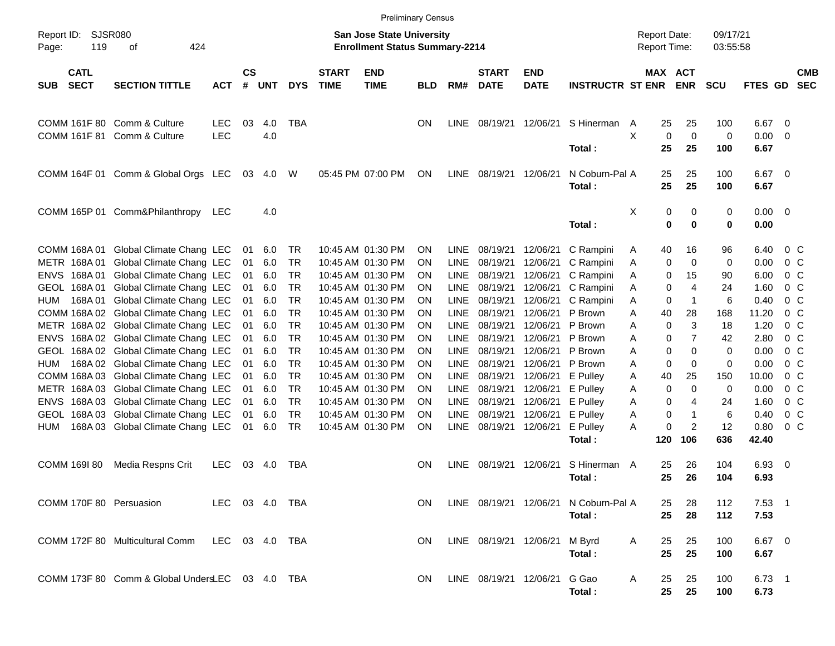|                                            |                                                 |                          |                    |            |            |                             |                                                                    | <b>Preliminary Census</b> |             |                             |                           |                             |                                            |                   |                      |                  |                         |                          |
|--------------------------------------------|-------------------------------------------------|--------------------------|--------------------|------------|------------|-----------------------------|--------------------------------------------------------------------|---------------------------|-------------|-----------------------------|---------------------------|-----------------------------|--------------------------------------------|-------------------|----------------------|------------------|-------------------------|--------------------------|
| Report ID:<br>119<br>Page:                 | <b>SJSR080</b><br>424<br>оf                     |                          |                    |            |            |                             | San Jose State University<br><b>Enrollment Status Summary-2214</b> |                           |             |                             |                           |                             | <b>Report Date:</b><br><b>Report Time:</b> |                   | 09/17/21<br>03:55:58 |                  |                         |                          |
| <b>CATL</b><br><b>SECT</b><br><b>SUB</b>   | <b>SECTION TITTLE</b>                           | <b>ACT</b>               | $\mathsf{cs}$<br># | <b>UNT</b> | <b>DYS</b> | <b>START</b><br><b>TIME</b> | <b>END</b><br><b>TIME</b>                                          | <b>BLD</b>                | RM#         | <b>START</b><br><b>DATE</b> | <b>END</b><br><b>DATE</b> | <b>INSTRUCTR ST ENR ENR</b> | MAX ACT                                    |                   | <b>SCU</b>           | FTES GD          |                         | <b>CMB</b><br><b>SEC</b> |
| <b>COMM 161F 80</b><br><b>COMM 161F 81</b> | Comm & Culture<br>Comm & Culture                | <b>LEC</b><br><b>LEC</b> | 03                 | 4.0<br>4.0 | <b>TBA</b> |                             |                                                                    | <b>ON</b>                 | <b>LINE</b> | 08/19/21 12/06/21           |                           | S Hinerman                  | 25<br>A<br>X<br>0                          | 25<br>$\mathbf 0$ | 100<br>0             | 6.67<br>0.00     | 0<br>0                  |                          |
|                                            |                                                 |                          |                    |            |            |                             |                                                                    |                           |             |                             |                           | Total:                      | 25                                         | 25                | 100                  | 6.67             |                         |                          |
|                                            | COMM 164F 01 Comm & Global Orgs LEC             |                          | 03                 | 4.0        | W          |                             | 05:45 PM 07:00 PM                                                  | ON                        | LINE        | 08/19/21 12/06/21           |                           | N Coburn-Pal A<br>Total:    | 25<br>25                                   | 25<br>25          | 100<br>100           | 6.67<br>6.67     | $\overline{\mathbf{0}}$ |                          |
|                                            | COMM 165P 01 Comm&Philanthropy LEC              |                          |                    | 4.0        |            |                             |                                                                    |                           |             |                             |                           | Total:                      | X<br>0<br>0                                | 0<br>$\bf{0}$     | 0<br>$\mathbf 0$     | 0.00<br>0.00     | $\overline{\mathbf{0}}$ |                          |
| COMM 168A 01                               | Global Climate Chang LEC                        |                          | 01                 | 6.0        | TR         |                             | 10:45 AM 01:30 PM                                                  | ON                        | <b>LINE</b> | 08/19/21                    | 12/06/21                  | C Rampini                   | 40<br>A                                    | 16                | 96                   | 6.40             | $0\,$ C                 |                          |
| METR 168A01                                | Global Climate Chang LEC                        |                          | 01                 | 6.0        | TR         |                             | 10:45 AM 01:30 PM                                                  | ON                        | <b>LINE</b> | 08/19/21                    | 12/06/21                  | C Rampini                   | 0<br>A                                     | 0                 | 0                    | 0.00             | $0\,$ C                 |                          |
| ENVS 168A01                                | Global Climate Chang LEC                        |                          | 01                 | 6.0        | <b>TR</b>  |                             | 10:45 AM 01:30 PM                                                  | ON                        | <b>LINE</b> | 08/19/21                    | 12/06/21                  | C Rampini                   | Α<br>0                                     | 15                | 90                   | 6.00             | $0\,$ C                 |                          |
| GEOL 168A01                                | Global Climate Chang LEC                        |                          | 01                 | 6.0        | <b>TR</b>  |                             | 10:45 AM 01:30 PM                                                  | ON                        | <b>LINE</b> | 08/19/21                    | 12/06/21                  | C Rampini                   | 0<br>Α                                     | 4                 | 24                   | 1.60             | 0 <sup>o</sup>          |                          |
| 168A 01<br>HUM                             | Global Climate Chang LEC                        |                          | 01                 | 6.0        | <b>TR</b>  |                             | 10:45 AM 01:30 PM                                                  | ON                        | <b>LINE</b> | 08/19/21                    | 12/06/21                  | C Rampini                   | 0<br>Α                                     | $\mathbf 1$       | 6                    | 0.40             | 0 <sup>o</sup>          |                          |
|                                            | COMM 168A 02 Global Climate Chang LEC           |                          | 01                 | 6.0        | <b>TR</b>  |                             | 10:45 AM 01:30 PM                                                  | ON                        | <b>LINE</b> | 08/19/21                    | 12/06/21                  | P Brown                     | 40<br>Α                                    | 28                | 168                  | 11.20            | 0 <sup>o</sup>          |                          |
|                                            | METR 168A 02 Global Climate Chang LEC           |                          | 01                 | 6.0        | <b>TR</b>  |                             | 10:45 AM 01:30 PM                                                  | ON                        | <b>LINE</b> | 08/19/21                    | 12/06/21                  | P Brown                     | 0<br>Α                                     | 3                 | 18                   | 1.20             | 0 <sup>o</sup>          |                          |
|                                            | ENVS 168A 02 Global Climate Chang LEC           |                          | 01                 | 6.0        | <b>TR</b>  |                             | 10:45 AM 01:30 PM                                                  | ON                        | <b>LINE</b> | 08/19/21                    | 12/06/21                  | P Brown                     | 0<br>Α                                     | $\overline{7}$    | 42                   | 2.80             | 0 <sup>o</sup>          |                          |
|                                            | GEOL 168A 02 Global Climate Chang LEC           |                          | 01                 | 6.0        | <b>TR</b>  |                             | 10:45 AM 01:30 PM                                                  | ON                        | <b>LINE</b> | 08/19/21                    | 12/06/21                  | P Brown                     | 0<br>Α                                     | $\Omega$          | 0                    | 0.00             | 0 <sup>o</sup>          |                          |
| HUM                                        | 168A 02 Global Climate Chang LEC                |                          | 01                 | 6.0        | <b>TR</b>  |                             | 10:45 AM 01:30 PM                                                  | ON                        | <b>LINE</b> | 08/19/21                    | 12/06/21                  | P Brown                     | 0<br>Α                                     | 0                 | 0                    | 0.00             | 0 <sup>o</sup>          |                          |
|                                            | COMM 168A 03 Global Climate Chang LEC           |                          | 01                 | 6.0        | <b>TR</b>  |                             | 10:45 AM 01:30 PM                                                  | ON                        | <b>LINE</b> | 08/19/21                    | 12/06/21                  | E Pulley                    | 40<br>Α                                    | 25                | 150                  | 10.00            | 0 <sup>o</sup>          |                          |
|                                            | METR 168A 03 Global Climate Chang LEC           |                          | 01                 | 6.0        | <b>TR</b>  |                             | 10:45 AM 01:30 PM                                                  | ON                        | <b>LINE</b> | 08/19/21                    | 12/06/21                  | E Pulley                    | 0<br>Α                                     | $\Omega$          | 0                    | 0.00             | 0 <sup>o</sup>          |                          |
| ENVS                                       | 168A 03 Global Climate Chang LEC                |                          | 01                 | 6.0        | <b>TR</b>  |                             | 10:45 AM 01:30 PM                                                  | ON                        | <b>LINE</b> | 08/19/21                    | 12/06/21                  | E Pulley                    | 0<br>Α                                     | 4                 | 24                   | 1.60             | 0 <sup>o</sup>          |                          |
|                                            | GEOL 168A 03 Global Climate Chang LEC           |                          | 01                 | 6.0        | <b>TR</b>  |                             | 10:45 AM 01:30 PM                                                  | ON                        | <b>LINE</b> | 08/19/21                    | 12/06/21                  | E Pulley                    | 0<br>Α                                     | $\mathbf 1$       | 6                    | 0.40             | 0 <sup>o</sup>          |                          |
| HUM                                        | 168A 03 Global Climate Chang LEC                |                          | 01                 | 6.0        | <b>TR</b>  |                             | 10:45 AM 01:30 PM                                                  | ON                        | LINE        | 08/19/21 12/06/21           |                           | E Pulley                    | 0<br>Α                                     | 2                 | 12                   | 0.80             | 0 <sup>o</sup>          |                          |
|                                            |                                                 |                          |                    |            |            |                             |                                                                    |                           |             |                             |                           | Total:                      | 120                                        | 106               | 636                  | 42.40            |                         |                          |
| COMM 169I 80                               | Media Respns Crit                               | <b>LEC</b>               | 03                 | 4.0        | TBA        |                             |                                                                    | <b>ON</b>                 | <b>LINE</b> | 08/19/21 12/06/21           |                           | S Hinerman                  | 25<br>A                                    | 26                | 104                  | 6.93             | $\overline{\mathbf{0}}$ |                          |
|                                            |                                                 |                          |                    |            |            |                             |                                                                    |                           |             |                             |                           | Total :                     | 25                                         | 26                | 104                  | 6.93             |                         |                          |
| COMM 170F 80 Persuasion                    |                                                 | LEC 03 4.0 TBA           |                    |            |            |                             |                                                                    | ON.                       |             | LINE 08/19/21 12/06/21      |                           | N Coburn-Pal A              | 25                                         | 28                | 112                  | $7.53$ 1         |                         |                          |
|                                            |                                                 |                          |                    |            |            |                             |                                                                    |                           |             |                             |                           | Total:                      | 25                                         | 28                | 112                  | 7.53             |                         |                          |
|                                            | COMM 172F 80 Multicultural Comm LEC 03 4.0 TBA  |                          |                    |            |            |                             |                                                                    | ON.                       |             | LINE 08/19/21 12/06/21      |                           | M Byrd<br>Total:            | 25<br>A<br>25                              | 25<br>25          | 100<br>100           | 6.67 0<br>6.67   |                         |                          |
|                                            | COMM 173F 80 Comm & Global UndersLEC 03 4.0 TBA |                          |                    |            |            |                             |                                                                    | <b>ON</b>                 |             | LINE 08/19/21 12/06/21      |                           | G Gao<br>Total:             | A<br>25<br>25                              | 25<br>25          | 100<br>100           | $6.73$ 1<br>6.73 |                         |                          |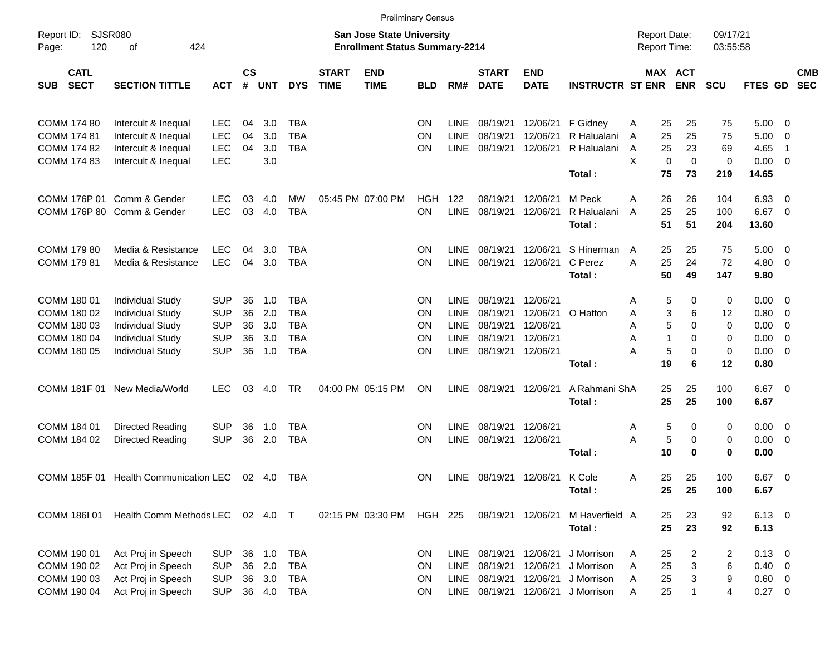|                                                                         |                                                                                                                                     |                                                                    |                            |                                   |                                                                    |                             |                                                                           | <b>Preliminary Census</b>                              |                                                                         |                                                            |                                                          |                                                      |                                     |                                                   |                                                            |                                              |                                                                                                      |                          |
|-------------------------------------------------------------------------|-------------------------------------------------------------------------------------------------------------------------------------|--------------------------------------------------------------------|----------------------------|-----------------------------------|--------------------------------------------------------------------|-----------------------------|---------------------------------------------------------------------------|--------------------------------------------------------|-------------------------------------------------------------------------|------------------------------------------------------------|----------------------------------------------------------|------------------------------------------------------|-------------------------------------|---------------------------------------------------|------------------------------------------------------------|----------------------------------------------|------------------------------------------------------------------------------------------------------|--------------------------|
| Report ID:<br>120<br>Page:                                              | <b>SJSR080</b><br>424<br>оf                                                                                                         |                                                                    |                            |                                   |                                                                    |                             | <b>San Jose State University</b><br><b>Enrollment Status Summary-2214</b> |                                                        |                                                                         |                                                            |                                                          |                                                      | <b>Report Date:</b><br>Report Time: |                                                   | 09/17/21                                                   | 03:55:58                                     |                                                                                                      |                          |
| <b>CATL</b><br><b>SECT</b><br><b>SUB</b>                                | <b>SECTION TITTLE</b>                                                                                                               | <b>ACT</b>                                                         | <b>CS</b><br>#             | <b>UNT</b>                        | <b>DYS</b>                                                         | <b>START</b><br><b>TIME</b> | <b>END</b><br><b>TIME</b>                                                 | <b>BLD</b>                                             | RM#                                                                     | <b>START</b><br><b>DATE</b>                                | <b>END</b><br><b>DATE</b>                                | <b>INSTRUCTR ST ENR</b>                              |                                     | MAX ACT<br><b>ENR</b>                             | <b>SCU</b>                                                 | FTES GD                                      |                                                                                                      | <b>CMB</b><br><b>SEC</b> |
| COMM 174 80<br><b>COMM 174 81</b><br>COMM 174 82<br>COMM 174 83         | Intercult & Inequal<br>Intercult & Inequal<br>Intercult & Inequal<br>Intercult & Inequal                                            | <b>LEC</b><br><b>LEC</b><br><b>LEC</b><br><b>LEC</b>               | 04<br>04<br>04             | 3.0<br>3.0<br>3.0<br>3.0          | <b>TBA</b><br><b>TBA</b><br><b>TBA</b>                             |                             |                                                                           | <b>ON</b><br><b>ON</b><br><b>ON</b>                    | <b>LINE</b><br><b>LINE</b><br><b>LINE</b>                               | 08/19/21<br>08/19/21<br>08/19/21                           | 12/06/21<br>12/06/21<br>12/06/21                         | F Gidney<br>R Halualani<br>R Halualani<br>Total:     | Α<br>A<br>A<br>X                    | 25<br>25<br>25<br>25<br>25<br>23<br>0<br>75<br>73 | 75<br>75<br>69<br>$\mathbf 0$<br>0<br>219                  | 5.00<br>5.00<br>4.65<br>0.00<br>14.65        | $\overline{\mathbf{0}}$<br>0<br>-1<br>$\overline{\mathbf{0}}$                                        |                          |
| COMM 176P 01                                                            | Comm & Gender<br>COMM 176P 80 Comm & Gender                                                                                         | <b>LEC</b><br><b>LEC</b>                                           | 03<br>03                   | 4.0<br>4.0                        | MW<br><b>TBA</b>                                                   |                             | 05:45 PM 07:00 PM                                                         | <b>HGH</b><br>ON                                       | 122<br><b>LINE</b>                                                      | 08/19/21<br>08/19/21                                       | 12/06/21<br>12/06/21                                     | M Peck<br>R Halualani<br>Total:                      | A<br>A                              | 26<br>26<br>25<br>25<br>51<br>51                  | 104<br>100<br>204                                          | 6.93<br>6.67<br>13.60                        | $\overline{\mathbf{0}}$<br>$\overline{0}$                                                            |                          |
| COMM 179 80<br>COMM 179 81                                              | Media & Resistance<br>Media & Resistance                                                                                            | <b>LEC</b><br><b>LEC</b>                                           | 04<br>04                   | 3.0<br>3.0                        | <b>TBA</b><br><b>TBA</b>                                           |                             |                                                                           | <b>ON</b><br>ON                                        | <b>LINE</b><br><b>LINE</b>                                              | 08/19/21<br>08/19/21                                       | 12/06/21<br>12/06/21                                     | S Hinerman<br>C Perez<br>Total:                      | A<br>A                              | 25<br>25<br>25<br>24<br>50<br>49                  | 75<br>72<br>147                                            | 5.00<br>4.80<br>9.80                         | $\overline{\mathbf{0}}$<br>$\overline{\mathbf{0}}$                                                   |                          |
| COMM 180 01<br>COMM 180 02<br>COMM 180 03<br>COMM 180 04<br>COMM 180 05 | <b>Individual Study</b><br><b>Individual Study</b><br><b>Individual Study</b><br><b>Individual Study</b><br><b>Individual Study</b> | <b>SUP</b><br><b>SUP</b><br><b>SUP</b><br><b>SUP</b><br><b>SUP</b> | 36<br>36<br>36<br>36<br>36 | 1.0<br>2.0<br>3.0<br>3.0<br>1.0   | <b>TBA</b><br><b>TBA</b><br><b>TBA</b><br><b>TBA</b><br><b>TBA</b> |                             |                                                                           | <b>ON</b><br><b>ON</b><br><b>ON</b><br><b>ON</b><br>ON | <b>LINE</b><br><b>LINE</b><br><b>LINE</b><br><b>LINE</b><br><b>LINE</b> | 08/19/21<br>08/19/21<br>08/19/21<br>08/19/21<br>08/19/21   | 12/06/21<br>12/06/21<br>12/06/21<br>12/06/21<br>12/06/21 | O Hatton<br>Total:                                   | Α<br>Α<br>Α<br>Α<br>А               | 5<br>3<br>5<br>1<br>5<br>19                       | 0<br>0<br>6<br>12<br>0<br>0<br>0<br>0<br>0<br>0<br>6<br>12 | 0.00<br>0.80<br>0.00<br>0.00<br>0.00<br>0.80 | $\overline{\mathbf{0}}$<br>$\overline{\mathbf{0}}$<br>0<br>$\overline{0}$<br>$\overline{\mathbf{0}}$ |                          |
|                                                                         | COMM 181F 01 New Media/World                                                                                                        | <b>LEC</b>                                                         | 03                         | 4.0                               | <b>TR</b>                                                          |                             | 04:00 PM 05:15 PM                                                         | ON                                                     | <b>LINE</b>                                                             | 08/19/21                                                   | 12/06/21                                                 | A Rahmani ShA<br>Total:                              |                                     | 25<br>25<br>25<br>25                              | 100<br>100                                                 | 6.67<br>6.67                                 | $\overline{\mathbf{0}}$                                                                              |                          |
| COMM 184 01<br>COMM 184 02                                              | Directed Reading<br>Directed Reading                                                                                                | <b>SUP</b><br><b>SUP</b>                                           | 36<br>36                   | 1.0<br>2.0                        | <b>TBA</b><br><b>TBA</b>                                           |                             |                                                                           | <b>ON</b><br>ON                                        | <b>LINE</b><br><b>LINE</b>                                              | 08/19/21<br>08/19/21                                       | 12/06/21<br>12/06/21                                     | Total:                                               | Α<br>A                              | 5<br>5<br>10                                      | 0<br>0<br>0<br>0<br>0<br>0                                 | 0.00<br>0.00<br>0.00                         | $\overline{\mathbf{0}}$<br>$\overline{\mathbf{0}}$                                                   |                          |
|                                                                         | COMM 185F 01 Health Communication LEC                                                                                               |                                                                    |                            | 02 4.0                            | TBA                                                                |                             |                                                                           | <b>ON</b>                                              | LINE                                                                    | 08/19/21 12/06/21                                          |                                                          | K Cole<br>Total:                                     | A                                   | 25<br>25<br>25<br>25                              | 100<br>100                                                 | 6.67<br>6.67                                 | $\overline{\mathbf{0}}$                                                                              |                          |
| COMM 186I 01                                                            | Health Comm Methods LEC                                                                                                             |                                                                    |                            | 02 4.0 T                          |                                                                    |                             | 02:15 PM 03:30 PM                                                         | <b>HGH 225</b>                                         |                                                                         | 08/19/21 12/06/21                                          |                                                          | M Haverfield A<br>Total:                             |                                     | 23<br>25<br>25<br>23                              | 92<br>92                                                   | $6.13$ 0<br>6.13                             |                                                                                                      |                          |
| COMM 190 01<br>COMM 190 02<br>COMM 190 03<br>COMM 190 04                | Act Proj in Speech<br>Act Proj in Speech<br>Act Proj in Speech<br>Act Proj in Speech                                                | <b>SUP</b><br><b>SUP</b><br><b>SUP</b><br><b>SUP</b>               | 36                         | 1.0<br>36 2.0<br>36 3.0<br>36 4.0 | <b>TBA</b><br><b>TBA</b><br><b>TBA</b><br><b>TBA</b>               |                             |                                                                           | ON<br>ON<br>ON<br><b>ON</b>                            | LINE<br>LINE<br>LINE                                                    | 08/19/21<br>08/19/21<br>08/19/21<br>LINE 08/19/21 12/06/21 | 12/06/21<br>12/06/21<br>12/06/21                         | J Morrison<br>J Morrison<br>J Morrison<br>J Morrison | A<br>A<br>A<br>Α                    | 25<br>25<br>25<br>25                              | 2<br>2<br>3<br>6<br>3<br>9<br>4<br>1                       | 0.13<br>$0.40 \ 0$<br>0.60 0<br>0.27 0       | $\overline{\phantom{0}}$                                                                             |                          |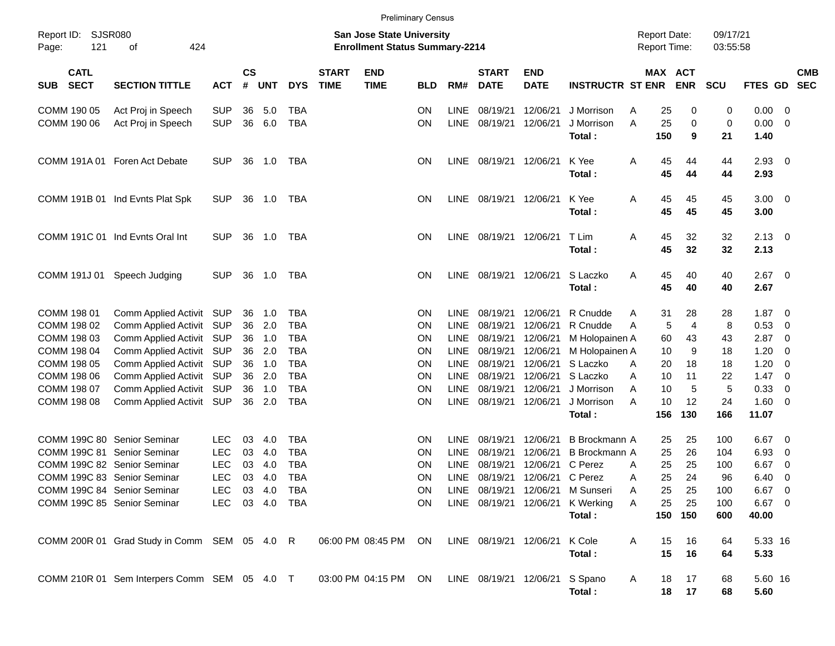|                     |                            |                                              |                |                |            |            |                             | <b>Preliminary Census</b>                                                 |            |             |                             |                           |                                  |   |                                            |                |                      |          |                          |                          |
|---------------------|----------------------------|----------------------------------------------|----------------|----------------|------------|------------|-----------------------------|---------------------------------------------------------------------------|------------|-------------|-----------------------------|---------------------------|----------------------------------|---|--------------------------------------------|----------------|----------------------|----------|--------------------------|--------------------------|
| Report ID:<br>Page: | <b>SJSR080</b><br>121      | 424<br>οf                                    |                |                |            |            |                             | <b>San Jose State University</b><br><b>Enrollment Status Summary-2214</b> |            |             |                             |                           |                                  |   | <b>Report Date:</b><br><b>Report Time:</b> |                | 09/17/21<br>03:55:58 |          |                          |                          |
| <b>SUB</b>          | <b>CATL</b><br><b>SECT</b> | <b>SECTION TITTLE</b>                        | <b>ACT</b>     | <b>CS</b><br># | <b>UNT</b> | <b>DYS</b> | <b>START</b><br><b>TIME</b> | <b>END</b><br><b>TIME</b>                                                 | <b>BLD</b> | RM#         | <b>START</b><br><b>DATE</b> | <b>END</b><br><b>DATE</b> | <b>INSTRUCTR ST ENR</b>          |   | MAX ACT                                    | <b>ENR</b>     | <b>SCU</b>           | FTES GD  |                          | <b>CMB</b><br><b>SEC</b> |
| COMM 190 05         |                            | Act Proj in Speech                           | <b>SUP</b>     | 36             | 5.0        | TBA        |                             |                                                                           | ON.        | <b>LINE</b> | 08/19/21                    | 12/06/21                  | J Morrison                       | Α | 25                                         | 0              | 0                    | 0.00     | - 0                      |                          |
| COMM 190 06         |                            | Act Proj in Speech                           | <b>SUP</b>     | 36             | 6.0        | <b>TBA</b> |                             |                                                                           | <b>ON</b>  |             | LINE 08/19/21               | 12/06/21                  | J Morrison                       | A | 25                                         | 0              | 0                    | 0.00     | $\overline{0}$           |                          |
|                     |                            |                                              |                |                |            |            |                             |                                                                           |            |             |                             |                           | Total:                           |   | 150                                        | 9              | 21                   | 1.40     |                          |                          |
|                     | COMM 191A 01               | Foren Act Debate                             | <b>SUP</b>     | 36             | 1.0        | TBA        |                             |                                                                           | ON.        |             | LINE 08/19/21               | 12/06/21                  | K Yee                            | Α | 45                                         | 44             | 44                   | 2.93     | $\overline{\mathbf{0}}$  |                          |
|                     |                            |                                              |                |                |            |            |                             |                                                                           |            |             |                             |                           | Total:                           |   | 45                                         | 44             | 44                   | 2.93     |                          |                          |
|                     |                            | COMM 191B 01 Ind Evnts Plat Spk              | <b>SUP</b>     | 36             | 1.0        | TBA        |                             |                                                                           | ON.        |             | LINE 08/19/21               | 12/06/21                  | K Yee                            | Α | 45                                         | 45             | 45                   | 3.00     | $\overline{\phantom{0}}$ |                          |
|                     |                            |                                              |                |                |            |            |                             |                                                                           |            |             |                             |                           | Total:                           |   | 45                                         | 45             | 45                   | 3.00     |                          |                          |
|                     |                            | COMM 191C 01 Ind Evnts Oral Int              | <b>SUP</b>     | 36             | 1.0        | TBA        |                             |                                                                           | ON.        |             | LINE 08/19/21               | 12/06/21                  | T Lim                            | Α | 45                                         | 32             | 32                   | 2.13     | $\overline{\mathbf{0}}$  |                          |
|                     |                            |                                              |                |                |            |            |                             |                                                                           |            |             |                             |                           | Total:                           |   | 45                                         | 32             | 32                   | 2.13     |                          |                          |
|                     | COMM 191J 01               | Speech Judging                               | <b>SUP</b>     | 36             | 1.0        | TBA        |                             |                                                                           | ON.        |             | LINE 08/19/21               | 12/06/21                  | S Laczko                         | Α | 45                                         | 40             | 40                   | 2.67     | $\overline{\phantom{0}}$ |                          |
|                     |                            |                                              |                |                |            |            |                             |                                                                           |            |             |                             |                           | Total:                           |   | 45                                         | 40             | 40                   | 2.67     |                          |                          |
| COMM 198 01         |                            | Comm Applied Activit                         | SUP            | 36             | 1.0        | TBA        |                             |                                                                           | <b>ON</b>  | LINE        | 08/19/21                    | 12/06/21                  | R Cnudde                         | Α | 31                                         | 28             | 28                   | 1.87     | - 0                      |                          |
| COMM 198 02         |                            | Comm Applied Activit                         | <b>SUP</b>     | 36             | 2.0        | <b>TBA</b> |                             |                                                                           | <b>ON</b>  | <b>LINE</b> | 08/19/21                    | 12/06/21                  | R Cnudde                         | A | 5                                          | $\overline{4}$ | 8                    | 0.53     | $\overline{0}$           |                          |
| COMM 198 03         |                            | Comm Applied Activit                         | <b>SUP</b>     | 36             | 1.0        | <b>TBA</b> |                             |                                                                           | ON         | LINE        | 08/19/21                    | 12/06/21                  | M Holopainen A                   |   | 60                                         | 43             | 43                   | 2.87     | 0                        |                          |
| COMM 198 04         |                            | Comm Applied Activit                         | <b>SUP</b>     | 36             | 2.0        | <b>TBA</b> |                             |                                                                           | ON         | LINE        | 08/19/21                    | 12/06/21                  | M Holopainen A                   |   | 10                                         | 9              | 18                   | 1.20     | 0                        |                          |
| COMM 198 05         |                            | Comm Applied Activit                         | <b>SUP</b>     | 36             | 1.0        | <b>TBA</b> |                             |                                                                           | ON         | LINE        | 08/19/21                    | 12/06/21                  | S Laczko                         | A | 20                                         | 18             | 18                   | 1.20     | 0                        |                          |
| COMM 198 06         |                            | Comm Applied Activit                         | <b>SUP</b>     | 36             | 2.0        | <b>TBA</b> |                             |                                                                           | ON         | <b>LINE</b> | 08/19/21                    | 12/06/21                  | S Laczko                         | A | 10                                         | 11             | 22                   | 1.47     | - 0                      |                          |
| COMM 198 07         |                            | Comm Applied Activit                         | <b>SUP</b>     | 36             | 1.0        | <b>TBA</b> |                             |                                                                           | ON         | <b>LINE</b> | 08/19/21                    | 12/06/21                  | J Morrison                       | A | 10                                         | 5              | 5                    | 0.33     | 0                        |                          |
| COMM 198 08         |                            | Comm Applied Activit                         | SUP            | 36             | 2.0        | <b>TBA</b> |                             |                                                                           | ON         |             | LINE 08/19/21               | 12/06/21                  | J Morrison                       | A | 10                                         | 12             | 24                   | 1.60     | - 0                      |                          |
|                     |                            |                                              |                |                |            |            |                             |                                                                           |            |             |                             |                           | Total:                           |   | 156                                        | 130            | 166                  | 11.07    |                          |                          |
|                     |                            | COMM 199C 80 Senior Seminar                  | <b>LEC</b>     | 03             | 4.0        | TBA        |                             |                                                                           | ON.        | <b>LINE</b> | 08/19/21                    | 12/06/21                  | <b>B</b> Brockmann A             |   | 25                                         | 25             | 100                  | 6.67     | $\overline{0}$           |                          |
|                     |                            | COMM 199C 81 Senior Seminar                  | <b>LEC</b>     | 03             | 4.0        | TBA        |                             |                                                                           | <b>ON</b>  | LINE        | 08/19/21                    | 12/06/21                  | <b>B</b> Brockmann A             |   | 25                                         | 26             | 104                  | 6.93     | $\overline{0}$           |                          |
|                     |                            | COMM 199C 82 Senior Seminar                  | <b>LEC</b>     | 03             | 4.0        | <b>TBA</b> |                             |                                                                           | ON         | LINE        | 08/19/21                    | 12/06/21                  | C Perez                          | A | 25                                         | 25             | 100                  | 6.67     | 0                        |                          |
|                     |                            | COMM 199C 83 Senior Seminar                  | <b>LEC</b>     | 03             | 4.0        | <b>TBA</b> |                             |                                                                           | ΟN         |             |                             | LINE 08/19/21 12/06/21    | C Perez                          | A | 25                                         | 24             | 96                   | 6.40     | 0                        |                          |
|                     |                            | COMM 199C 84 Senior Seminar                  | LEC 03 4.0 TBA |                |            |            |                             |                                                                           | ${\sf ON}$ |             |                             |                           | LINE 08/19/21 12/06/21 M Sunseri | Α | 25                                         | 25             | 100                  | $6.67$ 0 |                          |                          |
|                     |                            | COMM 199C 85 Senior Seminar                  | LEC 03 4.0 TBA |                |            |            |                             |                                                                           | ON.        |             |                             | LINE 08/19/21 12/06/21    | K Werking                        | Α | 25                                         | 25             | 100                  | 6.67 0   |                          |                          |
|                     |                            |                                              |                |                |            |            |                             |                                                                           |            |             |                             |                           | Total:                           |   |                                            | 150 150        | 600                  | 40.00    |                          |                          |
|                     |                            | COMM 200R 01 Grad Study in Comm SEM 05 4.0 R |                |                |            |            |                             | 06:00 PM 08:45 PM ON                                                      |            |             | LINE 08/19/21 12/06/21      |                           | K Cole                           | A | 15                                         | 16             | 64                   | 5.33 16  |                          |                          |
|                     |                            |                                              |                |                |            |            |                             |                                                                           |            |             |                             |                           | Total:                           |   | 15                                         | 16             | 64                   | 5.33     |                          |                          |
|                     |                            | COMM 210R 01 Sem Interpers Comm SEM 05 4.0 T |                |                |            |            |                             | 03:00 PM 04:15 PM ON                                                      |            |             |                             | LINE 08/19/21 12/06/21    | S Spano                          | A | 18                                         | 17             | 68                   | 5.60 16  |                          |                          |
|                     |                            |                                              |                |                |            |            |                             |                                                                           |            |             |                             |                           | Total:                           |   | 18                                         | 17             | 68                   | 5.60     |                          |                          |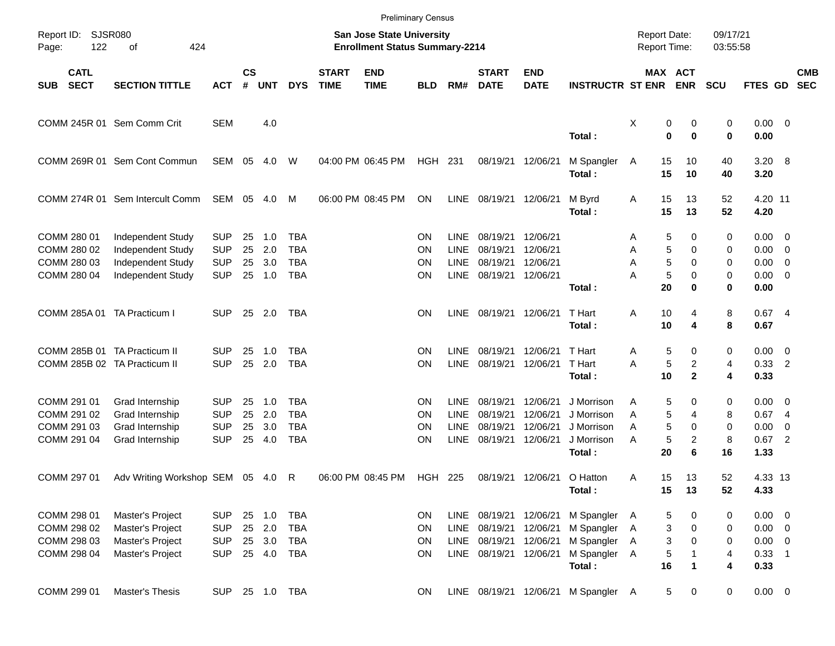|                                                              |                                                                                         |                                                      |                      |                                |                                                      |                             |                                                                           | <b>Preliminary Census</b>   |                                                          |                                              |                                              |                                                                |                                     |                                                        |                        |                                                                  |                               |                          |
|--------------------------------------------------------------|-----------------------------------------------------------------------------------------|------------------------------------------------------|----------------------|--------------------------------|------------------------------------------------------|-----------------------------|---------------------------------------------------------------------------|-----------------------------|----------------------------------------------------------|----------------------------------------------|----------------------------------------------|----------------------------------------------------------------|-------------------------------------|--------------------------------------------------------|------------------------|------------------------------------------------------------------|-------------------------------|--------------------------|
| Report ID:<br>122<br>Page:                                   | <b>SJSR080</b><br>of<br>424                                                             |                                                      |                      |                                |                                                      |                             | <b>San Jose State University</b><br><b>Enrollment Status Summary-2214</b> |                             |                                                          |                                              |                                              |                                                                | <b>Report Date:</b><br>Report Time: |                                                        | 09/17/21<br>03:55:58   |                                                                  |                               |                          |
| <b>CATL</b><br><b>SECT</b><br><b>SUB</b>                     | <b>SECTION TITTLE</b>                                                                   | <b>ACT</b>                                           | $\mathsf{cs}$<br>#   | <b>UNT</b>                     | <b>DYS</b>                                           | <b>START</b><br><b>TIME</b> | <b>END</b><br><b>TIME</b>                                                 | <b>BLD</b>                  | RM#                                                      | <b>START</b><br><b>DATE</b>                  | <b>END</b><br><b>DATE</b>                    | <b>INSTRUCTR ST ENR</b>                                        |                                     | MAX ACT<br><b>ENR</b>                                  | <b>SCU</b>             | FTES GD                                                          |                               | <b>CMB</b><br><b>SEC</b> |
|                                                              | COMM 245R 01 Sem Comm Crit                                                              | <b>SEM</b>                                           |                      | 4.0                            |                                                      |                             |                                                                           |                             |                                                          |                                              |                                              | Total:                                                         | Χ                                   | 0<br>0<br>$\mathbf 0$<br>$\bf{0}$                      | 0<br>0                 | $0.00 \t 0$<br>0.00                                              |                               |                          |
|                                                              | COMM 269R 01 Sem Cont Commun                                                            | SEM                                                  | 05                   | 4.0                            | W                                                    |                             | 04:00 PM 06:45 PM                                                         | HGH 231                     |                                                          |                                              | 08/19/21 12/06/21                            | M Spangler<br>Total:                                           | 15<br>A<br>15                       | 10<br>10                                               | 40<br>40               | 3.20 8<br>3.20                                                   |                               |                          |
|                                                              | COMM 274R 01 Sem Intercult Comm                                                         | SEM 05 4.0                                           |                      |                                | M                                                    |                             | 06:00 PM 08:45 PM                                                         | ON                          | <b>LINE</b>                                              | 08/19/21                                     | 12/06/21                                     | M Byrd<br>Total:                                               | 15<br>Α<br>15                       | 13<br>13                                               | 52<br>52               | 4.20 11<br>4.20                                                  |                               |                          |
| COMM 280 01<br>COMM 280 02<br>COMM 280 03<br>COMM 280 04     | <b>Independent Study</b><br>Independent Study<br>Independent Study<br>Independent Study | <b>SUP</b><br><b>SUP</b><br><b>SUP</b><br><b>SUP</b> | 25<br>25<br>25<br>25 | 1.0<br>2.0<br>3.0<br>1.0       | <b>TBA</b><br><b>TBA</b><br><b>TBA</b><br><b>TBA</b> |                             |                                                                           | ON<br>ΟN<br>ΟN<br>ΟN        | <b>LINE</b><br><b>LINE</b><br><b>LINE</b><br><b>LINE</b> | 08/19/21<br>08/19/21<br>08/19/21<br>08/19/21 | 12/06/21<br>12/06/21<br>12/06/21<br>12/06/21 | Total:                                                         | Α<br>Α<br>A<br>А<br>20              | 5<br>0<br>5<br>0<br>5<br>0<br>$\sqrt{5}$<br>0<br>0     | 0<br>0<br>0<br>0<br>0  | $0.00 \t 0$<br>$0.00 \t 0$<br>$0.00 \t 0$<br>$0.00 \t 0$<br>0.00 |                               |                          |
| COMM 285A 01 TA Practicum I                                  |                                                                                         | <b>SUP</b>                                           |                      | 25 2.0                         | TBA                                                  |                             |                                                                           | ON                          | <b>LINE</b>                                              | 08/19/21 12/06/21                            |                                              | T Hart<br>Total:                                               | 10<br>Α<br>10                       | 4<br>4                                                 | 8<br>8                 | 0.674<br>0.67                                                    |                               |                          |
| COMM 285B 01 TA Practicum II<br>COMM 285B 02 TA Practicum II |                                                                                         | <b>SUP</b><br><b>SUP</b>                             | 25<br>25             | 1.0<br>2.0                     | <b>TBA</b><br><b>TBA</b>                             |                             |                                                                           | ON<br>ON                    | <b>LINE</b><br><b>LINE</b>                               | 08/19/21<br>08/19/21                         | 12/06/21<br>12/06/21                         | T Hart<br>T Hart<br>Total:                                     | Α<br>A<br>10                        | 5<br>0<br>$\sqrt{5}$<br>$\overline{c}$<br>$\mathbf{2}$ | 0<br>4<br>4            | $0.00 \t 0$<br>$0.33$ 2<br>0.33                                  |                               |                          |
| COMM 291 01<br>COMM 291 02<br>COMM 291 03<br>COMM 291 04     | Grad Internship<br>Grad Internship<br>Grad Internship<br>Grad Internship                | <b>SUP</b><br><b>SUP</b><br><b>SUP</b><br><b>SUP</b> | 25<br>25<br>25<br>25 | 1.0<br>2.0<br>3.0<br>4.0       | TBA<br><b>TBA</b><br><b>TBA</b><br><b>TBA</b>        |                             |                                                                           | ΟN<br>ΟN<br>ΟN<br>ΟN        | <b>LINE</b><br><b>LINE</b><br><b>LINE</b><br><b>LINE</b> | 08/19/21<br>08/19/21<br>08/19/21<br>08/19/21 | 12/06/21<br>12/06/21<br>12/06/21<br>12/06/21 | J Morrison<br>J Morrison<br>J Morrison<br>J Morrison<br>Total: | Α<br>Α<br>A<br>Α<br>20              | 5<br>0<br>5<br>4<br>5<br>0<br>5<br>2<br>6              | 0<br>8<br>0<br>8<br>16 | $0.00 \t 0$<br>0.674<br>0.00<br>0.67<br>1.33                     | 0<br>$\overline{\phantom{0}}$ |                          |
| COMM 297 01                                                  | Adv Writing Workshop SEM 05 4.0                                                         |                                                      |                      |                                | R                                                    |                             | 06:00 PM 08:45 PM                                                         | <b>HGH 225</b>              |                                                          | 08/19/21                                     | 12/06/21                                     | O Hatton<br>Total:                                             | 15<br>Α<br>15                       | 13<br>13                                               | 52<br>52               | 4.33 13<br>4.33                                                  |                               |                          |
| COMM 298 01<br>COMM 298 02<br>COMM 298 03<br>COMM 298 04     | Master's Project<br>Master's Project<br>Master's Project<br>Master's Project            | <b>SUP</b><br><b>SUP</b><br><b>SUP</b><br><b>SUP</b> | 25<br>25             | 25 1.0<br>2.0<br>3.0<br>25 4.0 | <b>TBA</b><br><b>TBA</b><br>TBA<br>TBA               |                             |                                                                           | ON<br>ON<br><b>ON</b><br>ON | LINE<br><b>LINE</b><br><b>LINE</b><br>LINE               | 08/19/21<br>08/19/21<br>08/19/21<br>08/19/21 | 12/06/21<br>12/06/21<br>12/06/21<br>12/06/21 | M Spangler<br>M Spangler<br>M Spangler<br>M Spangler<br>Total: | A<br>A<br>A<br>A<br>16              | 5<br>0<br>3<br>0<br>3<br>0<br>5<br>1                   | 0<br>0<br>0<br>4<br>4  | $0.00 \t 0$<br>$0.00 \t 0$<br>$0.00 \t 0$<br>$0.33$ 1<br>0.33    |                               |                          |
| COMM 299 01                                                  | Master's Thesis                                                                         | <b>SUP</b>                                           |                      | 25 1.0 TBA                     |                                                      |                             |                                                                           | <b>ON</b>                   |                                                          |                                              |                                              | LINE 08/19/21 12/06/21 M Spangler A                            |                                     | $\sqrt{5}$<br>0                                        | 0                      | $0.00 \t 0$                                                      |                               |                          |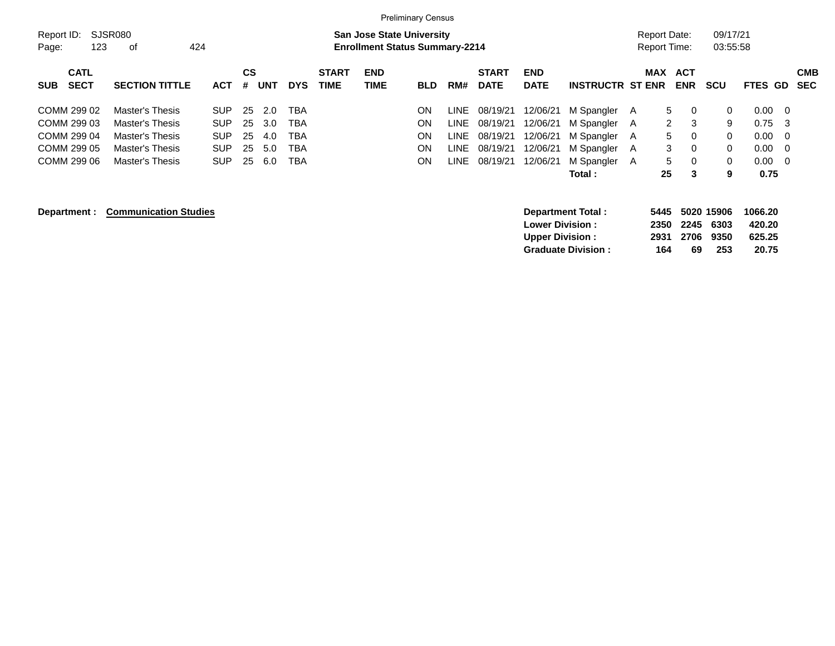|                           |                              |            |    |            |            |              |                                       | <b>Preliminary Census</b> |             |              |                                                  |                           |   |                      |              |              |                  |                |            |
|---------------------------|------------------------------|------------|----|------------|------------|--------------|---------------------------------------|---------------------------|-------------|--------------|--------------------------------------------------|---------------------------|---|----------------------|--------------|--------------|------------------|----------------|------------|
| Report ID:                | SJSR080                      |            |    |            |            |              | <b>San Jose State University</b>      |                           |             |              |                                                  |                           |   | <b>Report Date:</b>  |              | 09/17/21     |                  |                |            |
| 123<br>Page:              | 424<br>оf                    |            |    |            |            |              | <b>Enrollment Status Summary-2214</b> |                           |             |              |                                                  |                           |   | <b>Report Time:</b>  |              | 03:55:58     |                  |                |            |
| <b>CATL</b>               |                              |            | CS |            |            | <b>START</b> | <b>END</b>                            |                           |             | <b>START</b> | <b>END</b>                                       |                           |   | <b>MAX</b>           | <b>ACT</b>   |              |                  |                | <b>CMB</b> |
| <b>SECT</b><br><b>SUB</b> | <b>SECTION TITTLE</b>        | <b>ACT</b> | #  | <b>UNT</b> | <b>DYS</b> | <b>TIME</b>  | TIME                                  | <b>BLD</b>                | RM#         | <b>DATE</b>  | <b>DATE</b>                                      | <b>INSTRUCTR ST ENR</b>   |   |                      | <b>ENR</b>   | <b>SCU</b>   | FTES GD          |                | <b>SEC</b> |
| COMM 299 02               | Master's Thesis              | <b>SUP</b> | 25 | 2.0        | ТВА        |              |                                       | ON                        | <b>LINE</b> | 08/19/21     | 12/06/21                                         | M Spangler                | A | 5                    | 0            | 0            | 0.00             | $\overline{0}$ |            |
| COMM 299 03               | Master's Thesis              | <b>SUP</b> | 25 | 3.0        | TBA        |              |                                       | ON                        | <b>LINE</b> | 08/19/21     | 12/06/21                                         | M Spangler                | A | $\mathbf{2}^{\circ}$ | 3            | 9            | 0.75             | 3              |            |
| COMM 299 04               | Master's Thesis              | <b>SUP</b> | 25 | 4.0        | ТВА        |              |                                       | <b>ON</b>                 | <b>LINE</b> | 08/19/21     | 12/06/21                                         | M Spangler                | A | 5                    | 0            | $\mathbf{0}$ | 0.00             | 0              |            |
| COMM 299 05               | Master's Thesis              | <b>SUP</b> | 25 | 5.0        | ТВА        |              |                                       | <b>ON</b>                 | <b>LINE</b> | 08/19/21     | 12/06/21                                         | M Spangler                | A | 3                    | 0            | $\mathbf{0}$ | 0.00             | 0              |            |
| COMM 299 06               | Master's Thesis              | <b>SUP</b> | 25 | 6.0        | TBA        |              |                                       | ON                        | <b>LINE</b> | 08/19/21     | 12/06/21                                         | M Spangler                | A | 5                    | 0            | $\mathbf{0}$ | 0.00             | 0              |            |
|                           |                              |            |    |            |            |              |                                       |                           |             |              |                                                  | Total:                    |   | 25                   | 3            | 9            | 0.75             |                |            |
| Department :              | <b>Communication Studies</b> |            |    |            |            |              |                                       |                           |             |              |                                                  | <b>Department Total:</b>  |   | 5445                 |              | 5020 15906   | 1066.20          |                |            |
|                           |                              |            |    |            |            |              |                                       |                           |             |              | <b>Lower Division:</b><br><b>Upper Division:</b> |                           |   | 2350<br>2931         | 2245<br>2706 | 6303<br>9350 | 420.20<br>625.25 |                |            |
|                           |                              |            |    |            |            |              |                                       |                           |             |              |                                                  | <b>Graduate Division:</b> |   | 164                  | 69           | 253          | 20.75            |                |            |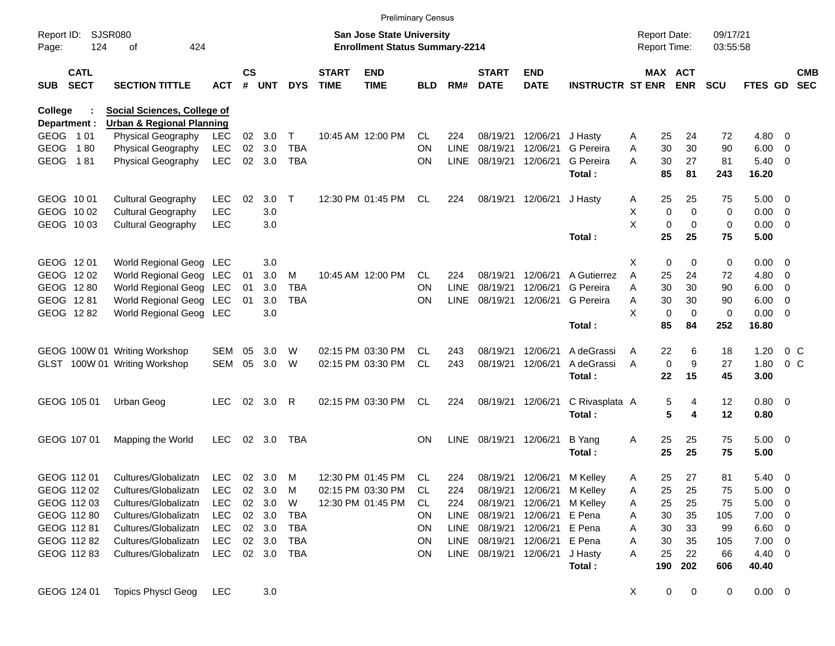|                     |                            |                                      |            |                    |            |              |                             | <b>Preliminary Census</b>                                                 |            |             |                             |                           |                         |        |             |                                            |                      |              |                         |                          |
|---------------------|----------------------------|--------------------------------------|------------|--------------------|------------|--------------|-----------------------------|---------------------------------------------------------------------------|------------|-------------|-----------------------------|---------------------------|-------------------------|--------|-------------|--------------------------------------------|----------------------|--------------|-------------------------|--------------------------|
| Report ID:<br>Page: | 124                        | <b>SJSR080</b><br>424<br>οf          |            |                    |            |              |                             | <b>San Jose State University</b><br><b>Enrollment Status Summary-2214</b> |            |             |                             |                           |                         |        |             | <b>Report Date:</b><br><b>Report Time:</b> | 09/17/21<br>03:55:58 |              |                         |                          |
| SUB                 | <b>CATL</b><br><b>SECT</b> | <b>SECTION TITTLE</b>                | <b>ACT</b> | $\mathsf{cs}$<br># | <b>UNT</b> | <b>DYS</b>   | <b>START</b><br><b>TIME</b> | <b>END</b><br><b>TIME</b>                                                 | <b>BLD</b> | RM#         | <b>START</b><br><b>DATE</b> | <b>END</b><br><b>DATE</b> | <b>INSTRUCTR ST ENR</b> |        |             | MAX ACT<br><b>ENR</b>                      | <b>SCU</b>           | FTES GD      |                         | <b>CMB</b><br><b>SEC</b> |
| College             |                            | Social Sciences, College of          |            |                    |            |              |                             |                                                                           |            |             |                             |                           |                         |        |             |                                            |                      |              |                         |                          |
|                     | Department :               | <b>Urban &amp; Regional Planning</b> |            |                    |            |              |                             |                                                                           |            |             |                             |                           |                         |        |             |                                            |                      |              |                         |                          |
|                     | GEOG 101                   | <b>Physical Geography</b>            | LEC        | 02 <sub>o</sub>    | 3.0        | Τ            |                             | 10:45 AM 12:00 PM                                                         | CL         | 224         | 08/19/21                    | 12/06/21                  | J Hastv                 | A      | 25          | 24                                         | 72                   | 4.80         | 0                       |                          |
| <b>GEOG</b>         | 180                        | Physical Geography                   | <b>LEC</b> | 02                 | 3.0        | <b>TBA</b>   |                             |                                                                           | <b>ON</b>  | <b>LINE</b> | 08/19/21                    | 12/06/21                  | G Pereira               | Α      | 30          | 30                                         | 90                   | 6.00         | $\overline{0}$          |                          |
| <b>GEOG</b>         | 181                        | Physical Geography                   | <b>LEC</b> | 02                 | 3.0        | <b>TBA</b>   |                             |                                                                           | <b>ON</b>  | <b>LINE</b> | 08/19/21                    | 12/06/21                  | G Pereira               | A      | 30          | 27                                         | 81                   | 5.40         | - 0                     |                          |
|                     |                            |                                      |            |                    |            |              |                             |                                                                           |            |             |                             |                           | Total:                  |        | 85          | 81                                         | 243                  | 16.20        |                         |                          |
|                     | GEOG 1001                  | <b>Cultural Geography</b>            | LEC        | 02                 | 3.0        | $\mathsf{T}$ |                             | 12:30 PM 01:45 PM                                                         | CL         | 224         | 08/19/21                    | 12/06/21                  | J Hasty                 | A      | 25          | 25                                         | 75                   | 5.00         | - 0                     |                          |
|                     | GEOG 1002                  | <b>Cultural Geography</b>            | <b>LEC</b> |                    | 3.0        |              |                             |                                                                           |            |             |                             |                           |                         | X      | 0           | $\mathbf 0$                                | 0                    | 0.00         | 0                       |                          |
|                     | GEOG 1003                  | <b>Cultural Geography</b>            | <b>LEC</b> |                    | 3.0        |              |                             |                                                                           |            |             |                             |                           |                         | X      | $\mathbf 0$ | 0                                          | 0                    | 0.00         | - 0                     |                          |
|                     |                            |                                      |            |                    |            |              |                             |                                                                           |            |             |                             |                           | Total:                  |        | 25          | 25                                         | 75                   | 5.00         |                         |                          |
|                     |                            |                                      |            |                    |            |              |                             |                                                                           |            |             |                             |                           |                         |        |             |                                            |                      |              |                         |                          |
|                     | GEOG 1201                  | World Regional Geog LEC              |            |                    | 3.0        |              |                             |                                                                           |            |             |                             |                           |                         | X      | 0           | 0                                          | 0                    | 0.00         | - 0                     |                          |
|                     | GEOG 1202                  | World Regional Geog                  | LEC        | 01                 | 3.0        | M            |                             | 10:45 AM 12:00 PM                                                         | CL         | 224         | 08/19/21                    | 12/06/21<br>12/06/21      | A Gutierrez             | A      | 25          | 24                                         | 72                   | 4.80         | 0                       |                          |
|                     | GEOG 1280                  | World Regional Geog LEC              |            | 01                 | 3.0        | <b>TBA</b>   |                             |                                                                           | <b>ON</b>  | <b>LINE</b> | 08/19/21<br>08/19/21        |                           | G Pereira<br>G Pereira  | A      | 30          | 30                                         | 90                   | 6.00         | 0                       |                          |
|                     | GEOG 1281<br>GEOG 1282     | World Regional Geog LEC              |            | 01                 | 3.0<br>3.0 | <b>TBA</b>   |                             |                                                                           | <b>ON</b>  | <b>LINE</b> |                             | 12/06/21                  |                         | A<br>X | 30<br>0     | 30<br>$\mathbf 0$                          | 90<br>$\mathbf 0$    | 6.00<br>0.00 | 0<br>- 0                |                          |
|                     |                            | World Regional Geog LEC              |            |                    |            |              |                             |                                                                           |            |             |                             |                           | Total:                  |        | 85          | 84                                         | 252                  | 16.80        |                         |                          |
|                     |                            |                                      |            |                    |            |              |                             |                                                                           |            |             |                             |                           |                         |        |             |                                            |                      |              |                         |                          |
|                     |                            | GEOG 100W 01 Writing Workshop        | SEM        | 05                 | 3.0        | W            |                             | 02:15 PM 03:30 PM                                                         | CL         | 243         | 08/19/21                    | 12/06/21                  | A deGrassi              | A      | 22          | 6                                          | 18                   | 1.20         |                         | 0 <sup>C</sup>           |
| GLST                |                            | 100W 01 Writing Workshop             | <b>SEM</b> | 05                 | 3.0        | W            |                             | 02:15 PM 03:30 PM                                                         | CL.        | 243         | 08/19/21                    | 12/06/21                  | A deGrassi              | A      | $\mathbf 0$ | 9                                          | 27                   | 1.80         |                         | 0 <sup>C</sup>           |
|                     |                            |                                      |            |                    |            |              |                             |                                                                           |            |             |                             |                           | Total:                  |        | 22          | 15                                         | 45                   | 3.00         |                         |                          |
|                     |                            |                                      |            |                    |            |              |                             |                                                                           |            |             |                             |                           |                         |        |             |                                            |                      |              |                         |                          |
|                     | GEOG 105 01                | Urban Geog                           | <b>LEC</b> | 02 <sub>o</sub>    | 3.0        | R            |                             | 02:15 PM 03:30 PM                                                         | CL.        | 224         | 08/19/21                    | 12/06/21                  | C Rivasplata A          |        | 5           | 4                                          | 12                   | 0.80 0       |                         |                          |
|                     |                            |                                      |            |                    |            |              |                             |                                                                           |            |             |                             |                           | Total:                  |        | 5           | 4                                          | 12                   | 0.80         |                         |                          |
|                     | GEOG 107 01                | Mapping the World                    | <b>LEC</b> |                    | 02 3.0     | TBA          |                             |                                                                           | <b>ON</b>  | LINE        | 08/19/21                    | 12/06/21                  | B Yang                  | A      | 25          | 25                                         | 75                   | $5.00 \t 0$  |                         |                          |
|                     |                            |                                      |            |                    |            |              |                             |                                                                           |            |             |                             |                           | Total:                  |        | 25          | 25                                         | 75                   | 5.00         |                         |                          |
|                     |                            |                                      |            |                    |            |              |                             |                                                                           |            |             |                             |                           |                         |        |             |                                            |                      |              |                         |                          |
|                     | GEOG 112 01                | Cultures/Globalizatn                 | <b>LEC</b> |                    | 02 3.0     | M            |                             | 12:30 PM 01:45 PM                                                         | CL         | 224         | 08/19/21                    | 12/06/21                  | M Kelley                | A      | 25          | 27                                         | 81                   | 5.40         | $\overline{\mathbf{0}}$ |                          |
|                     | GEOG 112 02                | Cultures/Globalizatn                 | LEC        | $02\,$             | 3.0        | M            |                             | 02:15 PM 03:30 PM                                                         | CL.        | 224         | 08/19/21                    |                           | 12/06/21 M Kelley       | Α      | 25          | 25                                         | 75                   | 5.00         | - 0                     |                          |
|                     | GEOG 112 03                | Cultures/Globalizatn                 | <b>LEC</b> |                    | 02 3.0     | W            |                             | 12:30 PM 01:45 PM                                                         | CL.        | 224         | 08/19/21                    | 12/06/21                  | M Kelley                | A      | 25          | 25                                         | 75                   | 5.00         | - 0                     |                          |
|                     | GEOG 112 80                | Cultures/Globalizatn                 | <b>LEC</b> |                    | 02 3.0     | TBA          |                             |                                                                           | <b>ON</b>  |             | LINE 08/19/21               | 12/06/21 E Pena           |                         | A      | 30          | 35                                         | 105                  | 7.00         | - 0                     |                          |
|                     | GEOG 112 81                | Cultures/Globalizatn                 | <b>LEC</b> |                    | 02 3.0     | TBA          |                             |                                                                           | ON         |             | LINE 08/19/21               | 12/06/21 E Pena           |                         | A      | 30          | 33                                         | 99                   | 6.60         | 0                       |                          |
|                     | GEOG 112 82                | Cultures/Globalizatn                 | <b>LEC</b> |                    | 02 3.0     | TBA          |                             |                                                                           | ON         |             | LINE 08/19/21               | 12/06/21 E Pena           |                         | A      | 30          | 35                                         | 105                  | 7.00         | - 0                     |                          |
|                     | GEOG 112 83                | Cultures/Globalizatn                 | <b>LEC</b> |                    | 02 3.0     | TBA          |                             |                                                                           | ON         |             | LINE 08/19/21               | 12/06/21                  | J Hasty                 | Α      | 25          | 22                                         | 66                   | 4.40         | - 0                     |                          |
|                     |                            |                                      |            |                    |            |              |                             |                                                                           |            |             |                             |                           | Total:                  |        | 190         | 202                                        | 606                  | 40.40        |                         |                          |
|                     | GEOG 124 01                | <b>Topics Physcl Geog</b>            | <b>LEC</b> |                    | 3.0        |              |                             |                                                                           |            |             |                             |                           |                         | X.     | 0           | $\pmb{0}$                                  | 0                    | $0.00 \t 0$  |                         |                          |
|                     |                            |                                      |            |                    |            |              |                             |                                                                           |            |             |                             |                           |                         |        |             |                                            |                      |              |                         |                          |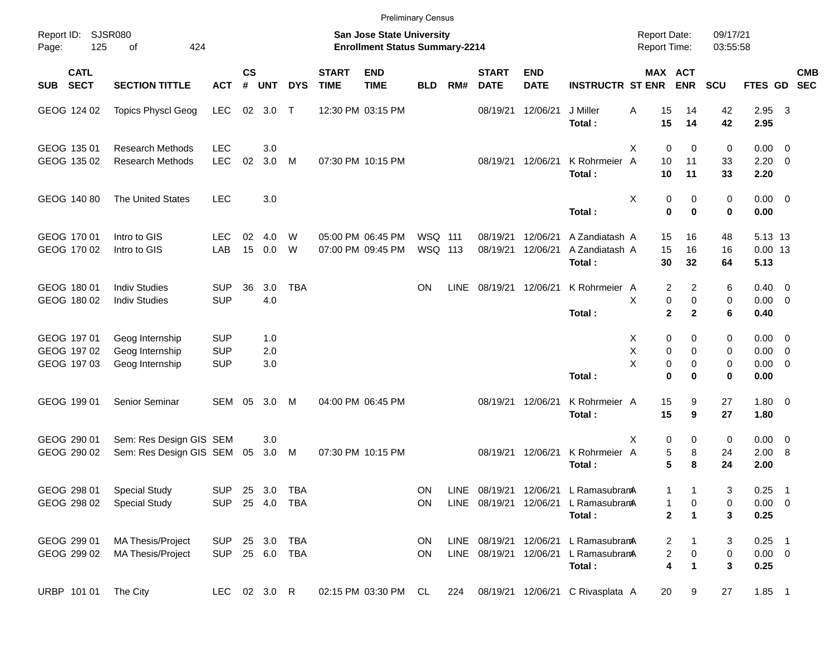|            |                            |                                                       |                          |                    |            |            |                             | <b>Preliminary Census</b>                                                 |                    |             |                             |                           |                                                |                                     |                       |                      |                               |                            |            |
|------------|----------------------------|-------------------------------------------------------|--------------------------|--------------------|------------|------------|-----------------------------|---------------------------------------------------------------------------|--------------------|-------------|-----------------------------|---------------------------|------------------------------------------------|-------------------------------------|-----------------------|----------------------|-------------------------------|----------------------------|------------|
| Page:      | Report ID: SJSR080<br>125  | 424<br>οf                                             |                          |                    |            |            |                             | <b>San Jose State University</b><br><b>Enrollment Status Summary-2214</b> |                    |             |                             |                           |                                                | <b>Report Date:</b><br>Report Time: |                       | 09/17/21<br>03:55:58 |                               |                            |            |
| <b>SUB</b> | <b>CATL</b><br><b>SECT</b> | <b>SECTION TITTLE</b>                                 | <b>ACT</b>               | $\mathsf{cs}$<br># | <b>UNT</b> | <b>DYS</b> | <b>START</b><br><b>TIME</b> | <b>END</b><br><b>TIME</b>                                                 | <b>BLD</b>         | RM#         | <b>START</b><br><b>DATE</b> | <b>END</b><br><b>DATE</b> | <b>INSTRUCTR ST ENR</b>                        |                                     | MAX ACT<br><b>ENR</b> | SCU                  | FTES GD SEC                   |                            | <b>CMB</b> |
|            | GEOG 124 02                | <b>Topics Physcl Geog</b>                             | <b>LEC</b>               |                    | 02 3.0     | $\top$     |                             | 12:30 PM 03:15 PM                                                         |                    |             | 08/19/21 12/06/21           |                           | J Miller<br>Total:                             | Α<br>15<br>15                       | 14<br>14              | 42<br>42             | 2.95 3<br>2.95                |                            |            |
|            | GEOG 135 01                | <b>Research Methods</b>                               | <b>LEC</b>               |                    | 3.0        |            |                             |                                                                           |                    |             |                             |                           |                                                | X<br>$\mathbf 0$                    | $\mathbf 0$           | 0                    | $0.00 \t 0$                   |                            |            |
|            | GEOG 135 02                | <b>Research Methods</b>                               | <b>LEC</b>               | 02                 | 3.0        | M          |                             | 07:30 PM 10:15 PM                                                         |                    |             | 08/19/21 12/06/21           |                           | K Rohrmeier<br>Total:                          | 10<br>A<br>10                       | 11<br>11              | 33<br>33             | $2.20 \t 0$<br>2.20           |                            |            |
|            | GEOG 140 80                | <b>The United States</b>                              | <b>LEC</b>               |                    | 3.0        |            |                             |                                                                           |                    |             |                             |                           | Total:                                         | Χ<br>0<br>$\mathbf 0$               | 0<br>$\bf{0}$         | 0<br>0               | $0.00 \t 0$<br>0.00           |                            |            |
|            | GEOG 170 01<br>GEOG 170 02 | Intro to GIS<br>Intro to GIS                          | <b>LEC</b><br>LAB        | 02<br>15           | 4.0<br>0.0 | W<br>W     |                             | 05:00 PM 06:45 PM<br>07:00 PM 09:45 PM                                    | WSQ 111<br>WSQ 113 |             | 08/19/21<br>08/19/21        | 12/06/21<br>12/06/21      | A Zandiatash A<br>A Zandiatash A<br>Total:     | 15<br>15<br>30                      | 16<br>16<br>32        | 48<br>16<br>64       | 5.13 13<br>$0.00$ 13<br>5.13  |                            |            |
|            | GEOG 180 01<br>GEOG 180 02 | <b>Indiv Studies</b><br><b>Indiv Studies</b>          | <b>SUP</b><br><b>SUP</b> | 36                 | 3.0<br>4.0 | <b>TBA</b> |                             |                                                                           | <b>ON</b>          | <b>LINE</b> | 08/19/21 12/06/21           |                           | K Rohrmeier A                                  | 2<br>X<br>0                         | $\overline{2}$<br>0   | 6<br>0               | $0.40 \quad 0$<br>$0.00 \t 0$ |                            |            |
|            |                            |                                                       |                          |                    |            |            |                             |                                                                           |                    |             |                             |                           | Total:                                         | $\mathbf{2}$                        | $\mathbf{2}$          | 6                    | 0.40                          |                            |            |
|            | GEOG 197 01                | Geog Internship                                       | <b>SUP</b>               |                    | 1.0        |            |                             |                                                                           |                    |             |                             |                           |                                                | X<br>0                              | 0                     | 0                    | $0.00 \t 0$                   |                            |            |
|            | GEOG 197 02<br>GEOG 197 03 | Geog Internship<br>Geog Internship                    | <b>SUP</b><br><b>SUP</b> |                    | 2.0<br>3.0 |            |                             |                                                                           |                    |             |                             |                           |                                                | X<br>0<br>X<br>0                    | $\mathbf 0$<br>0      | 0<br>0               | $0.00 \t 0$<br>$0.00 \t 0$    |                            |            |
|            |                            |                                                       |                          |                    |            |            |                             |                                                                           |                    |             |                             |                           | Total:                                         | $\bf{0}$                            | 0                     | 0                    | 0.00                          |                            |            |
|            | GEOG 199 01                | Senior Seminar                                        | SEM                      | 05                 | 3.0        | M          |                             | 04:00 PM 06:45 PM                                                         |                    |             | 08/19/21 12/06/21           |                           | K Rohrmeier A<br>Total:                        | 15<br>15                            | 9<br>9                | 27<br>27             | $1.80 \ 0$<br>1.80            |                            |            |
|            | GEOG 290 01<br>GEOG 290 02 | Sem: Res Design GIS SEM<br>Sem: Res Design GIS SEM 05 |                          |                    | 3.0<br>3.0 | M          |                             | 07:30 PM 10:15 PM                                                         |                    |             | 08/19/21 12/06/21           |                           | K Rohrmeier A                                  | Χ<br>0<br>5                         | 0<br>8                | 0<br>24              | $0.00 \t 0$<br>2.00 8         |                            |            |
|            |                            |                                                       |                          |                    |            |            |                             |                                                                           |                    |             |                             |                           | Total:                                         | 5                                   | 8                     | 24                   | 2.00                          |                            |            |
|            | GEOG 298 01                | <b>Special Study</b>                                  | SUP 25 3.0               |                    |            | TBA        |                             |                                                                           | <b>ON</b>          |             |                             |                           | LINE 08/19/21 12/06/21 L RamasubramA           | 1                                   |                       | 3                    | 0.25                          | $\overline{\phantom{0}}$ 1 |            |
|            | GEOG 298 02                | <b>Special Study</b>                                  | SUP 25 4.0               |                    |            | TBA        |                             |                                                                           | <b>ON</b>          |             |                             |                           | LINE 08/19/21 12/06/21 L RamasubranA<br>Total: | 1<br>$\mathbf 2$                    | 0<br>$\mathbf 1$      | 0<br>3               | $0.00 \t 0$<br>0.25           |                            |            |
|            | GEOG 299 01                | <b>MA Thesis/Project</b>                              | <b>SUP</b>               |                    | 25 3.0     | <b>TBA</b> |                             |                                                                           | <b>ON</b>          |             |                             |                           | LINE 08/19/21 12/06/21 L RamasubranA           | 2                                   |                       | 3                    | $0.25$ 1                      |                            |            |
|            | GEOG 299 02                | <b>MA Thesis/Project</b>                              | SUP 25 6.0               |                    |            | TBA        |                             |                                                                           | ON                 |             |                             |                           | LINE 08/19/21 12/06/21 L RamasubramA<br>Total: | 2<br>4                              | $\pmb{0}$<br>1        | 0<br>3               | $0.00 \t 0$<br>0.25           |                            |            |
|            | URBP 101 01                | The City                                              | LEC 02 3.0 R             |                    |            |            |                             | 02:15 PM 03:30 PM CL                                                      |                    | 224         |                             |                           | 08/19/21 12/06/21 C Rivasplata A               | 20                                  | 9                     | 27                   | $1.85$ 1                      |                            |            |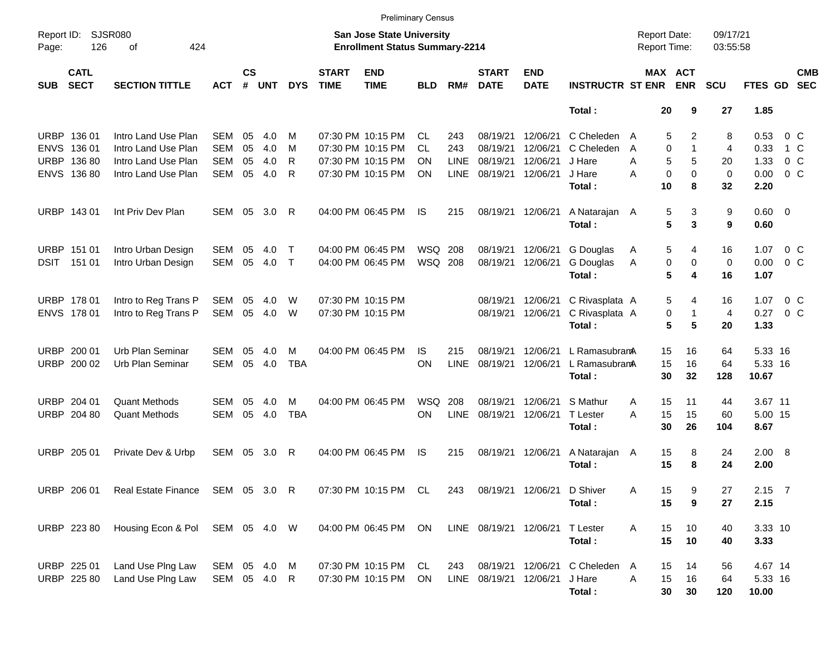|                     |                            |                                 |              |                    |            |            |                             | <b>Preliminary Census</b>                                                 |                |             |                             |                           |                         |                                     |                          |                      |                        |                |                          |
|---------------------|----------------------------|---------------------------------|--------------|--------------------|------------|------------|-----------------------------|---------------------------------------------------------------------------|----------------|-------------|-----------------------------|---------------------------|-------------------------|-------------------------------------|--------------------------|----------------------|------------------------|----------------|--------------------------|
| Report ID:<br>Page: | 126                        | <b>SJSR080</b><br>424<br>οf     |              |                    |            |            |                             | <b>San Jose State University</b><br><b>Enrollment Status Summary-2214</b> |                |             |                             |                           |                         | <b>Report Date:</b><br>Report Time: |                          | 09/17/21<br>03:55:58 |                        |                |                          |
| <b>SUB</b>          | <b>CATL</b><br><b>SECT</b> | <b>SECTION TITTLE</b>           | ACT          | $\mathsf{cs}$<br># | <b>UNT</b> | <b>DYS</b> | <b>START</b><br><b>TIME</b> | <b>END</b><br><b>TIME</b>                                                 | <b>BLD</b>     | RM#         | <b>START</b><br><b>DATE</b> | <b>END</b><br><b>DATE</b> | <b>INSTRUCTR ST ENR</b> |                                     | MAX ACT<br><b>ENR</b>    | <b>SCU</b>           | FTES GD                |                | <b>CMB</b><br><b>SEC</b> |
|                     |                            |                                 |              |                    |            |            |                             |                                                                           |                |             |                             |                           | Total:                  |                                     | 20<br>9                  | 27                   | 1.85                   |                |                          |
|                     | URBP 136 01                | Intro Land Use Plan             | SEM          | 05                 | 4.0        | м          |                             | 07:30 PM 10:15 PM                                                         | CL.            | 243         | 08/19/21                    | 12/06/21                  | C Cheleden              | A                                   | 5<br>2                   | 8                    | 0.53                   | $0\,$ C        |                          |
|                     | ENVS 136 01                | Intro Land Use Plan             | <b>SEM</b>   | 05                 | 4.0        | м          |                             | 07:30 PM 10:15 PM                                                         | <b>CL</b>      | 243         | 08/19/21                    | 12/06/21                  | C Cheleden              | A                                   | $\Omega$<br>$\mathbf{1}$ | $\overline{4}$       | 0.33                   | 1 C            |                          |
|                     | URBP 136 80                | Intro Land Use Plan             | <b>SEM</b>   | 05                 | 4.0        | R          |                             | 07:30 PM 10:15 PM                                                         | OΝ             | <b>LINE</b> | 08/19/21                    | 12/06/21                  | J Hare                  | A                                   | 5<br>5                   | 20                   | 1.33                   | 0 <sup>o</sup> |                          |
|                     | ENVS 13680                 | Intro Land Use Plan             | <b>SEM</b>   | 05                 | 4.0        | R          |                             | 07:30 PM 10:15 PM                                                         | ΟN             | <b>LINE</b> | 08/19/21                    | 12/06/21                  | J Hare                  | A                                   | $\Omega$<br>$\mathbf 0$  | $\mathbf 0$          | 0.00                   | 0 <sup>o</sup> |                          |
|                     |                            |                                 |              |                    |            |            |                             |                                                                           |                |             |                             |                           | Total:                  | 10                                  | 8                        | 32                   | 2.20                   |                |                          |
|                     | URBP 143 01                | Int Priv Dev Plan               | SEM          | 05                 | 3.0        | R          |                             | 04:00 PM 06:45 PM                                                         | IS             | 215         | 08/19/21                    | 12/06/21                  | A Natarajan A<br>Total: |                                     | 3<br>5<br>5<br>3         | 9<br>9               | $0.60 \quad 0$<br>0.60 |                |                          |
|                     | URBP 151 01                | Intro Urban Design              | <b>SEM</b>   | 05                 | 4.0        | Т          |                             | 04:00 PM 06:45 PM                                                         | WSQ 208        |             | 08/19/21                    | 12/06/21                  | G Douglas               | A                                   | 5<br>4                   | 16                   | 1.07                   | $0\,$ C        |                          |
|                     | DSIT 151 01                | Intro Urban Design              | SEM          | 05                 | 4.0        | $\top$     |                             | 04:00 PM 06:45 PM                                                         | <b>WSQ 208</b> |             | 08/19/21                    | 12/06/21                  | G Douglas               | Α                                   | 0<br>0                   | $\mathbf 0$          | 0.00                   | 0 <sup>o</sup> |                          |
|                     |                            |                                 |              |                    |            |            |                             |                                                                           |                |             |                             |                           | Total:                  |                                     | 5<br>4                   | 16                   | 1.07                   |                |                          |
|                     | URBP 178 01                | Intro to Reg Trans P            | SEM          | 05                 | 4.0        | W          |                             | 07:30 PM 10:15 PM                                                         |                |             | 08/19/21                    | 12/06/21                  | C Rivasplata A          |                                     | 5<br>4                   | 16                   | 1.07                   | $0\,$ C        |                          |
|                     | ENVS 178 01                | Intro to Reg Trans P            | SEM          | 05                 | 4.0        | W          |                             | 07:30 PM 10:15 PM                                                         |                |             | 08/19/21                    | 12/06/21                  | C Rivasplata A          |                                     | 0<br>1                   | $\overline{4}$       | 0.27                   | $0\,$ C        |                          |
|                     |                            |                                 |              |                    |            |            |                             |                                                                           |                |             |                             |                           | Total:                  |                                     | 5<br>5                   | 20                   | 1.33                   |                |                          |
|                     | URBP 200 01                | Urb Plan Seminar                | SEM          | 05                 | 4.0        | м          |                             | 04:00 PM 06:45 PM                                                         | IS             | 215         | 08/19/21                    | 12/06/21                  | L RamasubramA           |                                     | 15<br>16                 | 64                   | 5.33 16                |                |                          |
|                     | URBP 200 02                | Urb Plan Seminar                | <b>SEM</b>   | 05                 | 4.0        | <b>TBA</b> |                             |                                                                           | ON             | <b>LINE</b> | 08/19/21                    | 12/06/21                  | L RamasubramA           | 15                                  | 16                       | 64                   | 5.33 16                |                |                          |
|                     |                            |                                 |              |                    |            |            |                             |                                                                           |                |             |                             |                           | Total:                  | 30                                  | 32                       | 128                  | 10.67                  |                |                          |
|                     | URBP 204 01                | <b>Quant Methods</b>            | SEM          | 05                 | 4.0        | М          |                             | 04:00 PM 06:45 PM                                                         | <b>WSQ</b>     | 208         | 08/19/21                    | 12/06/21                  | S Mathur                | 15<br>Α                             | 11                       | 44                   | 3.67 11                |                |                          |
| URBP                | 204 80                     | <b>Quant Methods</b>            | <b>SEM</b>   | 05                 | 4.0        | <b>TBA</b> |                             |                                                                           | ON             | <b>LINE</b> | 08/19/21                    | 12/06/21                  | T Lester                | 15<br>A                             | 15                       | 60                   | 5.00 15                |                |                          |
|                     |                            |                                 |              |                    |            |            |                             |                                                                           |                |             |                             |                           | Total:                  | 30                                  | 26                       | 104                  | 8.67                   |                |                          |
|                     | URBP 205 01                | Private Dev & Urbp              | SEM 05       |                    | 3.0        | R          |                             | 04:00 PM 06:45 PM                                                         | IS             | 215         | 08/19/21                    | 12/06/21                  | A Natarajan A           | 15                                  | 8                        | 24                   | 2.00 8                 |                |                          |
|                     |                            |                                 |              |                    |            |            |                             |                                                                           |                |             |                             |                           | Total:                  | 15                                  | 8                        | 24                   | 2.00                   |                |                          |
|                     | URBP 206 01                | Real Estate Finance             | SEM 05 3.0 R |                    |            |            |                             | 07:30 PM 10:15 PM CL                                                      |                | 243         |                             | 08/19/21 12/06/21         | D Shiver                | 15<br>Α                             | 9                        | 27                   | $2.15$ 7               |                |                          |
|                     |                            |                                 |              |                    |            |            |                             |                                                                           |                |             |                             |                           | Total:                  | 15                                  | 9                        | 27                   | 2.15                   |                |                          |
|                     | URBP 223 80                | Housing Econ & Pol SEM 05 4.0 W |              |                    |            |            |                             | 04:00 PM 06:45 PM                                                         | ON             |             | LINE 08/19/21 12/06/21      |                           | <b>T</b> Lester         | Α                                   | 15<br>10                 | 40                   | 3.33 10                |                |                          |
|                     |                            |                                 |              |                    |            |            |                             |                                                                           |                |             |                             |                           | Total:                  |                                     | 15<br>10                 | 40                   | 3.33                   |                |                          |
|                     | URBP 225 01                | Land Use Plng Law               | SEM 05 4.0   |                    |            | M          |                             | 07:30 PM 10:15 PM                                                         | CL             | 243         |                             | 08/19/21 12/06/21         | C Cheleden              | 15<br>A                             | 14                       | 56                   | 4.67 14                |                |                          |
|                     | URBP 225 80                | Land Use Plng Law               | SEM 05 4.0 R |                    |            |            |                             | 07:30 PM 10:15 PM                                                         | ON             |             | LINE 08/19/21 12/06/21      |                           | J Hare                  | 15<br>A                             | 16                       | 64                   | 5.33 16                |                |                          |
|                     |                            |                                 |              |                    |            |            |                             |                                                                           |                |             |                             |                           | Total:                  |                                     | 30<br>30                 | 120                  | 10.00                  |                |                          |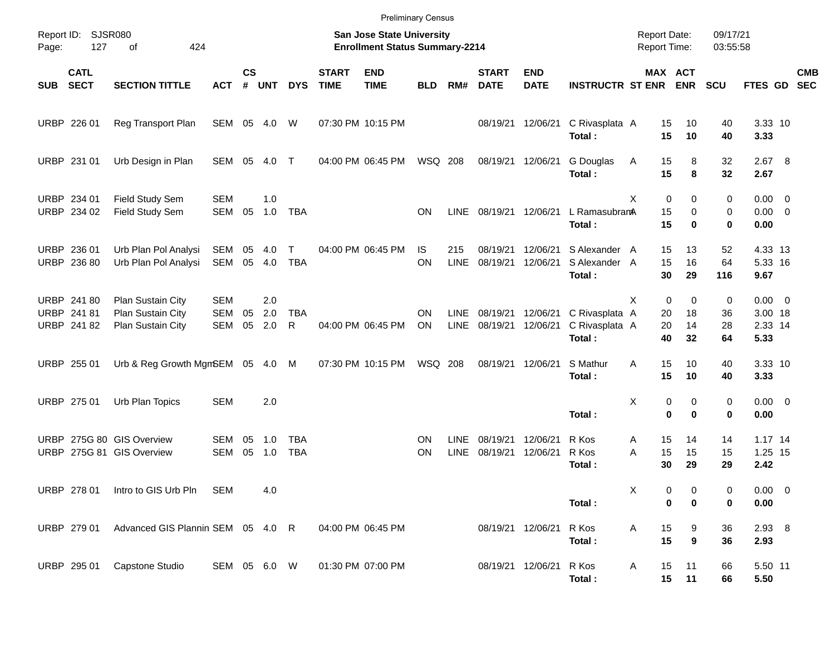|                            |                                           |                                                             |                                        |                    |                   |                   |                             | <b>Preliminary Census</b>                                                 |                 |                            |                             |                           |                                            |                     |                                            |                      |                                           |                                                     |                          |
|----------------------------|-------------------------------------------|-------------------------------------------------------------|----------------------------------------|--------------------|-------------------|-------------------|-----------------------------|---------------------------------------------------------------------------|-----------------|----------------------------|-----------------------------|---------------------------|--------------------------------------------|---------------------|--------------------------------------------|----------------------|-------------------------------------------|-----------------------------------------------------|--------------------------|
| Page:                      | Report ID: SJSR080<br>127                 | 424<br>of                                                   |                                        |                    |                   |                   |                             | <b>San Jose State University</b><br><b>Enrollment Status Summary-2214</b> |                 |                            |                             |                           |                                            | <b>Report Date:</b> | Report Time:                               | 09/17/21<br>03:55:58 |                                           |                                                     |                          |
| <b>SUB</b>                 | <b>CATL</b><br><b>SECT</b>                | <b>SECTION TITTLE</b>                                       | <b>ACT</b>                             | $\mathsf{cs}$<br># | <b>UNT</b>        | <b>DYS</b>        | <b>START</b><br><b>TIME</b> | <b>END</b><br><b>TIME</b>                                                 | <b>BLD</b>      | RM#                        | <b>START</b><br><b>DATE</b> | <b>END</b><br><b>DATE</b> | <b>INSTRUCTR ST ENR</b>                    |                     | MAX ACT<br><b>ENR</b>                      | <b>SCU</b>           | FTES GD                                   |                                                     | <b>CMB</b><br><b>SEC</b> |
| <b>URBP</b>                | 226 01                                    | Reg Transport Plan                                          | SEM                                    | 05                 | 4.0               | W                 |                             | 07:30 PM 10:15 PM                                                         |                 |                            | 08/19/21                    | 12/06/21                  | C Rivasplata A<br>Total:                   |                     | 15<br>10<br>15<br>10                       | 40<br>40             | 3.33 10<br>3.33                           |                                                     |                          |
|                            | URBP 231 01                               | Urb Design in Plan                                          | SEM                                    | 05                 | 4.0               | $\top$            |                             | 04:00 PM 06:45 PM                                                         | WSQ 208         |                            | 08/19/21                    | 12/06/21                  | G Douglas<br>Total:                        | A                   | 8<br>15<br>15<br>8                         | 32<br>32             | 2.67<br>2.67                              | $_{\rm 8}$                                          |                          |
|                            | URBP 234 01<br>URBP 234 02                | Field Study Sem<br>Field Study Sem                          | <b>SEM</b><br><b>SEM</b>               | 05                 | 1.0<br>1.0        | <b>TBA</b>        |                             |                                                                           | <b>ON</b>       | <b>LINE</b>                | 08/19/21                    | 12/06/21                  | L RamasubramA<br>Total:                    | X                   | 0<br>0<br>15<br>0<br>15<br>$\bf{0}$        | 0<br>0<br>0          | 0.00<br>0.00<br>0.00                      | $\overline{\phantom{0}}$<br>$\overline{\mathbf{0}}$ |                          |
|                            | URBP 236 01<br>URBP 236 80                | Urb Plan Pol Analysi<br>Urb Plan Pol Analysi                | SEM<br>SEM                             | 05<br>05           | 4.0<br>4.0        | Τ<br><b>TBA</b>   |                             | 04:00 PM 06:45 PM                                                         | IS.<br>ON       | 215<br><b>LINE</b>         | 08/19/21<br>08/19/21        | 12/06/21<br>12/06/21      | S Alexander A<br>S Alexander A<br>Total:   |                     | 15<br>13<br>15<br>16<br>30<br>29           | 52<br>64<br>116      | 4.33 13<br>5.33 16<br>9.67                |                                                     |                          |
|                            | URBP 241 80<br>URBP 241 81<br>URBP 241 82 | Plan Sustain City<br>Plan Sustain City<br>Plan Sustain City | <b>SEM</b><br><b>SEM</b><br><b>SEM</b> | 05<br>05           | 2.0<br>2.0<br>2.0 | <b>TBA</b><br>R   |                             | 04:00 PM 06:45 PM                                                         | <b>ON</b><br>ON | <b>LINE</b><br><b>LINE</b> | 08/19/21<br>08/19/21        | 12/06/21<br>12/06/21      | C Rivasplata A<br>C Rivasplata A<br>Total: | Χ                   | 0<br>0<br>20<br>18<br>20<br>14<br>40<br>32 | 0<br>36<br>28<br>64  | $0.00 \t 0$<br>3.00 18<br>2.33 14<br>5.33 |                                                     |                          |
|                            | URBP 255 01                               | Urb & Reg Growth MgmSEM                                     |                                        | 05                 | 4.0               | M                 |                             | 07:30 PM 10:15 PM                                                         | WSQ 208         |                            | 08/19/21                    | 12/06/21                  | S Mathur<br>Total:                         | Α                   | 15<br>10<br>15<br>10                       | 40<br>40             | 3.33 10<br>3.33                           |                                                     |                          |
|                            | URBP 275 01                               | Urb Plan Topics                                             | <b>SEM</b>                             |                    | 2.0               |                   |                             |                                                                           |                 |                            |                             |                           | Total:                                     | Χ                   | 0<br>0<br>0<br>0                           | 0<br>0               | $0.00 \t 0$<br>0.00                       |                                                     |                          |
| <b>URBP</b><br><b>URBP</b> |                                           | 275G 80 GIS Overview<br>275G 81 GIS Overview                | <b>SEM</b><br><b>SEM</b>               | 05<br>05           | 1.0<br>1.0        | TBA<br><b>TBA</b> |                             |                                                                           | ΟN<br>ON        | <b>LINE</b><br><b>LINE</b> | 08/19/21<br>08/19/21        | 12/06/21<br>12/06/21      | R Kos<br>R Kos<br>Total:                   | Α<br>A              | 15<br>14<br>15<br>15<br>30<br>29           | 14<br>15<br>29       | $1.17$ 14<br>1.25 15<br>2.42              |                                                     |                          |
|                            | URBP 278 01                               | Intro to GIS Urb Pln                                        | SEM                                    |                    | 4.0               |                   |                             |                                                                           |                 |                            |                             |                           | Total:                                     | Χ                   | $\mathbf 0$<br>0<br>0<br>0                 | 0<br>0               | $0.00 \t 0$<br>0.00                       |                                                     |                          |
|                            | URBP 279 01                               | Advanced GIS Plannin SEM 05 4.0 R                           |                                        |                    |                   |                   | 04:00 PM 06:45 PM           |                                                                           |                 |                            | 08/19/21 12/06/21           |                           | R Kos<br>Total:                            | Α                   | 15<br>9<br>15<br>9                         | 36<br>36             | $2.93$ 8<br>2.93                          |                                                     |                          |
|                            | URBP 295 01                               | Capstone Studio                                             | SEM 05 6.0 W                           |                    |                   |                   | 01:30 PM 07:00 PM           |                                                                           |                 |                            | 08/19/21 12/06/21           |                           | R Kos<br>Total:                            | A                   | 15<br>11<br>15<br>11                       | 66<br>66             | 5.50 11<br>5.50                           |                                                     |                          |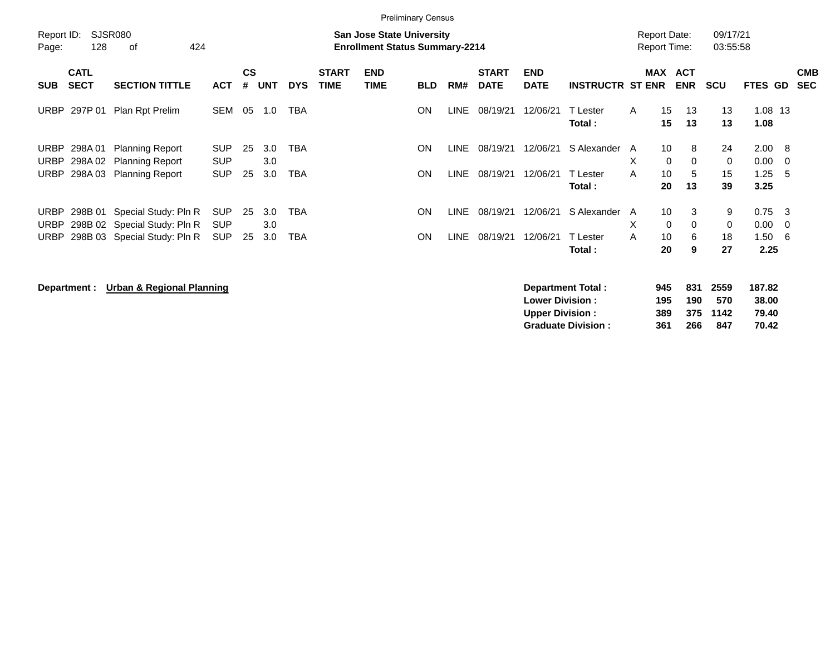|                            |                            |                                                      |                          |         |            |            |                             |                                                                           | <b>Preliminary Census</b> |       |                             |                           |                               |                                            |                             |               |                      |                 |            |                          |
|----------------------------|----------------------------|------------------------------------------------------|--------------------------|---------|------------|------------|-----------------------------|---------------------------------------------------------------------------|---------------------------|-------|-----------------------------|---------------------------|-------------------------------|--------------------------------------------|-----------------------------|---------------|----------------------|-----------------|------------|--------------------------|
| Report ID:<br>Page:        | 128                        | SJSR080<br>οf<br>424                                 |                          |         |            |            |                             | <b>San Jose State University</b><br><b>Enrollment Status Summary-2214</b> |                           |       |                             |                           |                               | <b>Report Date:</b><br><b>Report Time:</b> |                             |               | 09/17/21<br>03:55:58 |                 |            |                          |
| <b>SUB</b>                 | <b>CATL</b><br><b>SECT</b> | <b>SECTION TITTLE</b>                                | <b>ACT</b>               | CS<br># | <b>UNT</b> | <b>DYS</b> | <b>START</b><br><b>TIME</b> | <b>END</b><br>TIME                                                        | <b>BLD</b>                | RM#   | <b>START</b><br><b>DATE</b> | <b>END</b><br><b>DATE</b> | <b>INSTRUCTR ST ENR</b>       |                                            | MAX ACT                     | <b>ENR</b>    | <b>SCU</b>           | FTES GD         |            | <b>CMB</b><br><b>SEC</b> |
| <b>URBP</b>                | 297P 01                    | Plan Rpt Prelim                                      | SEM                      | 05      | 1.0        | <b>TBA</b> |                             |                                                                           | ON                        | LINE  | 08/19/21                    | 12/06/21                  | T Lester<br>Total:            | $\mathsf{A}$                               | 15<br>15                    | 13<br>13      | 13<br>13             | 1.08 13<br>1.08 |            |                          |
| URBP<br>URBP               | 298A 01<br>298A 02         | <b>Planning Report</b><br><b>Planning Report</b>     | <b>SUP</b><br><b>SUP</b> | 25      | 3.0<br>3.0 | <b>TBA</b> |                             |                                                                           | ON                        | LINE  | 08/19/21                    | 12/06/21                  | S Alexander                   | A<br>X                                     | 10 <sup>°</sup><br>$\Omega$ | 8<br>$\Omega$ | 24<br>$\mathbf{0}$   | 2.00<br>0.00    | - 8<br>- 0 |                          |
| URBP                       | 298A 03                    | <b>Planning Report</b>                               | <b>SUP</b>               | 25      | 3.0        | <b>TBA</b> |                             |                                                                           | ON                        | LINE  | 08/19/21                    | 12/06/21                  | <sup>-</sup> Lester<br>Total: | A                                          | 10<br>20                    | 5<br>13       | 15<br>39             | 1.25<br>3.25    | -5         |                          |
| <b>URBP</b><br><b>URBP</b> | 298B 01                    | Special Study: Pln R<br>298B 02 Special Study: Pln R | <b>SUP</b><br><b>SUP</b> | 25      | 3.0<br>3.0 | <b>TBA</b> |                             |                                                                           | ON                        | LINE- | 08/19/21                    | 12/06/21                  | S Alexander A                 | X                                          | 10<br>$\Omega$              | 3<br>$\Omega$ | 9<br>$\mathbf{0}$    | 0.75<br>0.00    | -3<br>-0   |                          |
| URBP                       |                            | 298B 03 Special Study: Pln R                         | <b>SUP</b>               | 25      | 3.0        | TBA        |                             |                                                                           | ON                        | LINE  | 08/19/21                    | 12/06/21                  | T Lester<br>Total:            | A                                          | 10<br>20                    | 6<br>9        | 18<br>27             | 1.50<br>2.25    | -6         |                          |

**Department : Urban & Regional Planning** 

| Department Total:         | 945 |     | 831 2559 | 187.82 |
|---------------------------|-----|-----|----------|--------|
| <b>Lower Division:</b>    | 195 | 190 | 570      | 38.00  |
| <b>Upper Division:</b>    | 389 |     | 375 1142 | 79.40  |
| <b>Graduate Division:</b> | 361 | 266 | 847      | 70.42  |